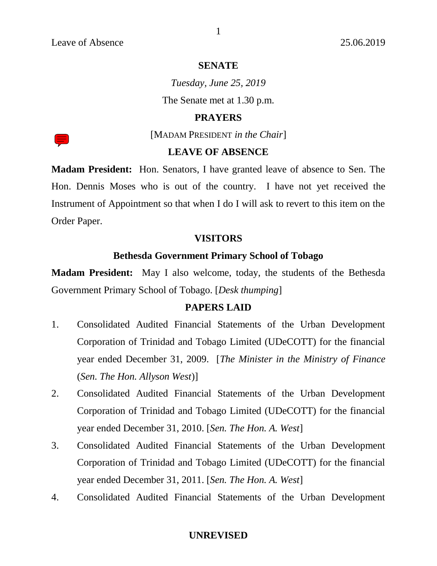### **SENATE**

*Tuesday, June 25, 2019* The Senate met at 1.30 p.m.

# **PRAYERS**

[MADAM PRESIDENT *in the Chair*]

### **LEAVE OF ABSENCE**

**Madam President:** Hon. Senators, I have granted leave of absence to Sen. The Hon. Dennis Moses who is out of the country. I have not yet received the Instrument of Appointment so that when I do I will ask to revert to this item on the Order Paper.

### **VISITORS**

# **Bethesda Government Primary School of Tobago**

**Madam President:** May I also welcome, today, the students of the Bethesda Government Primary School of Tobago. [*Desk thumping*]

# **PAPERS LAID**

- 1. Consolidated Audited Financial Statements of the Urban Development Corporation of Trinidad and Tobago Limited (UDeCOTT) for the financial year ended December 31, 2009. [*The Minister in the Ministry of Finance* (*Sen. The Hon. Allyson West*)]
- 2. Consolidated Audited Financial Statements of the Urban Development Corporation of Trinidad and Tobago Limited (UDeCOTT) for the financial year ended December 31, 2010. [*Sen. The Hon. A. West*]
- 3. Consolidated Audited Financial Statements of the Urban Development Corporation of Trinidad and Tobago Limited (UDeCOTT) for the financial year ended December 31, 2011. [*Sen. The Hon. A. West*]
- 4. Consolidated Audited Financial Statements of the Urban Development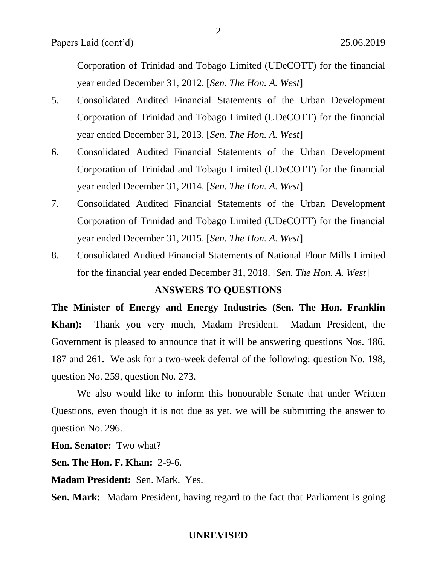Corporation of Trinidad and Tobago Limited (UDeCOTT) for the financial year ended December 31, 2012. [*Sen. The Hon. A. West*]

- 5. Consolidated Audited Financial Statements of the Urban Development Corporation of Trinidad and Tobago Limited (UDeCOTT) for the financial year ended December 31, 2013. [*Sen. The Hon. A. West*]
- 6. Consolidated Audited Financial Statements of the Urban Development Corporation of Trinidad and Tobago Limited (UDeCOTT) for the financial year ended December 31, 2014. [*Sen. The Hon. A. West*]
- 7. Consolidated Audited Financial Statements of the Urban Development Corporation of Trinidad and Tobago Limited (UDeCOTT) for the financial year ended December 31, 2015. [*Sen. The Hon. A. West*]
- 8. Consolidated Audited Financial Statements of National Flour Mills Limited for the financial year ended December 31, 2018. [*Sen. The Hon. A. West*]

### **ANSWERS TO QUESTIONS**

**The Minister of Energy and Energy Industries (Sen. The Hon. Franklin Khan):** Thank you very much, Madam President. Madam President, the Government is pleased to announce that it will be answering questions Nos. 186, 187 and 261. We ask for a two-week deferral of the following: question No. 198, question No. 259, question No. 273.

We also would like to inform this honourable Senate that under Written Questions, even though it is not due as yet, we will be submitting the answer to question No. 296.

**Hon. Senator:** Two what?

**Sen. The Hon. F. Khan:** 2-9-6.

**Madam President:** Sen. Mark. Yes.

**Sen. Mark:** Madam President, having regard to the fact that Parliament is going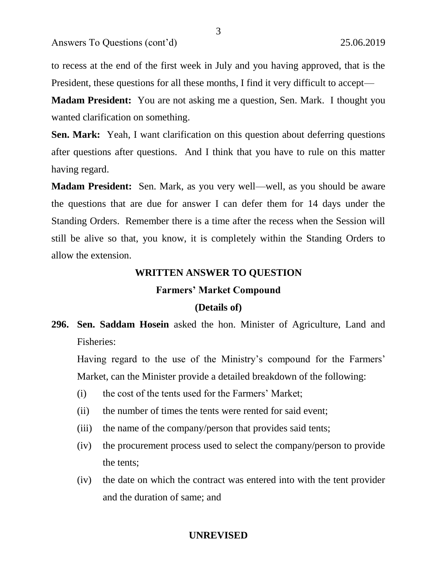to recess at the end of the first week in July and you having approved, that is the President, these questions for all these months, I find it very difficult to accept—

3

**Madam President:** You are not asking me a question, Sen. Mark. I thought you wanted clarification on something.

**Sen. Mark:** Yeah, I want clarification on this question about deferring questions after questions after questions. And I think that you have to rule on this matter having regard.

**Madam President:** Sen. Mark, as you very well—well, as you should be aware the questions that are due for answer I can defer them for 14 days under the Standing Orders. Remember there is a time after the recess when the Session will still be alive so that, you know, it is completely within the Standing Orders to allow the extension.

# **WRITTEN ANSWER TO QUESTION**

#### **Farmers' Market Compound**

### **(Details of)**

**296. Sen. Saddam Hosein** asked the hon. Minister of Agriculture, Land and Fisheries:

Having regard to the use of the Ministry's compound for the Farmers' Market, can the Minister provide a detailed breakdown of the following:

- (i) the cost of the tents used for the Farmers' Market;
- (ii) the number of times the tents were rented for said event;
- (iii) the name of the company/person that provides said tents;
- (iv) the procurement process used to select the company/person to provide the tents;
- (iv) the date on which the contract was entered into with the tent provider and the duration of same; and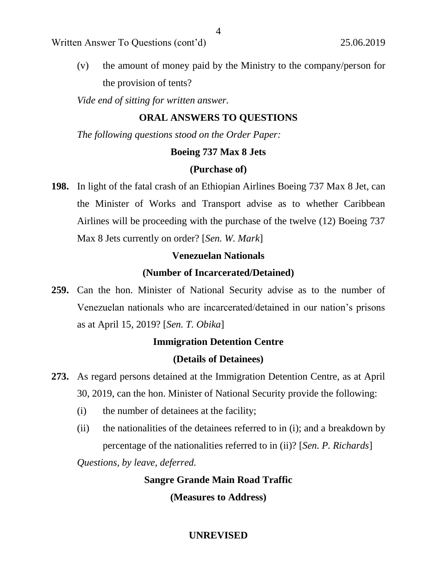Written Answer To Questions (cont'd) 25.06.2019

(v) the amount of money paid by the Ministry to the company/person for the provision of tents?

*Vide end of sitting for written answer.*

# **ORAL ANSWERS TO QUESTIONS**

*The following questions stood on the Order Paper:*

# **Boeing 737 Max 8 Jets**

# **(Purchase of)**

**198.** In light of the fatal crash of an Ethiopian Airlines Boeing 737 Max 8 Jet, can the Minister of Works and Transport advise as to whether Caribbean Airlines will be proceeding with the purchase of the twelve (12) Boeing 737 Max 8 Jets currently on order? [*Sen. W. Mark*]

# **Venezuelan Nationals**

# **(Number of Incarcerated/Detained)**

**259.** Can the hon. Minister of National Security advise as to the number of Venezuelan nationals who are incarcerated/detained in our nation's prisons as at April 15, 2019? [*Sen. T. Obika*]

# **Immigration Detention Centre**

# **(Details of Detainees)**

- **273.** As regard persons detained at the Immigration Detention Centre, as at April 30, 2019, can the hon. Minister of National Security provide the following:
	- (i) the number of detainees at the facility;
	- (ii) the nationalities of the detainees referred to in (i); and a breakdown by percentage of the nationalities referred to in (ii)? [*Sen. P. Richards*]

*Questions, by leave, deferred.*

# **Sangre Grande Main Road Traffic**

**(Measures to Address)**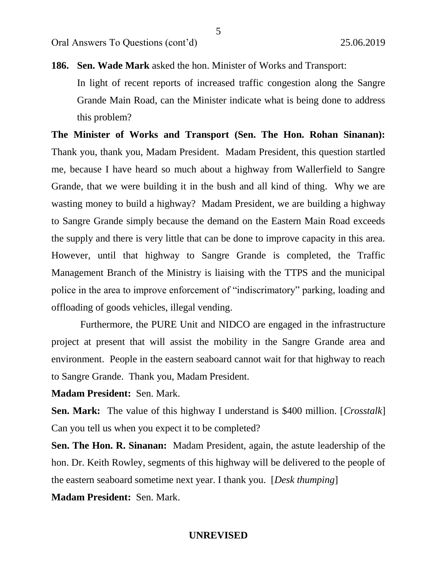**186. Sen. Wade Mark** asked the hon. Minister of Works and Transport:

In light of recent reports of increased traffic congestion along the Sangre Grande Main Road, can the Minister indicate what is being done to address this problem?

**The Minister of Works and Transport (Sen. The Hon. Rohan Sinanan):**  Thank you, thank you, Madam President. Madam President, this question startled me, because I have heard so much about a highway from Wallerfield to Sangre Grande, that we were building it in the bush and all kind of thing. Why we are wasting money to build a highway? Madam President, we are building a highway to Sangre Grande simply because the demand on the Eastern Main Road exceeds the supply and there is very little that can be done to improve capacity in this area. However, until that highway to Sangre Grande is completed, the Traffic Management Branch of the Ministry is liaising with the TTPS and the municipal police in the area to improve enforcement of "indiscrimatory" parking, loading and offloading of goods vehicles, illegal vending.

Furthermore, the PURE Unit and NIDCO are engaged in the infrastructure project at present that will assist the mobility in the Sangre Grande area and environment. People in the eastern seaboard cannot wait for that highway to reach to Sangre Grande. Thank you, Madam President.

**Madam President:** Sen. Mark.

**Sen. Mark:** The value of this highway I understand is \$400 million. [*Crosstalk*] Can you tell us when you expect it to be completed?

**Sen. The Hon. R. Sinanan:** Madam President, again, the astute leadership of the hon. Dr. Keith Rowley, segments of this highway will be delivered to the people of the eastern seaboard sometime next year. I thank you. [*Desk thumping*]

**Madam President:** Sen. Mark.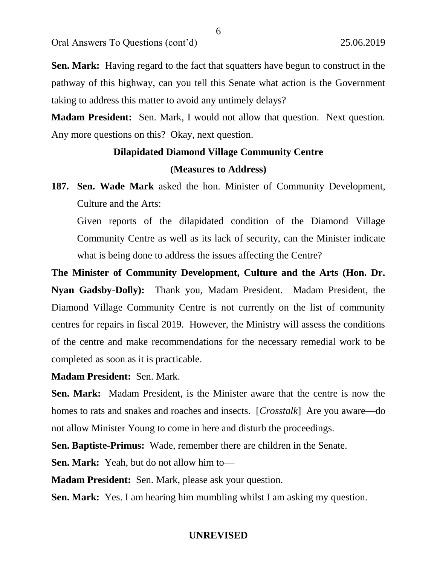Oral Answers To Questions (cont'd) 25.06.2019

**Sen. Mark:** Having regard to the fact that squatters have begun to construct in the pathway of this highway, can you tell this Senate what action is the Government taking to address this matter to avoid any untimely delays?

**Madam President:** Sen. Mark, I would not allow that question. Next question. Any more questions on this? Okay, next question.

# **Dilapidated Diamond Village Community Centre (Measures to Address)**

**187. Sen. Wade Mark** asked the hon. Minister of Community Development, Culture and the Arts:

Given reports of the dilapidated condition of the Diamond Village Community Centre as well as its lack of security, can the Minister indicate what is being done to address the issues affecting the Centre?

**The Minister of Community Development, Culture and the Arts (Hon. Dr. Nyan Gadsby-Dolly):** Thank you, Madam President. Madam President, the Diamond Village Community Centre is not currently on the list of community centres for repairs in fiscal 2019. However, the Ministry will assess the conditions of the centre and make recommendations for the necessary remedial work to be completed as soon as it is practicable.

**Madam President:** Sen. Mark.

**Sen. Mark:** Madam President, is the Minister aware that the centre is now the homes to rats and snakes and roaches and insects. [*Crosstalk*] Are you aware—do not allow Minister Young to come in here and disturb the proceedings.

**Sen. Baptiste-Primus:** Wade, remember there are children in the Senate.

**Sen. Mark:** Yeah, but do not allow him to—

**Madam President:** Sen. Mark, please ask your question.

**Sen. Mark:** Yes. I am hearing him mumbling whilst I am asking my question.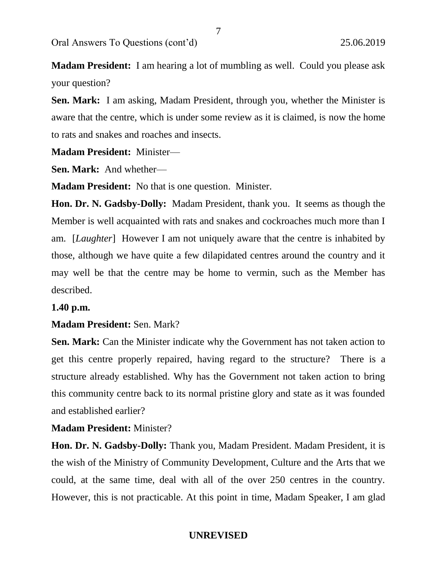Oral Answers To Questions (cont'd) 25.06.2019

**Madam President:** I am hearing a lot of mumbling as well. Could you please ask your question?

**Sen. Mark:** I am asking, Madam President, through you, whether the Minister is aware that the centre, which is under some review as it is claimed, is now the home to rats and snakes and roaches and insects.

**Madam President:** Minister—

**Sen. Mark:** And whether—

**Madam President:** No that is one question. Minister.

**Hon. Dr. N. Gadsby-Dolly:** Madam President, thank you. It seems as though the Member is well acquainted with rats and snakes and cockroaches much more than I am. [*Laughter*] However I am not uniquely aware that the centre is inhabited by those, although we have quite a few dilapidated centres around the country and it may well be that the centre may be home to vermin, such as the Member has described.

### **1.40 p.m.**

# **Madam President:** Sen. Mark?

**Sen. Mark:** Can the Minister indicate why the Government has not taken action to get this centre properly repaired, having regard to the structure? There is a structure already established. Why has the Government not taken action to bring this community centre back to its normal pristine glory and state as it was founded and established earlier?

# **Madam President:** Minister?

**Hon. Dr. N. Gadsby-Dolly:** Thank you, Madam President. Madam President, it is the wish of the Ministry of Community Development, Culture and the Arts that we could, at the same time, deal with all of the over 250 centres in the country. However, this is not practicable. At this point in time, Madam Speaker, I am glad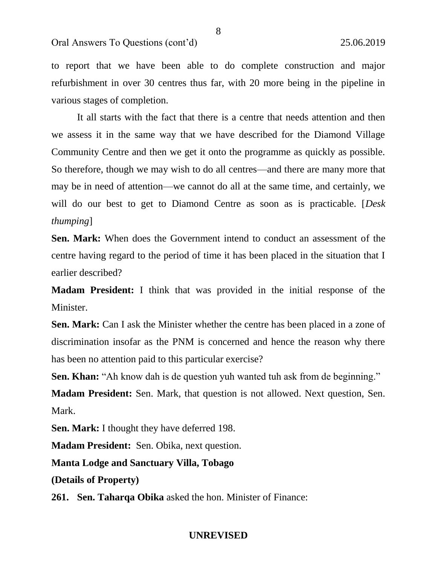to report that we have been able to do complete construction and major refurbishment in over 30 centres thus far, with 20 more being in the pipeline in various stages of completion.

8

It all starts with the fact that there is a centre that needs attention and then we assess it in the same way that we have described for the Diamond Village Community Centre and then we get it onto the programme as quickly as possible. So therefore, though we may wish to do all centres—and there are many more that may be in need of attention—we cannot do all at the same time, and certainly, we will do our best to get to Diamond Centre as soon as is practicable. [*Desk thumping*]

**Sen. Mark:** When does the Government intend to conduct an assessment of the centre having regard to the period of time it has been placed in the situation that I earlier described?

**Madam President:** I think that was provided in the initial response of the Minister.

**Sen. Mark:** Can I ask the Minister whether the centre has been placed in a zone of discrimination insofar as the PNM is concerned and hence the reason why there has been no attention paid to this particular exercise?

**Sen. Khan:** "Ah know dah is de question yuh wanted tuh ask from de beginning."

**Madam President:** Sen. Mark, that question is not allowed. Next question, Sen. Mark.

**Sen. Mark:** I thought they have deferred 198.

**Madam President:** Sen. Obika, next question.

**Manta Lodge and Sanctuary Villa, Tobago**

**(Details of Property)**

**261. Sen. Taharqa Obika** asked the hon. Minister of Finance: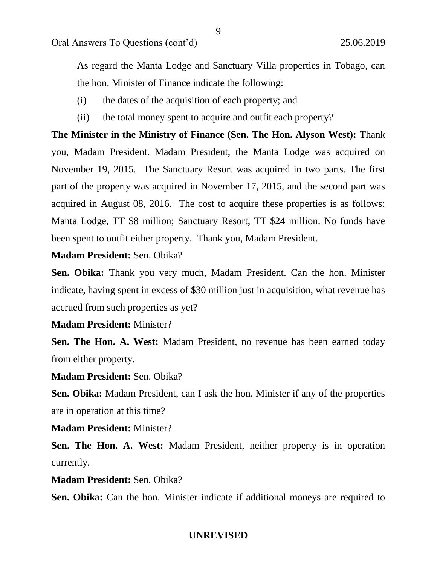Oral Answers To Questions (cont'd) 25.06.2019

As regard the Manta Lodge and Sanctuary Villa properties in Tobago, can the hon. Minister of Finance indicate the following:

9

- (i) the dates of the acquisition of each property; and
- (ii) the total money spent to acquire and outfit each property?

**The Minister in the Ministry of Finance (Sen. The Hon. Alyson West):** Thank you, Madam President. Madam President, the Manta Lodge was acquired on November 19, 2015. The Sanctuary Resort was acquired in two parts. The first part of the property was acquired in November 17, 2015, and the second part was acquired in August 08, 2016. The cost to acquire these properties is as follows: Manta Lodge, TT \$8 million; Sanctuary Resort, TT \$24 million. No funds have been spent to outfit either property. Thank you, Madam President.

**Madam President:** Sen. Obika?

**Sen. Obika:** Thank you very much, Madam President. Can the hon. Minister indicate, having spent in excess of \$30 million just in acquisition, what revenue has accrued from such properties as yet?

# **Madam President:** Minister?

**Sen. The Hon. A. West:** Madam President, no revenue has been earned today from either property.

### **Madam President:** Sen. Obika?

**Sen. Obika:** Madam President, can I ask the hon. Minister if any of the properties are in operation at this time?

# **Madam President:** Minister?

**Sen. The Hon. A. West:** Madam President, neither property is in operation currently.

# **Madam President:** Sen. Obika?

Sen. Obika: Can the hon. Minister indicate if additional moneys are required to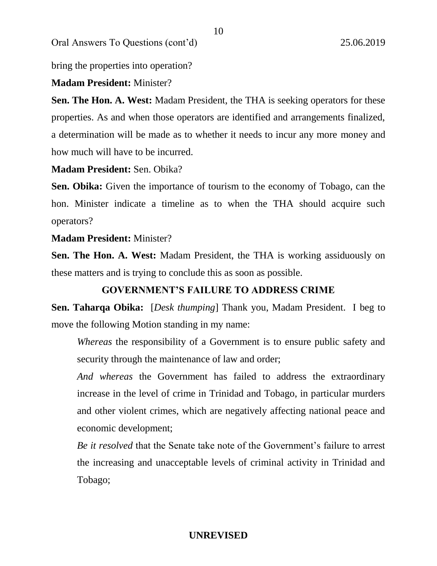Oral Answers To Questions (cont'd) 25.06.2019

bring the properties into operation?

# **Madam President:** Minister?

**Sen. The Hon. A. West:** Madam President, the THA is seeking operators for these properties. As and when those operators are identified and arrangements finalized, a determination will be made as to whether it needs to incur any more money and how much will have to be incurred.

# **Madam President:** Sen. Obika?

Sen. Obika: Given the importance of tourism to the economy of Tobago, can the hon. Minister indicate a timeline as to when the THA should acquire such operators?

# **Madam President:** Minister?

**Sen. The Hon. A. West:** Madam President, the THA is working assiduously on these matters and is trying to conclude this as soon as possible.

### **GOVERNMENT'S FAILURE TO ADDRESS CRIME**

**Sen. Taharqa Obika:** [*Desk thumping*] Thank you, Madam President. I beg to move the following Motion standing in my name:

*Whereas* the responsibility of a Government is to ensure public safety and security through the maintenance of law and order;

*And whereas* the Government has failed to address the extraordinary increase in the level of crime in Trinidad and Tobago, in particular murders and other violent crimes, which are negatively affecting national peace and economic development;

*Be it resolved* that the Senate take note of the Government's failure to arrest the increasing and unacceptable levels of criminal activity in Trinidad and Tobago;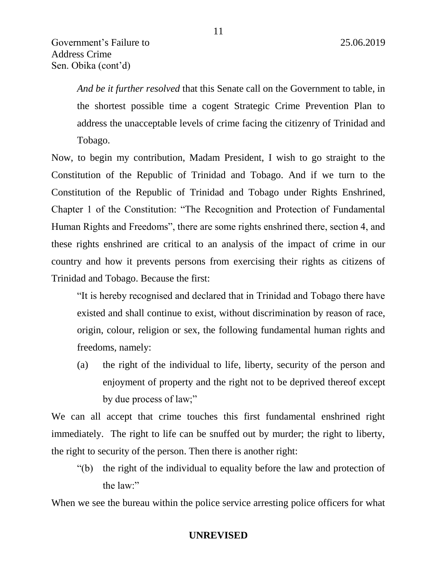*And be it further resolved* that this Senate call on the Government to table, in the shortest possible time a cogent Strategic Crime Prevention Plan to address the unacceptable levels of crime facing the citizenry of Trinidad and Tobago.

Now, to begin my contribution, Madam President, I wish to go straight to the Constitution of the Republic of Trinidad and Tobago. And if we turn to the Constitution of the Republic of Trinidad and Tobago under Rights Enshrined, Chapter 1 of the Constitution: "The Recognition and Protection of Fundamental Human Rights and Freedoms", there are some rights enshrined there, section 4, and these rights enshrined are critical to an analysis of the impact of crime in our country and how it prevents persons from exercising their rights as citizens of Trinidad and Tobago. Because the first:

"It is hereby recognised and declared that in Trinidad and Tobago there have existed and shall continue to exist, without discrimination by reason of race, origin, colour, religion or sex, the following fundamental human rights and freedoms, namely:

(a) the right of the individual to life, liberty, security of the person and enjoyment of property and the right not to be deprived thereof except by due process of law;"

We can all accept that crime touches this first fundamental enshrined right immediately. The right to life can be snuffed out by murder; the right to liberty, the right to security of the person. Then there is another right:

"(b) the right of the individual to equality before the law and protection of the law:"

When we see the bureau within the police service arresting police officers for what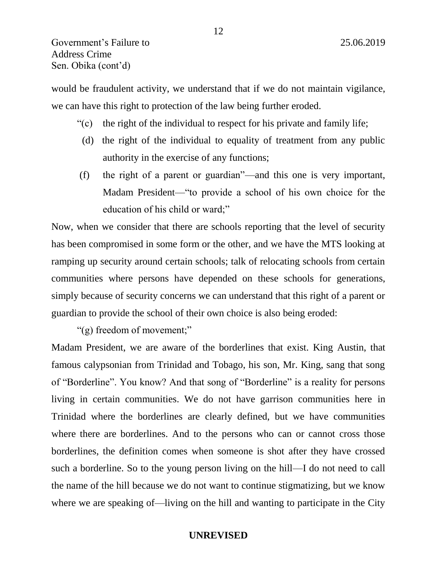would be fraudulent activity, we understand that if we do not maintain vigilance, we can have this right to protection of the law being further eroded.

- "(c) the right of the individual to respect for his private and family life;
- (d) the right of the individual to equality of treatment from any public authority in the exercise of any functions;
- (f) the right of a parent or guardian"—and this one is very important, Madam President—"to provide a school of his own choice for the education of his child or ward;"

Now, when we consider that there are schools reporting that the level of security has been compromised in some form or the other, and we have the MTS looking at ramping up security around certain schools; talk of relocating schools from certain communities where persons have depended on these schools for generations, simply because of security concerns we can understand that this right of a parent or guardian to provide the school of their own choice is also being eroded:

"(g) freedom of movement;"

Madam President, we are aware of the borderlines that exist. King Austin, that famous calypsonian from Trinidad and Tobago, his son, Mr. King, sang that song of "Borderline". You know? And that song of "Borderline" is a reality for persons living in certain communities. We do not have garrison communities here in Trinidad where the borderlines are clearly defined, but we have communities where there are borderlines. And to the persons who can or cannot cross those borderlines, the definition comes when someone is shot after they have crossed such a borderline. So to the young person living on the hill—I do not need to call the name of the hill because we do not want to continue stigmatizing, but we know where we are speaking of—living on the hill and wanting to participate in the City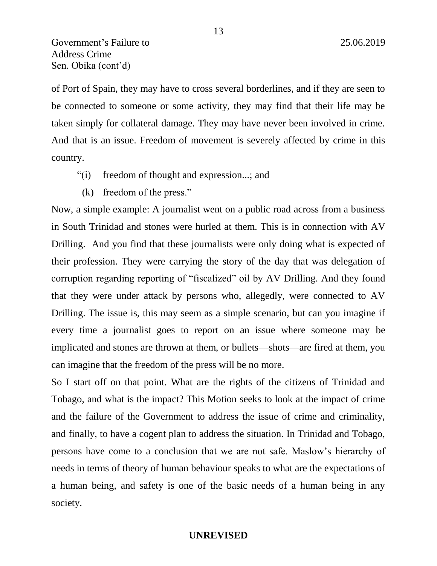Government's Failure to 25.06.2019 Address Crime Sen. Obika (cont'd)

of Port of Spain, they may have to cross several borderlines, and if they are seen to be connected to someone or some activity, they may find that their life may be taken simply for collateral damage. They may have never been involved in crime. And that is an issue. Freedom of movement is severely affected by crime in this country.

- "(i) freedom of thought and expression...; and
- (k) freedom of the press."

Now, a simple example: A journalist went on a public road across from a business in South Trinidad and stones were hurled at them. This is in connection with AV Drilling. And you find that these journalists were only doing what is expected of their profession. They were carrying the story of the day that was delegation of corruption regarding reporting of "fiscalized" oil by AV Drilling. And they found that they were under attack by persons who, allegedly, were connected to AV Drilling. The issue is, this may seem as a simple scenario, but can you imagine if every time a journalist goes to report on an issue where someone may be implicated and stones are thrown at them, or bullets—shots—are fired at them, you can imagine that the freedom of the press will be no more.

So I start off on that point. What are the rights of the citizens of Trinidad and Tobago, and what is the impact? This Motion seeks to look at the impact of crime and the failure of the Government to address the issue of crime and criminality, and finally, to have a cogent plan to address the situation. In Trinidad and Tobago, persons have come to a conclusion that we are not safe. Maslow's hierarchy of needs in terms of theory of human behaviour speaks to what are the expectations of a human being, and safety is one of the basic needs of a human being in any society.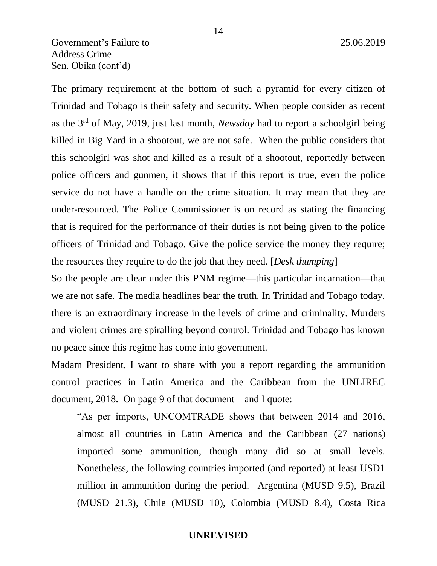# Government's Failure to 25.06.2019 Address Crime Sen. Obika (cont'd)

The primary requirement at the bottom of such a pyramid for every citizen of Trinidad and Tobago is their safety and security. When people consider as recent as the 3rd of May, 2019, just last month, *Newsday* had to report a schoolgirl being killed in Big Yard in a shootout, we are not safe. When the public considers that this schoolgirl was shot and killed as a result of a shootout, reportedly between police officers and gunmen, it shows that if this report is true, even the police service do not have a handle on the crime situation. It may mean that they are under-resourced. The Police Commissioner is on record as stating the financing that is required for the performance of their duties is not being given to the police officers of Trinidad and Tobago. Give the police service the money they require; the resources they require to do the job that they need. [*Desk thumping*]

So the people are clear under this PNM regime—this particular incarnation—that we are not safe. The media headlines bear the truth. In Trinidad and Tobago today, there is an extraordinary increase in the levels of crime and criminality. Murders and violent crimes are spiralling beyond control. Trinidad and Tobago has known no peace since this regime has come into government.

Madam President, I want to share with you a report regarding the ammunition control practices in Latin America and the Caribbean from the UNLIREC document, 2018. On page 9 of that document—and I quote:

"As per imports, UNCOMTRADE shows that between 2014 and 2016, almost all countries in Latin America and the Caribbean (27 nations) imported some ammunition, though many did so at small levels. Nonetheless, the following countries imported (and reported) at least USD1 million in ammunition during the period. Argentina (MUSD 9.5), Brazil (MUSD 21.3), Chile (MUSD 10), Colombia (MUSD 8.4), Costa Rica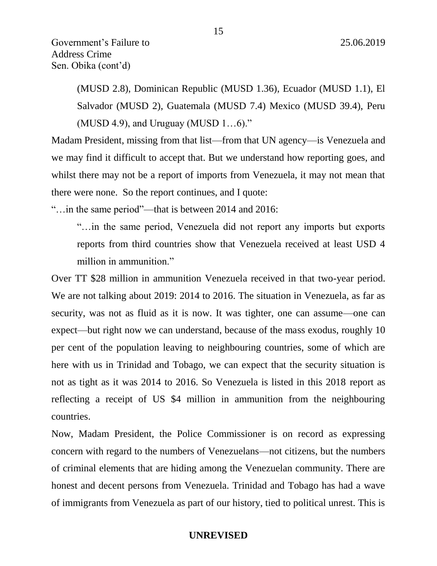(MUSD 2.8), Dominican Republic (MUSD 1.36), Ecuador (MUSD 1.1), El Salvador (MUSD 2), Guatemala (MUSD 7.4) Mexico (MUSD 39.4), Peru (MUSD 4.9), and Uruguay (MUSD 1…6)."

Madam President, missing from that list—from that UN agency—is Venezuela and we may find it difficult to accept that. But we understand how reporting goes, and whilst there may not be a report of imports from Venezuela, it may not mean that there were none. So the report continues, and I quote:

"…in the same period"—that is between 2014 and 2016:

"…in the same period, Venezuela did not report any imports but exports reports from third countries show that Venezuela received at least USD 4 million in ammunition."

Over TT \$28 million in ammunition Venezuela received in that two-year period. We are not talking about 2019: 2014 to 2016. The situation in Venezuela, as far as security, was not as fluid as it is now. It was tighter, one can assume—one can expect—but right now we can understand, because of the mass exodus, roughly 10 per cent of the population leaving to neighbouring countries, some of which are here with us in Trinidad and Tobago, we can expect that the security situation is not as tight as it was 2014 to 2016. So Venezuela is listed in this 2018 report as reflecting a receipt of US \$4 million in ammunition from the neighbouring countries.

Now, Madam President, the Police Commissioner is on record as expressing concern with regard to the numbers of Venezuelans—not citizens, but the numbers of criminal elements that are hiding among the Venezuelan community. There are honest and decent persons from Venezuela. Trinidad and Tobago has had a wave of immigrants from Venezuela as part of our history, tied to political unrest. This is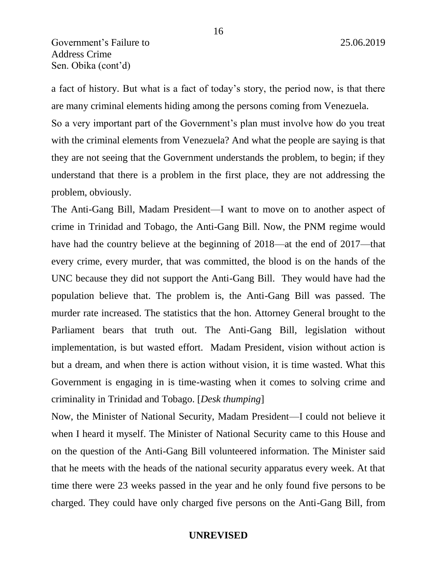a fact of history. But what is a fact of today's story, the period now, is that there are many criminal elements hiding among the persons coming from Venezuela.

So a very important part of the Government's plan must involve how do you treat with the criminal elements from Venezuela? And what the people are saying is that they are not seeing that the Government understands the problem, to begin; if they understand that there is a problem in the first place, they are not addressing the problem, obviously.

The Anti-Gang Bill, Madam President—I want to move on to another aspect of crime in Trinidad and Tobago, the Anti-Gang Bill. Now, the PNM regime would have had the country believe at the beginning of 2018—at the end of 2017—that every crime, every murder, that was committed, the blood is on the hands of the UNC because they did not support the Anti-Gang Bill. They would have had the population believe that. The problem is, the Anti-Gang Bill was passed. The murder rate increased. The statistics that the hon. Attorney General brought to the Parliament bears that truth out. The Anti-Gang Bill, legislation without implementation, is but wasted effort. Madam President, vision without action is but a dream, and when there is action without vision, it is time wasted. What this Government is engaging in is time-wasting when it comes to solving crime and criminality in Trinidad and Tobago. [*Desk thumping*]

Now, the Minister of National Security, Madam President—I could not believe it when I heard it myself. The Minister of National Security came to this House and on the question of the Anti-Gang Bill volunteered information. The Minister said that he meets with the heads of the national security apparatus every week. At that time there were 23 weeks passed in the year and he only found five persons to be charged. They could have only charged five persons on the Anti-Gang Bill, from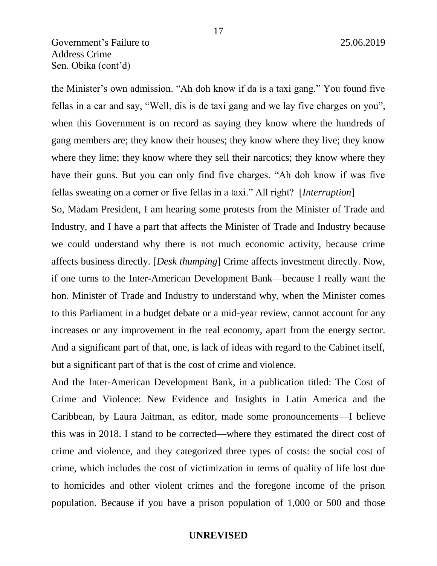the Minister's own admission. "Ah doh know if da is a taxi gang." You found five fellas in a car and say, "Well, dis is de taxi gang and we lay five charges on you", when this Government is on record as saying they know where the hundreds of gang members are; they know their houses; they know where they live; they know where they lime; they know where they sell their narcotics; they know where they have their guns. But you can only find five charges. "Ah doh know if was five fellas sweating on a corner or five fellas in a taxi." All right? [*Interruption*]

So, Madam President, I am hearing some protests from the Minister of Trade and Industry, and I have a part that affects the Minister of Trade and Industry because we could understand why there is not much economic activity, because crime affects business directly. [*Desk thumping*] Crime affects investment directly. Now, if one turns to the Inter-American Development Bank—because I really want the hon. Minister of Trade and Industry to understand why, when the Minister comes to this Parliament in a budget debate or a mid-year review, cannot account for any increases or any improvement in the real economy, apart from the energy sector. And a significant part of that, one, is lack of ideas with regard to the Cabinet itself, but a significant part of that is the cost of crime and violence.

And the Inter-American Development Bank, in a publication titled: The Cost of Crime and Violence: New Evidence and Insights in Latin America and the Caribbean, by Laura Jaitman, as editor, made some pronouncements—I believe this was in 2018. I stand to be corrected—where they estimated the direct cost of crime and violence, and they categorized three types of costs: the social cost of crime, which includes the cost of victimization in terms of quality of life lost due to homicides and other violent crimes and the foregone income of the prison population. Because if you have a prison population of 1,000 or 500 and those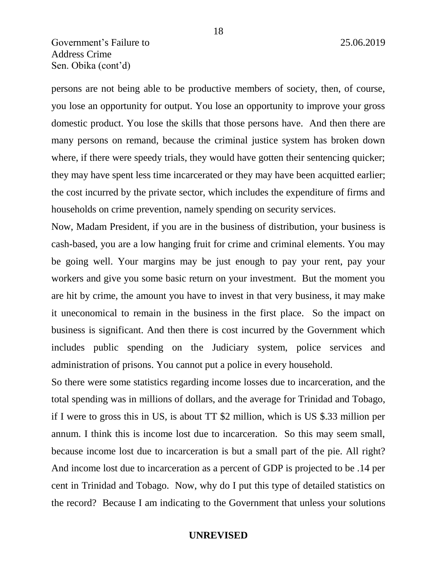# Government's Failure to 25.06.2019 Address Crime Sen. Obika (cont'd)

persons are not being able to be productive members of society, then, of course, you lose an opportunity for output. You lose an opportunity to improve your gross domestic product. You lose the skills that those persons have. And then there are many persons on remand, because the criminal justice system has broken down where, if there were speedy trials, they would have gotten their sentencing quicker; they may have spent less time incarcerated or they may have been acquitted earlier; the cost incurred by the private sector, which includes the expenditure of firms and households on crime prevention, namely spending on security services.

Now, Madam President, if you are in the business of distribution, your business is cash-based, you are a low hanging fruit for crime and criminal elements. You may be going well. Your margins may be just enough to pay your rent, pay your workers and give you some basic return on your investment. But the moment you are hit by crime, the amount you have to invest in that very business, it may make it uneconomical to remain in the business in the first place. So the impact on business is significant. And then there is cost incurred by the Government which includes public spending on the Judiciary system, police services and administration of prisons. You cannot put a police in every household.

So there were some statistics regarding income losses due to incarceration, and the total spending was in millions of dollars, and the average for Trinidad and Tobago, if I were to gross this in US, is about TT \$2 million, which is US \$.33 million per annum. I think this is income lost due to incarceration. So this may seem small, because income lost due to incarceration is but a small part of the pie. All right? And income lost due to incarceration as a percent of GDP is projected to be .14 per cent in Trinidad and Tobago. Now, why do I put this type of detailed statistics on the record? Because I am indicating to the Government that unless your solutions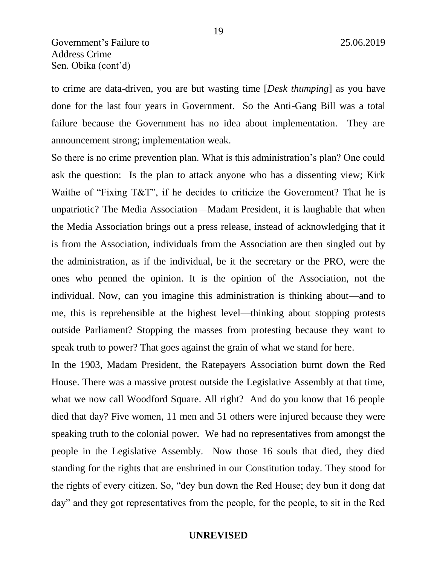to crime are data-driven, you are but wasting time [*Desk thumping*] as you have done for the last four years in Government. So the Anti-Gang Bill was a total failure because the Government has no idea about implementation. They are announcement strong; implementation weak.

So there is no crime prevention plan. What is this administration's plan? One could ask the question: Is the plan to attack anyone who has a dissenting view; Kirk Waithe of "Fixing T&T", if he decides to criticize the Government? That he is unpatriotic? The Media Association—Madam President, it is laughable that when the Media Association brings out a press release, instead of acknowledging that it is from the Association, individuals from the Association are then singled out by the administration, as if the individual, be it the secretary or the PRO, were the ones who penned the opinion. It is the opinion of the Association, not the individual. Now, can you imagine this administration is thinking about—and to me, this is reprehensible at the highest level—thinking about stopping protests outside Parliament? Stopping the masses from protesting because they want to speak truth to power? That goes against the grain of what we stand for here.

In the 1903, Madam President, the Ratepayers Association burnt down the Red House. There was a massive protest outside the Legislative Assembly at that time, what we now call Woodford Square. All right? And do you know that 16 people died that day? Five women, 11 men and 51 others were injured because they were speaking truth to the colonial power. We had no representatives from amongst the people in the Legislative Assembly. Now those 16 souls that died, they died standing for the rights that are enshrined in our Constitution today. They stood for the rights of every citizen. So, "dey bun down the Red House; dey bun it dong dat day" and they got representatives from the people, for the people, to sit in the Red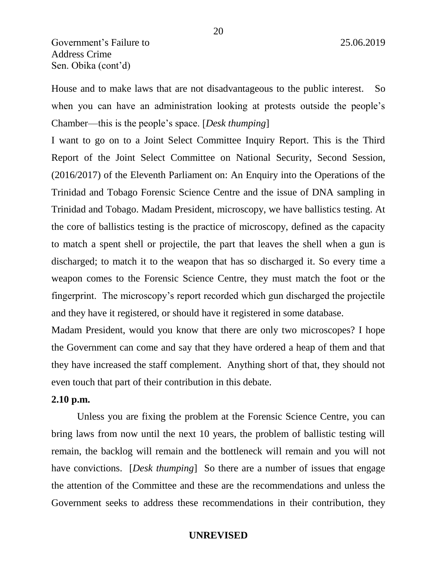House and to make laws that are not disadvantageous to the public interest. So when you can have an administration looking at protests outside the people's Chamber—this is the people's space. [*Desk thumping*]

I want to go on to a Joint Select Committee Inquiry Report. This is the Third Report of the Joint Select Committee on National Security, Second Session, (2016/2017) of the Eleventh Parliament on: An Enquiry into the Operations of the Trinidad and Tobago Forensic Science Centre and the issue of DNA sampling in Trinidad and Tobago. Madam President, microscopy, we have ballistics testing. At the core of ballistics testing is the practice of microscopy, defined as the capacity to match a spent shell or projectile, the part that leaves the shell when a gun is discharged; to match it to the weapon that has so discharged it. So every time a weapon comes to the Forensic Science Centre, they must match the foot or the fingerprint. The microscopy's report recorded which gun discharged the projectile and they have it registered, or should have it registered in some database.

Madam President, would you know that there are only two microscopes? I hope the Government can come and say that they have ordered a heap of them and that they have increased the staff complement. Anything short of that, they should not even touch that part of their contribution in this debate.

## **2.10 p.m.**

Unless you are fixing the problem at the Forensic Science Centre, you can bring laws from now until the next 10 years, the problem of ballistic testing will remain, the backlog will remain and the bottleneck will remain and you will not have convictions. *[Desk thumping]* So there are a number of issues that engage the attention of the Committee and these are the recommendations and unless the Government seeks to address these recommendations in their contribution, they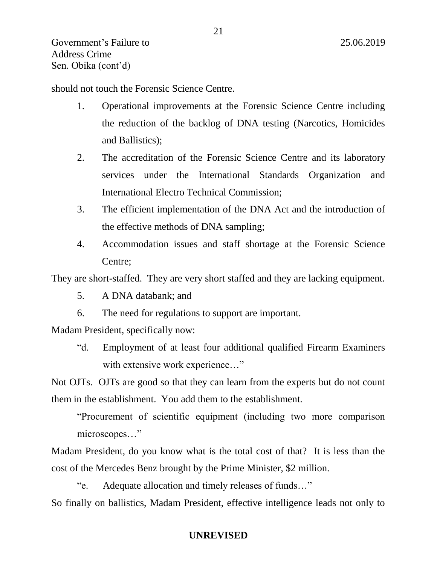should not touch the Forensic Science Centre.

- 1. Operational improvements at the Forensic Science Centre including the reduction of the backlog of DNA testing (Narcotics, Homicides and Ballistics);
- 2. The accreditation of the Forensic Science Centre and its laboratory services under the International Standards Organization and International Electro Technical Commission;
- 3. The efficient implementation of the DNA Act and the introduction of the effective methods of DNA sampling;
- 4. Accommodation issues and staff shortage at the Forensic Science Centre;

They are short-staffed. They are very short staffed and they are lacking equipment.

- 5. A DNA databank; and
- 6. The need for regulations to support are important.

Madam President, specifically now:

"d. Employment of at least four additional qualified Firearm Examiners with extensive work experience..."

Not OJTs. OJTs are good so that they can learn from the experts but do not count them in the establishment. You add them to the establishment.

"Procurement of scientific equipment (including two more comparison microscopes…"

Madam President, do you know what is the total cost of that? It is less than the cost of the Mercedes Benz brought by the Prime Minister, \$2 million.

"e. Adequate allocation and timely releases of funds…" So finally on ballistics, Madam President, effective intelligence leads not only to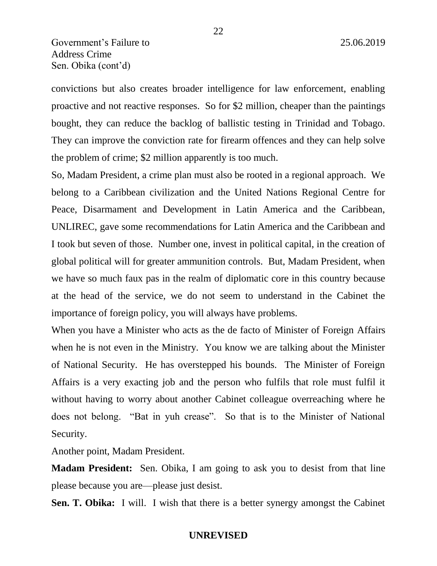convictions but also creates broader intelligence for law enforcement, enabling proactive and not reactive responses. So for \$2 million, cheaper than the paintings bought, they can reduce the backlog of ballistic testing in Trinidad and Tobago. They can improve the conviction rate for firearm offences and they can help solve the problem of crime; \$2 million apparently is too much.

So, Madam President, a crime plan must also be rooted in a regional approach. We belong to a Caribbean civilization and the United Nations Regional Centre for Peace, Disarmament and Development in Latin America and the Caribbean, UNLIREC, gave some recommendations for Latin America and the Caribbean and I took but seven of those. Number one, invest in political capital, in the creation of global political will for greater ammunition controls. But, Madam President, when we have so much faux pas in the realm of diplomatic core in this country because at the head of the service, we do not seem to understand in the Cabinet the importance of foreign policy, you will always have problems.

When you have a Minister who acts as the de facto of Minister of Foreign Affairs when he is not even in the Ministry. You know we are talking about the Minister of National Security. He has overstepped his bounds. The Minister of Foreign Affairs is a very exacting job and the person who fulfils that role must fulfil it without having to worry about another Cabinet colleague overreaching where he does not belong. "Bat in yuh crease". So that is to the Minister of National Security.

Another point, Madam President.

**Madam President:** Sen. Obika, I am going to ask you to desist from that line please because you are—please just desist.

**Sen. T. Obika:** I will. I wish that there is a better synergy amongst the Cabinet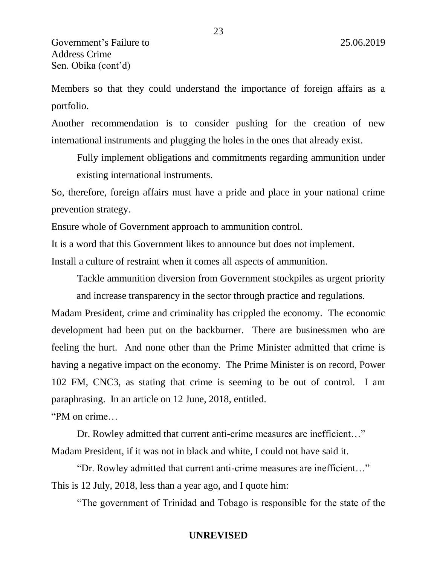Members so that they could understand the importance of foreign affairs as a portfolio.

Another recommendation is to consider pushing for the creation of new international instruments and plugging the holes in the ones that already exist.

Fully implement obligations and commitments regarding ammunition under existing international instruments.

So, therefore, foreign affairs must have a pride and place in your national crime prevention strategy.

Ensure whole of Government approach to ammunition control.

It is a word that this Government likes to announce but does not implement.

Install a culture of restraint when it comes all aspects of ammunition.

Tackle ammunition diversion from Government stockpiles as urgent priority

and increase transparency in the sector through practice and regulations.

Madam President, crime and criminality has crippled the economy. The economic development had been put on the backburner. There are businessmen who are feeling the hurt. And none other than the Prime Minister admitted that crime is having a negative impact on the economy. The Prime Minister is on record, Power 102 FM, CNC3, as stating that crime is seeming to be out of control. I am paraphrasing. In an article on 12 June, 2018, entitled.

"PM on crime…

Dr. Rowley admitted that current anti-crime measures are inefficient..." Madam President, if it was not in black and white, I could not have said it.

"Dr. Rowley admitted that current anti-crime measures are inefficient…" This is 12 July, 2018, less than a year ago, and I quote him:

"The government of Trinidad and Tobago is responsible for the state of the

23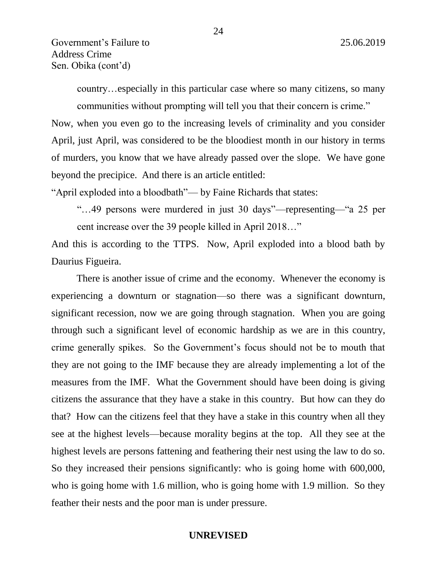country…especially in this particular case where so many citizens, so many communities without prompting will tell you that their concern is crime."

Now, when you even go to the increasing levels of criminality and you consider April, just April, was considered to be the bloodiest month in our history in terms of murders, you know that we have already passed over the slope. We have gone beyond the precipice. And there is an article entitled:

"April exploded into a bloodbath"— by Faine Richards that states:

"…49 persons were murdered in just 30 days"—representing—"a 25 per cent increase over the 39 people killed in April 2018…"

And this is according to the TTPS. Now, April exploded into a blood bath by Daurius Figueira.

There is another issue of crime and the economy. Whenever the economy is experiencing a downturn or stagnation—so there was a significant downturn, significant recession, now we are going through stagnation. When you are going through such a significant level of economic hardship as we are in this country, crime generally spikes. So the Government's focus should not be to mouth that they are not going to the IMF because they are already implementing a lot of the measures from the IMF. What the Government should have been doing is giving citizens the assurance that they have a stake in this country. But how can they do that? How can the citizens feel that they have a stake in this country when all they see at the highest levels—because morality begins at the top. All they see at the highest levels are persons fattening and feathering their nest using the law to do so. So they increased their pensions significantly: who is going home with 600,000, who is going home with 1.6 million, who is going home with 1.9 million. So they feather their nests and the poor man is under pressure.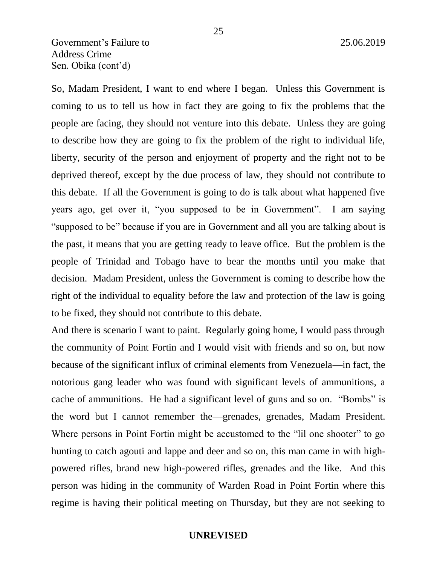# Government's Failure to 25.06.2019 Address Crime Sen. Obika (cont'd)

So, Madam President, I want to end where I began. Unless this Government is coming to us to tell us how in fact they are going to fix the problems that the people are facing, they should not venture into this debate. Unless they are going to describe how they are going to fix the problem of the right to individual life, liberty, security of the person and enjoyment of property and the right not to be deprived thereof, except by the due process of law, they should not contribute to this debate. If all the Government is going to do is talk about what happened five years ago, get over it, "you supposed to be in Government". I am saying "supposed to be" because if you are in Government and all you are talking about is the past, it means that you are getting ready to leave office. But the problem is the people of Trinidad and Tobago have to bear the months until you make that decision. Madam President, unless the Government is coming to describe how the right of the individual to equality before the law and protection of the law is going to be fixed, they should not contribute to this debate.

And there is scenario I want to paint. Regularly going home, I would pass through the community of Point Fortin and I would visit with friends and so on, but now because of the significant influx of criminal elements from Venezuela—in fact, the notorious gang leader who was found with significant levels of ammunitions, a cache of ammunitions. He had a significant level of guns and so on. "Bombs" is the word but I cannot remember the—grenades, grenades, Madam President. Where persons in Point Fortin might be accustomed to the "lil one shooter" to go hunting to catch agouti and lappe and deer and so on, this man came in with highpowered rifles, brand new high-powered rifles, grenades and the like. And this person was hiding in the community of Warden Road in Point Fortin where this regime is having their political meeting on Thursday, but they are not seeking to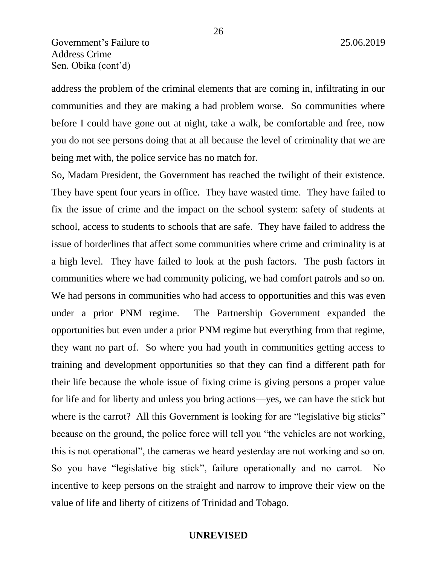address the problem of the criminal elements that are coming in, infiltrating in our communities and they are making a bad problem worse. So communities where before I could have gone out at night, take a walk, be comfortable and free, now you do not see persons doing that at all because the level of criminality that we are being met with, the police service has no match for.

So, Madam President, the Government has reached the twilight of their existence. They have spent four years in office. They have wasted time. They have failed to fix the issue of crime and the impact on the school system: safety of students at school, access to students to schools that are safe. They have failed to address the issue of borderlines that affect some communities where crime and criminality is at a high level. They have failed to look at the push factors. The push factors in communities where we had community policing, we had comfort patrols and so on. We had persons in communities who had access to opportunities and this was even under a prior PNM regime. The Partnership Government expanded the opportunities but even under a prior PNM regime but everything from that regime, they want no part of. So where you had youth in communities getting access to training and development opportunities so that they can find a different path for their life because the whole issue of fixing crime is giving persons a proper value for life and for liberty and unless you bring actions—yes, we can have the stick but where is the carrot? All this Government is looking for are "legislative big sticks" because on the ground, the police force will tell you "the vehicles are not working, this is not operational", the cameras we heard yesterday are not working and so on. So you have "legislative big stick", failure operationally and no carrot. No incentive to keep persons on the straight and narrow to improve their view on the value of life and liberty of citizens of Trinidad and Tobago.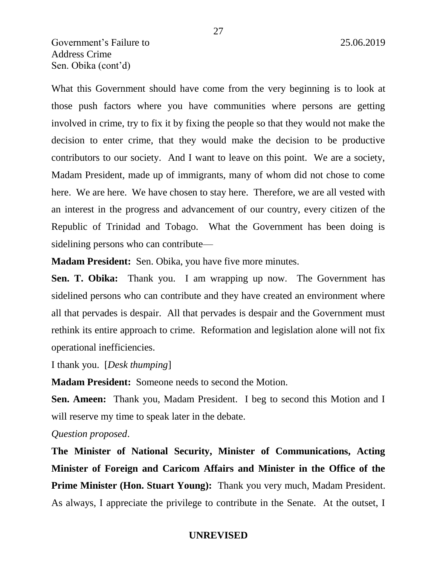# Government's Failure to 25.06.2019 Address Crime Sen. Obika (cont'd)

What this Government should have come from the very beginning is to look at those push factors where you have communities where persons are getting involved in crime, try to fix it by fixing the people so that they would not make the decision to enter crime, that they would make the decision to be productive contributors to our society. And I want to leave on this point. We are a society, Madam President, made up of immigrants, many of whom did not chose to come here. We are here. We have chosen to stay here. Therefore, we are all vested with an interest in the progress and advancement of our country, every citizen of the Republic of Trinidad and Tobago. What the Government has been doing is sidelining persons who can contribute—

**Madam President:** Sen. Obika, you have five more minutes.

**Sen. T. Obika:** Thank you. I am wrapping up now. The Government has sidelined persons who can contribute and they have created an environment where all that pervades is despair. All that pervades is despair and the Government must rethink its entire approach to crime. Reformation and legislation alone will not fix operational inefficiencies.

I thank you. [*Desk thumping*]

**Madam President:** Someone needs to second the Motion.

**Sen. Ameen:** Thank you, Madam President. I beg to second this Motion and I will reserve my time to speak later in the debate.

### *Question proposed*.

**The Minister of National Security, Minister of Communications, Acting Minister of Foreign and Caricom Affairs and Minister in the Office of the Prime Minister (Hon. Stuart Young):** Thank you very much, Madam President. As always, I appreciate the privilege to contribute in the Senate. At the outset, I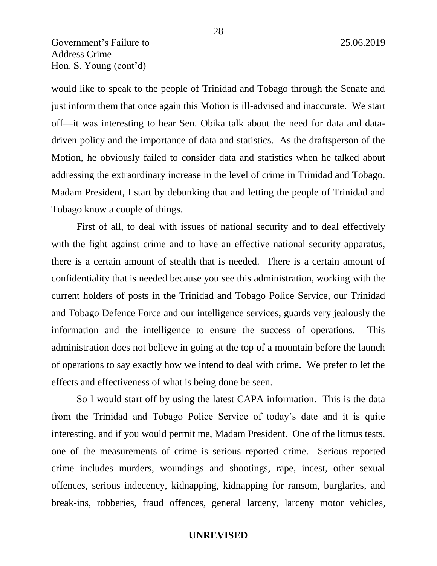Government's Failure to 25.06.2019 Address Crime Hon. S. Young (cont'd)

would like to speak to the people of Trinidad and Tobago through the Senate and just inform them that once again this Motion is ill-advised and inaccurate. We start off—it was interesting to hear Sen. Obika talk about the need for data and datadriven policy and the importance of data and statistics. As the draftsperson of the Motion, he obviously failed to consider data and statistics when he talked about addressing the extraordinary increase in the level of crime in Trinidad and Tobago. Madam President, I start by debunking that and letting the people of Trinidad and Tobago know a couple of things.

First of all, to deal with issues of national security and to deal effectively with the fight against crime and to have an effective national security apparatus, there is a certain amount of stealth that is needed. There is a certain amount of confidentiality that is needed because you see this administration, working with the current holders of posts in the Trinidad and Tobago Police Service, our Trinidad and Tobago Defence Force and our intelligence services, guards very jealously the information and the intelligence to ensure the success of operations. This administration does not believe in going at the top of a mountain before the launch of operations to say exactly how we intend to deal with crime. We prefer to let the effects and effectiveness of what is being done be seen.

So I would start off by using the latest CAPA information. This is the data from the Trinidad and Tobago Police Service of today's date and it is quite interesting, and if you would permit me, Madam President. One of the litmus tests, one of the measurements of crime is serious reported crime. Serious reported crime includes murders, woundings and shootings, rape, incest, other sexual offences, serious indecency, kidnapping, kidnapping for ransom, burglaries, and break-ins, robberies, fraud offences, general larceny, larceny motor vehicles,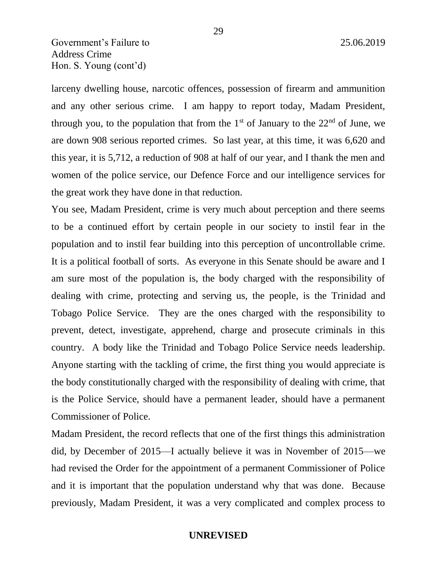# Government's Failure to 25.06.2019 Address Crime Hon. S. Young (cont'd)

larceny dwelling house, narcotic offences, possession of firearm and ammunition and any other serious crime. I am happy to report today, Madam President, through you, to the population that from the  $1<sup>st</sup>$  of January to the  $22<sup>nd</sup>$  of June, we are down 908 serious reported crimes. So last year, at this time, it was 6,620 and this year, it is 5,712, a reduction of 908 at half of our year, and I thank the men and women of the police service, our Defence Force and our intelligence services for the great work they have done in that reduction.

You see, Madam President, crime is very much about perception and there seems to be a continued effort by certain people in our society to instil fear in the population and to instil fear building into this perception of uncontrollable crime. It is a political football of sorts. As everyone in this Senate should be aware and I am sure most of the population is, the body charged with the responsibility of dealing with crime, protecting and serving us, the people, is the Trinidad and Tobago Police Service. They are the ones charged with the responsibility to prevent, detect, investigate, apprehend, charge and prosecute criminals in this country. A body like the Trinidad and Tobago Police Service needs leadership. Anyone starting with the tackling of crime, the first thing you would appreciate is the body constitutionally charged with the responsibility of dealing with crime, that is the Police Service, should have a permanent leader, should have a permanent Commissioner of Police.

Madam President, the record reflects that one of the first things this administration did, by December of 2015—I actually believe it was in November of 2015—we had revised the Order for the appointment of a permanent Commissioner of Police and it is important that the population understand why that was done. Because previously, Madam President, it was a very complicated and complex process to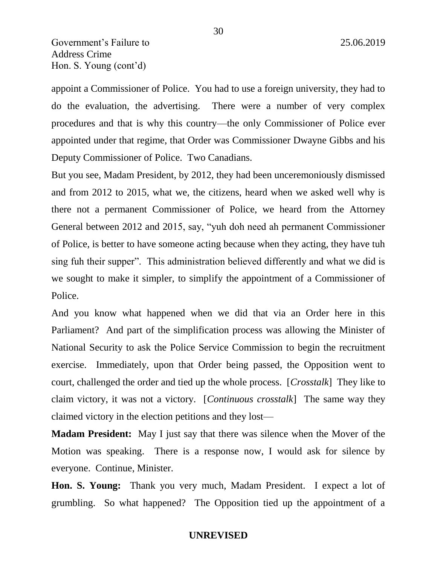appoint a Commissioner of Police. You had to use a foreign university, they had to do the evaluation, the advertising. There were a number of very complex procedures and that is why this country—the only Commissioner of Police ever appointed under that regime, that Order was Commissioner Dwayne Gibbs and his Deputy Commissioner of Police. Two Canadians.

But you see, Madam President, by 2012, they had been unceremoniously dismissed and from 2012 to 2015, what we, the citizens, heard when we asked well why is there not a permanent Commissioner of Police, we heard from the Attorney General between 2012 and 2015, say, "yuh doh need ah permanent Commissioner of Police, is better to have someone acting because when they acting, they have tuh sing fuh their supper". This administration believed differently and what we did is we sought to make it simpler, to simplify the appointment of a Commissioner of Police.

And you know what happened when we did that via an Order here in this Parliament? And part of the simplification process was allowing the Minister of National Security to ask the Police Service Commission to begin the recruitment exercise. Immediately, upon that Order being passed, the Opposition went to court, challenged the order and tied up the whole process. [*Crosstalk*] They like to claim victory, it was not a victory. [*Continuous crosstalk*] The same way they claimed victory in the election petitions and they lost—

**Madam President:** May I just say that there was silence when the Mover of the Motion was speaking. There is a response now, I would ask for silence by everyone. Continue, Minister.

**Hon. S. Young:** Thank you very much, Madam President. I expect a lot of grumbling. So what happened? The Opposition tied up the appointment of a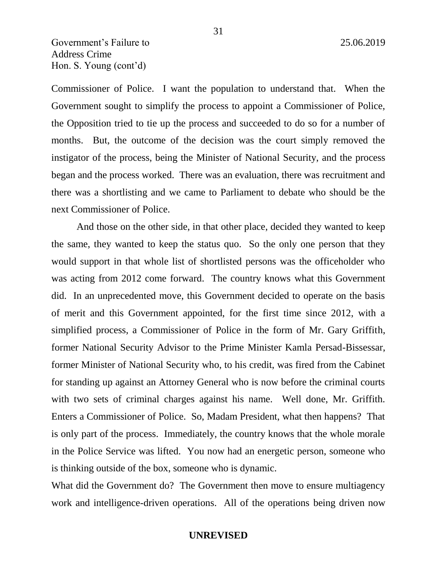Government's Failure to 25.06.2019 Address Crime Hon. S. Young (cont'd)

Commissioner of Police. I want the population to understand that. When the Government sought to simplify the process to appoint a Commissioner of Police, the Opposition tried to tie up the process and succeeded to do so for a number of months. But, the outcome of the decision was the court simply removed the instigator of the process, being the Minister of National Security, and the process began and the process worked. There was an evaluation, there was recruitment and there was a shortlisting and we came to Parliament to debate who should be the next Commissioner of Police.

And those on the other side, in that other place, decided they wanted to keep the same, they wanted to keep the status quo. So the only one person that they would support in that whole list of shortlisted persons was the officeholder who was acting from 2012 come forward. The country knows what this Government did. In an unprecedented move, this Government decided to operate on the basis of merit and this Government appointed, for the first time since 2012, with a simplified process, a Commissioner of Police in the form of Mr. Gary Griffith, former National Security Advisor to the Prime Minister Kamla Persad-Bissessar, former Minister of National Security who, to his credit, was fired from the Cabinet for standing up against an Attorney General who is now before the criminal courts with two sets of criminal charges against his name. Well done, Mr. Griffith. Enters a Commissioner of Police. So, Madam President, what then happens? That is only part of the process. Immediately, the country knows that the whole morale in the Police Service was lifted. You now had an energetic person, someone who is thinking outside of the box, someone who is dynamic.

What did the Government do? The Government then move to ensure multiagency work and intelligence-driven operations. All of the operations being driven now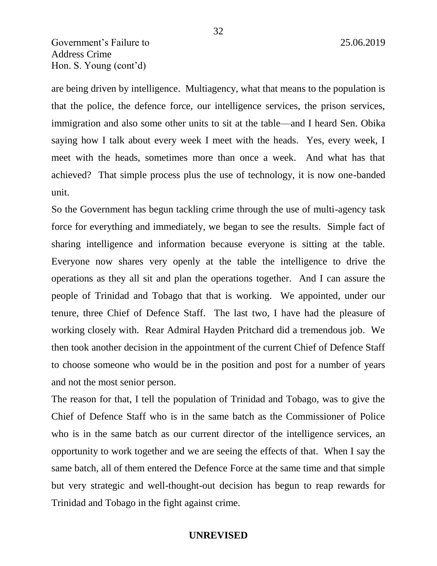Government's Failure to 25.06.2019 Address Crime Hon. S. Young (cont'd)

are being driven by intelligence. Multiagency, what that means to the population is that the police, the defence force, our intelligence services, the prison services, immigration and also some other units to sit at the table—and I heard Sen. Obika saying how I talk about every week I meet with the heads. Yes, every week, I meet with the heads, sometimes more than once a week. And what has that achieved? That simple process plus the use of technology, it is now one-banded unit.

So the Government has begun tackling crime through the use of multi-agency task force for everything and immediately, we began to see the results. Simple fact of sharing intelligence and information because everyone is sitting at the table. Everyone now shares very openly at the table the intelligence to drive the operations as they all sit and plan the operations together. And I can assure the people of Trinidad and Tobago that that is working. We appointed, under our tenure, three Chief of Defence Staff. The last two, I have had the pleasure of working closely with. Rear Admiral Hayden Pritchard did a tremendous job. We then took another decision in the appointment of the current Chief of Defence Staff to choose someone who would be in the position and post for a number of years and not the most senior person.

The reason for that, I tell the population of Trinidad and Tobago, was to give the Chief of Defence Staff who is in the same batch as the Commissioner of Police who is in the same batch as our current director of the intelligence services, an opportunity to work together and we are seeing the effects of that. When I say the same batch, all of them entered the Defence Force at the same time and that simple but very strategic and well-thought-out decision has begun to reap rewards for Trinidad and Tobago in the fight against crime.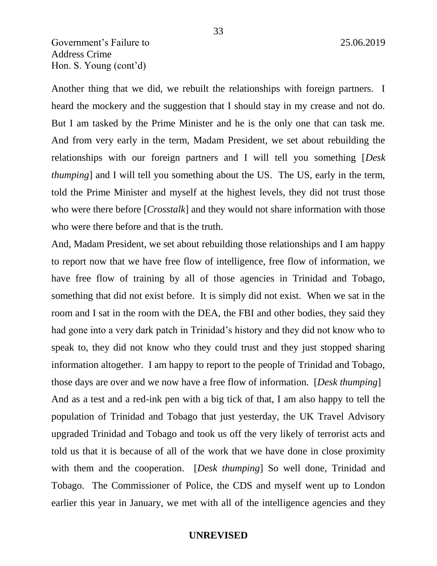Another thing that we did, we rebuilt the relationships with foreign partners. I heard the mockery and the suggestion that I should stay in my crease and not do. But I am tasked by the Prime Minister and he is the only one that can task me. And from very early in the term, Madam President, we set about rebuilding the relationships with our foreign partners and I will tell you something [*Desk thumping*] and I will tell you something about the US. The US, early in the term, told the Prime Minister and myself at the highest levels, they did not trust those who were there before [*Crosstalk*] and they would not share information with those who were there before and that is the truth.

33

And, Madam President, we set about rebuilding those relationships and I am happy to report now that we have free flow of intelligence, free flow of information, we have free flow of training by all of those agencies in Trinidad and Tobago, something that did not exist before. It is simply did not exist. When we sat in the room and I sat in the room with the DEA, the FBI and other bodies, they said they had gone into a very dark patch in Trinidad's history and they did not know who to speak to, they did not know who they could trust and they just stopped sharing information altogether. I am happy to report to the people of Trinidad and Tobago, those days are over and we now have a free flow of information. [*Desk thumping*] And as a test and a red-ink pen with a big tick of that, I am also happy to tell the population of Trinidad and Tobago that just yesterday, the UK Travel Advisory upgraded Trinidad and Tobago and took us off the very likely of terrorist acts and told us that it is because of all of the work that we have done in close proximity with them and the cooperation. *[Desk thumping*] So well done, Trinidad and Tobago. The Commissioner of Police, the CDS and myself went up to London earlier this year in January, we met with all of the intelligence agencies and they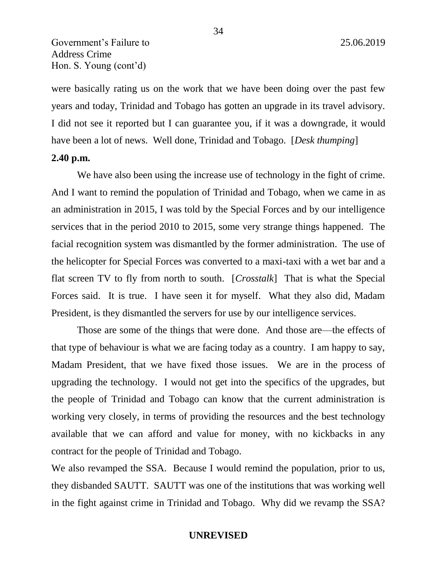were basically rating us on the work that we have been doing over the past few years and today, Trinidad and Tobago has gotten an upgrade in its travel advisory. I did not see it reported but I can guarantee you, if it was a downgrade, it would have been a lot of news. Well done, Trinidad and Tobago. [*Desk thumping*]

# **2.40 p.m.**

We have also been using the increase use of technology in the fight of crime. And I want to remind the population of Trinidad and Tobago, when we came in as an administration in 2015, I was told by the Special Forces and by our intelligence services that in the period 2010 to 2015, some very strange things happened. The facial recognition system was dismantled by the former administration. The use of the helicopter for Special Forces was converted to a maxi-taxi with a wet bar and a flat screen TV to fly from north to south. [*Crosstalk*] That is what the Special Forces said. It is true. I have seen it for myself. What they also did, Madam President, is they dismantled the servers for use by our intelligence services.

Those are some of the things that were done. And those are—the effects of that type of behaviour is what we are facing today as a country. I am happy to say, Madam President, that we have fixed those issues. We are in the process of upgrading the technology. I would not get into the specifics of the upgrades, but the people of Trinidad and Tobago can know that the current administration is working very closely, in terms of providing the resources and the best technology available that we can afford and value for money, with no kickbacks in any contract for the people of Trinidad and Tobago.

We also revamped the SSA. Because I would remind the population, prior to us, they disbanded SAUTT. SAUTT was one of the institutions that was working well in the fight against crime in Trinidad and Tobago. Why did we revamp the SSA?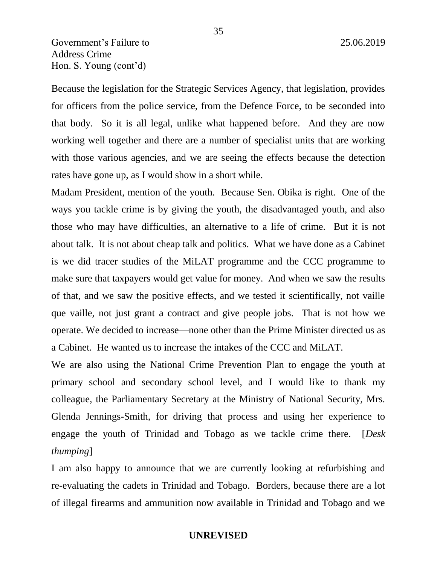Government's Failure to 25.06.2019 Address Crime Hon. S. Young (cont'd)

Because the legislation for the Strategic Services Agency, that legislation, provides for officers from the police service, from the Defence Force, to be seconded into that body. So it is all legal, unlike what happened before. And they are now working well together and there are a number of specialist units that are working with those various agencies, and we are seeing the effects because the detection rates have gone up, as I would show in a short while.

Madam President, mention of the youth. Because Sen. Obika is right. One of the ways you tackle crime is by giving the youth, the disadvantaged youth, and also those who may have difficulties, an alternative to a life of crime. But it is not about talk. It is not about cheap talk and politics. What we have done as a Cabinet is we did tracer studies of the MiLAT programme and the CCC programme to make sure that taxpayers would get value for money. And when we saw the results of that, and we saw the positive effects, and we tested it scientifically, not vaille que vaille, not just grant a contract and give people jobs. That is not how we operate. We decided to increase—none other than the Prime Minister directed us as a Cabinet. He wanted us to increase the intakes of the CCC and MiLAT.

We are also using the National Crime Prevention Plan to engage the youth at primary school and secondary school level, and I would like to thank my colleague, the Parliamentary Secretary at the Ministry of National Security, Mrs. Glenda Jennings-Smith, for driving that process and using her experience to engage the youth of Trinidad and Tobago as we tackle crime there. [*Desk thumping*]

I am also happy to announce that we are currently looking at refurbishing and re-evaluating the cadets in Trinidad and Tobago. Borders, because there are a lot of illegal firearms and ammunition now available in Trinidad and Tobago and we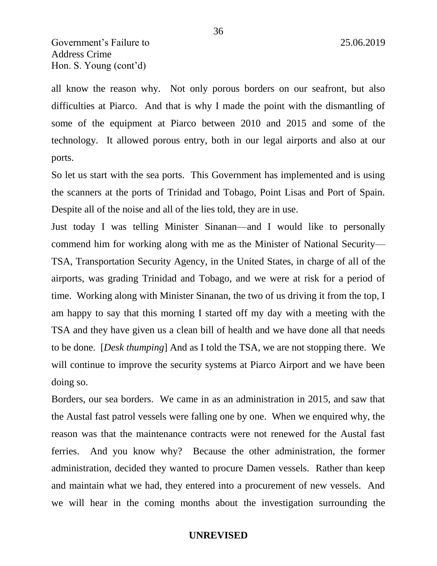all know the reason why. Not only porous borders on our seafront, but also difficulties at Piarco. And that is why I made the point with the dismantling of some of the equipment at Piarco between 2010 and 2015 and some of the technology. It allowed porous entry, both in our legal airports and also at our ports.

So let us start with the sea ports. This Government has implemented and is using the scanners at the ports of Trinidad and Tobago, Point Lisas and Port of Spain. Despite all of the noise and all of the lies told, they are in use.

Just today I was telling Minister Sinanan—and I would like to personally commend him for working along with me as the Minister of National Security— TSA, Transportation Security Agency, in the United States, in charge of all of the airports, was grading Trinidad and Tobago, and we were at risk for a period of time. Working along with Minister Sinanan, the two of us driving it from the top, I am happy to say that this morning I started off my day with a meeting with the TSA and they have given us a clean bill of health and we have done all that needs to be done. [*Desk thumping*] And as I told the TSA, we are not stopping there. We will continue to improve the security systems at Piarco Airport and we have been doing so.

Borders, our sea borders. We came in as an administration in 2015, and saw that the Austal fast patrol vessels were falling one by one. When we enquired why, the reason was that the maintenance contracts were not renewed for the Austal fast ferries. And you know why? Because the other administration, the former administration, decided they wanted to procure Damen vessels. Rather than keep and maintain what we had, they entered into a procurement of new vessels. And we will hear in the coming months about the investigation surrounding the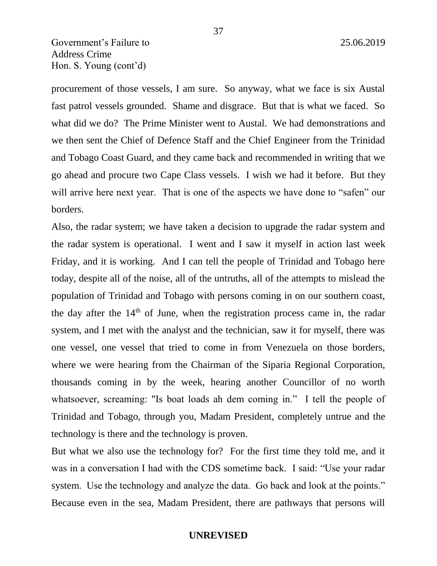procurement of those vessels, I am sure. So anyway, what we face is six Austal fast patrol vessels grounded. Shame and disgrace. But that is what we faced. So what did we do? The Prime Minister went to Austal. We had demonstrations and we then sent the Chief of Defence Staff and the Chief Engineer from the Trinidad and Tobago Coast Guard, and they came back and recommended in writing that we go ahead and procure two Cape Class vessels. I wish we had it before. But they will arrive here next year. That is one of the aspects we have done to "safen" our borders.

Also, the radar system; we have taken a decision to upgrade the radar system and the radar system is operational. I went and I saw it myself in action last week Friday, and it is working. And I can tell the people of Trinidad and Tobago here today, despite all of the noise, all of the untruths, all of the attempts to mislead the population of Trinidad and Tobago with persons coming in on our southern coast, the day after the  $14<sup>th</sup>$  of June, when the registration process came in, the radar system, and I met with the analyst and the technician, saw it for myself, there was one vessel, one vessel that tried to come in from Venezuela on those borders, where we were hearing from the Chairman of the Siparia Regional Corporation, thousands coming in by the week, hearing another Councillor of no worth whatsoever, screaming: "Is boat loads ah dem coming in." I tell the people of Trinidad and Tobago, through you, Madam President, completely untrue and the technology is there and the technology is proven.

But what we also use the technology for? For the first time they told me, and it was in a conversation I had with the CDS sometime back. I said: "Use your radar system. Use the technology and analyze the data. Go back and look at the points." Because even in the sea, Madam President, there are pathways that persons will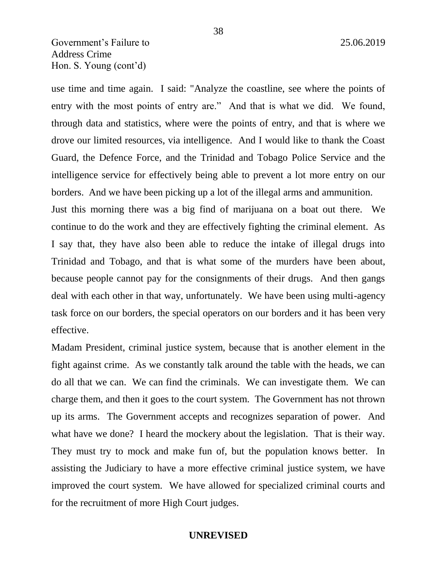use time and time again. I said: "Analyze the coastline, see where the points of entry with the most points of entry are." And that is what we did. We found, through data and statistics, where were the points of entry, and that is where we drove our limited resources, via intelligence. And I would like to thank the Coast Guard, the Defence Force, and the Trinidad and Tobago Police Service and the intelligence service for effectively being able to prevent a lot more entry on our borders. And we have been picking up a lot of the illegal arms and ammunition.

Just this morning there was a big find of marijuana on a boat out there. We continue to do the work and they are effectively fighting the criminal element. As I say that, they have also been able to reduce the intake of illegal drugs into Trinidad and Tobago, and that is what some of the murders have been about, because people cannot pay for the consignments of their drugs. And then gangs deal with each other in that way, unfortunately. We have been using multi-agency task force on our borders, the special operators on our borders and it has been very effective.

Madam President, criminal justice system, because that is another element in the fight against crime. As we constantly talk around the table with the heads, we can do all that we can. We can find the criminals. We can investigate them. We can charge them, and then it goes to the court system. The Government has not thrown up its arms. The Government accepts and recognizes separation of power. And what have we done? I heard the mockery about the legislation. That is their way. They must try to mock and make fun of, but the population knows better. In assisting the Judiciary to have a more effective criminal justice system, we have improved the court system. We have allowed for specialized criminal courts and for the recruitment of more High Court judges.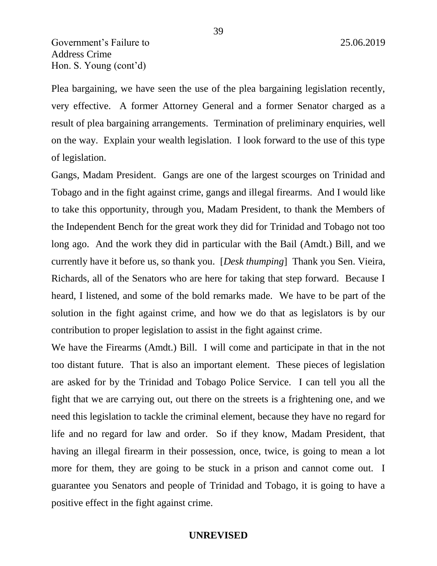Plea bargaining, we have seen the use of the plea bargaining legislation recently, very effective. A former Attorney General and a former Senator charged as a result of plea bargaining arrangements. Termination of preliminary enquiries, well on the way. Explain your wealth legislation. I look forward to the use of this type of legislation.

Gangs, Madam President. Gangs are one of the largest scourges on Trinidad and Tobago and in the fight against crime, gangs and illegal firearms. And I would like to take this opportunity, through you, Madam President, to thank the Members of the Independent Bench for the great work they did for Trinidad and Tobago not too long ago. And the work they did in particular with the Bail (Amdt.) Bill, and we currently have it before us, so thank you. [*Desk thumping*] Thank you Sen. Vieira, Richards, all of the Senators who are here for taking that step forward. Because I heard, I listened, and some of the bold remarks made. We have to be part of the solution in the fight against crime, and how we do that as legislators is by our contribution to proper legislation to assist in the fight against crime.

We have the Firearms (Amdt.) Bill. I will come and participate in that in the not too distant future. That is also an important element. These pieces of legislation are asked for by the Trinidad and Tobago Police Service. I can tell you all the fight that we are carrying out, out there on the streets is a frightening one, and we need this legislation to tackle the criminal element, because they have no regard for life and no regard for law and order. So if they know, Madam President, that having an illegal firearm in their possession, once, twice, is going to mean a lot more for them, they are going to be stuck in a prison and cannot come out. I guarantee you Senators and people of Trinidad and Tobago, it is going to have a positive effect in the fight against crime.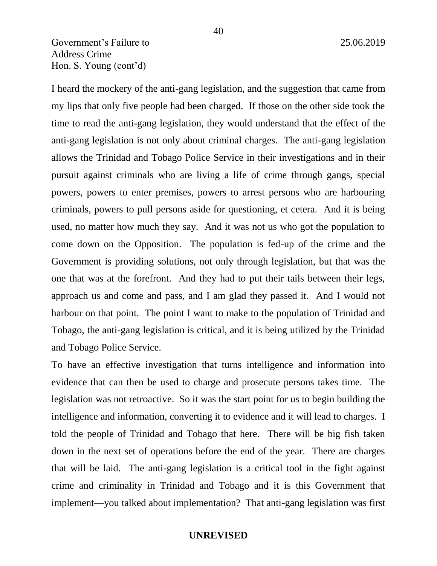I heard the mockery of the anti-gang legislation, and the suggestion that came from my lips that only five people had been charged. If those on the other side took the time to read the anti-gang legislation, they would understand that the effect of the anti-gang legislation is not only about criminal charges. The anti-gang legislation allows the Trinidad and Tobago Police Service in their investigations and in their pursuit against criminals who are living a life of crime through gangs, special powers, powers to enter premises, powers to arrest persons who are harbouring criminals, powers to pull persons aside for questioning, et cetera. And it is being used, no matter how much they say. And it was not us who got the population to come down on the Opposition. The population is fed-up of the crime and the Government is providing solutions, not only through legislation, but that was the one that was at the forefront. And they had to put their tails between their legs, approach us and come and pass, and I am glad they passed it. And I would not harbour on that point. The point I want to make to the population of Trinidad and Tobago, the anti-gang legislation is critical, and it is being utilized by the Trinidad and Tobago Police Service.

To have an effective investigation that turns intelligence and information into evidence that can then be used to charge and prosecute persons takes time. The legislation was not retroactive. So it was the start point for us to begin building the intelligence and information, converting it to evidence and it will lead to charges. I told the people of Trinidad and Tobago that here. There will be big fish taken down in the next set of operations before the end of the year. There are charges that will be laid. The anti-gang legislation is a critical tool in the fight against crime and criminality in Trinidad and Tobago and it is this Government that implement—you talked about implementation? That anti-gang legislation was first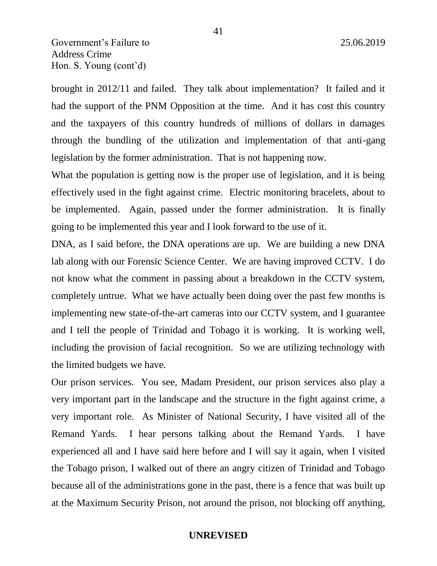brought in 2012/11 and failed. They talk about implementation? It failed and it had the support of the PNM Opposition at the time. And it has cost this country and the taxpayers of this country hundreds of millions of dollars in damages through the bundling of the utilization and implementation of that anti-gang legislation by the former administration. That is not happening now.

What the population is getting now is the proper use of legislation, and it is being effectively used in the fight against crime. Electric monitoring bracelets, about to be implemented. Again, passed under the former administration. It is finally going to be implemented this year and I look forward to the use of it.

DNA, as I said before, the DNA operations are up. We are building a new DNA lab along with our Forensic Science Center. We are having improved CCTV. I do not know what the comment in passing about a breakdown in the CCTV system, completely untrue. What we have actually been doing over the past few months is implementing new state-of-the-art cameras into our CCTV system, and I guarantee and I tell the people of Trinidad and Tobago it is working. It is working well, including the provision of facial recognition. So we are utilizing technology with the limited budgets we have.

Our prison services. You see, Madam President, our prison services also play a very important part in the landscape and the structure in the fight against crime, a very important role. As Minister of National Security, I have visited all of the Remand Yards. I hear persons talking about the Remand Yards. I have experienced all and I have said here before and I will say it again, when I visited the Tobago prison, I walked out of there an angry citizen of Trinidad and Tobago because all of the administrations gone in the past, there is a fence that was built up at the Maximum Security Prison, not around the prison, not blocking off anything,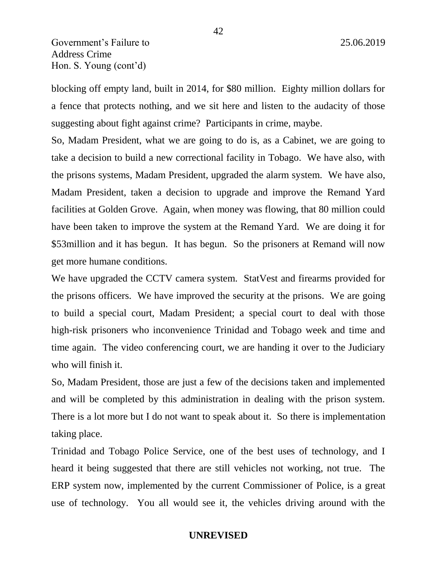blocking off empty land, built in 2014, for \$80 million. Eighty million dollars for a fence that protects nothing, and we sit here and listen to the audacity of those suggesting about fight against crime? Participants in crime, maybe.

So, Madam President, what we are going to do is, as a Cabinet, we are going to take a decision to build a new correctional facility in Tobago. We have also, with the prisons systems, Madam President, upgraded the alarm system. We have also, Madam President, taken a decision to upgrade and improve the Remand Yard facilities at Golden Grove. Again, when money was flowing, that 80 million could have been taken to improve the system at the Remand Yard. We are doing it for \$53million and it has begun. It has begun. So the prisoners at Remand will now get more humane conditions.

We have upgraded the CCTV camera system. StatVest and firearms provided for the prisons officers. We have improved the security at the prisons. We are going to build a special court, Madam President; a special court to deal with those high-risk prisoners who inconvenience Trinidad and Tobago week and time and time again. The video conferencing court, we are handing it over to the Judiciary who will finish it.

So, Madam President, those are just a few of the decisions taken and implemented and will be completed by this administration in dealing with the prison system. There is a lot more but I do not want to speak about it. So there is implementation taking place.

Trinidad and Tobago Police Service, one of the best uses of technology, and I heard it being suggested that there are still vehicles not working, not true. The ERP system now, implemented by the current Commissioner of Police, is a great use of technology. You all would see it, the vehicles driving around with the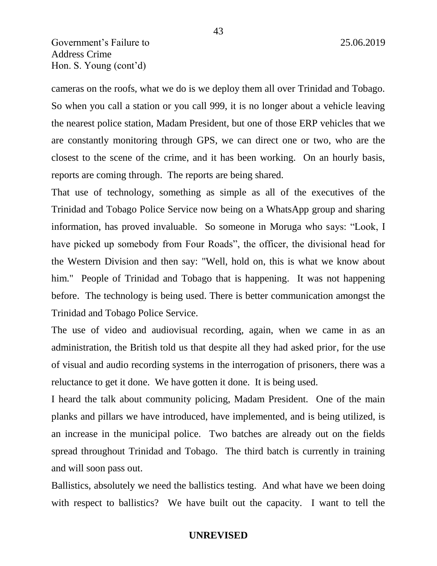cameras on the roofs, what we do is we deploy them all over Trinidad and Tobago. So when you call a station or you call 999, it is no longer about a vehicle leaving the nearest police station, Madam President, but one of those ERP vehicles that we are constantly monitoring through GPS, we can direct one or two, who are the closest to the scene of the crime, and it has been working. On an hourly basis, reports are coming through. The reports are being shared.

That use of technology, something as simple as all of the executives of the Trinidad and Tobago Police Service now being on a WhatsApp group and sharing information, has proved invaluable. So someone in Moruga who says: "Look, I have picked up somebody from Four Roads", the officer, the divisional head for the Western Division and then say: "Well, hold on, this is what we know about him." People of Trinidad and Tobago that is happening. It was not happening before. The technology is being used. There is better communication amongst the Trinidad and Tobago Police Service.

The use of video and audiovisual recording, again, when we came in as an administration, the British told us that despite all they had asked prior, for the use of visual and audio recording systems in the interrogation of prisoners, there was a reluctance to get it done. We have gotten it done. It is being used.

I heard the talk about community policing, Madam President. One of the main planks and pillars we have introduced, have implemented, and is being utilized, is an increase in the municipal police. Two batches are already out on the fields spread throughout Trinidad and Tobago. The third batch is currently in training and will soon pass out.

Ballistics, absolutely we need the ballistics testing. And what have we been doing with respect to ballistics? We have built out the capacity. I want to tell the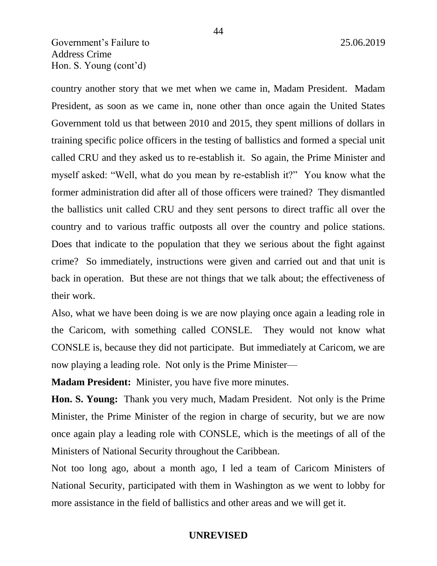country another story that we met when we came in, Madam President. Madam President, as soon as we came in, none other than once again the United States Government told us that between 2010 and 2015, they spent millions of dollars in training specific police officers in the testing of ballistics and formed a special unit called CRU and they asked us to re-establish it. So again, the Prime Minister and myself asked: "Well, what do you mean by re-establish it?" You know what the former administration did after all of those officers were trained? They dismantled the ballistics unit called CRU and they sent persons to direct traffic all over the country and to various traffic outposts all over the country and police stations. Does that indicate to the population that they we serious about the fight against crime? So immediately, instructions were given and carried out and that unit is back in operation. But these are not things that we talk about; the effectiveness of their work.

Also, what we have been doing is we are now playing once again a leading role in the Caricom, with something called CONSLE. They would not know what CONSLE is, because they did not participate. But immediately at Caricom, we are now playing a leading role. Not only is the Prime Minister—

**Madam President:** Minister, you have five more minutes.

**Hon. S. Young:** Thank you very much, Madam President. Not only is the Prime Minister, the Prime Minister of the region in charge of security, but we are now once again play a leading role with CONSLE, which is the meetings of all of the Ministers of National Security throughout the Caribbean.

Not too long ago, about a month ago, I led a team of Caricom Ministers of National Security, participated with them in Washington as we went to lobby for more assistance in the field of ballistics and other areas and we will get it.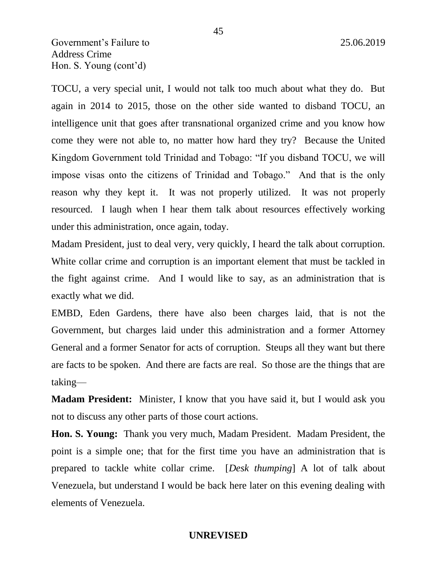TOCU, a very special unit, I would not talk too much about what they do. But again in 2014 to 2015, those on the other side wanted to disband TOCU, an intelligence unit that goes after transnational organized crime and you know how come they were not able to, no matter how hard they try? Because the United Kingdom Government told Trinidad and Tobago: "If you disband TOCU, we will impose visas onto the citizens of Trinidad and Tobago." And that is the only reason why they kept it. It was not properly utilized. It was not properly resourced. I laugh when I hear them talk about resources effectively working under this administration, once again, today.

Madam President, just to deal very, very quickly, I heard the talk about corruption. White collar crime and corruption is an important element that must be tackled in the fight against crime. And I would like to say, as an administration that is exactly what we did.

EMBD, Eden Gardens, there have also been charges laid, that is not the Government, but charges laid under this administration and a former Attorney General and a former Senator for acts of corruption. Steups all they want but there are facts to be spoken. And there are facts are real. So those are the things that are taking—

**Madam President:** Minister, I know that you have said it, but I would ask you not to discuss any other parts of those court actions.

**Hon. S. Young:** Thank you very much, Madam President. Madam President, the point is a simple one; that for the first time you have an administration that is prepared to tackle white collar crime. [*Desk thumping*] A lot of talk about Venezuela, but understand I would be back here later on this evening dealing with elements of Venezuela.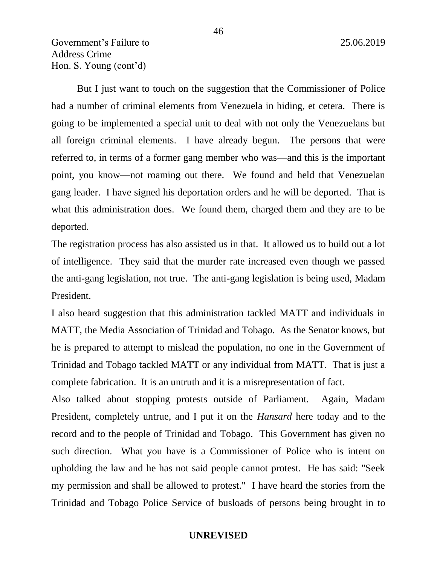But I just want to touch on the suggestion that the Commissioner of Police had a number of criminal elements from Venezuela in hiding, et cetera. There is going to be implemented a special unit to deal with not only the Venezuelans but all foreign criminal elements. I have already begun. The persons that were referred to, in terms of a former gang member who was—and this is the important point, you know—not roaming out there. We found and held that Venezuelan gang leader. I have signed his deportation orders and he will be deported. That is what this administration does. We found them, charged them and they are to be deported.

The registration process has also assisted us in that. It allowed us to build out a lot of intelligence. They said that the murder rate increased even though we passed the anti-gang legislation, not true. The anti-gang legislation is being used, Madam President.

I also heard suggestion that this administration tackled MATT and individuals in MATT, the Media Association of Trinidad and Tobago. As the Senator knows, but he is prepared to attempt to mislead the population, no one in the Government of Trinidad and Tobago tackled MATT or any individual from MATT. That is just a complete fabrication. It is an untruth and it is a misrepresentation of fact.

Also talked about stopping protests outside of Parliament. Again, Madam President, completely untrue, and I put it on the *Hansard* here today and to the record and to the people of Trinidad and Tobago. This Government has given no such direction. What you have is a Commissioner of Police who is intent on upholding the law and he has not said people cannot protest. He has said: "Seek my permission and shall be allowed to protest." I have heard the stories from the Trinidad and Tobago Police Service of busloads of persons being brought in to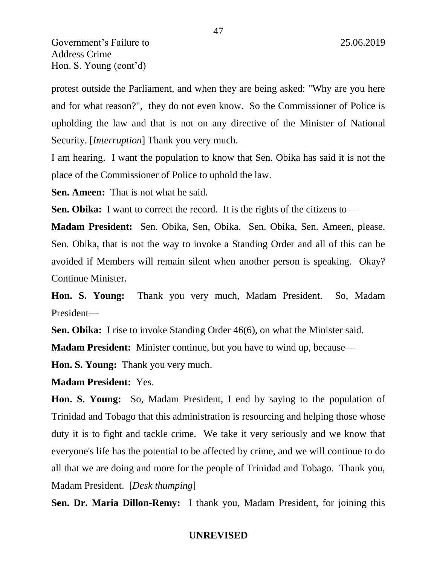protest outside the Parliament, and when they are being asked: "Why are you here and for what reason?", they do not even know. So the Commissioner of Police is upholding the law and that is not on any directive of the Minister of National Security. [*Interruption*] Thank you very much.

I am hearing. I want the population to know that Sen. Obika has said it is not the place of the Commissioner of Police to uphold the law.

**Sen. Ameen:** That is not what he said.

**Sen. Obika:** I want to correct the record. It is the rights of the citizens to—

**Madam President:** Sen. Obika, Sen, Obika. Sen. Obika, Sen. Ameen, please. Sen. Obika, that is not the way to invoke a Standing Order and all of this can be avoided if Members will remain silent when another person is speaking. Okay? Continue Minister.

**Hon. S. Young:** Thank you very much, Madam President. So, Madam President—

**Sen. Obika:** I rise to invoke Standing Order 46(6), on what the Minister said.

**Madam President:** Minister continue, but you have to wind up, because—

**Hon. S. Young:** Thank you very much.

**Madam President:** Yes.

**Hon. S. Young:** So, Madam President, I end by saying to the population of Trinidad and Tobago that this administration is resourcing and helping those whose duty it is to fight and tackle crime. We take it very seriously and we know that everyone's life has the potential to be affected by crime, and we will continue to do all that we are doing and more for the people of Trinidad and Tobago. Thank you, Madam President. [*Desk thumping*]

**Sen. Dr. Maria Dillon-Remy:** I thank you, Madam President, for joining this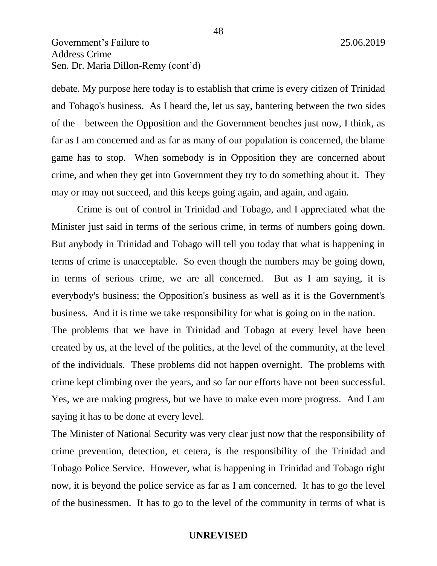debate. My purpose here today is to establish that crime is every citizen of Trinidad and Tobago's business. As I heard the, let us say, bantering between the two sides of the—between the Opposition and the Government benches just now, I think, as far as I am concerned and as far as many of our population is concerned, the blame game has to stop. When somebody is in Opposition they are concerned about crime, and when they get into Government they try to do something about it. They may or may not succeed, and this keeps going again, and again, and again.

Crime is out of control in Trinidad and Tobago, and I appreciated what the Minister just said in terms of the serious crime, in terms of numbers going down. But anybody in Trinidad and Tobago will tell you today that what is happening in terms of crime is unacceptable. So even though the numbers may be going down, in terms of serious crime, we are all concerned. But as I am saying, it is everybody's business; the Opposition's business as well as it is the Government's business. And it is time we take responsibility for what is going on in the nation.

The problems that we have in Trinidad and Tobago at every level have been created by us, at the level of the politics, at the level of the community, at the level of the individuals. These problems did not happen overnight. The problems with crime kept climbing over the years, and so far our efforts have not been successful. Yes, we are making progress, but we have to make even more progress. And I am saying it has to be done at every level.

The Minister of National Security was very clear just now that the responsibility of crime prevention, detection, et cetera, is the responsibility of the Trinidad and Tobago Police Service. However, what is happening in Trinidad and Tobago right now, it is beyond the police service as far as I am concerned. It has to go the level of the businessmen. It has to go to the level of the community in terms of what is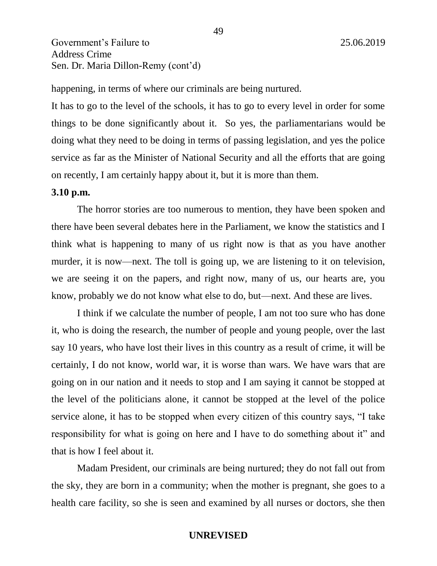happening, in terms of where our criminals are being nurtured.

It has to go to the level of the schools, it has to go to every level in order for some things to be done significantly about it. So yes, the parliamentarians would be doing what they need to be doing in terms of passing legislation, and yes the police service as far as the Minister of National Security and all the efforts that are going on recently, I am certainly happy about it, but it is more than them.

### **3.10 p.m.**

The horror stories are too numerous to mention, they have been spoken and there have been several debates here in the Parliament, we know the statistics and I think what is happening to many of us right now is that as you have another murder, it is now—next. The toll is going up, we are listening to it on television, we are seeing it on the papers, and right now, many of us, our hearts are, you know, probably we do not know what else to do, but—next. And these are lives.

I think if we calculate the number of people, I am not too sure who has done it, who is doing the research, the number of people and young people, over the last say 10 years, who have lost their lives in this country as a result of crime, it will be certainly, I do not know, world war, it is worse than wars. We have wars that are going on in our nation and it needs to stop and I am saying it cannot be stopped at the level of the politicians alone, it cannot be stopped at the level of the police service alone, it has to be stopped when every citizen of this country says, "I take responsibility for what is going on here and I have to do something about it" and that is how I feel about it.

Madam President, our criminals are being nurtured; they do not fall out from the sky, they are born in a community; when the mother is pregnant, she goes to a health care facility, so she is seen and examined by all nurses or doctors, she then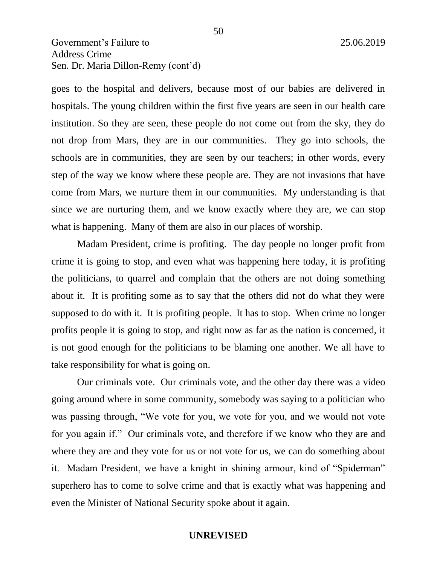goes to the hospital and delivers, because most of our babies are delivered in hospitals. The young children within the first five years are seen in our health care institution. So they are seen, these people do not come out from the sky, they do not drop from Mars, they are in our communities. They go into schools, the schools are in communities, they are seen by our teachers; in other words, every step of the way we know where these people are. They are not invasions that have come from Mars, we nurture them in our communities. My understanding is that since we are nurturing them, and we know exactly where they are, we can stop what is happening. Many of them are also in our places of worship.

Madam President, crime is profiting. The day people no longer profit from crime it is going to stop, and even what was happening here today, it is profiting the politicians, to quarrel and complain that the others are not doing something about it. It is profiting some as to say that the others did not do what they were supposed to do with it. It is profiting people. It has to stop. When crime no longer profits people it is going to stop, and right now as far as the nation is concerned, it is not good enough for the politicians to be blaming one another. We all have to take responsibility for what is going on.

Our criminals vote. Our criminals vote, and the other day there was a video going around where in some community, somebody was saying to a politician who was passing through, "We vote for you, we vote for you, and we would not vote for you again if." Our criminals vote, and therefore if we know who they are and where they are and they vote for us or not vote for us, we can do something about it. Madam President, we have a knight in shining armour, kind of "Spiderman" superhero has to come to solve crime and that is exactly what was happening and even the Minister of National Security spoke about it again.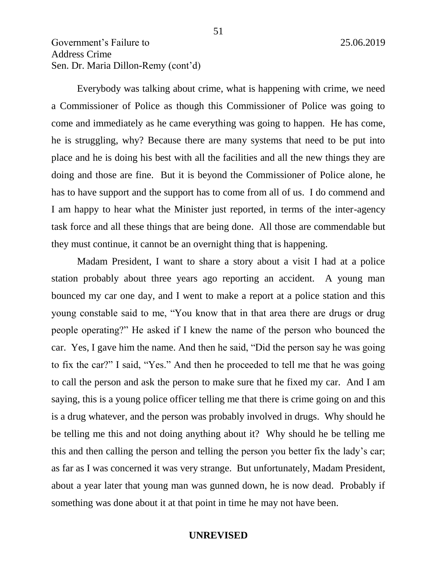Everybody was talking about crime, what is happening with crime, we need a Commissioner of Police as though this Commissioner of Police was going to come and immediately as he came everything was going to happen. He has come, he is struggling, why? Because there are many systems that need to be put into place and he is doing his best with all the facilities and all the new things they are doing and those are fine. But it is beyond the Commissioner of Police alone, he has to have support and the support has to come from all of us. I do commend and I am happy to hear what the Minister just reported, in terms of the inter-agency task force and all these things that are being done. All those are commendable but they must continue, it cannot be an overnight thing that is happening.

Madam President, I want to share a story about a visit I had at a police station probably about three years ago reporting an accident. A young man bounced my car one day, and I went to make a report at a police station and this young constable said to me, "You know that in that area there are drugs or drug people operating?" He asked if I knew the name of the person who bounced the car. Yes, I gave him the name. And then he said, "Did the person say he was going to fix the car?" I said, "Yes." And then he proceeded to tell me that he was going to call the person and ask the person to make sure that he fixed my car. And I am saying, this is a young police officer telling me that there is crime going on and this is a drug whatever, and the person was probably involved in drugs. Why should he be telling me this and not doing anything about it? Why should he be telling me this and then calling the person and telling the person you better fix the lady's car; as far as I was concerned it was very strange. But unfortunately, Madam President, about a year later that young man was gunned down, he is now dead. Probably if something was done about it at that point in time he may not have been.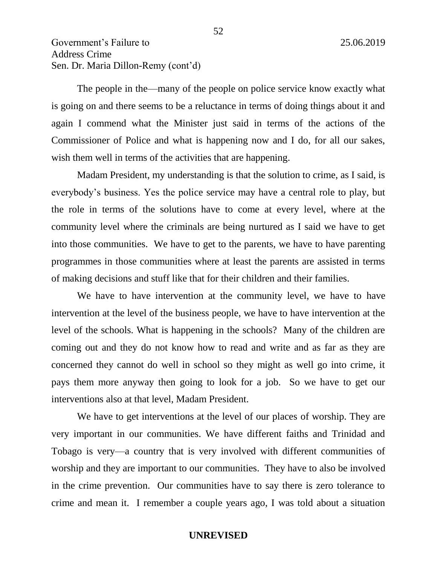The people in the—many of the people on police service know exactly what is going on and there seems to be a reluctance in terms of doing things about it and again I commend what the Minister just said in terms of the actions of the Commissioner of Police and what is happening now and I do, for all our sakes, wish them well in terms of the activities that are happening.

Madam President, my understanding is that the solution to crime, as I said, is everybody's business. Yes the police service may have a central role to play, but the role in terms of the solutions have to come at every level, where at the community level where the criminals are being nurtured as I said we have to get into those communities. We have to get to the parents, we have to have parenting programmes in those communities where at least the parents are assisted in terms of making decisions and stuff like that for their children and their families.

We have to have intervention at the community level, we have to have intervention at the level of the business people, we have to have intervention at the level of the schools. What is happening in the schools? Many of the children are coming out and they do not know how to read and write and as far as they are concerned they cannot do well in school so they might as well go into crime, it pays them more anyway then going to look for a job. So we have to get our interventions also at that level, Madam President.

We have to get interventions at the level of our places of worship. They are very important in our communities. We have different faiths and Trinidad and Tobago is very—a country that is very involved with different communities of worship and they are important to our communities. They have to also be involved in the crime prevention. Our communities have to say there is zero tolerance to crime and mean it. I remember a couple years ago, I was told about a situation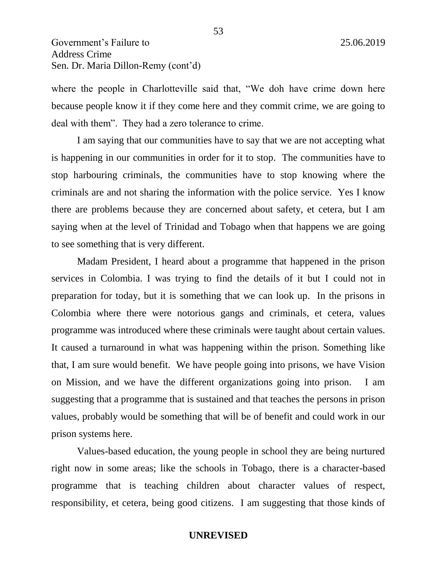where the people in Charlotteville said that, "We doh have crime down here because people know it if they come here and they commit crime, we are going to deal with them". They had a zero tolerance to crime.

I am saying that our communities have to say that we are not accepting what is happening in our communities in order for it to stop. The communities have to stop harbouring criminals, the communities have to stop knowing where the criminals are and not sharing the information with the police service. Yes I know there are problems because they are concerned about safety, et cetera, but I am saying when at the level of Trinidad and Tobago when that happens we are going to see something that is very different.

Madam President, I heard about a programme that happened in the prison services in Colombia. I was trying to find the details of it but I could not in preparation for today, but it is something that we can look up. In the prisons in Colombia where there were notorious gangs and criminals, et cetera, values programme was introduced where these criminals were taught about certain values. It caused a turnaround in what was happening within the prison. Something like that, I am sure would benefit. We have people going into prisons, we have Vision on Mission, and we have the different organizations going into prison. I am suggesting that a programme that is sustained and that teaches the persons in prison values, probably would be something that will be of benefit and could work in our prison systems here.

Values-based education, the young people in school they are being nurtured right now in some areas; like the schools in Tobago, there is a character-based programme that is teaching children about character values of respect, responsibility, et cetera, being good citizens. I am suggesting that those kinds of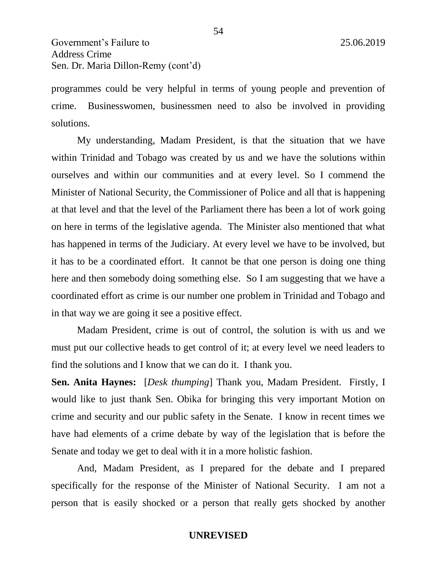programmes could be very helpful in terms of young people and prevention of crime. Businesswomen, businessmen need to also be involved in providing solutions.

My understanding, Madam President, is that the situation that we have within Trinidad and Tobago was created by us and we have the solutions within ourselves and within our communities and at every level. So I commend the Minister of National Security, the Commissioner of Police and all that is happening at that level and that the level of the Parliament there has been a lot of work going on here in terms of the legislative agenda. The Minister also mentioned that what has happened in terms of the Judiciary. At every level we have to be involved, but it has to be a coordinated effort. It cannot be that one person is doing one thing here and then somebody doing something else. So I am suggesting that we have a coordinated effort as crime is our number one problem in Trinidad and Tobago and in that way we are going it see a positive effect.

Madam President, crime is out of control, the solution is with us and we must put our collective heads to get control of it; at every level we need leaders to find the solutions and I know that we can do it. I thank you.

**Sen. Anita Haynes:** [*Desk thumping*] Thank you, Madam President. Firstly, I would like to just thank Sen. Obika for bringing this very important Motion on crime and security and our public safety in the Senate. I know in recent times we have had elements of a crime debate by way of the legislation that is before the Senate and today we get to deal with it in a more holistic fashion.

And, Madam President, as I prepared for the debate and I prepared specifically for the response of the Minister of National Security. I am not a person that is easily shocked or a person that really gets shocked by another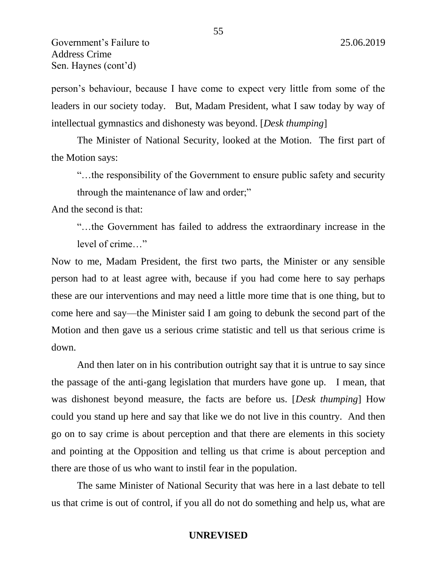person's behaviour, because I have come to expect very little from some of the leaders in our society today. But, Madam President, what I saw today by way of intellectual gymnastics and dishonesty was beyond. [*Desk thumping*]

The Minister of National Security, looked at the Motion. The first part of the Motion says:

"…the responsibility of the Government to ensure public safety and security through the maintenance of law and order;"

And the second is that:

"…the Government has failed to address the extraordinary increase in the level of crime…"

Now to me, Madam President, the first two parts, the Minister or any sensible person had to at least agree with, because if you had come here to say perhaps these are our interventions and may need a little more time that is one thing, but to come here and say—the Minister said I am going to debunk the second part of the Motion and then gave us a serious crime statistic and tell us that serious crime is down.

And then later on in his contribution outright say that it is untrue to say since the passage of the anti-gang legislation that murders have gone up. I mean, that was dishonest beyond measure, the facts are before us. [*Desk thumping*] How could you stand up here and say that like we do not live in this country. And then go on to say crime is about perception and that there are elements in this society and pointing at the Opposition and telling us that crime is about perception and there are those of us who want to instil fear in the population.

The same Minister of National Security that was here in a last debate to tell us that crime is out of control, if you all do not do something and help us, what are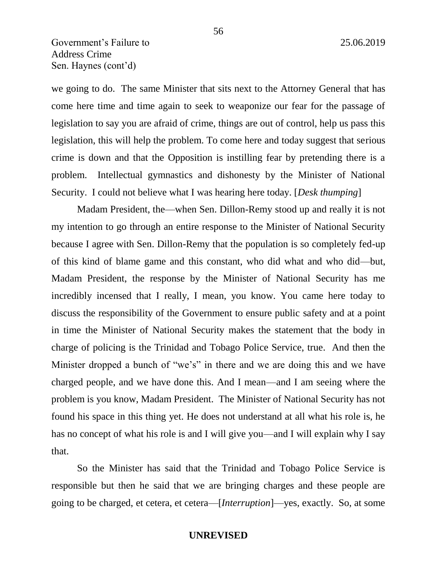we going to do. The same Minister that sits next to the Attorney General that has come here time and time again to seek to weaponize our fear for the passage of legislation to say you are afraid of crime, things are out of control, help us pass this legislation, this will help the problem. To come here and today suggest that serious crime is down and that the Opposition is instilling fear by pretending there is a problem. Intellectual gymnastics and dishonesty by the Minister of National Security. I could not believe what I was hearing here today. [*Desk thumping*]

Madam President, the—when Sen. Dillon-Remy stood up and really it is not my intention to go through an entire response to the Minister of National Security because I agree with Sen. Dillon-Remy that the population is so completely fed-up of this kind of blame game and this constant, who did what and who did—but, Madam President, the response by the Minister of National Security has me incredibly incensed that I really, I mean, you know. You came here today to discuss the responsibility of the Government to ensure public safety and at a point in time the Minister of National Security makes the statement that the body in charge of policing is the Trinidad and Tobago Police Service, true. And then the Minister dropped a bunch of "we's" in there and we are doing this and we have charged people, and we have done this. And I mean—and I am seeing where the problem is you know, Madam President. The Minister of National Security has not found his space in this thing yet. He does not understand at all what his role is, he has no concept of what his role is and I will give you—and I will explain why I say that.

So the Minister has said that the Trinidad and Tobago Police Service is responsible but then he said that we are bringing charges and these people are going to be charged, et cetera, et cetera—[*Interruption*]—yes, exactly. So, at some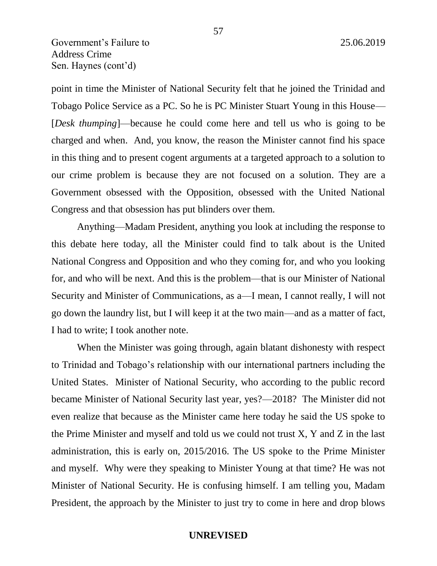point in time the Minister of National Security felt that he joined the Trinidad and Tobago Police Service as a PC. So he is PC Minister Stuart Young in this House— [*Desk thumping*]—because he could come here and tell us who is going to be charged and when. And, you know, the reason the Minister cannot find his space in this thing and to present cogent arguments at a targeted approach to a solution to our crime problem is because they are not focused on a solution. They are a Government obsessed with the Opposition, obsessed with the United National Congress and that obsession has put blinders over them.

Anything—Madam President, anything you look at including the response to this debate here today, all the Minister could find to talk about is the United National Congress and Opposition and who they coming for, and who you looking for, and who will be next. And this is the problem—that is our Minister of National Security and Minister of Communications, as a—I mean, I cannot really, I will not go down the laundry list, but I will keep it at the two main—and as a matter of fact, I had to write; I took another note.

When the Minister was going through, again blatant dishonesty with respect to Trinidad and Tobago's relationship with our international partners including the United States. Minister of National Security, who according to the public record became Minister of National Security last year, yes?—2018? The Minister did not even realize that because as the Minister came here today he said the US spoke to the Prime Minister and myself and told us we could not trust X, Y and Z in the last administration, this is early on, 2015/2016. The US spoke to the Prime Minister and myself. Why were they speaking to Minister Young at that time? He was not Minister of National Security. He is confusing himself. I am telling you, Madam President, the approach by the Minister to just try to come in here and drop blows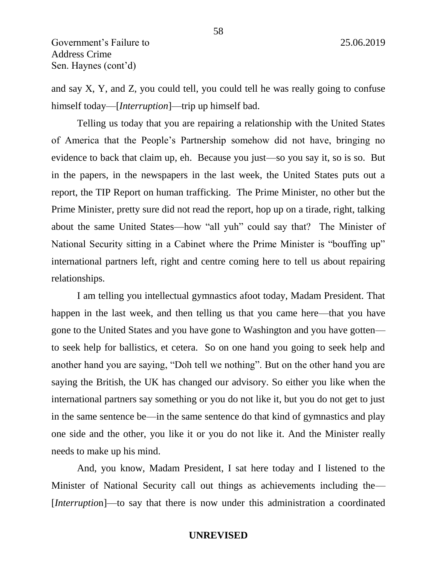and say X, Y, and Z, you could tell, you could tell he was really going to confuse himself today—[*Interruption*]—trip up himself bad.

Telling us today that you are repairing a relationship with the United States of America that the People's Partnership somehow did not have, bringing no evidence to back that claim up, eh. Because you just—so you say it, so is so. But in the papers, in the newspapers in the last week, the United States puts out a report, the TIP Report on human trafficking. The Prime Minister, no other but the Prime Minister, pretty sure did not read the report, hop up on a tirade, right, talking about the same United States—how "all yuh" could say that? The Minister of National Security sitting in a Cabinet where the Prime Minister is "bouffing up" international partners left, right and centre coming here to tell us about repairing relationships.

I am telling you intellectual gymnastics afoot today, Madam President. That happen in the last week, and then telling us that you came here—that you have gone to the United States and you have gone to Washington and you have gotten to seek help for ballistics, et cetera. So on one hand you going to seek help and another hand you are saying, "Doh tell we nothing". But on the other hand you are saying the British, the UK has changed our advisory. So either you like when the international partners say something or you do not like it, but you do not get to just in the same sentence be—in the same sentence do that kind of gymnastics and play one side and the other, you like it or you do not like it. And the Minister really needs to make up his mind.

And, you know, Madam President, I sat here today and I listened to the Minister of National Security call out things as achievements including the— [*Interruptio*n]—to say that there is now under this administration a coordinated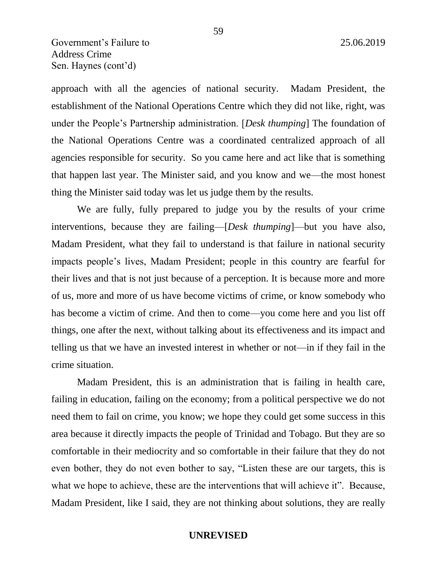approach with all the agencies of national security. Madam President, the establishment of the National Operations Centre which they did not like, right, was under the People's Partnership administration. [*Desk thumping*] The foundation of the National Operations Centre was a coordinated centralized approach of all agencies responsible for security. So you came here and act like that is something that happen last year. The Minister said, and you know and we—the most honest thing the Minister said today was let us judge them by the results.

We are fully, fully prepared to judge you by the results of your crime interventions, because they are failing—[*Desk thumping*]—but you have also, Madam President, what they fail to understand is that failure in national security impacts people's lives, Madam President; people in this country are fearful for their lives and that is not just because of a perception. It is because more and more of us, more and more of us have become victims of crime, or know somebody who has become a victim of crime. And then to come—you come here and you list off things, one after the next, without talking about its effectiveness and its impact and telling us that we have an invested interest in whether or not—in if they fail in the crime situation.

Madam President, this is an administration that is failing in health care, failing in education, failing on the economy; from a political perspective we do not need them to fail on crime, you know; we hope they could get some success in this area because it directly impacts the people of Trinidad and Tobago. But they are so comfortable in their mediocrity and so comfortable in their failure that they do not even bother, they do not even bother to say, "Listen these are our targets, this is what we hope to achieve, these are the interventions that will achieve it". Because, Madam President, like I said, they are not thinking about solutions, they are really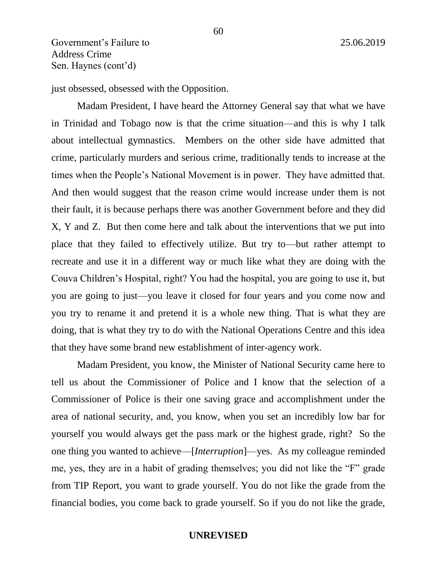just obsessed, obsessed with the Opposition.

Madam President, I have heard the Attorney General say that what we have in Trinidad and Tobago now is that the crime situation—and this is why I talk about intellectual gymnastics. Members on the other side have admitted that crime, particularly murders and serious crime, traditionally tends to increase at the times when the People's National Movement is in power. They have admitted that. And then would suggest that the reason crime would increase under them is not their fault, it is because perhaps there was another Government before and they did X, Y and Z. But then come here and talk about the interventions that we put into place that they failed to effectively utilize. But try to—but rather attempt to recreate and use it in a different way or much like what they are doing with the Couva Children's Hospital, right? You had the hospital, you are going to use it, but you are going to just—you leave it closed for four years and you come now and you try to rename it and pretend it is a whole new thing. That is what they are doing, that is what they try to do with the National Operations Centre and this idea that they have some brand new establishment of inter-agency work.

Madam President, you know, the Minister of National Security came here to tell us about the Commissioner of Police and I know that the selection of a Commissioner of Police is their one saving grace and accomplishment under the area of national security, and, you know, when you set an incredibly low bar for yourself you would always get the pass mark or the highest grade, right? So the one thing you wanted to achieve—[*Interruption*]—yes. As my colleague reminded me, yes, they are in a habit of grading themselves; you did not like the "F" grade from TIP Report, you want to grade yourself. You do not like the grade from the financial bodies, you come back to grade yourself. So if you do not like the grade,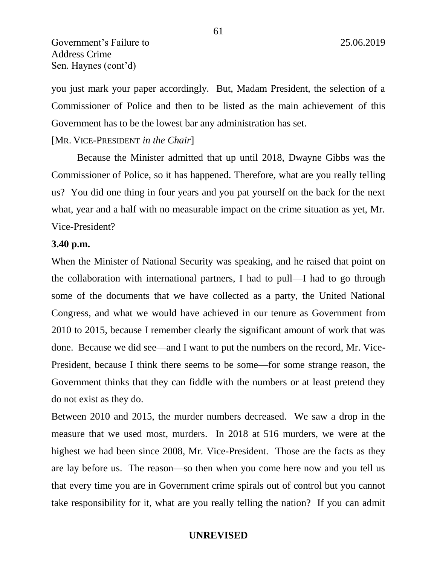you just mark your paper accordingly. But, Madam President, the selection of a Commissioner of Police and then to be listed as the main achievement of this Government has to be the lowest bar any administration has set.

#### [MR. VICE-PRESIDENT *in the Chair*]

Because the Minister admitted that up until 2018, Dwayne Gibbs was the Commissioner of Police, so it has happened. Therefore, what are you really telling us? You did one thing in four years and you pat yourself on the back for the next what, year and a half with no measurable impact on the crime situation as yet, Mr. Vice-President?

#### **3.40 p.m.**

When the Minister of National Security was speaking, and he raised that point on the collaboration with international partners, I had to pull—I had to go through some of the documents that we have collected as a party, the United National Congress, and what we would have achieved in our tenure as Government from 2010 to 2015, because I remember clearly the significant amount of work that was done. Because we did see—and I want to put the numbers on the record, Mr. Vice-President, because I think there seems to be some—for some strange reason, the Government thinks that they can fiddle with the numbers or at least pretend they do not exist as they do.

Between 2010 and 2015, the murder numbers decreased. We saw a drop in the measure that we used most, murders. In 2018 at 516 murders, we were at the highest we had been since 2008, Mr. Vice-President. Those are the facts as they are lay before us. The reason—so then when you come here now and you tell us that every time you are in Government crime spirals out of control but you cannot take responsibility for it, what are you really telling the nation? If you can admit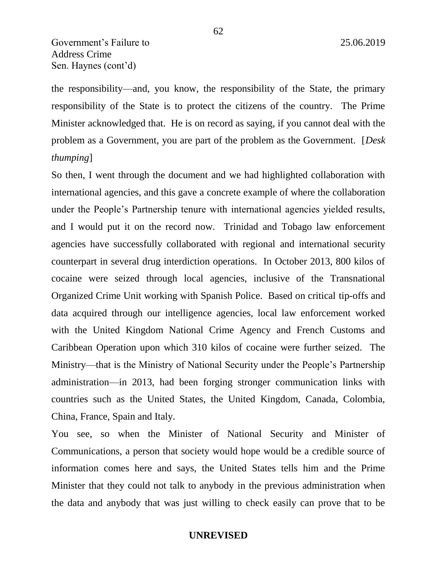the responsibility—and, you know, the responsibility of the State, the primary responsibility of the State is to protect the citizens of the country. The Prime Minister acknowledged that. He is on record as saying, if you cannot deal with the problem as a Government, you are part of the problem as the Government. [*Desk thumping*]

So then, I went through the document and we had highlighted collaboration with international agencies, and this gave a concrete example of where the collaboration under the People's Partnership tenure with international agencies yielded results, and I would put it on the record now. Trinidad and Tobago law enforcement agencies have successfully collaborated with regional and international security counterpart in several drug interdiction operations. In October 2013, 800 kilos of cocaine were seized through local agencies, inclusive of the Transnational Organized Crime Unit working with Spanish Police. Based on critical tip-offs and data acquired through our intelligence agencies, local law enforcement worked with the United Kingdom National Crime Agency and French Customs and Caribbean Operation upon which 310 kilos of cocaine were further seized. The Ministry—that is the Ministry of National Security under the People's Partnership administration—in 2013, had been forging stronger communication links with countries such as the United States, the United Kingdom, Canada, Colombia, China, France, Spain and Italy.

You see, so when the Minister of National Security and Minister of Communications, a person that society would hope would be a credible source of information comes here and says, the United States tells him and the Prime Minister that they could not talk to anybody in the previous administration when the data and anybody that was just willing to check easily can prove that to be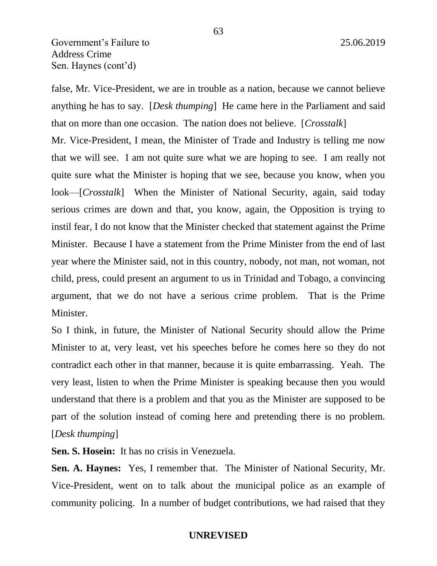false, Mr. Vice-President, we are in trouble as a nation, because we cannot believe anything he has to say. [*Desk thumping*] He came here in the Parliament and said that on more than one occasion. The nation does not believe. [*Crosstalk*]

Mr. Vice-President, I mean, the Minister of Trade and Industry is telling me now that we will see. I am not quite sure what we are hoping to see. I am really not quite sure what the Minister is hoping that we see, because you know, when you look—[*Crosstalk*] When the Minister of National Security, again, said today serious crimes are down and that, you know, again, the Opposition is trying to instil fear, I do not know that the Minister checked that statement against the Prime Minister. Because I have a statement from the Prime Minister from the end of last year where the Minister said, not in this country, nobody, not man, not woman, not child, press, could present an argument to us in Trinidad and Tobago, a convincing argument, that we do not have a serious crime problem. That is the Prime Minister.

So I think, in future, the Minister of National Security should allow the Prime Minister to at, very least, vet his speeches before he comes here so they do not contradict each other in that manner, because it is quite embarrassing. Yeah. The very least, listen to when the Prime Minister is speaking because then you would understand that there is a problem and that you as the Minister are supposed to be part of the solution instead of coming here and pretending there is no problem. [*Desk thumping*]

**Sen. S. Hosein:** It has no crisis in Venezuela.

**Sen. A. Haynes:** Yes, I remember that. The Minister of National Security, Mr. Vice-President, went on to talk about the municipal police as an example of community policing. In a number of budget contributions, we had raised that they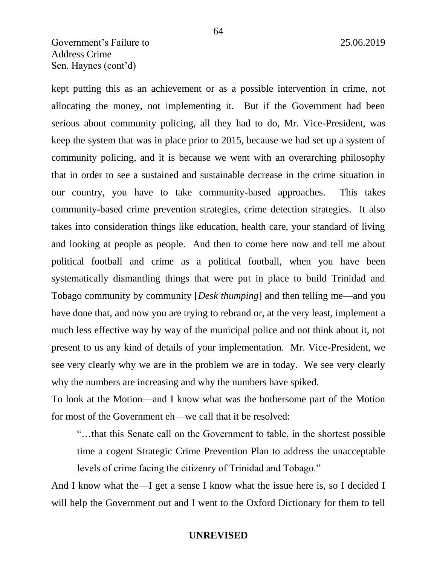# Government's Failure to 25.06.2019 Address Crime Sen. Haynes (cont'd)

kept putting this as an achievement or as a possible intervention in crime, not allocating the money, not implementing it. But if the Government had been serious about community policing, all they had to do, Mr. Vice-President, was keep the system that was in place prior to 2015, because we had set up a system of community policing, and it is because we went with an overarching philosophy that in order to see a sustained and sustainable decrease in the crime situation in our country, you have to take community-based approaches. This takes community-based crime prevention strategies, crime detection strategies. It also takes into consideration things like education, health care, your standard of living and looking at people as people. And then to come here now and tell me about political football and crime as a political football, when you have been systematically dismantling things that were put in place to build Trinidad and Tobago community by community [*Desk thumping*] and then telling me—and you have done that, and now you are trying to rebrand or, at the very least, implement a much less effective way by way of the municipal police and not think about it, not present to us any kind of details of your implementation. Mr. Vice-President, we see very clearly why we are in the problem we are in today. We see very clearly why the numbers are increasing and why the numbers have spiked.

To look at the Motion—and I know what was the bothersome part of the Motion for most of the Government eh—we call that it be resolved:

"…that this Senate call on the Government to table, in the shortest possible time a cogent Strategic Crime Prevention Plan to address the unacceptable levels of crime facing the citizenry of Trinidad and Tobago."

And I know what the—I get a sense I know what the issue here is, so I decided I will help the Government out and I went to the Oxford Dictionary for them to tell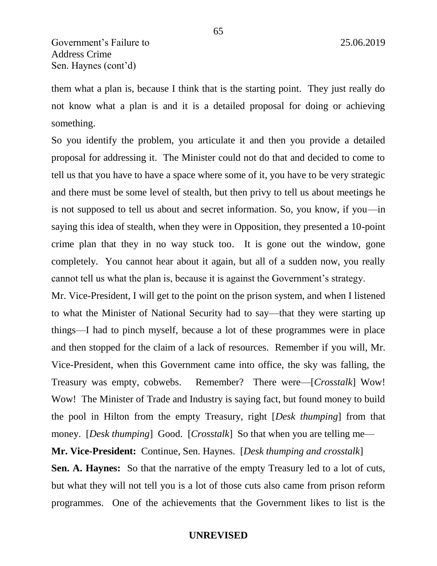them what a plan is, because I think that is the starting point. They just really do not know what a plan is and it is a detailed proposal for doing or achieving something.

So you identify the problem, you articulate it and then you provide a detailed proposal for addressing it. The Minister could not do that and decided to come to tell us that you have to have a space where some of it, you have to be very strategic and there must be some level of stealth, but then privy to tell us about meetings he is not supposed to tell us about and secret information. So, you know, if you—in saying this idea of stealth, when they were in Opposition, they presented a 10-point crime plan that they in no way stuck too. It is gone out the window, gone completely. You cannot hear about it again, but all of a sudden now, you really cannot tell us what the plan is, because it is against the Government's strategy.

Mr. Vice-President, I will get to the point on the prison system, and when I listened to what the Minister of National Security had to say—that they were starting up things—I had to pinch myself, because a lot of these programmes were in place and then stopped for the claim of a lack of resources. Remember if you will, Mr. Vice-President, when this Government came into office, the sky was falling, the Treasury was empty, cobwebs. Remember? There were—[*Crosstalk*] Wow! Wow! The Minister of Trade and Industry is saying fact, but found money to build the pool in Hilton from the empty Treasury, right [*Desk thumping*] from that money. *[Desk thumping]* Good. *[Crosstalk]* So that when you are telling me—

**Mr. Vice-President:** Continue, Sen. Haynes. [*Desk thumping and crosstalk*]

**Sen. A. Haynes:** So that the narrative of the empty Treasury led to a lot of cuts, but what they will not tell you is a lot of those cuts also came from prison reform programmes. One of the achievements that the Government likes to list is the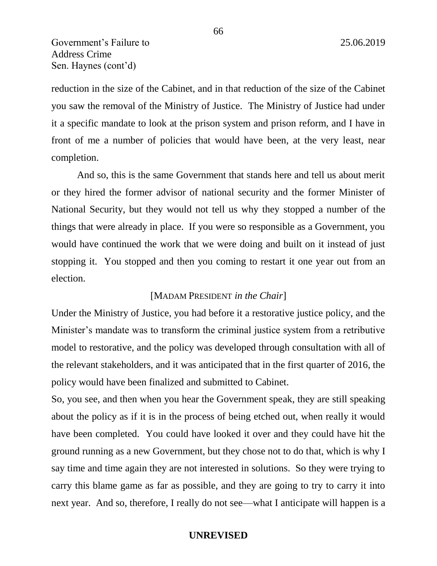Government's Failure to 25.06.2019 Address Crime Sen. Haynes (cont'd)

reduction in the size of the Cabinet, and in that reduction of the size of the Cabinet you saw the removal of the Ministry of Justice. The Ministry of Justice had under it a specific mandate to look at the prison system and prison reform, and I have in front of me a number of policies that would have been, at the very least, near completion.

And so, this is the same Government that stands here and tell us about merit or they hired the former advisor of national security and the former Minister of National Security, but they would not tell us why they stopped a number of the things that were already in place. If you were so responsible as a Government, you would have continued the work that we were doing and built on it instead of just stopping it. You stopped and then you coming to restart it one year out from an election.

#### [MADAM PRESIDENT *in the Chair*]

Under the Ministry of Justice, you had before it a restorative justice policy, and the Minister's mandate was to transform the criminal justice system from a retributive model to restorative, and the policy was developed through consultation with all of the relevant stakeholders, and it was anticipated that in the first quarter of 2016, the policy would have been finalized and submitted to Cabinet.

So, you see, and then when you hear the Government speak, they are still speaking about the policy as if it is in the process of being etched out, when really it would have been completed. You could have looked it over and they could have hit the ground running as a new Government, but they chose not to do that, which is why I say time and time again they are not interested in solutions. So they were trying to carry this blame game as far as possible, and they are going to try to carry it into next year. And so, therefore, I really do not see—what I anticipate will happen is a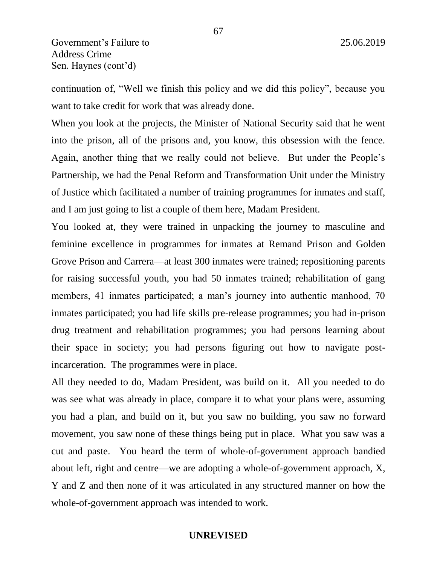continuation of, "Well we finish this policy and we did this policy", because you want to take credit for work that was already done.

When you look at the projects, the Minister of National Security said that he went into the prison, all of the prisons and, you know, this obsession with the fence. Again, another thing that we really could not believe. But under the People's Partnership, we had the Penal Reform and Transformation Unit under the Ministry of Justice which facilitated a number of training programmes for inmates and staff, and I am just going to list a couple of them here, Madam President.

You looked at, they were trained in unpacking the journey to masculine and feminine excellence in programmes for inmates at Remand Prison and Golden Grove Prison and Carrera—at least 300 inmates were trained; repositioning parents for raising successful youth, you had 50 inmates trained; rehabilitation of gang members, 41 inmates participated; a man's journey into authentic manhood, 70 inmates participated; you had life skills pre-release programmes; you had in-prison drug treatment and rehabilitation programmes; you had persons learning about their space in society; you had persons figuring out how to navigate postincarceration. The programmes were in place.

All they needed to do, Madam President, was build on it. All you needed to do was see what was already in place, compare it to what your plans were, assuming you had a plan, and build on it, but you saw no building, you saw no forward movement, you saw none of these things being put in place. What you saw was a cut and paste. You heard the term of whole-of-government approach bandied about left, right and centre—we are adopting a whole-of-government approach, X, Y and Z and then none of it was articulated in any structured manner on how the whole-of-government approach was intended to work.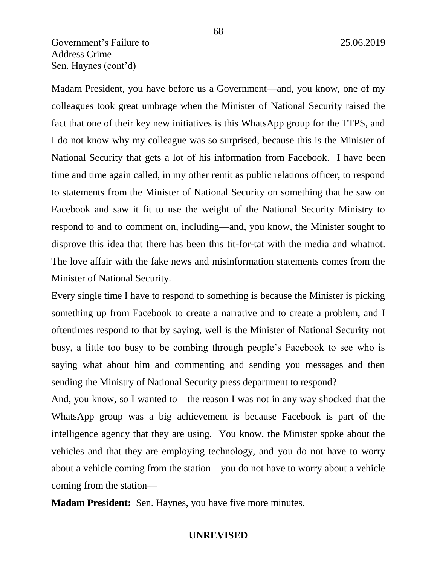# Government's Failure to 25.06.2019 Address Crime Sen. Haynes (cont'd)

Madam President, you have before us a Government—and, you know, one of my colleagues took great umbrage when the Minister of National Security raised the fact that one of their key new initiatives is this WhatsApp group for the TTPS, and I do not know why my colleague was so surprised, because this is the Minister of National Security that gets a lot of his information from Facebook. I have been time and time again called, in my other remit as public relations officer, to respond to statements from the Minister of National Security on something that he saw on Facebook and saw it fit to use the weight of the National Security Ministry to respond to and to comment on, including—and, you know, the Minister sought to disprove this idea that there has been this tit-for-tat with the media and whatnot. The love affair with the fake news and misinformation statements comes from the Minister of National Security.

Every single time I have to respond to something is because the Minister is picking something up from Facebook to create a narrative and to create a problem, and I oftentimes respond to that by saying, well is the Minister of National Security not busy, a little too busy to be combing through people's Facebook to see who is saying what about him and commenting and sending you messages and then sending the Ministry of National Security press department to respond?

And, you know, so I wanted to—the reason I was not in any way shocked that the WhatsApp group was a big achievement is because Facebook is part of the intelligence agency that they are using. You know, the Minister spoke about the vehicles and that they are employing technology, and you do not have to worry about a vehicle coming from the station—you do not have to worry about a vehicle coming from the station—

**Madam President:** Sen. Haynes, you have five more minutes.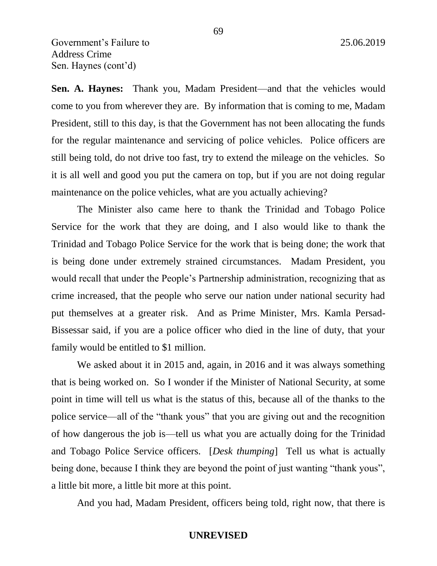**Sen. A. Haynes:** Thank you, Madam President—and that the vehicles would come to you from wherever they are. By information that is coming to me, Madam President, still to this day, is that the Government has not been allocating the funds for the regular maintenance and servicing of police vehicles. Police officers are still being told, do not drive too fast, try to extend the mileage on the vehicles. So it is all well and good you put the camera on top, but if you are not doing regular maintenance on the police vehicles, what are you actually achieving?

The Minister also came here to thank the Trinidad and Tobago Police Service for the work that they are doing, and I also would like to thank the Trinidad and Tobago Police Service for the work that is being done; the work that is being done under extremely strained circumstances. Madam President, you would recall that under the People's Partnership administration, recognizing that as crime increased, that the people who serve our nation under national security had put themselves at a greater risk. And as Prime Minister, Mrs. Kamla Persad-Bissessar said, if you are a police officer who died in the line of duty, that your family would be entitled to \$1 million.

We asked about it in 2015 and, again, in 2016 and it was always something that is being worked on. So I wonder if the Minister of National Security, at some point in time will tell us what is the status of this, because all of the thanks to the police service—all of the "thank yous" that you are giving out and the recognition of how dangerous the job is—tell us what you are actually doing for the Trinidad and Tobago Police Service officers. [*Desk thumping*] Tell us what is actually being done, because I think they are beyond the point of just wanting "thank yous", a little bit more, a little bit more at this point.

And you had, Madam President, officers being told, right now, that there is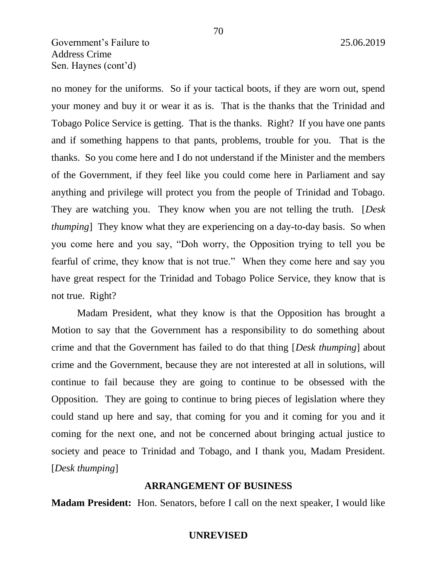# Government's Failure to 25.06.2019 Address Crime Sen. Haynes (cont'd)

no money for the uniforms. So if your tactical boots, if they are worn out, spend your money and buy it or wear it as is. That is the thanks that the Trinidad and Tobago Police Service is getting. That is the thanks. Right? If you have one pants and if something happens to that pants, problems, trouble for you. That is the thanks. So you come here and I do not understand if the Minister and the members of the Government, if they feel like you could come here in Parliament and say anything and privilege will protect you from the people of Trinidad and Tobago. They are watching you. They know when you are not telling the truth. [*Desk thumping*] They know what they are experiencing on a day-to-day basis. So when you come here and you say, "Doh worry, the Opposition trying to tell you be fearful of crime, they know that is not true." When they come here and say you have great respect for the Trinidad and Tobago Police Service, they know that is not true. Right?

Madam President, what they know is that the Opposition has brought a Motion to say that the Government has a responsibility to do something about crime and that the Government has failed to do that thing [*Desk thumping*] about crime and the Government, because they are not interested at all in solutions, will continue to fail because they are going to continue to be obsessed with the Opposition. They are going to continue to bring pieces of legislation where they could stand up here and say, that coming for you and it coming for you and it coming for the next one, and not be concerned about bringing actual justice to society and peace to Trinidad and Tobago, and I thank you, Madam President. [*Desk thumping*]

#### **ARRANGEMENT OF BUSINESS**

**Madam President:** Hon. Senators, before I call on the next speaker, I would like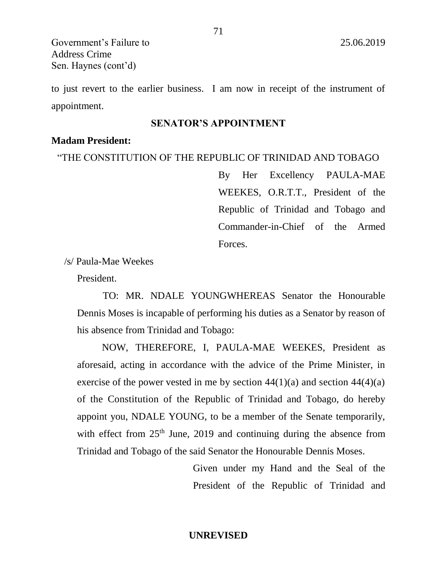Government's Failure to 25.06.2019 Address Crime Sen. Haynes (cont'd)

to just revert to the earlier business. I am now in receipt of the instrument of appointment.

### **SENATOR'S APPOINTMENT**

### **Madam President:**

"THE CONSTITUTION OF THE REPUBLIC OF TRINIDAD AND TOBAGO

By Her Excellency PAULA-MAE WEEKES, O.R.T.T., President of the Republic of Trinidad and Tobago and Commander-in-Chief of the Armed Forces.

/s/ Paula-Mae Weekes

President.

TO: MR. NDALE YOUNGWHEREAS Senator the Honourable Dennis Moses is incapable of performing his duties as a Senator by reason of his absence from Trinidad and Tobago:

NOW, THEREFORE, I, PAULA-MAE WEEKES, President as aforesaid, acting in accordance with the advice of the Prime Minister, in exercise of the power vested in me by section  $44(1)(a)$  and section  $44(4)(a)$ of the Constitution of the Republic of Trinidad and Tobago, do hereby appoint you, NDALE YOUNG, to be a member of the Senate temporarily, with effect from  $25<sup>th</sup>$  June, 2019 and continuing during the absence from Trinidad and Tobago of the said Senator the Honourable Dennis Moses.

> Given under my Hand and the Seal of the President of the Republic of Trinidad and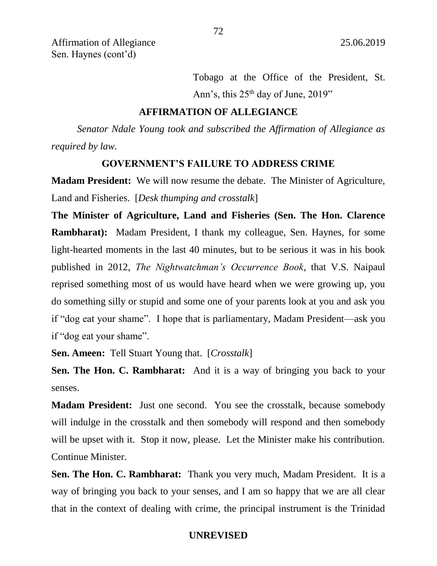Affirmation of Allegiance 25.06.2019 Sen. Haynes (cont'd)

> Tobago at the Office of the President, St. Ann's, this  $25<sup>th</sup>$  day of June,  $2019$ "

### **AFFIRMATION OF ALLEGIANCE**

*Senator Ndale Young took and subscribed the Affirmation of Allegiance as required by law.* 

#### **GOVERNMENT'S FAILURE TO ADDRESS CRIME**

**Madam President:** We will now resume the debate. The Minister of Agriculture, Land and Fisheries. [*Desk thumping and crosstalk*]

**The Minister of Agriculture, Land and Fisheries (Sen. The Hon. Clarence Rambharat):** Madam President, I thank my colleague, Sen. Haynes, for some light-hearted moments in the last 40 minutes, but to be serious it was in his book published in 2012, *The Nightwatchman's Occurrence Book*, that V.S. Naipaul reprised something most of us would have heard when we were growing up, you do something silly or stupid and some one of your parents look at you and ask you if "dog eat your shame". I hope that is parliamentary, Madam President—ask you if "dog eat your shame".

**Sen. Ameen:** Tell Stuart Young that. [*Crosstalk*]

**Sen. The Hon. C. Rambharat:** And it is a way of bringing you back to your senses.

**Madam President:** Just one second. You see the crosstalk, because somebody will indulge in the crosstalk and then somebody will respond and then somebody will be upset with it. Stop it now, please. Let the Minister make his contribution. Continue Minister.

**Sen. The Hon. C. Rambharat:** Thank you very much, Madam President. It is a way of bringing you back to your senses, and I am so happy that we are all clear that in the context of dealing with crime, the principal instrument is the Trinidad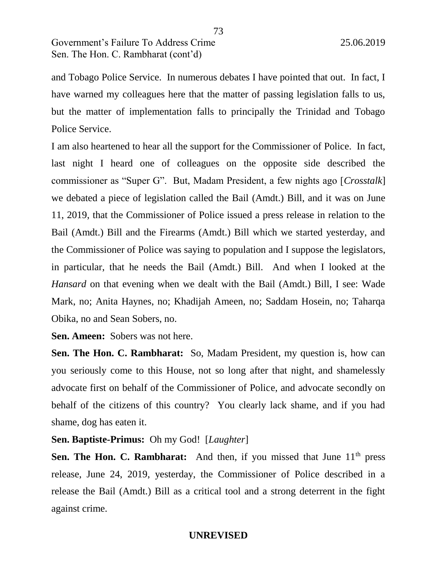and Tobago Police Service. In numerous debates I have pointed that out. In fact, I have warned my colleagues here that the matter of passing legislation falls to us, but the matter of implementation falls to principally the Trinidad and Tobago Police Service.

I am also heartened to hear all the support for the Commissioner of Police. In fact, last night I heard one of colleagues on the opposite side described the commissioner as "Super G". But, Madam President, a few nights ago [*Crosstalk*] we debated a piece of legislation called the Bail (Amdt.) Bill, and it was on June 11, 2019, that the Commissioner of Police issued a press release in relation to the Bail (Amdt.) Bill and the Firearms (Amdt.) Bill which we started yesterday, and the Commissioner of Police was saying to population and I suppose the legislators, in particular, that he needs the Bail (Amdt.) Bill. And when I looked at the *Hansard* on that evening when we dealt with the Bail (Amdt.) Bill, I see: Wade Mark, no; Anita Haynes, no; Khadijah Ameen, no; Saddam Hosein, no; Taharqa Obika, no and Sean Sobers, no.

**Sen. Ameen:** Sobers was not here.

**Sen. The Hon. C. Rambharat:** So, Madam President, my question is, how can you seriously come to this House, not so long after that night, and shamelessly advocate first on behalf of the Commissioner of Police, and advocate secondly on behalf of the citizens of this country? You clearly lack shame, and if you had shame, dog has eaten it.

## **Sen. Baptiste-Primus:** Oh my God! [*Laughter*]

**Sen. The Hon. C. Rambharat:** And then, if you missed that June 11<sup>th</sup> press release, June 24, 2019, yesterday, the Commissioner of Police described in a release the Bail (Amdt.) Bill as a critical tool and a strong deterrent in the fight against crime.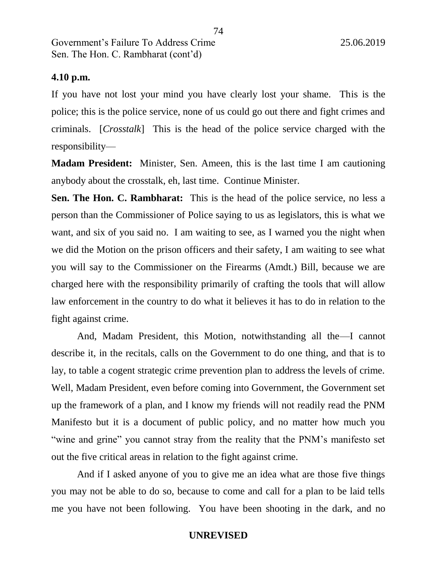## **4.10 p.m.**

If you have not lost your mind you have clearly lost your shame. This is the police; this is the police service, none of us could go out there and fight crimes and criminals. [*Crosstalk*] This is the head of the police service charged with the responsibility—

**Madam President:** Minister, Sen. Ameen, this is the last time I am cautioning anybody about the crosstalk, eh, last time. Continue Minister.

**Sen. The Hon. C. Rambharat:** This is the head of the police service, no less a person than the Commissioner of Police saying to us as legislators, this is what we want, and six of you said no. I am waiting to see, as I warned you the night when we did the Motion on the prison officers and their safety, I am waiting to see what you will say to the Commissioner on the Firearms (Amdt.) Bill, because we are charged here with the responsibility primarily of crafting the tools that will allow law enforcement in the country to do what it believes it has to do in relation to the fight against crime.

And, Madam President, this Motion, notwithstanding all the—I cannot describe it, in the recitals, calls on the Government to do one thing, and that is to lay, to table a cogent strategic crime prevention plan to address the levels of crime. Well, Madam President, even before coming into Government, the Government set up the framework of a plan, and I know my friends will not readily read the PNM Manifesto but it is a document of public policy, and no matter how much you "wine and grine" you cannot stray from the reality that the PNM's manifesto set out the five critical areas in relation to the fight against crime.

And if I asked anyone of you to give me an idea what are those five things you may not be able to do so, because to come and call for a plan to be laid tells me you have not been following. You have been shooting in the dark, and no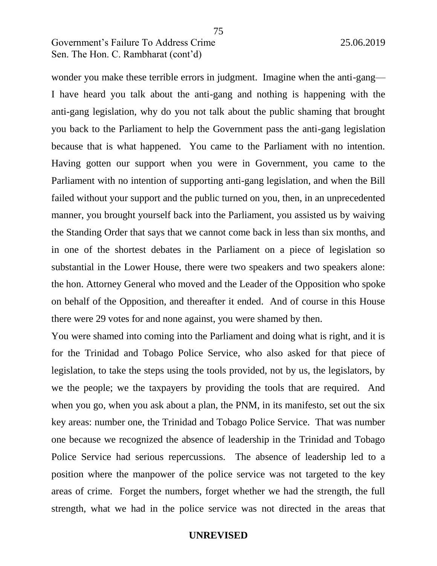wonder you make these terrible errors in judgment. Imagine when the anti-gang— I have heard you talk about the anti-gang and nothing is happening with the anti-gang legislation, why do you not talk about the public shaming that brought you back to the Parliament to help the Government pass the anti-gang legislation because that is what happened. You came to the Parliament with no intention. Having gotten our support when you were in Government, you came to the Parliament with no intention of supporting anti-gang legislation, and when the Bill failed without your support and the public turned on you, then, in an unprecedented manner, you brought yourself back into the Parliament, you assisted us by waiving the Standing Order that says that we cannot come back in less than six months, and in one of the shortest debates in the Parliament on a piece of legislation so substantial in the Lower House, there were two speakers and two speakers alone: the hon. Attorney General who moved and the Leader of the Opposition who spoke on behalf of the Opposition, and thereafter it ended. And of course in this House there were 29 votes for and none against, you were shamed by then.

75

You were shamed into coming into the Parliament and doing what is right, and it is for the Trinidad and Tobago Police Service, who also asked for that piece of legislation, to take the steps using the tools provided, not by us, the legislators, by we the people; we the taxpayers by providing the tools that are required. And when you go, when you ask about a plan, the PNM, in its manifesto, set out the six key areas: number one, the Trinidad and Tobago Police Service. That was number one because we recognized the absence of leadership in the Trinidad and Tobago Police Service had serious repercussions. The absence of leadership led to a position where the manpower of the police service was not targeted to the key areas of crime. Forget the numbers, forget whether we had the strength, the full strength, what we had in the police service was not directed in the areas that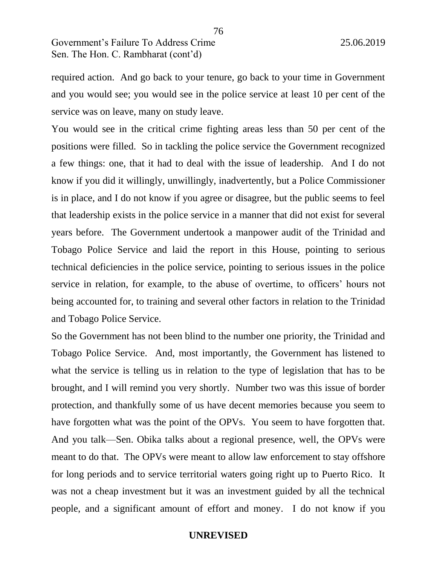required action. And go back to your tenure, go back to your time in Government and you would see; you would see in the police service at least 10 per cent of the service was on leave, many on study leave.

You would see in the critical crime fighting areas less than 50 per cent of the positions were filled. So in tackling the police service the Government recognized a few things: one, that it had to deal with the issue of leadership. And I do not know if you did it willingly, unwillingly, inadvertently, but a Police Commissioner is in place, and I do not know if you agree or disagree, but the public seems to feel that leadership exists in the police service in a manner that did not exist for several years before. The Government undertook a manpower audit of the Trinidad and Tobago Police Service and laid the report in this House, pointing to serious technical deficiencies in the police service, pointing to serious issues in the police service in relation, for example, to the abuse of overtime, to officers' hours not being accounted for, to training and several other factors in relation to the Trinidad and Tobago Police Service.

So the Government has not been blind to the number one priority, the Trinidad and Tobago Police Service. And, most importantly, the Government has listened to what the service is telling us in relation to the type of legislation that has to be brought, and I will remind you very shortly. Number two was this issue of border protection, and thankfully some of us have decent memories because you seem to have forgotten what was the point of the OPVs. You seem to have forgotten that. And you talk—Sen. Obika talks about a regional presence, well, the OPVs were meant to do that. The OPVs were meant to allow law enforcement to stay offshore for long periods and to service territorial waters going right up to Puerto Rico. It was not a cheap investment but it was an investment guided by all the technical people, and a significant amount of effort and money. I do not know if you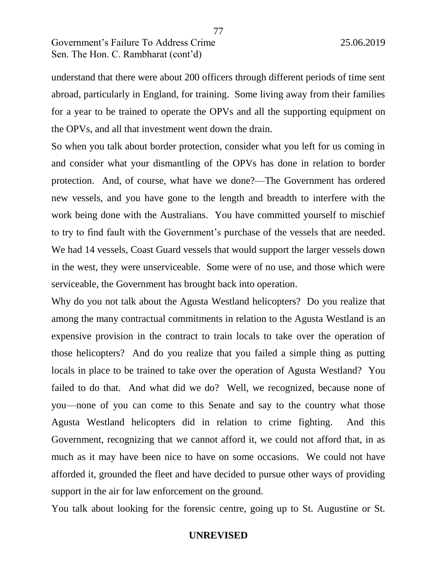understand that there were about 200 officers through different periods of time sent abroad, particularly in England, for training. Some living away from their families for a year to be trained to operate the OPVs and all the supporting equipment on the OPVs, and all that investment went down the drain.

77

So when you talk about border protection, consider what you left for us coming in and consider what your dismantling of the OPVs has done in relation to border protection. And, of course, what have we done?—The Government has ordered new vessels, and you have gone to the length and breadth to interfere with the work being done with the Australians. You have committed yourself to mischief to try to find fault with the Government's purchase of the vessels that are needed. We had 14 vessels, Coast Guard vessels that would support the larger vessels down in the west, they were unserviceable. Some were of no use, and those which were serviceable, the Government has brought back into operation.

Why do you not talk about the Agusta Westland helicopters? Do you realize that among the many contractual commitments in relation to the Agusta Westland is an expensive provision in the contract to train locals to take over the operation of those helicopters? And do you realize that you failed a simple thing as putting locals in place to be trained to take over the operation of Agusta Westland? You failed to do that. And what did we do? Well, we recognized, because none of you—none of you can come to this Senate and say to the country what those Agusta Westland helicopters did in relation to crime fighting. And this Government, recognizing that we cannot afford it, we could not afford that, in as much as it may have been nice to have on some occasions. We could not have afforded it, grounded the fleet and have decided to pursue other ways of providing support in the air for law enforcement on the ground.

You talk about looking for the forensic centre, going up to St. Augustine or St.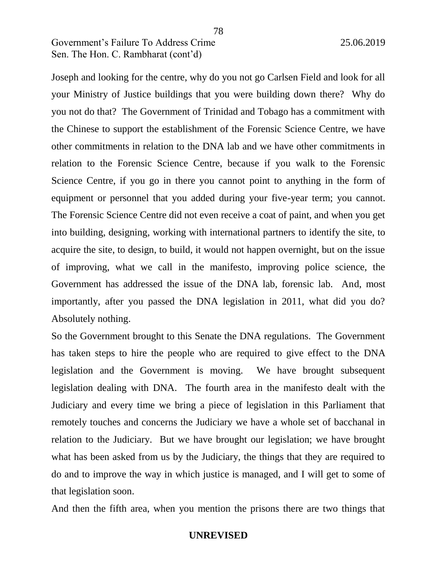Joseph and looking for the centre, why do you not go Carlsen Field and look for all your Ministry of Justice buildings that you were building down there? Why do you not do that? The Government of Trinidad and Tobago has a commitment with the Chinese to support the establishment of the Forensic Science Centre, we have other commitments in relation to the DNA lab and we have other commitments in relation to the Forensic Science Centre, because if you walk to the Forensic Science Centre, if you go in there you cannot point to anything in the form of equipment or personnel that you added during your five-year term; you cannot. The Forensic Science Centre did not even receive a coat of paint, and when you get into building, designing, working with international partners to identify the site, to acquire the site, to design, to build, it would not happen overnight, but on the issue of improving, what we call in the manifesto, improving police science, the Government has addressed the issue of the DNA lab, forensic lab. And, most importantly, after you passed the DNA legislation in 2011, what did you do? Absolutely nothing.

So the Government brought to this Senate the DNA regulations. The Government has taken steps to hire the people who are required to give effect to the DNA legislation and the Government is moving. We have brought subsequent legislation dealing with DNA. The fourth area in the manifesto dealt with the Judiciary and every time we bring a piece of legislation in this Parliament that remotely touches and concerns the Judiciary we have a whole set of bacchanal in relation to the Judiciary. But we have brought our legislation; we have brought what has been asked from us by the Judiciary, the things that they are required to do and to improve the way in which justice is managed, and I will get to some of that legislation soon.

And then the fifth area, when you mention the prisons there are two things that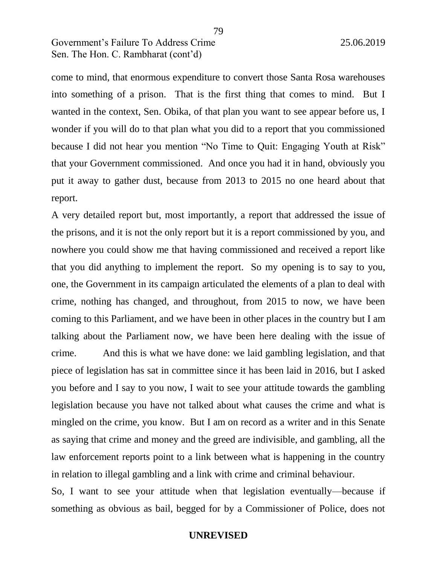come to mind, that enormous expenditure to convert those Santa Rosa warehouses into something of a prison. That is the first thing that comes to mind. But I wanted in the context, Sen. Obika, of that plan you want to see appear before us, I wonder if you will do to that plan what you did to a report that you commissioned because I did not hear you mention "No Time to Quit: Engaging Youth at Risk" that your Government commissioned. And once you had it in hand, obviously you put it away to gather dust, because from 2013 to 2015 no one heard about that report.

A very detailed report but, most importantly, a report that addressed the issue of the prisons, and it is not the only report but it is a report commissioned by you, and nowhere you could show me that having commissioned and received a report like that you did anything to implement the report. So my opening is to say to you, one, the Government in its campaign articulated the elements of a plan to deal with crime, nothing has changed, and throughout, from 2015 to now, we have been coming to this Parliament, and we have been in other places in the country but I am talking about the Parliament now, we have been here dealing with the issue of crime. And this is what we have done: we laid gambling legislation, and that piece of legislation has sat in committee since it has been laid in 2016, but I asked you before and I say to you now, I wait to see your attitude towards the gambling legislation because you have not talked about what causes the crime and what is mingled on the crime, you know. But I am on record as a writer and in this Senate as saying that crime and money and the greed are indivisible, and gambling, all the law enforcement reports point to a link between what is happening in the country in relation to illegal gambling and a link with crime and criminal behaviour.

So, I want to see your attitude when that legislation eventually—because if something as obvious as bail, begged for by a Commissioner of Police, does not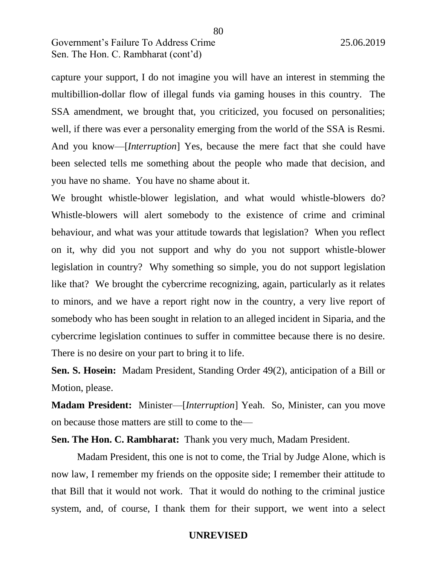capture your support, I do not imagine you will have an interest in stemming the multibillion-dollar flow of illegal funds via gaming houses in this country. The SSA amendment, we brought that, you criticized, you focused on personalities; well, if there was ever a personality emerging from the world of the SSA is Resmi. And you know—[*Interruption*] Yes, because the mere fact that she could have been selected tells me something about the people who made that decision, and you have no shame. You have no shame about it.

We brought whistle-blower legislation, and what would whistle-blowers do? Whistle-blowers will alert somebody to the existence of crime and criminal behaviour, and what was your attitude towards that legislation? When you reflect on it, why did you not support and why do you not support whistle-blower legislation in country? Why something so simple, you do not support legislation like that? We brought the cybercrime recognizing, again, particularly as it relates to minors, and we have a report right now in the country, a very live report of somebody who has been sought in relation to an alleged incident in Siparia, and the cybercrime legislation continues to suffer in committee because there is no desire. There is no desire on your part to bring it to life.

**Sen. S. Hosein:** Madam President, Standing Order 49(2), anticipation of a Bill or Motion, please.

**Madam President:** Minister—[*Interruption*] Yeah. So, Minister, can you move on because those matters are still to come to the—

**Sen. The Hon. C. Rambharat:** Thank you very much, Madam President.

Madam President, this one is not to come, the Trial by Judge Alone, which is now law, I remember my friends on the opposite side; I remember their attitude to that Bill that it would not work. That it would do nothing to the criminal justice system, and, of course, I thank them for their support, we went into a select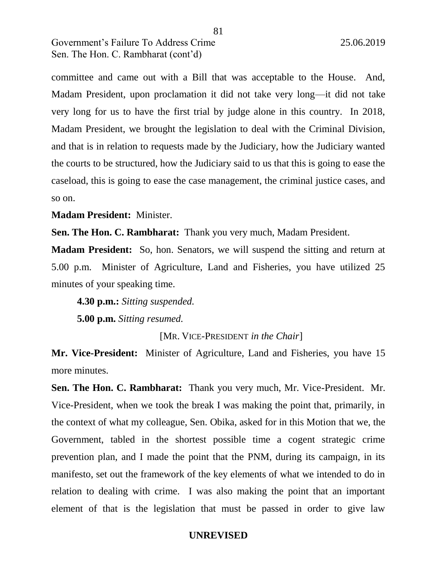committee and came out with a Bill that was acceptable to the House. And, Madam President, upon proclamation it did not take very long—it did not take very long for us to have the first trial by judge alone in this country. In 2018, Madam President, we brought the legislation to deal with the Criminal Division, and that is in relation to requests made by the Judiciary, how the Judiciary wanted the courts to be structured, how the Judiciary said to us that this is going to ease the caseload, this is going to ease the case management, the criminal justice cases, and so on.

**Madam President:** Minister.

**Sen. The Hon. C. Rambharat:** Thank you very much, Madam President.

**Madam President:** So, hon. Senators, we will suspend the sitting and return at 5.00 p.m. Minister of Agriculture, Land and Fisheries, you have utilized 25 minutes of your speaking time.

**4.30 p.m.:** *Sitting suspended.*

**5.00 p.m.** *Sitting resumed.*

[MR. VICE-PRESIDENT *in the Chair*]

**Mr. Vice-President:** Minister of Agriculture, Land and Fisheries, you have 15 more minutes.

**Sen. The Hon. C. Rambharat:** Thank you very much, Mr. Vice-President. Mr. Vice-President, when we took the break I was making the point that, primarily, in the context of what my colleague, Sen. Obika, asked for in this Motion that we, the Government, tabled in the shortest possible time a cogent strategic crime prevention plan, and I made the point that the PNM, during its campaign, in its manifesto, set out the framework of the key elements of what we intended to do in relation to dealing with crime. I was also making the point that an important element of that is the legislation that must be passed in order to give law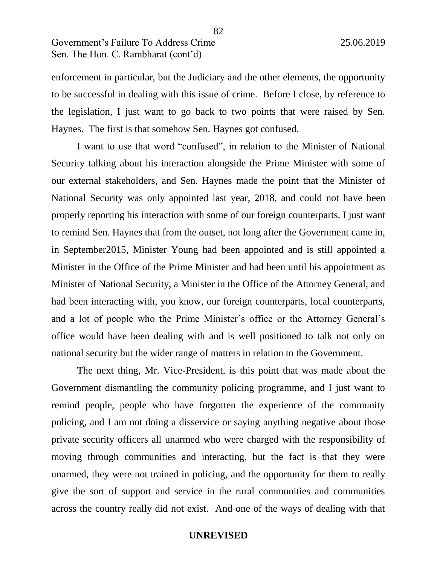enforcement in particular, but the Judiciary and the other elements, the opportunity to be successful in dealing with this issue of crime. Before I close, by reference to the legislation, I just want to go back to two points that were raised by Sen. Haynes. The first is that somehow Sen. Haynes got confused.

I want to use that word "confused", in relation to the Minister of National Security talking about his interaction alongside the Prime Minister with some of our external stakeholders, and Sen. Haynes made the point that the Minister of National Security was only appointed last year, 2018, and could not have been properly reporting his interaction with some of our foreign counterparts. I just want to remind Sen. Haynes that from the outset, not long after the Government came in, in September2015, Minister Young had been appointed and is still appointed a Minister in the Office of the Prime Minister and had been until his appointment as Minister of National Security, a Minister in the Office of the Attorney General, and had been interacting with, you know, our foreign counterparts, local counterparts, and a lot of people who the Prime Minister's office or the Attorney General's office would have been dealing with and is well positioned to talk not only on national security but the wider range of matters in relation to the Government.

The next thing, Mr. Vice-President, is this point that was made about the Government dismantling the community policing programme, and I just want to remind people, people who have forgotten the experience of the community policing, and I am not doing a disservice or saying anything negative about those private security officers all unarmed who were charged with the responsibility of moving through communities and interacting, but the fact is that they were unarmed, they were not trained in policing, and the opportunity for them to really give the sort of support and service in the rural communities and communities across the country really did not exist. And one of the ways of dealing with that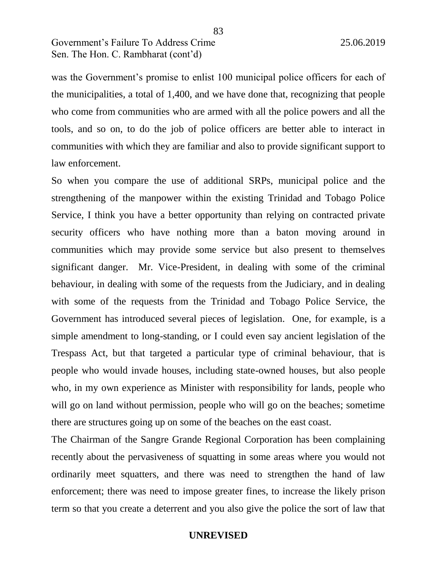was the Government's promise to enlist 100 municipal police officers for each of the municipalities, a total of 1,400, and we have done that, recognizing that people who come from communities who are armed with all the police powers and all the tools, and so on, to do the job of police officers are better able to interact in communities with which they are familiar and also to provide significant support to law enforcement.

83

So when you compare the use of additional SRPs, municipal police and the strengthening of the manpower within the existing Trinidad and Tobago Police Service, I think you have a better opportunity than relying on contracted private security officers who have nothing more than a baton moving around in communities which may provide some service but also present to themselves significant danger. Mr. Vice-President, in dealing with some of the criminal behaviour, in dealing with some of the requests from the Judiciary, and in dealing with some of the requests from the Trinidad and Tobago Police Service, the Government has introduced several pieces of legislation. One, for example, is a simple amendment to long-standing, or I could even say ancient legislation of the Trespass Act, but that targeted a particular type of criminal behaviour, that is people who would invade houses, including state-owned houses, but also people who, in my own experience as Minister with responsibility for lands, people who will go on land without permission, people who will go on the beaches; sometime there are structures going up on some of the beaches on the east coast.

The Chairman of the Sangre Grande Regional Corporation has been complaining recently about the pervasiveness of squatting in some areas where you would not ordinarily meet squatters, and there was need to strengthen the hand of law enforcement; there was need to impose greater fines, to increase the likely prison term so that you create a deterrent and you also give the police the sort of law that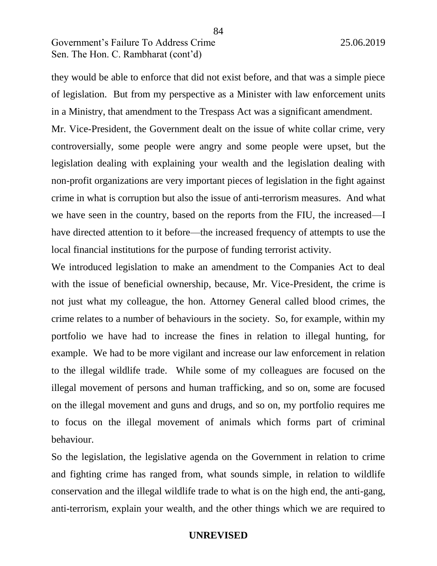they would be able to enforce that did not exist before, and that was a simple piece of legislation. But from my perspective as a Minister with law enforcement units in a Ministry, that amendment to the Trespass Act was a significant amendment.

Mr. Vice-President, the Government dealt on the issue of white collar crime, very controversially, some people were angry and some people were upset, but the legislation dealing with explaining your wealth and the legislation dealing with non-profit organizations are very important pieces of legislation in the fight against crime in what is corruption but also the issue of anti-terrorism measures. And what we have seen in the country, based on the reports from the FIU, the increased—I have directed attention to it before—the increased frequency of attempts to use the local financial institutions for the purpose of funding terrorist activity.

We introduced legislation to make an amendment to the Companies Act to deal with the issue of beneficial ownership, because, Mr. Vice-President, the crime is not just what my colleague, the hon. Attorney General called blood crimes, the crime relates to a number of behaviours in the society. So, for example, within my portfolio we have had to increase the fines in relation to illegal hunting, for example. We had to be more vigilant and increase our law enforcement in relation to the illegal wildlife trade. While some of my colleagues are focused on the illegal movement of persons and human trafficking, and so on, some are focused on the illegal movement and guns and drugs, and so on, my portfolio requires me to focus on the illegal movement of animals which forms part of criminal behaviour.

So the legislation, the legislative agenda on the Government in relation to crime and fighting crime has ranged from, what sounds simple, in relation to wildlife conservation and the illegal wildlife trade to what is on the high end, the anti-gang, anti-terrorism, explain your wealth, and the other things which we are required to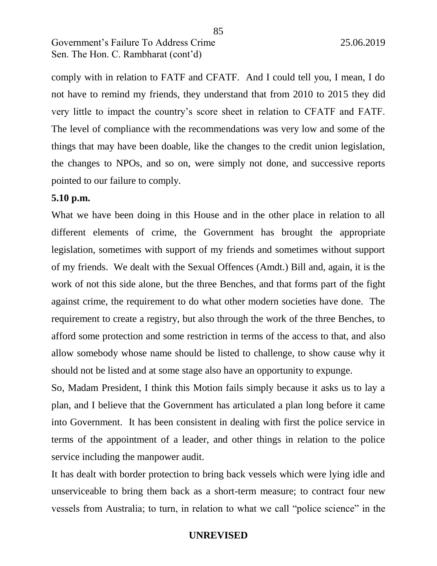comply with in relation to FATF and CFATF. And I could tell you, I mean, I do not have to remind my friends, they understand that from 2010 to 2015 they did very little to impact the country's score sheet in relation to CFATF and FATF. The level of compliance with the recommendations was very low and some of the things that may have been doable, like the changes to the credit union legislation, the changes to NPOs, and so on, were simply not done, and successive reports pointed to our failure to comply.

#### **5.10 p.m.**

What we have been doing in this House and in the other place in relation to all different elements of crime, the Government has brought the appropriate legislation, sometimes with support of my friends and sometimes without support of my friends. We dealt with the Sexual Offences (Amdt.) Bill and, again, it is the work of not this side alone, but the three Benches, and that forms part of the fight against crime, the requirement to do what other modern societies have done. The requirement to create a registry, but also through the work of the three Benches, to afford some protection and some restriction in terms of the access to that, and also allow somebody whose name should be listed to challenge, to show cause why it should not be listed and at some stage also have an opportunity to expunge.

So, Madam President, I think this Motion fails simply because it asks us to lay a plan, and I believe that the Government has articulated a plan long before it came into Government. It has been consistent in dealing with first the police service in terms of the appointment of a leader, and other things in relation to the police service including the manpower audit.

It has dealt with border protection to bring back vessels which were lying idle and unserviceable to bring them back as a short-term measure; to contract four new vessels from Australia; to turn, in relation to what we call "police science" in the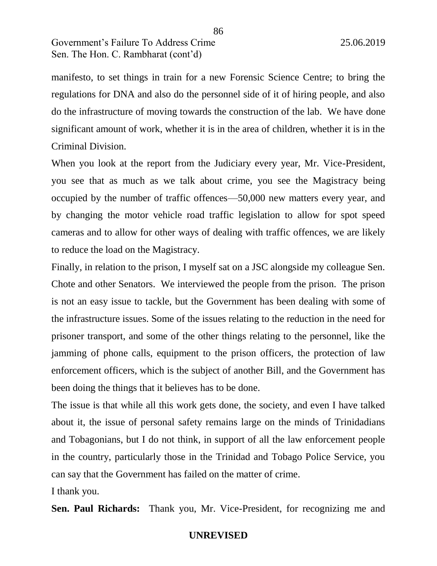manifesto, to set things in train for a new Forensic Science Centre; to bring the regulations for DNA and also do the personnel side of it of hiring people, and also do the infrastructure of moving towards the construction of the lab. We have done significant amount of work, whether it is in the area of children, whether it is in the Criminal Division.

When you look at the report from the Judiciary every year, Mr. Vice-President, you see that as much as we talk about crime, you see the Magistracy being occupied by the number of traffic offences—50,000 new matters every year, and by changing the motor vehicle road traffic legislation to allow for spot speed cameras and to allow for other ways of dealing with traffic offences, we are likely to reduce the load on the Magistracy.

Finally, in relation to the prison, I myself sat on a JSC alongside my colleague Sen. Chote and other Senators. We interviewed the people from the prison. The prison is not an easy issue to tackle, but the Government has been dealing with some of the infrastructure issues. Some of the issues relating to the reduction in the need for prisoner transport, and some of the other things relating to the personnel, like the jamming of phone calls, equipment to the prison officers, the protection of law enforcement officers, which is the subject of another Bill, and the Government has been doing the things that it believes has to be done.

The issue is that while all this work gets done, the society, and even I have talked about it, the issue of personal safety remains large on the minds of Trinidadians and Tobagonians, but I do not think, in support of all the law enforcement people in the country, particularly those in the Trinidad and Tobago Police Service, you can say that the Government has failed on the matter of crime.

I thank you.

**Sen. Paul Richards:** Thank you, Mr. Vice-President, for recognizing me and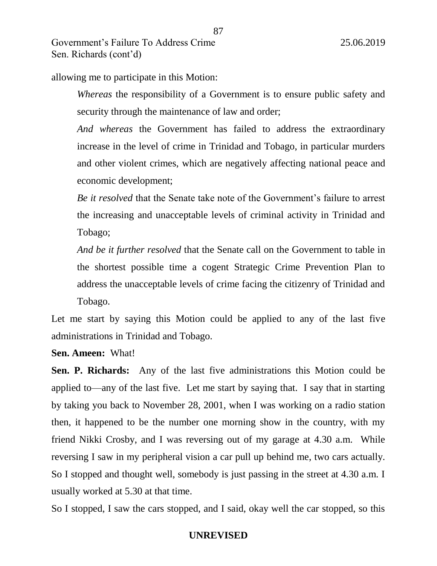allowing me to participate in this Motion:

*Whereas* the responsibility of a Government is to ensure public safety and security through the maintenance of law and order;

87

*And whereas* the Government has failed to address the extraordinary increase in the level of crime in Trinidad and Tobago, in particular murders and other violent crimes, which are negatively affecting national peace and economic development;

*Be it resolved* that the Senate take note of the Government's failure to arrest the increasing and unacceptable levels of criminal activity in Trinidad and Tobago;

*And be it further resolved* that the Senate call on the Government to table in the shortest possible time a cogent Strategic Crime Prevention Plan to address the unacceptable levels of crime facing the citizenry of Trinidad and Tobago.

Let me start by saying this Motion could be applied to any of the last five administrations in Trinidad and Tobago.

**Sen. Ameen:** What!

**Sen. P. Richards:** Any of the last five administrations this Motion could be applied to—any of the last five. Let me start by saying that. I say that in starting by taking you back to November 28, 2001, when I was working on a radio station then, it happened to be the number one morning show in the country, with my friend Nikki Crosby, and I was reversing out of my garage at 4.30 a.m. While reversing I saw in my peripheral vision a car pull up behind me, two cars actually. So I stopped and thought well, somebody is just passing in the street at 4.30 a.m. I usually worked at 5.30 at that time.

So I stopped, I saw the cars stopped, and I said, okay well the car stopped, so this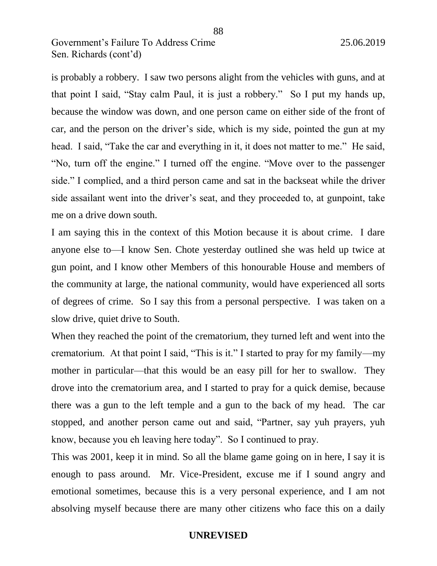is probably a robbery. I saw two persons alight from the vehicles with guns, and at that point I said, "Stay calm Paul, it is just a robbery." So I put my hands up, because the window was down, and one person came on either side of the front of car, and the person on the driver's side, which is my side, pointed the gun at my head. I said, "Take the car and everything in it, it does not matter to me." He said, "No, turn off the engine." I turned off the engine. "Move over to the passenger side." I complied, and a third person came and sat in the backseat while the driver side assailant went into the driver's seat, and they proceeded to, at gunpoint, take me on a drive down south.

I am saying this in the context of this Motion because it is about crime. I dare anyone else to—I know Sen. Chote yesterday outlined she was held up twice at gun point, and I know other Members of this honourable House and members of the community at large, the national community, would have experienced all sorts of degrees of crime. So I say this from a personal perspective. I was taken on a slow drive, quiet drive to South.

When they reached the point of the crematorium, they turned left and went into the crematorium. At that point I said, "This is it." I started to pray for my family—my mother in particular—that this would be an easy pill for her to swallow. They drove into the crematorium area, and I started to pray for a quick demise, because there was a gun to the left temple and a gun to the back of my head. The car stopped, and another person came out and said, "Partner, say yuh prayers, yuh know, because you eh leaving here today". So I continued to pray.

This was 2001, keep it in mind. So all the blame game going on in here, I say it is enough to pass around. Mr. Vice-President, excuse me if I sound angry and emotional sometimes, because this is a very personal experience, and I am not absolving myself because there are many other citizens who face this on a daily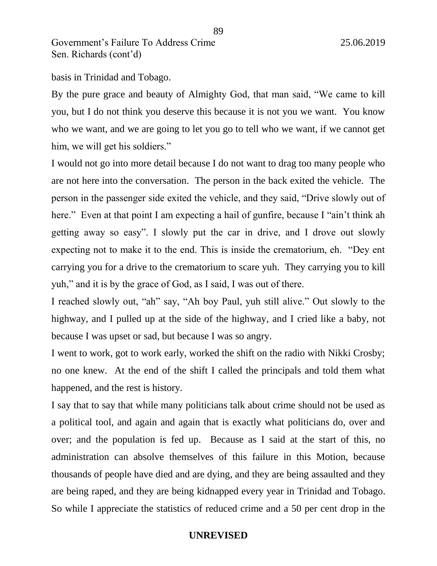basis in Trinidad and Tobago.

By the pure grace and beauty of Almighty God, that man said, "We came to kill you, but I do not think you deserve this because it is not you we want. You know who we want, and we are going to let you go to tell who we want, if we cannot get him, we will get his soldiers."

I would not go into more detail because I do not want to drag too many people who are not here into the conversation. The person in the back exited the vehicle. The person in the passenger side exited the vehicle, and they said, "Drive slowly out of here." Even at that point I am expecting a hail of gunfire, because I "ain't think ah getting away so easy". I slowly put the car in drive, and I drove out slowly expecting not to make it to the end. This is inside the crematorium, eh. "Dey ent carrying you for a drive to the crematorium to scare yuh. They carrying you to kill yuh," and it is by the grace of God, as I said, I was out of there.

I reached slowly out, "ah" say, "Ah boy Paul, yuh still alive." Out slowly to the highway, and I pulled up at the side of the highway, and I cried like a baby, not because I was upset or sad, but because I was so angry.

I went to work, got to work early, worked the shift on the radio with Nikki Crosby; no one knew. At the end of the shift I called the principals and told them what happened, and the rest is history.

I say that to say that while many politicians talk about crime should not be used as a political tool, and again and again that is exactly what politicians do, over and over; and the population is fed up. Because as I said at the start of this, no administration can absolve themselves of this failure in this Motion, because thousands of people have died and are dying, and they are being assaulted and they are being raped, and they are being kidnapped every year in Trinidad and Tobago. So while I appreciate the statistics of reduced crime and a 50 per cent drop in the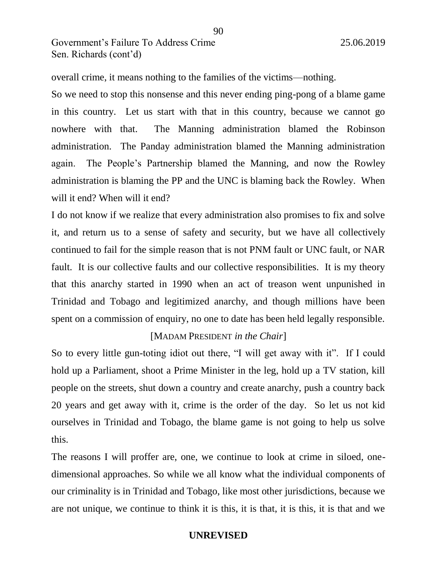overall crime, it means nothing to the families of the victims—nothing.

So we need to stop this nonsense and this never ending ping-pong of a blame game in this country. Let us start with that in this country, because we cannot go nowhere with that. The Manning administration blamed the Robinson administration. The Panday administration blamed the Manning administration again. The People's Partnership blamed the Manning, and now the Rowley administration is blaming the PP and the UNC is blaming back the Rowley. When will it end? When will it end?

I do not know if we realize that every administration also promises to fix and solve it, and return us to a sense of safety and security, but we have all collectively continued to fail for the simple reason that is not PNM fault or UNC fault, or NAR fault. It is our collective faults and our collective responsibilities. It is my theory that this anarchy started in 1990 when an act of treason went unpunished in Trinidad and Tobago and legitimized anarchy, and though millions have been spent on a commission of enquiry, no one to date has been held legally responsible.

### [MADAM PRESIDENT *in the Chair*]

So to every little gun-toting idiot out there, "I will get away with it". If I could hold up a Parliament, shoot a Prime Minister in the leg, hold up a TV station, kill people on the streets, shut down a country and create anarchy, push a country back 20 years and get away with it, crime is the order of the day. So let us not kid ourselves in Trinidad and Tobago, the blame game is not going to help us solve this.

The reasons I will proffer are, one, we continue to look at crime in siloed, onedimensional approaches. So while we all know what the individual components of our criminality is in Trinidad and Tobago, like most other jurisdictions, because we are not unique, we continue to think it is this, it is that, it is this, it is that and we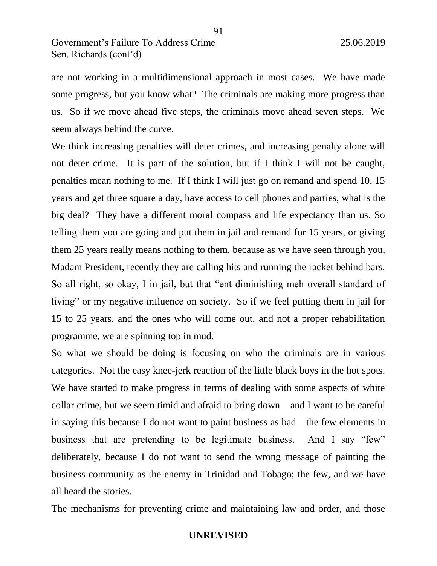are not working in a multidimensional approach in most cases. We have made some progress, but you know what? The criminals are making more progress than us. So if we move ahead five steps, the criminals move ahead seven steps. We seem always behind the curve.

91

We think increasing penalties will deter crimes, and increasing penalty alone will not deter crime. It is part of the solution, but if I think I will not be caught, penalties mean nothing to me. If I think I will just go on remand and spend 10, 15 years and get three square a day, have access to cell phones and parties, what is the big deal? They have a different moral compass and life expectancy than us. So telling them you are going and put them in jail and remand for 15 years, or giving them 25 years really means nothing to them, because as we have seen through you, Madam President, recently they are calling hits and running the racket behind bars. So all right, so okay, I in jail, but that "ent diminishing meh overall standard of living" or my negative influence on society. So if we feel putting them in jail for 15 to 25 years, and the ones who will come out, and not a proper rehabilitation programme, we are spinning top in mud.

So what we should be doing is focusing on who the criminals are in various categories. Not the easy knee-jerk reaction of the little black boys in the hot spots. We have started to make progress in terms of dealing with some aspects of white collar crime, but we seem timid and afraid to bring down—and I want to be careful in saying this because I do not want to paint business as bad—the few elements in business that are pretending to be legitimate business. And I say "few" deliberately, because I do not want to send the wrong message of painting the business community as the enemy in Trinidad and Tobago; the few, and we have all heard the stories.

The mechanisms for preventing crime and maintaining law and order, and those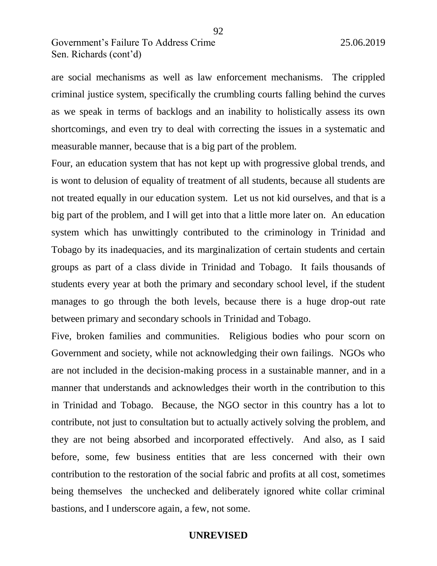are social mechanisms as well as law enforcement mechanisms. The crippled criminal justice system, specifically the crumbling courts falling behind the curves as we speak in terms of backlogs and an inability to holistically assess its own shortcomings, and even try to deal with correcting the issues in a systematic and measurable manner, because that is a big part of the problem.

Four, an education system that has not kept up with progressive global trends, and is wont to delusion of equality of treatment of all students, because all students are not treated equally in our education system. Let us not kid ourselves, and that is a big part of the problem, and I will get into that a little more later on. An education system which has unwittingly contributed to the criminology in Trinidad and Tobago by its inadequacies, and its marginalization of certain students and certain groups as part of a class divide in Trinidad and Tobago. It fails thousands of students every year at both the primary and secondary school level, if the student manages to go through the both levels, because there is a huge drop-out rate between primary and secondary schools in Trinidad and Tobago.

Five, broken families and communities. Religious bodies who pour scorn on Government and society, while not acknowledging their own failings. NGOs who are not included in the decision-making process in a sustainable manner, and in a manner that understands and acknowledges their worth in the contribution to this in Trinidad and Tobago. Because, the NGO sector in this country has a lot to contribute, not just to consultation but to actually actively solving the problem, and they are not being absorbed and incorporated effectively. And also, as I said before, some, few business entities that are less concerned with their own contribution to the restoration of the social fabric and profits at all cost, sometimes being themselves the unchecked and deliberately ignored white collar criminal bastions, and I underscore again, a few, not some.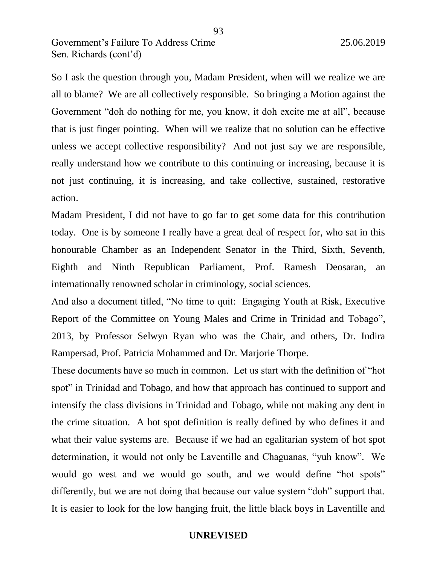So I ask the question through you, Madam President, when will we realize we are all to blame? We are all collectively responsible. So bringing a Motion against the Government "doh do nothing for me, you know, it doh excite me at all", because that is just finger pointing. When will we realize that no solution can be effective unless we accept collective responsibility? And not just say we are responsible, really understand how we contribute to this continuing or increasing, because it is not just continuing, it is increasing, and take collective, sustained, restorative action.

Madam President, I did not have to go far to get some data for this contribution today. One is by someone I really have a great deal of respect for, who sat in this honourable Chamber as an Independent Senator in the Third, Sixth, Seventh, Eighth and Ninth Republican Parliament, Prof. Ramesh Deosaran, an internationally renowned scholar in criminology, social sciences.

And also a document titled, "No time to quit: Engaging Youth at Risk, Executive Report of the Committee on Young Males and Crime in Trinidad and Tobago", 2013, by Professor Selwyn Ryan who was the Chair, and others, Dr. Indira Rampersad, Prof. Patricia Mohammed and Dr. Marjorie Thorpe.

These documents have so much in common. Let us start with the definition of "hot spot" in Trinidad and Tobago, and how that approach has continued to support and intensify the class divisions in Trinidad and Tobago, while not making any dent in the crime situation. A hot spot definition is really defined by who defines it and what their value systems are. Because if we had an egalitarian system of hot spot determination, it would not only be Laventille and Chaguanas, "yuh know". We would go west and we would go south, and we would define "hot spots" differently, but we are not doing that because our value system "doh" support that. It is easier to look for the low hanging fruit, the little black boys in Laventille and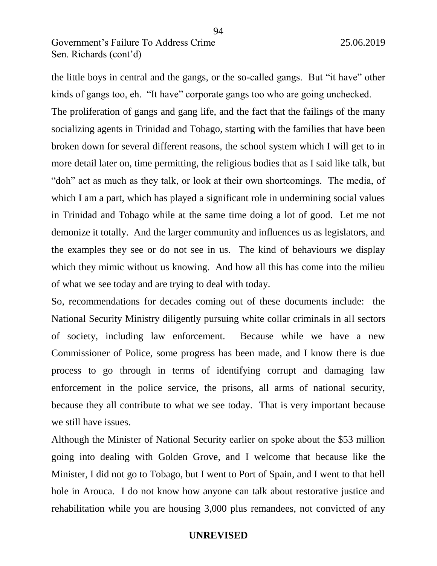the little boys in central and the gangs, or the so-called gangs. But "it have" other kinds of gangs too, eh. "It have" corporate gangs too who are going unchecked.

The proliferation of gangs and gang life, and the fact that the failings of the many socializing agents in Trinidad and Tobago, starting with the families that have been broken down for several different reasons, the school system which I will get to in more detail later on, time permitting, the religious bodies that as I said like talk, but "doh" act as much as they talk, or look at their own shortcomings. The media, of which I am a part, which has played a significant role in undermining social values in Trinidad and Tobago while at the same time doing a lot of good. Let me not demonize it totally. And the larger community and influences us as legislators, and the examples they see or do not see in us. The kind of behaviours we display which they mimic without us knowing. And how all this has come into the milieu of what we see today and are trying to deal with today.

So, recommendations for decades coming out of these documents include: the National Security Ministry diligently pursuing white collar criminals in all sectors of society, including law enforcement. Because while we have a new Commissioner of Police, some progress has been made, and I know there is due process to go through in terms of identifying corrupt and damaging law enforcement in the police service, the prisons, all arms of national security, because they all contribute to what we see today. That is very important because we still have issues.

Although the Minister of National Security earlier on spoke about the \$53 million going into dealing with Golden Grove, and I welcome that because like the Minister, I did not go to Tobago, but I went to Port of Spain, and I went to that hell hole in Arouca. I do not know how anyone can talk about restorative justice and rehabilitation while you are housing 3,000 plus remandees, not convicted of any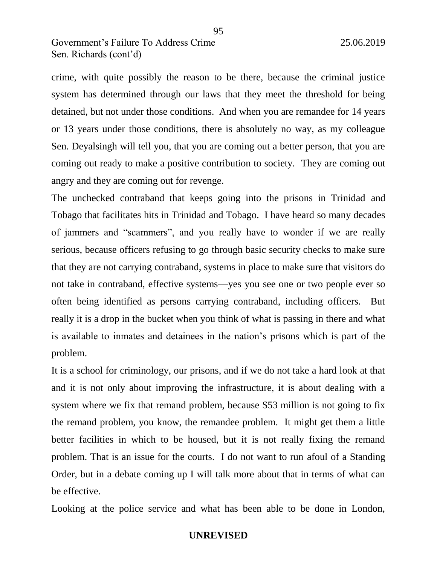crime, with quite possibly the reason to be there, because the criminal justice system has determined through our laws that they meet the threshold for being detained, but not under those conditions. And when you are remandee for 14 years or 13 years under those conditions, there is absolutely no way, as my colleague Sen. Deyalsingh will tell you, that you are coming out a better person, that you are coming out ready to make a positive contribution to society. They are coming out angry and they are coming out for revenge.

The unchecked contraband that keeps going into the prisons in Trinidad and Tobago that facilitates hits in Trinidad and Tobago. I have heard so many decades of jammers and "scammers", and you really have to wonder if we are really serious, because officers refusing to go through basic security checks to make sure that they are not carrying contraband, systems in place to make sure that visitors do not take in contraband, effective systems—yes you see one or two people ever so often being identified as persons carrying contraband, including officers. But really it is a drop in the bucket when you think of what is passing in there and what is available to inmates and detainees in the nation's prisons which is part of the problem.

It is a school for criminology, our prisons, and if we do not take a hard look at that and it is not only about improving the infrastructure, it is about dealing with a system where we fix that remand problem, because \$53 million is not going to fix the remand problem, you know, the remandee problem. It might get them a little better facilities in which to be housed, but it is not really fixing the remand problem. That is an issue for the courts. I do not want to run afoul of a Standing Order, but in a debate coming up I will talk more about that in terms of what can be effective.

Looking at the police service and what has been able to be done in London,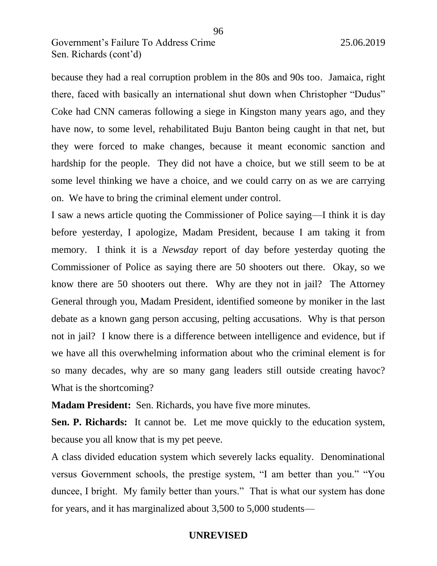because they had a real corruption problem in the 80s and 90s too. Jamaica, right there, faced with basically an international shut down when Christopher "Dudus" Coke had CNN cameras following a siege in Kingston many years ago, and they have now, to some level, rehabilitated Buju Banton being caught in that net, but they were forced to make changes, because it meant economic sanction and hardship for the people. They did not have a choice, but we still seem to be at some level thinking we have a choice, and we could carry on as we are carrying on. We have to bring the criminal element under control.

I saw a news article quoting the Commissioner of Police saying—I think it is day before yesterday, I apologize, Madam President, because I am taking it from memory. I think it is a *Newsday* report of day before yesterday quoting the Commissioner of Police as saying there are 50 shooters out there. Okay, so we know there are 50 shooters out there. Why are they not in jail? The Attorney General through you, Madam President, identified someone by moniker in the last debate as a known gang person accusing, pelting accusations. Why is that person not in jail? I know there is a difference between intelligence and evidence, but if we have all this overwhelming information about who the criminal element is for so many decades, why are so many gang leaders still outside creating havoc? What is the shortcoming?

**Madam President:** Sen. Richards, you have five more minutes.

**Sen. P. Richards:** It cannot be. Let me move quickly to the education system, because you all know that is my pet peeve.

A class divided education system which severely lacks equality. Denominational versus Government schools, the prestige system, "I am better than you." "You duncee, I bright. My family better than yours." That is what our system has done for years, and it has marginalized about 3,500 to 5,000 students—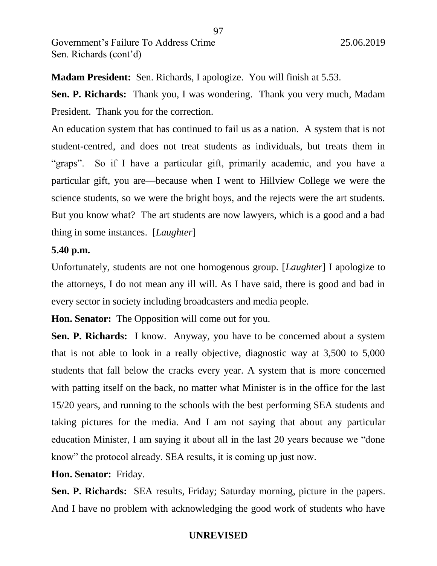**Madam President:** Sen. Richards, I apologize. You will finish at 5.53.

**Sen. P. Richards:** Thank you, I was wondering. Thank you very much, Madam President. Thank you for the correction.

An education system that has continued to fail us as a nation. A system that is not student-centred, and does not treat students as individuals, but treats them in "graps". So if I have a particular gift, primarily academic, and you have a particular gift, you are—because when I went to Hillview College we were the science students, so we were the bright boys, and the rejects were the art students. But you know what? The art students are now lawyers, which is a good and a bad thing in some instances. [*Laughter*]

## **5.40 p.m.**

Unfortunately, students are not one homogenous group. [*Laughter*] I apologize to the attorneys, I do not mean any ill will. As I have said, there is good and bad in every sector in society including broadcasters and media people.

**Hon. Senator:** The Opposition will come out for you.

**Sen. P. Richards:** I know. Anyway, you have to be concerned about a system that is not able to look in a really objective, diagnostic way at 3,500 to 5,000 students that fall below the cracks every year. A system that is more concerned with patting itself on the back, no matter what Minister is in the office for the last 15/20 years, and running to the schools with the best performing SEA students and taking pictures for the media. And I am not saying that about any particular education Minister, I am saying it about all in the last 20 years because we "done know" the protocol already. SEA results, it is coming up just now.

**Hon. Senator:** Friday.

**Sen. P. Richards:** SEA results, Friday; Saturday morning, picture in the papers. And I have no problem with acknowledging the good work of students who have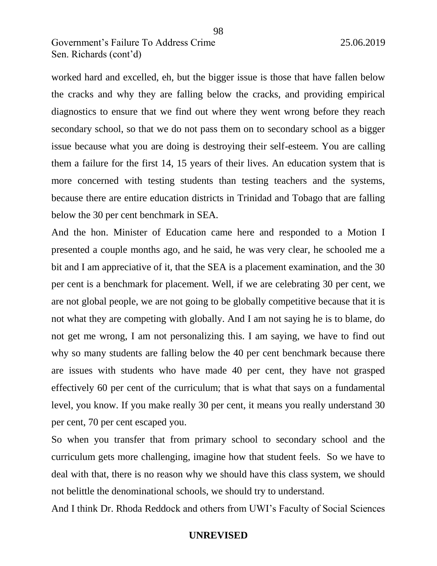worked hard and excelled, eh, but the bigger issue is those that have fallen below the cracks and why they are falling below the cracks, and providing empirical diagnostics to ensure that we find out where they went wrong before they reach secondary school, so that we do not pass them on to secondary school as a bigger issue because what you are doing is destroying their self-esteem. You are calling them a failure for the first 14, 15 years of their lives. An education system that is more concerned with testing students than testing teachers and the systems, because there are entire education districts in Trinidad and Tobago that are falling below the 30 per cent benchmark in SEA.

And the hon. Minister of Education came here and responded to a Motion I presented a couple months ago, and he said, he was very clear, he schooled me a bit and I am appreciative of it, that the SEA is a placement examination, and the 30 per cent is a benchmark for placement. Well, if we are celebrating 30 per cent, we are not global people, we are not going to be globally competitive because that it is not what they are competing with globally. And I am not saying he is to blame, do not get me wrong, I am not personalizing this. I am saying, we have to find out why so many students are falling below the 40 per cent benchmark because there are issues with students who have made 40 per cent, they have not grasped effectively 60 per cent of the curriculum; that is what that says on a fundamental level, you know. If you make really 30 per cent, it means you really understand 30 per cent, 70 per cent escaped you.

So when you transfer that from primary school to secondary school and the curriculum gets more challenging, imagine how that student feels. So we have to deal with that, there is no reason why we should have this class system, we should not belittle the denominational schools, we should try to understand.

And I think Dr. Rhoda Reddock and others from UWI's Faculty of Social Sciences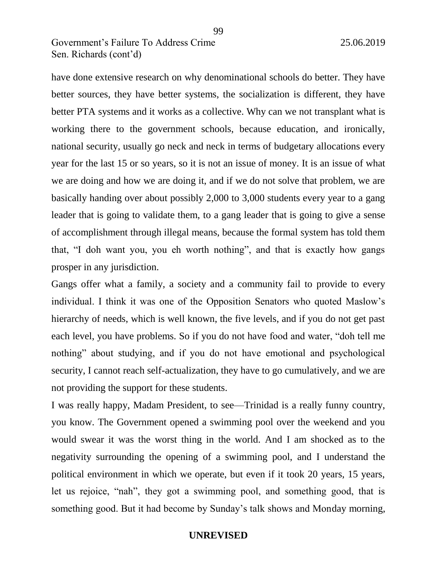have done extensive research on why denominational schools do better. They have better sources, they have better systems, the socialization is different, they have better PTA systems and it works as a collective. Why can we not transplant what is working there to the government schools, because education, and ironically, national security, usually go neck and neck in terms of budgetary allocations every year for the last 15 or so years, so it is not an issue of money. It is an issue of what we are doing and how we are doing it, and if we do not solve that problem, we are basically handing over about possibly 2,000 to 3,000 students every year to a gang leader that is going to validate them, to a gang leader that is going to give a sense of accomplishment through illegal means, because the formal system has told them that, "I doh want you, you eh worth nothing", and that is exactly how gangs prosper in any jurisdiction.

Gangs offer what a family, a society and a community fail to provide to every individual. I think it was one of the Opposition Senators who quoted Maslow's hierarchy of needs, which is well known, the five levels, and if you do not get past each level, you have problems. So if you do not have food and water, "doh tell me nothing" about studying, and if you do not have emotional and psychological security, I cannot reach self-actualization, they have to go cumulatively, and we are not providing the support for these students.

I was really happy, Madam President, to see—Trinidad is a really funny country, you know. The Government opened a swimming pool over the weekend and you would swear it was the worst thing in the world. And I am shocked as to the negativity surrounding the opening of a swimming pool, and I understand the political environment in which we operate, but even if it took 20 years, 15 years, let us rejoice, "nah", they got a swimming pool, and something good, that is something good. But it had become by Sunday's talk shows and Monday morning,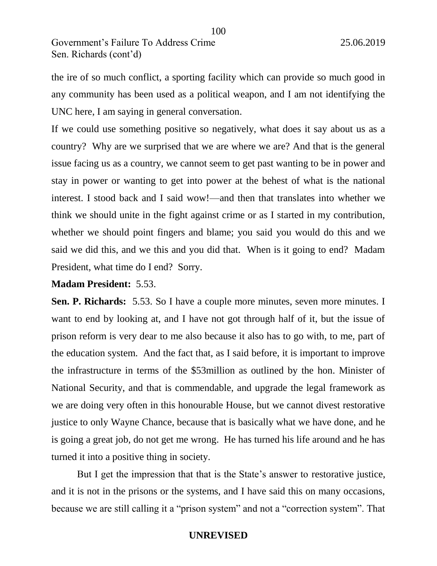the ire of so much conflict, a sporting facility which can provide so much good in any community has been used as a political weapon, and I am not identifying the UNC here, I am saying in general conversation.

If we could use something positive so negatively, what does it say about us as a country? Why are we surprised that we are where we are? And that is the general issue facing us as a country, we cannot seem to get past wanting to be in power and stay in power or wanting to get into power at the behest of what is the national interest. I stood back and I said wow!—and then that translates into whether we think we should unite in the fight against crime or as I started in my contribution, whether we should point fingers and blame; you said you would do this and we said we did this, and we this and you did that. When is it going to end? Madam President, what time do I end? Sorry.

## **Madam President:** 5.53.

**Sen. P. Richards:** 5.53. So I have a couple more minutes, seven more minutes. I want to end by looking at, and I have not got through half of it, but the issue of prison reform is very dear to me also because it also has to go with, to me, part of the education system. And the fact that, as I said before, it is important to improve the infrastructure in terms of the \$53million as outlined by the hon. Minister of National Security, and that is commendable, and upgrade the legal framework as we are doing very often in this honourable House, but we cannot divest restorative justice to only Wayne Chance, because that is basically what we have done, and he is going a great job, do not get me wrong. He has turned his life around and he has turned it into a positive thing in society.

But I get the impression that that is the State's answer to restorative justice, and it is not in the prisons or the systems, and I have said this on many occasions, because we are still calling it a "prison system" and not a "correction system". That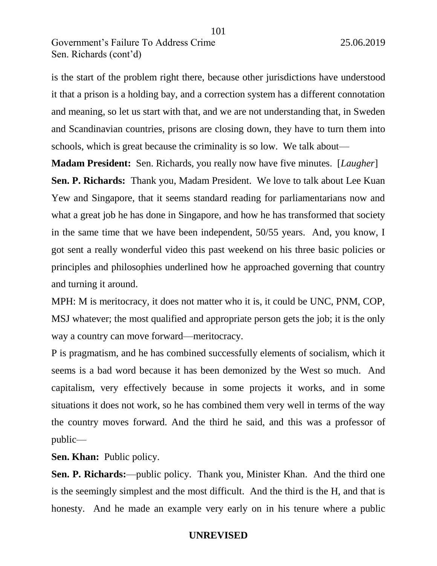is the start of the problem right there, because other jurisdictions have understood it that a prison is a holding bay, and a correction system has a different connotation and meaning, so let us start with that, and we are not understanding that, in Sweden and Scandinavian countries, prisons are closing down, they have to turn them into schools, which is great because the criminality is so low. We talk about—

101

**Madam President:** Sen. Richards, you really now have five minutes. [*Laugher*] **Sen. P. Richards:** Thank you, Madam President. We love to talk about Lee Kuan Yew and Singapore, that it seems standard reading for parliamentarians now and what a great job he has done in Singapore, and how he has transformed that society in the same time that we have been independent, 50/55 years. And, you know, I got sent a really wonderful video this past weekend on his three basic policies or principles and philosophies underlined how he approached governing that country and turning it around.

MPH: M is meritocracy, it does not matter who it is, it could be UNC, PNM, COP, MSJ whatever; the most qualified and appropriate person gets the job; it is the only way a country can move forward—meritocracy.

P is pragmatism, and he has combined successfully elements of socialism, which it seems is a bad word because it has been demonized by the West so much. And capitalism, very effectively because in some projects it works, and in some situations it does not work, so he has combined them very well in terms of the way the country moves forward. And the third he said, and this was a professor of public—

**Sen. Khan:** Public policy.

**Sen. P. Richards:**—public policy. Thank you, Minister Khan. And the third one is the seemingly simplest and the most difficult. And the third is the H, and that is honesty. And he made an example very early on in his tenure where a public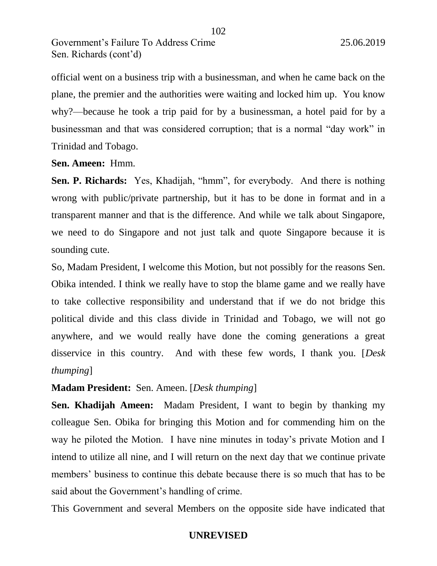official went on a business trip with a businessman, and when he came back on the plane, the premier and the authorities were waiting and locked him up. You know why?—because he took a trip paid for by a businessman, a hotel paid for by a businessman and that was considered corruption; that is a normal "day work" in Trinidad and Tobago.

102

**Sen. Ameen:** Hmm.

**Sen. P. Richards:** Yes, Khadijah, "hmm", for everybody. And there is nothing wrong with public/private partnership, but it has to be done in format and in a transparent manner and that is the difference. And while we talk about Singapore, we need to do Singapore and not just talk and quote Singapore because it is sounding cute.

So, Madam President, I welcome this Motion, but not possibly for the reasons Sen. Obika intended. I think we really have to stop the blame game and we really have to take collective responsibility and understand that if we do not bridge this political divide and this class divide in Trinidad and Tobago, we will not go anywhere, and we would really have done the coming generations a great disservice in this country. And with these few words, I thank you. [*Desk thumping*]

## **Madam President:** Sen. Ameen. [*Desk thumping*]

**Sen. Khadijah Ameen:** Madam President, I want to begin by thanking my colleague Sen. Obika for bringing this Motion and for commending him on the way he piloted the Motion. I have nine minutes in today's private Motion and I intend to utilize all nine, and I will return on the next day that we continue private members' business to continue this debate because there is so much that has to be said about the Government's handling of crime.

This Government and several Members on the opposite side have indicated that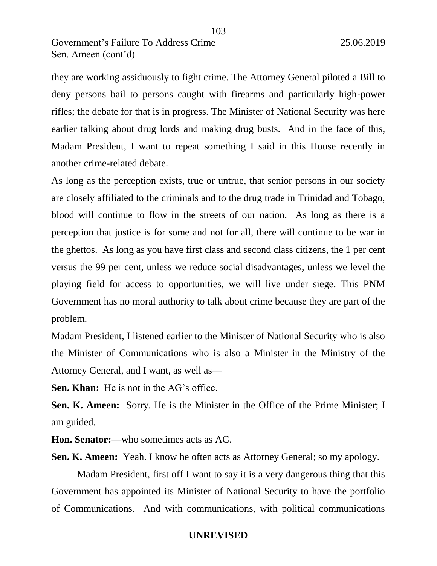they are working assiduously to fight crime. The Attorney General piloted a Bill to deny persons bail to persons caught with firearms and particularly high-power rifles; the debate for that is in progress. The Minister of National Security was here earlier talking about drug lords and making drug busts. And in the face of this, Madam President, I want to repeat something I said in this House recently in another crime-related debate.

As long as the perception exists, true or untrue, that senior persons in our society are closely affiliated to the criminals and to the drug trade in Trinidad and Tobago, blood will continue to flow in the streets of our nation. As long as there is a perception that justice is for some and not for all, there will continue to be war in the ghettos. As long as you have first class and second class citizens, the 1 per cent versus the 99 per cent, unless we reduce social disadvantages, unless we level the playing field for access to opportunities, we will live under siege. This PNM Government has no moral authority to talk about crime because they are part of the problem.

Madam President, I listened earlier to the Minister of National Security who is also the Minister of Communications who is also a Minister in the Ministry of the Attorney General, and I want, as well as—

**Sen. Khan:** He is not in the AG's office.

**Sen. K. Ameen:** Sorry. He is the Minister in the Office of the Prime Minister; I am guided.

**Hon. Senator:**—who sometimes acts as AG.

**Sen. K. Ameen:** Yeah. I know he often acts as Attorney General; so my apology.

Madam President, first off I want to say it is a very dangerous thing that this Government has appointed its Minister of National Security to have the portfolio of Communications. And with communications, with political communications

103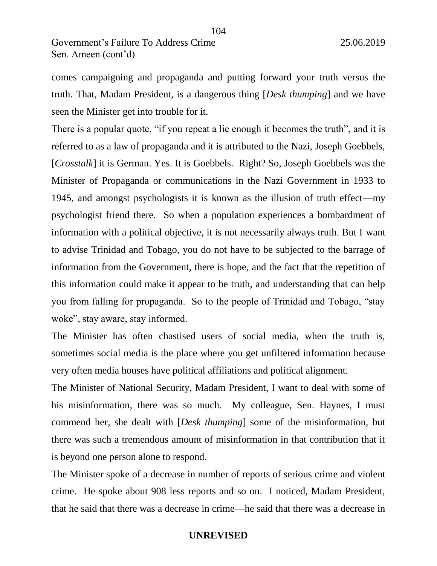comes campaigning and propaganda and putting forward your truth versus the truth. That, Madam President, is a dangerous thing [*Desk thumping*] and we have seen the Minister get into trouble for it.

104

There is a popular quote, "if you repeat a lie enough it becomes the truth", and it is referred to as a law of propaganda and it is attributed to the Nazi, Joseph Goebbels, [*Crosstalk*] it is German. Yes. It is Goebbels. Right? So, Joseph Goebbels was the Minister of Propaganda or communications in the Nazi Government in 1933 to 1945, and amongst psychologists it is known as the illusion of truth effect—my psychologist friend there. So when a population experiences a bombardment of information with a political objective, it is not necessarily always truth. But I want to advise Trinidad and Tobago, you do not have to be subjected to the barrage of information from the Government, there is hope, and the fact that the repetition of this information could make it appear to be truth, and understanding that can help you from falling for propaganda. So to the people of Trinidad and Tobago, "stay woke", stay aware, stay informed.

The Minister has often chastised users of social media, when the truth is, sometimes social media is the place where you get unfiltered information because very often media houses have political affiliations and political alignment.

The Minister of National Security, Madam President, I want to deal with some of his misinformation, there was so much. My colleague, Sen. Haynes, I must commend her, she dealt with [*Desk thumping*] some of the misinformation, but there was such a tremendous amount of misinformation in that contribution that it is beyond one person alone to respond.

The Minister spoke of a decrease in number of reports of serious crime and violent crime. He spoke about 908 less reports and so on. I noticed, Madam President, that he said that there was a decrease in crime—he said that there was a decrease in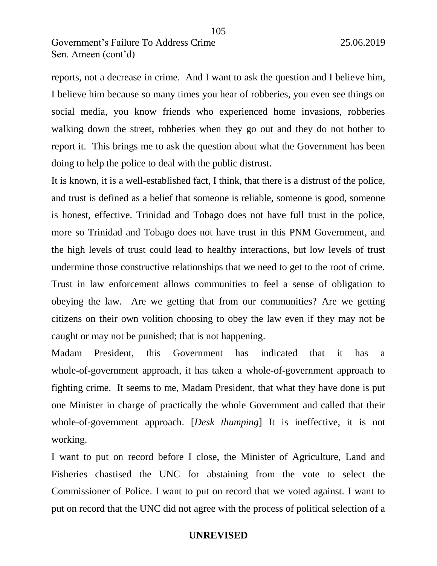reports, not a decrease in crime. And I want to ask the question and I believe him, I believe him because so many times you hear of robberies, you even see things on social media, you know friends who experienced home invasions, robberies walking down the street, robberies when they go out and they do not bother to report it. This brings me to ask the question about what the Government has been doing to help the police to deal with the public distrust.

It is known, it is a well-established fact, I think, that there is a distrust of the police, and trust is defined as a belief that someone is reliable, someone is good, someone is honest, effective. Trinidad and Tobago does not have full trust in the police, more so Trinidad and Tobago does not have trust in this PNM Government, and the high levels of trust could lead to healthy interactions, but low levels of trust undermine those constructive relationships that we need to get to the root of crime. Trust in law enforcement allows communities to feel a sense of obligation to obeying the law. Are we getting that from our communities? Are we getting citizens on their own volition choosing to obey the law even if they may not be caught or may not be punished; that is not happening.

Madam President, this Government has indicated that it has a whole-of-government approach, it has taken a whole-of-government approach to fighting crime. It seems to me, Madam President, that what they have done is put one Minister in charge of practically the whole Government and called that their whole-of-government approach. [*Desk thumping*] It is ineffective, it is not working.

I want to put on record before I close, the Minister of Agriculture, Land and Fisheries chastised the UNC for abstaining from the vote to select the Commissioner of Police. I want to put on record that we voted against. I want to put on record that the UNC did not agree with the process of political selection of a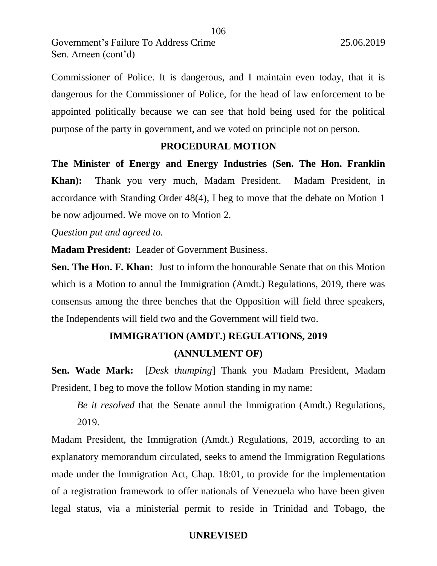Commissioner of Police. It is dangerous, and I maintain even today, that it is dangerous for the Commissioner of Police, for the head of law enforcement to be appointed politically because we can see that hold being used for the political purpose of the party in government, and we voted on principle not on person.

## **PROCEDURAL MOTION**

**The Minister of Energy and Energy Industries (Sen. The Hon. Franklin Khan):** Thank you very much, Madam President. Madam President, in accordance with Standing Order 48(4), I beg to move that the debate on Motion 1 be now adjourned. We move on to Motion 2.

*Question put and agreed to.*

**Madam President:** Leader of Government Business.

**Sen. The Hon. F. Khan:** Just to inform the honourable Senate that on this Motion which is a Motion to annul the Immigration (Amdt.) Regulations, 2019, there was consensus among the three benches that the Opposition will field three speakers, the Independents will field two and the Government will field two.

# **IMMIGRATION (AMDT.) REGULATIONS, 2019 (ANNULMENT OF)**

**Sen. Wade Mark:** [*Desk thumping*] Thank you Madam President, Madam President, I beg to move the follow Motion standing in my name:

*Be it resolved* that the Senate annul the Immigration (Amdt.) Regulations, 2019.

Madam President, the Immigration (Amdt.) Regulations, 2019, according to an explanatory memorandum circulated, seeks to amend the Immigration Regulations made under the Immigration Act, Chap. 18:01, to provide for the implementation of a registration framework to offer nationals of Venezuela who have been given legal status, via a ministerial permit to reside in Trinidad and Tobago, the

106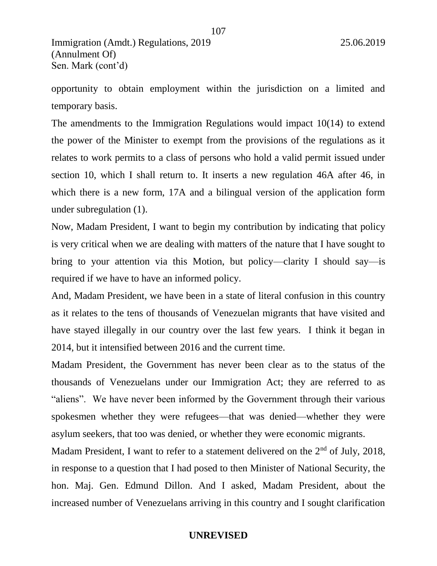Immigration (Amdt.) Regulations, 2019 25.06.2019 (Annulment Of) Sen. Mark (cont'd)

opportunity to obtain employment within the jurisdiction on a limited and temporary basis.

The amendments to the Immigration Regulations would impact 10(14) to extend the power of the Minister to exempt from the provisions of the regulations as it relates to work permits to a class of persons who hold a valid permit issued under section 10, which I shall return to. It inserts a new regulation 46A after 46, in which there is a new form, 17A and a bilingual version of the application form under subregulation (1).

Now, Madam President, I want to begin my contribution by indicating that policy is very critical when we are dealing with matters of the nature that I have sought to bring to your attention via this Motion, but policy—clarity I should say—is required if we have to have an informed policy.

And, Madam President, we have been in a state of literal confusion in this country as it relates to the tens of thousands of Venezuelan migrants that have visited and have stayed illegally in our country over the last few years. I think it began in 2014, but it intensified between 2016 and the current time.

Madam President, the Government has never been clear as to the status of the thousands of Venezuelans under our Immigration Act; they are referred to as "aliens". We have never been informed by the Government through their various spokesmen whether they were refugees—that was denied—whether they were asylum seekers, that too was denied, or whether they were economic migrants.

Madam President, I want to refer to a statement delivered on the 2<sup>nd</sup> of July, 2018, in response to a question that I had posed to then Minister of National Security, the hon. Maj. Gen. Edmund Dillon. And I asked, Madam President, about the increased number of Venezuelans arriving in this country and I sought clarification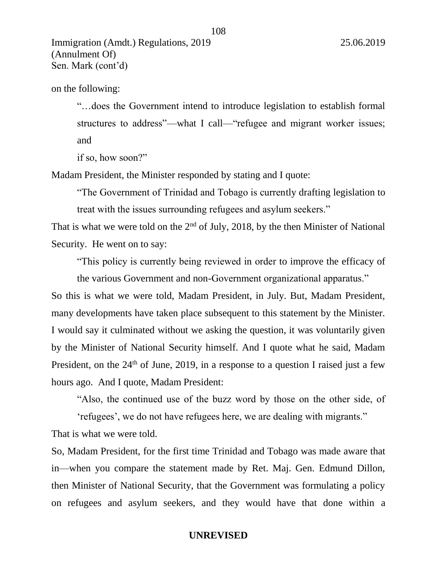on the following:

"…does the Government intend to introduce legislation to establish formal structures to address"—what I call—"refugee and migrant worker issues; and

108

if so, how soon?"

Madam President, the Minister responded by stating and I quote:

"The Government of Trinidad and Tobago is currently drafting legislation to treat with the issues surrounding refugees and asylum seekers."

That is what we were told on the  $2<sup>nd</sup>$  of July, 2018, by the then Minister of National Security. He went on to say:

"This policy is currently being reviewed in order to improve the efficacy of

the various Government and non-Government organizational apparatus." So this is what we were told, Madam President, in July. But, Madam President, many developments have taken place subsequent to this statement by the Minister. I would say it culminated without we asking the question, it was voluntarily given by the Minister of National Security himself. And I quote what he said, Madam President, on the  $24<sup>th</sup>$  of June, 2019, in a response to a question I raised just a few hours ago. And I quote, Madam President:

"Also, the continued use of the buzz word by those on the other side, of

'refugees', we do not have refugees here, we are dealing with migrants."

That is what we were told.

So, Madam President, for the first time Trinidad and Tobago was made aware that in—when you compare the statement made by Ret. Maj. Gen. Edmund Dillon, then Minister of National Security, that the Government was formulating a policy on refugees and asylum seekers, and they would have that done within a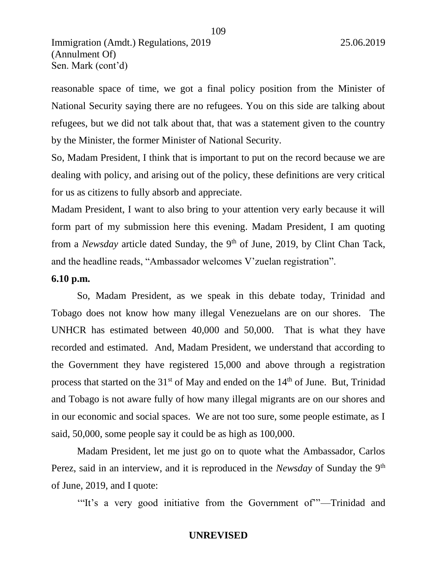reasonable space of time, we got a final policy position from the Minister of National Security saying there are no refugees. You on this side are talking about refugees, but we did not talk about that, that was a statement given to the country by the Minister, the former Minister of National Security.

109

So, Madam President, I think that is important to put on the record because we are dealing with policy, and arising out of the policy, these definitions are very critical for us as citizens to fully absorb and appreciate.

Madam President, I want to also bring to your attention very early because it will form part of my submission here this evening. Madam President, I am quoting from a *Newsday* article dated Sunday, the 9<sup>th</sup> of June, 2019, by Clint Chan Tack, and the headline reads, "Ambassador welcomes V'zuelan registration".

# **6.10 p.m.**

So, Madam President, as we speak in this debate today, Trinidad and Tobago does not know how many illegal Venezuelans are on our shores. The UNHCR has estimated between 40,000 and 50,000. That is what they have recorded and estimated. And, Madam President, we understand that according to the Government they have registered 15,000 and above through a registration process that started on the  $31<sup>st</sup>$  of May and ended on the  $14<sup>th</sup>$  of June. But, Trinidad and Tobago is not aware fully of how many illegal migrants are on our shores and in our economic and social spaces. We are not too sure, some people estimate, as I said, 50,000, some people say it could be as high as 100,000.

Madam President, let me just go on to quote what the Ambassador, Carlos Perez, said in an interview, and it is reproduced in the *Newsday* of Sunday the 9<sup>th</sup> of June, 2019, and I quote:

'"It's a very good initiative from the Government of'"—Trinidad and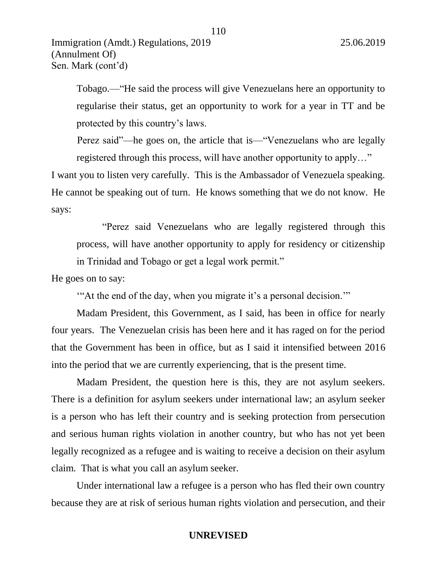Tobago.—"He said the process will give Venezuelans here an opportunity to regularise their status, get an opportunity to work for a year in TT and be protected by this country's laws.

110

Perez said"—he goes on, the article that is—"Venezuelans who are legally registered through this process, will have another opportunity to apply…"

I want you to listen very carefully. This is the Ambassador of Venezuela speaking. He cannot be speaking out of turn. He knows something that we do not know. He says:

"Perez said Venezuelans who are legally registered through this process, will have another opportunity to apply for residency or citizenship in Trinidad and Tobago or get a legal work permit."

He goes on to say:

'"At the end of the day, when you migrate it's a personal decision.'"

Madam President, this Government, as I said, has been in office for nearly four years. The Venezuelan crisis has been here and it has raged on for the period that the Government has been in office, but as I said it intensified between 2016 into the period that we are currently experiencing, that is the present time.

Madam President, the question here is this, they are not asylum seekers. There is a definition for asylum seekers under international law; an asylum seeker is a person who has left their country and is seeking protection from persecution and serious human rights violation in another country, but who has not yet been legally recognized as a refugee and is waiting to receive a decision on their asylum claim. That is what you call an asylum seeker.

Under international law a refugee is a person who has fled their own country because they are at risk of serious human rights violation and persecution, and their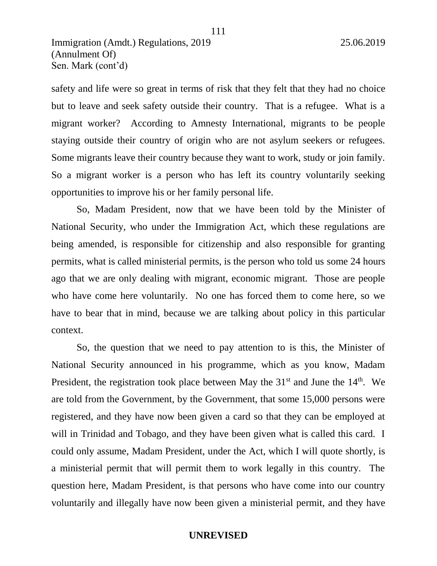safety and life were so great in terms of risk that they felt that they had no choice but to leave and seek safety outside their country. That is a refugee. What is a migrant worker? According to Amnesty International, migrants to be people staying outside their country of origin who are not asylum seekers or refugees. Some migrants leave their country because they want to work, study or join family. So a migrant worker is a person who has left its country voluntarily seeking opportunities to improve his or her family personal life.

So, Madam President, now that we have been told by the Minister of National Security, who under the Immigration Act, which these regulations are being amended, is responsible for citizenship and also responsible for granting permits, what is called ministerial permits, is the person who told us some 24 hours ago that we are only dealing with migrant, economic migrant. Those are people who have come here voluntarily. No one has forced them to come here, so we have to bear that in mind, because we are talking about policy in this particular context.

So, the question that we need to pay attention to is this, the Minister of National Security announced in his programme, which as you know, Madam President, the registration took place between May the  $31<sup>st</sup>$  and June the  $14<sup>th</sup>$ . We are told from the Government, by the Government, that some 15,000 persons were registered, and they have now been given a card so that they can be employed at will in Trinidad and Tobago, and they have been given what is called this card. I could only assume, Madam President, under the Act, which I will quote shortly, is a ministerial permit that will permit them to work legally in this country. The question here, Madam President, is that persons who have come into our country voluntarily and illegally have now been given a ministerial permit, and they have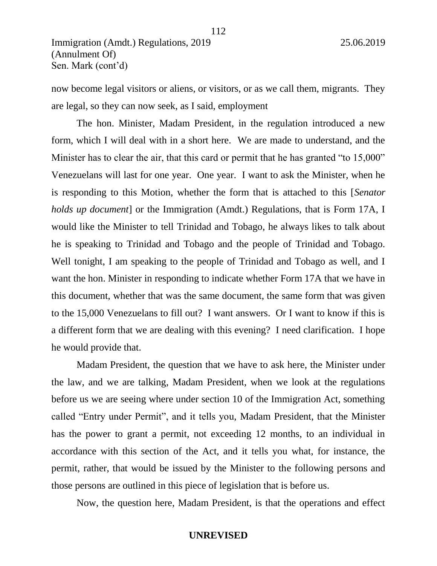now become legal visitors or aliens, or visitors, or as we call them, migrants. They are legal, so they can now seek, as I said, employment

The hon. Minister, Madam President, in the regulation introduced a new form, which I will deal with in a short here. We are made to understand, and the Minister has to clear the air, that this card or permit that he has granted "to 15,000" Venezuelans will last for one year. One year. I want to ask the Minister, when he is responding to this Motion, whether the form that is attached to this [*Senator holds up document*] or the Immigration (Amdt.) Regulations, that is Form 17A, I would like the Minister to tell Trinidad and Tobago, he always likes to talk about he is speaking to Trinidad and Tobago and the people of Trinidad and Tobago. Well tonight, I am speaking to the people of Trinidad and Tobago as well, and I want the hon. Minister in responding to indicate whether Form 17A that we have in this document, whether that was the same document, the same form that was given to the 15,000 Venezuelans to fill out? I want answers. Or I want to know if this is a different form that we are dealing with this evening? I need clarification. I hope he would provide that.

Madam President, the question that we have to ask here, the Minister under the law, and we are talking, Madam President, when we look at the regulations before us we are seeing where under section 10 of the Immigration Act, something called "Entry under Permit", and it tells you, Madam President, that the Minister has the power to grant a permit, not exceeding 12 months, to an individual in accordance with this section of the Act, and it tells you what, for instance, the permit, rather, that would be issued by the Minister to the following persons and those persons are outlined in this piece of legislation that is before us.

Now, the question here, Madam President, is that the operations and effect

112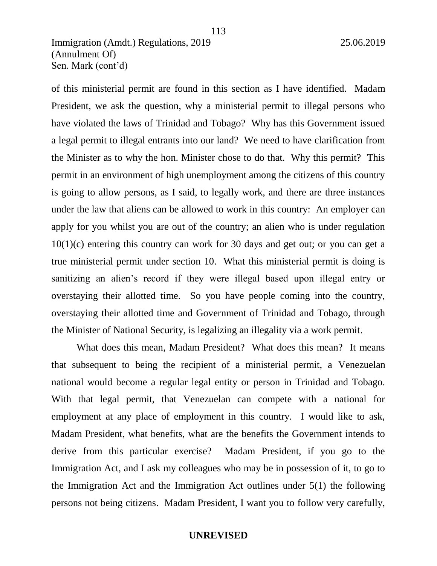of this ministerial permit are found in this section as I have identified. Madam President, we ask the question, why a ministerial permit to illegal persons who have violated the laws of Trinidad and Tobago? Why has this Government issued a legal permit to illegal entrants into our land? We need to have clarification from the Minister as to why the hon. Minister chose to do that. Why this permit? This permit in an environment of high unemployment among the citizens of this country is going to allow persons, as I said, to legally work, and there are three instances under the law that aliens can be allowed to work in this country: An employer can apply for you whilst you are out of the country; an alien who is under regulation 10(1)(c) entering this country can work for 30 days and get out; or you can get a true ministerial permit under section 10. What this ministerial permit is doing is sanitizing an alien's record if they were illegal based upon illegal entry or overstaying their allotted time. So you have people coming into the country, overstaying their allotted time and Government of Trinidad and Tobago, through the Minister of National Security, is legalizing an illegality via a work permit.

113

What does this mean, Madam President? What does this mean? It means that subsequent to being the recipient of a ministerial permit, a Venezuelan national would become a regular legal entity or person in Trinidad and Tobago. With that legal permit, that Venezuelan can compete with a national for employment at any place of employment in this country. I would like to ask, Madam President, what benefits, what are the benefits the Government intends to derive from this particular exercise? Madam President, if you go to the Immigration Act, and I ask my colleagues who may be in possession of it, to go to the Immigration Act and the Immigration Act outlines under 5(1) the following persons not being citizens. Madam President, I want you to follow very carefully,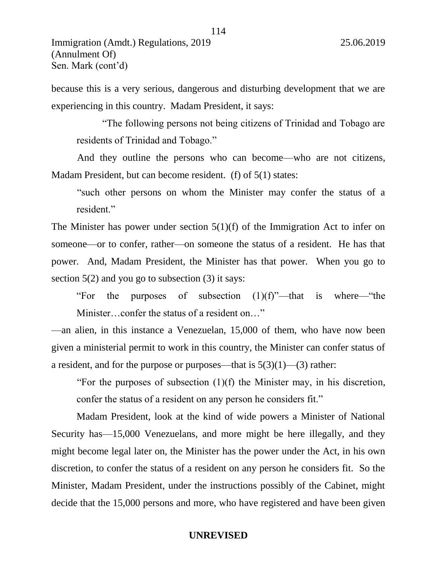Sen. Mark (cont'd)

because this is a very serious, dangerous and disturbing development that we are

experiencing in this country. Madam President, it says:

"The following persons not being citizens of Trinidad and Tobago are residents of Trinidad and Tobago."

And they outline the persons who can become—who are not citizens, Madam President, but can become resident. (f) of 5(1) states:

"such other persons on whom the Minister may confer the status of a resident."

The Minister has power under section  $5(1)(f)$  of the Immigration Act to infer on someone—or to confer, rather—on someone the status of a resident. He has that power. And, Madam President, the Minister has that power. When you go to section  $5(2)$  and you go to subsection  $(3)$  it says:

"For the purposes of subsection (1)(f)"—that is where—"the Minister…confer the status of a resident on…"

—an alien, in this instance a Venezuelan, 15,000 of them, who have now been given a ministerial permit to work in this country, the Minister can confer status of a resident, and for the purpose or purposes—that is  $5(3)(1)$ —(3) rather:

"For the purposes of subsection  $(1)(f)$  the Minister may, in his discretion, confer the status of a resident on any person he considers fit."

Madam President, look at the kind of wide powers a Minister of National Security has—15,000 Venezuelans, and more might be here illegally, and they might become legal later on, the Minister has the power under the Act, in his own discretion, to confer the status of a resident on any person he considers fit. So the Minister, Madam President, under the instructions possibly of the Cabinet, might decide that the 15,000 persons and more, who have registered and have been given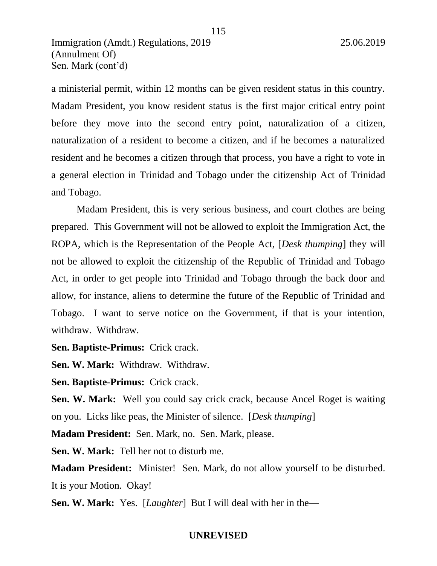a ministerial permit, within 12 months can be given resident status in this country. Madam President, you know resident status is the first major critical entry point before they move into the second entry point, naturalization of a citizen, naturalization of a resident to become a citizen, and if he becomes a naturalized resident and he becomes a citizen through that process, you have a right to vote in a general election in Trinidad and Tobago under the citizenship Act of Trinidad and Tobago.

Madam President, this is very serious business, and court clothes are being prepared. This Government will not be allowed to exploit the Immigration Act, the ROPA, which is the Representation of the People Act, [*Desk thumping*] they will not be allowed to exploit the citizenship of the Republic of Trinidad and Tobago Act, in order to get people into Trinidad and Tobago through the back door and allow, for instance, aliens to determine the future of the Republic of Trinidad and Tobago. I want to serve notice on the Government, if that is your intention, withdraw. Withdraw.

**Sen. Baptiste-Primus:** Crick crack.

**Sen. W. Mark:** Withdraw. Withdraw.

**Sen. Baptiste-Primus:** Crick crack.

**Sen. W. Mark:** Well you could say crick crack, because Ancel Roget is waiting on you. Licks like peas, the Minister of silence. [*Desk thumping*]

**Madam President:** Sen. Mark, no. Sen. Mark, please.

**Sen. W. Mark:** Tell her not to disturb me.

**Madam President:** Minister! Sen. Mark, do not allow yourself to be disturbed. It is your Motion. Okay!

**Sen. W. Mark:** Yes. [*Laughter*] But I will deal with her in the—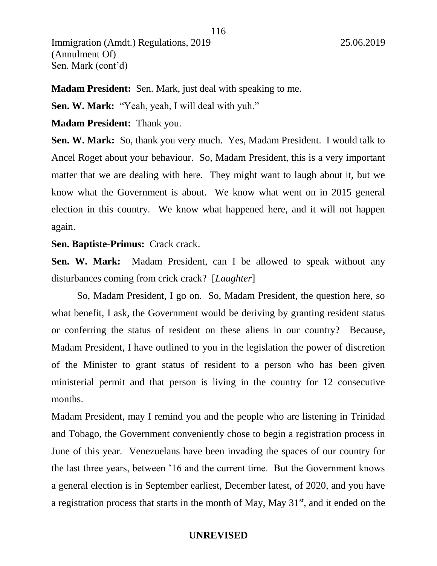**Madam President:** Sen. Mark, just deal with speaking to me.

**Sen. W. Mark:** "Yeah, yeah, I will deal with yuh."

**Madam President:** Thank you.

**Sen. W. Mark:** So, thank you very much. Yes, Madam President. I would talk to Ancel Roget about your behaviour. So, Madam President, this is a very important matter that we are dealing with here. They might want to laugh about it, but we know what the Government is about. We know what went on in 2015 general election in this country. We know what happened here, and it will not happen again.

**Sen. Baptiste-Primus:** Crack crack.

**Sen. W. Mark:** Madam President, can I be allowed to speak without any disturbances coming from crick crack? [*Laughter*]

So, Madam President, I go on. So, Madam President, the question here, so what benefit, I ask, the Government would be deriving by granting resident status or conferring the status of resident on these aliens in our country? Because, Madam President, I have outlined to you in the legislation the power of discretion of the Minister to grant status of resident to a person who has been given ministerial permit and that person is living in the country for 12 consecutive months.

Madam President, may I remind you and the people who are listening in Trinidad and Tobago, the Government conveniently chose to begin a registration process in June of this year. Venezuelans have been invading the spaces of our country for the last three years, between '16 and the current time. But the Government knows a general election is in September earliest, December latest, of 2020, and you have a registration process that starts in the month of May, May  $31<sup>st</sup>$ , and it ended on the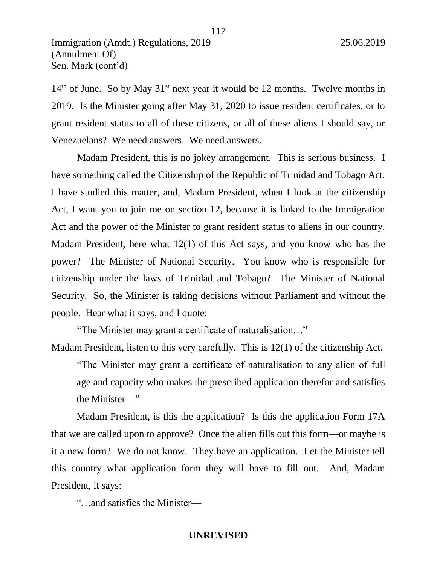$14<sup>th</sup>$  of June. So by May  $31<sup>st</sup>$  next year it would be 12 months. Twelve months in 2019. Is the Minister going after May 31, 2020 to issue resident certificates, or to grant resident status to all of these citizens, or all of these aliens I should say, or Venezuelans? We need answers. We need answers.

Madam President, this is no jokey arrangement. This is serious business. I have something called the Citizenship of the Republic of Trinidad and Tobago Act. I have studied this matter, and, Madam President, when I look at the citizenship Act, I want you to join me on section 12, because it is linked to the Immigration Act and the power of the Minister to grant resident status to aliens in our country. Madam President, here what 12(1) of this Act says, and you know who has the power? The Minister of National Security. You know who is responsible for citizenship under the laws of Trinidad and Tobago? The Minister of National Security. So, the Minister is taking decisions without Parliament and without the people. Hear what it says, and I quote:

"The Minister may grant a certificate of naturalisation…"

Madam President, listen to this very carefully. This is 12(1) of the citizenship Act.

"The Minister may grant a certificate of naturalisation to any alien of full age and capacity who makes the prescribed application therefor and satisfies the Minister—"

Madam President, is this the application? Is this the application Form 17A that we are called upon to approve? Once the alien fills out this form—or maybe is it a new form? We do not know. They have an application. Let the Minister tell this country what application form they will have to fill out. And, Madam President, it says:

"…and satisfies the Minister—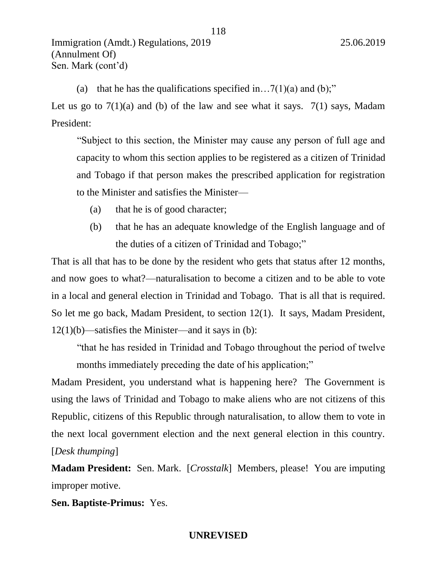(a) that he has the qualifications specified in...  $7(1)(a)$  and (b);"

Let us go to  $7(1)(a)$  and (b) of the law and see what it says.  $7(1)$  says, Madam President:

118

"Subject to this section, the Minister may cause any person of full age and capacity to whom this section applies to be registered as a citizen of Trinidad and Tobago if that person makes the prescribed application for registration to the Minister and satisfies the Minister—

- (a) that he is of good character;
- (b) that he has an adequate knowledge of the English language and of the duties of a citizen of Trinidad and Tobago;"

That is all that has to be done by the resident who gets that status after 12 months, and now goes to what?—naturalisation to become a citizen and to be able to vote in a local and general election in Trinidad and Tobago. That is all that is required. So let me go back, Madam President, to section 12(1). It says, Madam President,  $12(1)(b)$ —satisfies the Minister—and it says in (b):

"that he has resided in Trinidad and Tobago throughout the period of twelve months immediately preceding the date of his application;"

Madam President, you understand what is happening here? The Government is using the laws of Trinidad and Tobago to make aliens who are not citizens of this Republic, citizens of this Republic through naturalisation, to allow them to vote in the next local government election and the next general election in this country. [*Desk thumping*]

**Madam President:** Sen. Mark. [*Crosstalk*] Members, please! You are imputing improper motive.

**Sen. Baptiste-Primus:** Yes.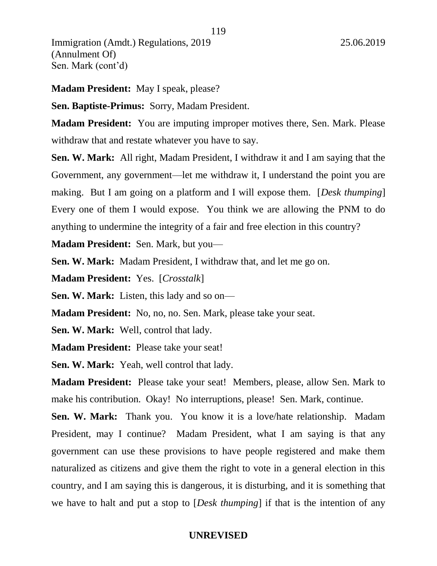**Madam President:** May I speak, please?

**Sen. Baptiste-Primus:** Sorry, Madam President.

**Madam President:** You are imputing improper motives there, Sen. Mark. Please withdraw that and restate whatever you have to say.

**Sen. W. Mark:** All right, Madam President, I withdraw it and I am saying that the Government, any government—let me withdraw it, I understand the point you are making. But I am going on a platform and I will expose them. [*Desk thumping*] Every one of them I would expose. You think we are allowing the PNM to do anything to undermine the integrity of a fair and free election in this country?

**Madam President:** Sen. Mark, but you—

**Sen. W. Mark:** Madam President, I withdraw that, and let me go on.

**Madam President:** Yes. [*Crosstalk*]

**Sen. W. Mark:** Listen, this lady and so on—

**Madam President:** No, no, no. Sen. Mark, please take your seat.

**Sen. W. Mark:** Well, control that lady.

**Madam President:** Please take your seat!

**Sen. W. Mark:** Yeah, well control that lady.

**Madam President:** Please take your seat! Members, please, allow Sen. Mark to make his contribution. Okay! No interruptions, please! Sen. Mark, continue.

**Sen. W. Mark:** Thank you. You know it is a love/hate relationship. Madam President, may I continue? Madam President, what I am saying is that any government can use these provisions to have people registered and make them naturalized as citizens and give them the right to vote in a general election in this country, and I am saying this is dangerous, it is disturbing, and it is something that we have to halt and put a stop to [*Desk thumping*] if that is the intention of any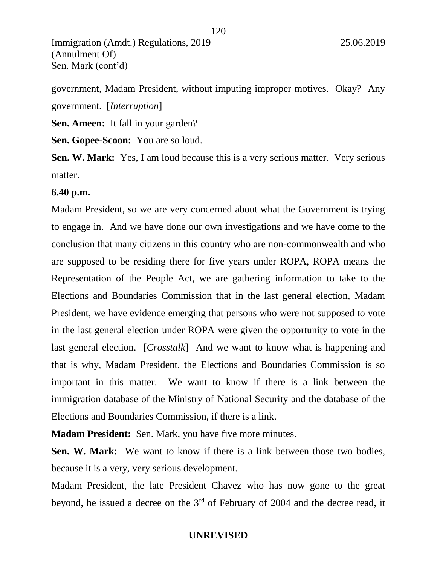government, Madam President, without imputing improper motives. Okay? Any government. [*Interruption*]

**Sen. Ameen:** It fall in your garden?

**Sen. Gopee-Scoon:** You are so loud.

**Sen. W. Mark:** Yes, I am loud because this is a very serious matter. Very serious matter.

### **6.40 p.m.**

Madam President, so we are very concerned about what the Government is trying to engage in. And we have done our own investigations and we have come to the conclusion that many citizens in this country who are non-commonwealth and who are supposed to be residing there for five years under ROPA, ROPA means the Representation of the People Act, we are gathering information to take to the Elections and Boundaries Commission that in the last general election, Madam President, we have evidence emerging that persons who were not supposed to vote in the last general election under ROPA were given the opportunity to vote in the last general election. [*Crosstalk*] And we want to know what is happening and that is why, Madam President, the Elections and Boundaries Commission is so important in this matter. We want to know if there is a link between the immigration database of the Ministry of National Security and the database of the Elections and Boundaries Commission, if there is a link.

**Madam President:** Sen. Mark, you have five more minutes.

**Sen. W. Mark:** We want to know if there is a link between those two bodies, because it is a very, very serious development.

Madam President, the late President Chavez who has now gone to the great beyond, he issued a decree on the 3rd of February of 2004 and the decree read, it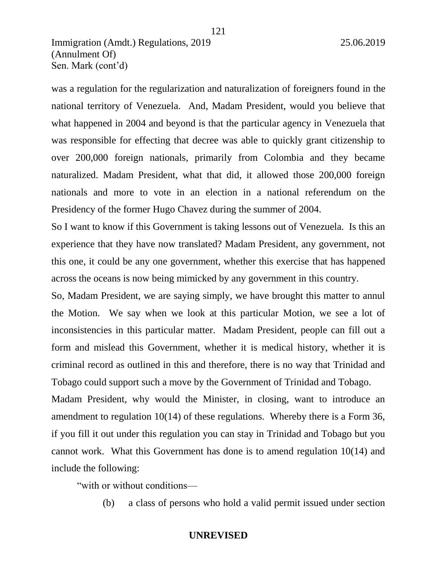was a regulation for the regularization and naturalization of foreigners found in the national territory of Venezuela. And, Madam President, would you believe that what happened in 2004 and beyond is that the particular agency in Venezuela that was responsible for effecting that decree was able to quickly grant citizenship to over 200,000 foreign nationals, primarily from Colombia and they became naturalized. Madam President, what that did, it allowed those 200,000 foreign nationals and more to vote in an election in a national referendum on the Presidency of the former Hugo Chavez during the summer of 2004.

121

So I want to know if this Government is taking lessons out of Venezuela. Is this an experience that they have now translated? Madam President, any government, not this one, it could be any one government, whether this exercise that has happened across the oceans is now being mimicked by any government in this country.

So, Madam President, we are saying simply, we have brought this matter to annul the Motion. We say when we look at this particular Motion, we see a lot of inconsistencies in this particular matter. Madam President, people can fill out a form and mislead this Government, whether it is medical history, whether it is criminal record as outlined in this and therefore, there is no way that Trinidad and Tobago could support such a move by the Government of Trinidad and Tobago.

Madam President, why would the Minister, in closing, want to introduce an amendment to regulation 10(14) of these regulations. Whereby there is a Form 36, if you fill it out under this regulation you can stay in Trinidad and Tobago but you cannot work. What this Government has done is to amend regulation 10(14) and include the following:

"with or without conditions—

(b) a class of persons who hold a valid permit issued under section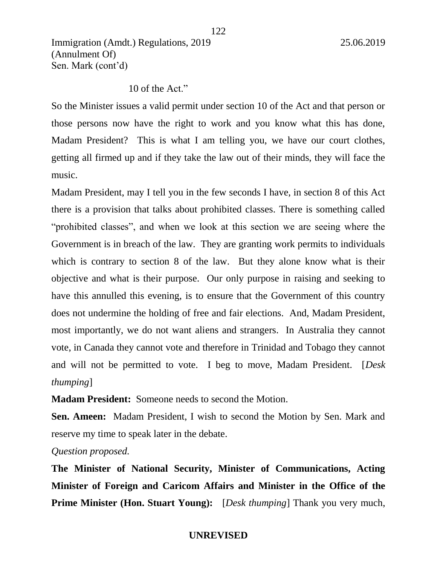# 10 of the Act."

So the Minister issues a valid permit under section 10 of the Act and that person or those persons now have the right to work and you know what this has done, Madam President? This is what I am telling you, we have our court clothes, getting all firmed up and if they take the law out of their minds, they will face the music.

Madam President, may I tell you in the few seconds I have, in section 8 of this Act there is a provision that talks about prohibited classes. There is something called "prohibited classes", and when we look at this section we are seeing where the Government is in breach of the law. They are granting work permits to individuals which is contrary to section 8 of the law. But they alone know what is their objective and what is their purpose. Our only purpose in raising and seeking to have this annulled this evening, is to ensure that the Government of this country does not undermine the holding of free and fair elections. And, Madam President, most importantly, we do not want aliens and strangers. In Australia they cannot vote, in Canada they cannot vote and therefore in Trinidad and Tobago they cannot and will not be permitted to vote. I beg to move, Madam President. [*Desk thumping*]

**Madam President:** Someone needs to second the Motion.

**Sen. Ameen:** Madam President, I wish to second the Motion by Sen. Mark and reserve my time to speak later in the debate.

### *Question proposed.*

**The Minister of National Security, Minister of Communications, Acting Minister of Foreign and Caricom Affairs and Minister in the Office of the Prime Minister (Hon. Stuart Young):** *[Desk thumping*] Thank you very much,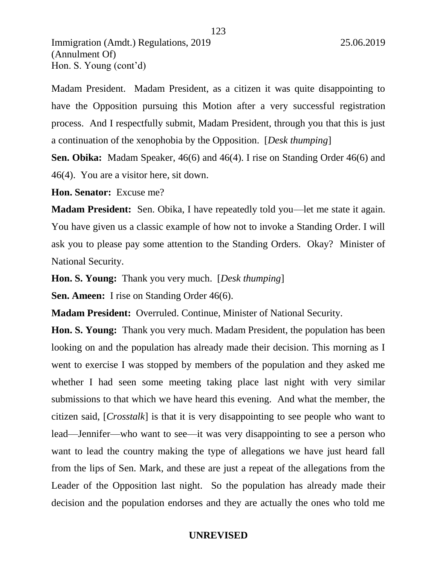Madam President. Madam President, as a citizen it was quite disappointing to have the Opposition pursuing this Motion after a very successful registration process. And I respectfully submit, Madam President, through you that this is just a continuation of the xenophobia by the Opposition. [*Desk thumping*]

123

**Sen. Obika:** Madam Speaker, 46(6) and 46(4). I rise on Standing Order 46(6) and 46(4). You are a visitor here, sit down.

**Hon. Senator:** Excuse me?

**Madam President:** Sen. Obika, I have repeatedly told you—let me state it again. You have given us a classic example of how not to invoke a Standing Order. I will ask you to please pay some attention to the Standing Orders. Okay? Minister of National Security.

**Hon. S. Young:** Thank you very much. [*Desk thumping*]

**Sen. Ameen:** I rise on Standing Order 46(6).

**Madam President:** Overruled. Continue, Minister of National Security.

**Hon. S. Young:** Thank you very much. Madam President, the population has been looking on and the population has already made their decision. This morning as I went to exercise I was stopped by members of the population and they asked me whether I had seen some meeting taking place last night with very similar submissions to that which we have heard this evening. And what the member, the citizen said, [*Crosstalk*] is that it is very disappointing to see people who want to lead—Jennifer—who want to see—it was very disappointing to see a person who want to lead the country making the type of allegations we have just heard fall from the lips of Sen. Mark, and these are just a repeat of the allegations from the Leader of the Opposition last night. So the population has already made their decision and the population endorses and they are actually the ones who told me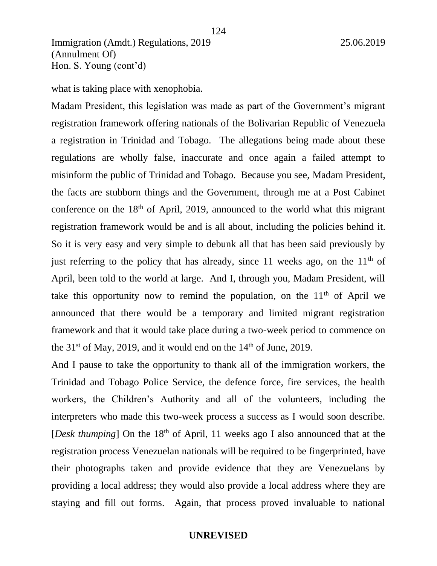what is taking place with xenophobia.

Madam President, this legislation was made as part of the Government's migrant registration framework offering nationals of the Bolivarian Republic of Venezuela a registration in Trinidad and Tobago. The allegations being made about these regulations are wholly false, inaccurate and once again a failed attempt to misinform the public of Trinidad and Tobago. Because you see, Madam President, the facts are stubborn things and the Government, through me at a Post Cabinet conference on the  $18<sup>th</sup>$  of April, 2019, announced to the world what this migrant registration framework would be and is all about, including the policies behind it. So it is very easy and very simple to debunk all that has been said previously by just referring to the policy that has already, since 11 weeks ago, on the  $11<sup>th</sup>$  of April, been told to the world at large. And I, through you, Madam President, will take this opportunity now to remind the population, on the  $11<sup>th</sup>$  of April we announced that there would be a temporary and limited migrant registration framework and that it would take place during a two-week period to commence on the  $31<sup>st</sup>$  of May, 2019, and it would end on the  $14<sup>th</sup>$  of June, 2019.

And I pause to take the opportunity to thank all of the immigration workers, the Trinidad and Tobago Police Service, the defence force, fire services, the health workers, the Children's Authority and all of the volunteers, including the interpreters who made this two-week process a success as I would soon describe. [*Desk thumping*] On the 18<sup>th</sup> of April, 11 weeks ago I also announced that at the registration process Venezuelan nationals will be required to be fingerprinted, have their photographs taken and provide evidence that they are Venezuelans by providing a local address; they would also provide a local address where they are staying and fill out forms. Again, that process proved invaluable to national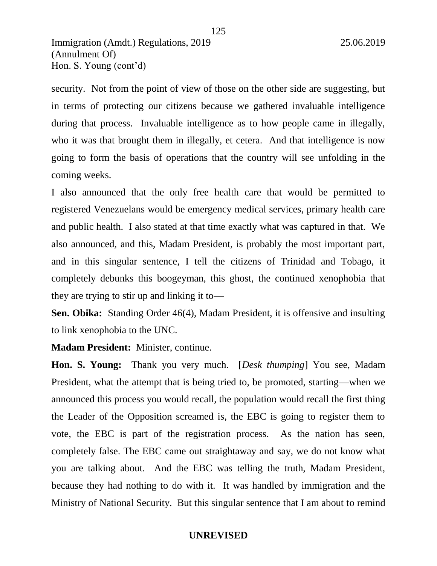security. Not from the point of view of those on the other side are suggesting, but in terms of protecting our citizens because we gathered invaluable intelligence during that process. Invaluable intelligence as to how people came in illegally, who it was that brought them in illegally, et cetera. And that intelligence is now going to form the basis of operations that the country will see unfolding in the coming weeks.

I also announced that the only free health care that would be permitted to registered Venezuelans would be emergency medical services, primary health care and public health. I also stated at that time exactly what was captured in that. We also announced, and this, Madam President, is probably the most important part, and in this singular sentence, I tell the citizens of Trinidad and Tobago, it completely debunks this boogeyman, this ghost, the continued xenophobia that they are trying to stir up and linking it to—

**Sen. Obika:** Standing Order 46(4), Madam President, it is offensive and insulting to link xenophobia to the UNC.

**Madam President:** Minister, continue.

**Hon. S. Young:** Thank you very much. [*Desk thumping*] You see, Madam President, what the attempt that is being tried to, be promoted, starting—when we announced this process you would recall, the population would recall the first thing the Leader of the Opposition screamed is, the EBC is going to register them to vote, the EBC is part of the registration process. As the nation has seen, completely false. The EBC came out straightaway and say, we do not know what you are talking about. And the EBC was telling the truth, Madam President, because they had nothing to do with it. It was handled by immigration and the Ministry of National Security. But this singular sentence that I am about to remind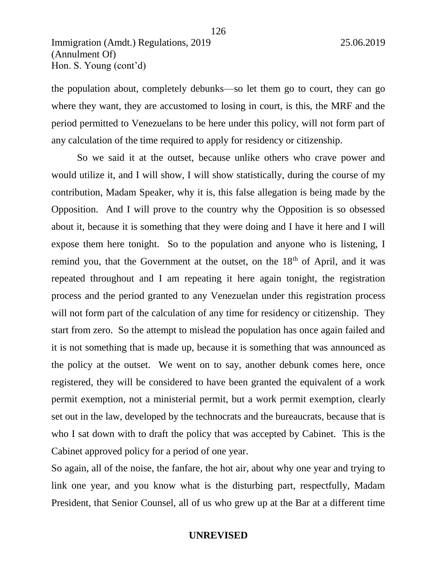the population about, completely debunks—so let them go to court, they can go where they want, they are accustomed to losing in court, is this, the MRF and the period permitted to Venezuelans to be here under this policy, will not form part of any calculation of the time required to apply for residency or citizenship.

So we said it at the outset, because unlike others who crave power and would utilize it, and I will show, I will show statistically, during the course of my contribution, Madam Speaker, why it is, this false allegation is being made by the Opposition. And I will prove to the country why the Opposition is so obsessed about it, because it is something that they were doing and I have it here and I will expose them here tonight. So to the population and anyone who is listening, I remind you, that the Government at the outset, on the  $18<sup>th</sup>$  of April, and it was repeated throughout and I am repeating it here again tonight, the registration process and the period granted to any Venezuelan under this registration process will not form part of the calculation of any time for residency or citizenship. They start from zero. So the attempt to mislead the population has once again failed and it is not something that is made up, because it is something that was announced as the policy at the outset. We went on to say, another debunk comes here, once registered, they will be considered to have been granted the equivalent of a work permit exemption, not a ministerial permit, but a work permit exemption, clearly set out in the law, developed by the technocrats and the bureaucrats, because that is who I sat down with to draft the policy that was accepted by Cabinet. This is the Cabinet approved policy for a period of one year.

So again, all of the noise, the fanfare, the hot air, about why one year and trying to link one year, and you know what is the disturbing part, respectfully, Madam President, that Senior Counsel, all of us who grew up at the Bar at a different time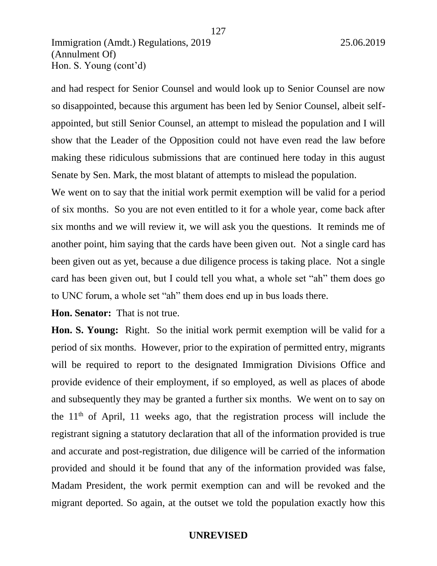and had respect for Senior Counsel and would look up to Senior Counsel are now so disappointed, because this argument has been led by Senior Counsel, albeit selfappointed, but still Senior Counsel, an attempt to mislead the population and I will show that the Leader of the Opposition could not have even read the law before making these ridiculous submissions that are continued here today in this august Senate by Sen. Mark, the most blatant of attempts to mislead the population.

We went on to say that the initial work permit exemption will be valid for a period of six months. So you are not even entitled to it for a whole year, come back after six months and we will review it, we will ask you the questions. It reminds me of another point, him saying that the cards have been given out. Not a single card has been given out as yet, because a due diligence process is taking place. Not a single card has been given out, but I could tell you what, a whole set "ah" them does go to UNC forum, a whole set "ah" them does end up in bus loads there.

**Hon. Senator:** That is not true.

**Hon. S. Young:** Right. So the initial work permit exemption will be valid for a period of six months. However, prior to the expiration of permitted entry, migrants will be required to report to the designated Immigration Divisions Office and provide evidence of their employment, if so employed, as well as places of abode and subsequently they may be granted a further six months. We went on to say on the  $11<sup>th</sup>$  of April, 11 weeks ago, that the registration process will include the registrant signing a statutory declaration that all of the information provided is true and accurate and post-registration, due diligence will be carried of the information provided and should it be found that any of the information provided was false, Madam President, the work permit exemption can and will be revoked and the migrant deported. So again, at the outset we told the population exactly how this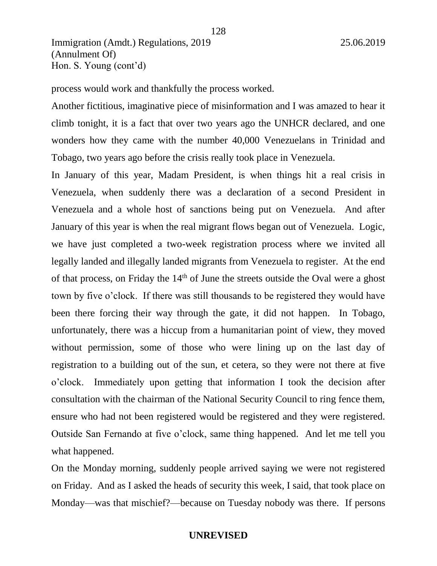process would work and thankfully the process worked.

Another fictitious, imaginative piece of misinformation and I was amazed to hear it climb tonight, it is a fact that over two years ago the UNHCR declared, and one wonders how they came with the number 40,000 Venezuelans in Trinidad and Tobago, two years ago before the crisis really took place in Venezuela.

128

In January of this year, Madam President, is when things hit a real crisis in Venezuela, when suddenly there was a declaration of a second President in Venezuela and a whole host of sanctions being put on Venezuela. And after January of this year is when the real migrant flows began out of Venezuela. Logic, we have just completed a two-week registration process where we invited all legally landed and illegally landed migrants from Venezuela to register. At the end of that process, on Friday the 14<sup>th</sup> of June the streets outside the Oval were a ghost town by five o'clock. If there was still thousands to be registered they would have been there forcing their way through the gate, it did not happen. In Tobago, unfortunately, there was a hiccup from a humanitarian point of view, they moved without permission, some of those who were lining up on the last day of registration to a building out of the sun, et cetera, so they were not there at five o'clock. Immediately upon getting that information I took the decision after consultation with the chairman of the National Security Council to ring fence them, ensure who had not been registered would be registered and they were registered. Outside San Fernando at five o'clock, same thing happened. And let me tell you what happened.

On the Monday morning, suddenly people arrived saying we were not registered on Friday. And as I asked the heads of security this week, I said, that took place on Monday—was that mischief?—because on Tuesday nobody was there. If persons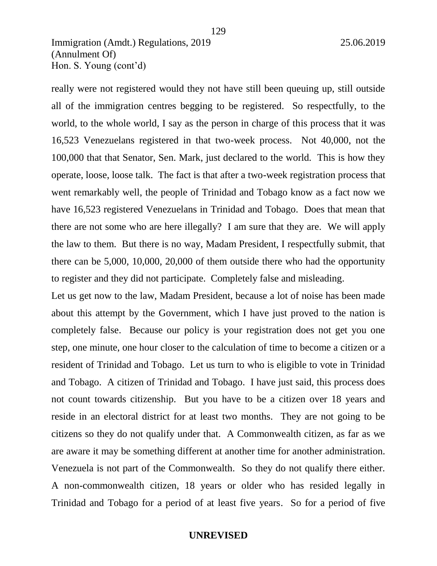really were not registered would they not have still been queuing up, still outside all of the immigration centres begging to be registered. So respectfully, to the world, to the whole world, I say as the person in charge of this process that it was 16,523 Venezuelans registered in that two-week process. Not 40,000, not the 100,000 that that Senator, Sen. Mark, just declared to the world. This is how they operate, loose, loose talk. The fact is that after a two-week registration process that went remarkably well, the people of Trinidad and Tobago know as a fact now we have 16,523 registered Venezuelans in Trinidad and Tobago. Does that mean that there are not some who are here illegally? I am sure that they are. We will apply the law to them. But there is no way, Madam President, I respectfully submit, that there can be 5,000, 10,000, 20,000 of them outside there who had the opportunity to register and they did not participate. Completely false and misleading.

Let us get now to the law, Madam President, because a lot of noise has been made about this attempt by the Government, which I have just proved to the nation is completely false. Because our policy is your registration does not get you one step, one minute, one hour closer to the calculation of time to become a citizen or a resident of Trinidad and Tobago. Let us turn to who is eligible to vote in Trinidad and Tobago. A citizen of Trinidad and Tobago. I have just said, this process does not count towards citizenship. But you have to be a citizen over 18 years and reside in an electoral district for at least two months. They are not going to be citizens so they do not qualify under that. A Commonwealth citizen, as far as we are aware it may be something different at another time for another administration. Venezuela is not part of the Commonwealth. So they do not qualify there either. A non-commonwealth citizen, 18 years or older who has resided legally in Trinidad and Tobago for a period of at least five years. So for a period of five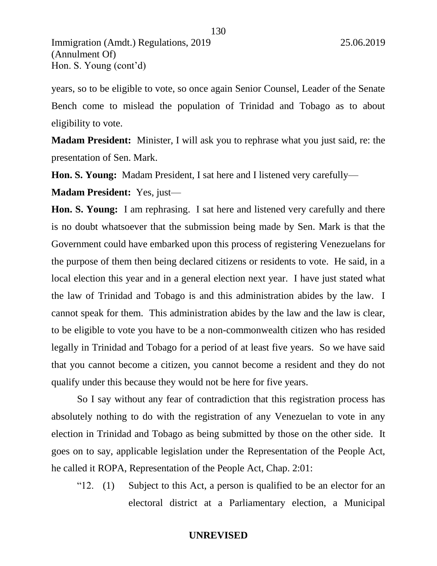years, so to be eligible to vote, so once again Senior Counsel, Leader of the Senate Bench come to mislead the population of Trinidad and Tobago as to about eligibility to vote.

130

**Madam President:** Minister, I will ask you to rephrase what you just said, re: the presentation of Sen. Mark.

**Hon. S. Young:** Madam President, I sat here and I listened very carefully—

**Madam President:** Yes, just—

**Hon. S. Young:** I am rephrasing. I sat here and listened very carefully and there is no doubt whatsoever that the submission being made by Sen. Mark is that the Government could have embarked upon this process of registering Venezuelans for the purpose of them then being declared citizens or residents to vote. He said, in a local election this year and in a general election next year. I have just stated what the law of Trinidad and Tobago is and this administration abides by the law. I cannot speak for them. This administration abides by the law and the law is clear, to be eligible to vote you have to be a non-commonwealth citizen who has resided legally in Trinidad and Tobago for a period of at least five years. So we have said that you cannot become a citizen, you cannot become a resident and they do not qualify under this because they would not be here for five years.

So I say without any fear of contradiction that this registration process has absolutely nothing to do with the registration of any Venezuelan to vote in any election in Trinidad and Tobago as being submitted by those on the other side. It goes on to say, applicable legislation under the Representation of the People Act, he called it ROPA, Representation of the People Act, Chap. 2:01:

" $12.$  (1) Subject to this Act, a person is qualified to be an elector for an electoral district at a Parliamentary election, a Municipal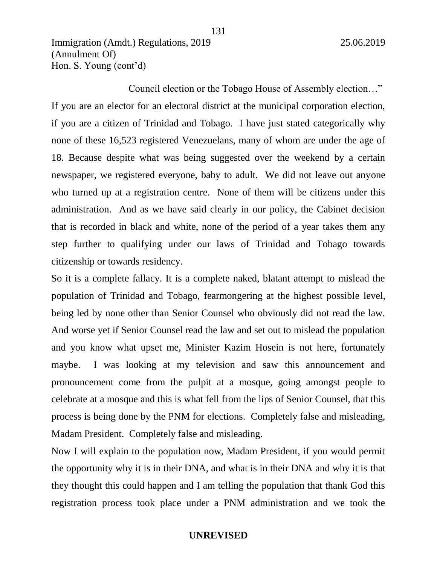Council election or the Tobago House of Assembly election…" If you are an elector for an electoral district at the municipal corporation election, if you are a citizen of Trinidad and Tobago. I have just stated categorically why none of these 16,523 registered Venezuelans, many of whom are under the age of 18. Because despite what was being suggested over the weekend by a certain newspaper, we registered everyone, baby to adult. We did not leave out anyone who turned up at a registration centre. None of them will be citizens under this administration. And as we have said clearly in our policy, the Cabinet decision that is recorded in black and white, none of the period of a year takes them any step further to qualifying under our laws of Trinidad and Tobago towards citizenship or towards residency.

So it is a complete fallacy. It is a complete naked, blatant attempt to mislead the population of Trinidad and Tobago, fearmongering at the highest possible level, being led by none other than Senior Counsel who obviously did not read the law. And worse yet if Senior Counsel read the law and set out to mislead the population and you know what upset me, Minister Kazim Hosein is not here, fortunately maybe. I was looking at my television and saw this announcement and pronouncement come from the pulpit at a mosque, going amongst people to celebrate at a mosque and this is what fell from the lips of Senior Counsel, that this process is being done by the PNM for elections. Completely false and misleading, Madam President. Completely false and misleading.

Now I will explain to the population now, Madam President, if you would permit the opportunity why it is in their DNA, and what is in their DNA and why it is that they thought this could happen and I am telling the population that thank God this registration process took place under a PNM administration and we took the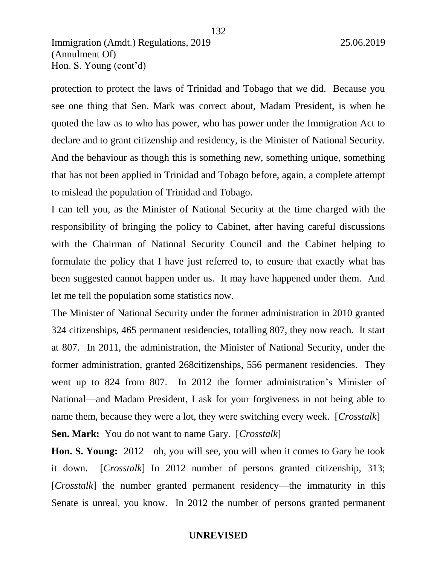protection to protect the laws of Trinidad and Tobago that we did. Because you see one thing that Sen. Mark was correct about, Madam President, is when he quoted the law as to who has power, who has power under the Immigration Act to declare and to grant citizenship and residency, is the Minister of National Security. And the behaviour as though this is something new, something unique, something that has not been applied in Trinidad and Tobago before, again, a complete attempt to mislead the population of Trinidad and Tobago.

I can tell you, as the Minister of National Security at the time charged with the responsibility of bringing the policy to Cabinet, after having careful discussions with the Chairman of National Security Council and the Cabinet helping to formulate the policy that I have just referred to, to ensure that exactly what has been suggested cannot happen under us. It may have happened under them. And let me tell the population some statistics now.

The Minister of National Security under the former administration in 2010 granted 324 citizenships, 465 permanent residencies, totalling 807, they now reach. It start at 807. In 2011, the administration, the Minister of National Security, under the former administration, granted 268citizenships, 556 permanent residencies. They went up to 824 from 807. In 2012 the former administration's Minister of National—and Madam President, I ask for your forgiveness in not being able to name them, because they were a lot, they were switching every week. [*Crosstalk*] **Sen. Mark:** You do not want to name Gary. [*Crosstalk*]

**Hon. S. Young:** 2012—oh, you will see, you will when it comes to Gary he took it down. [*Crosstalk*] In 2012 number of persons granted citizenship, 313; [*Crosstalk*] the number granted permanent residency—the immaturity in this Senate is unreal, you know. In 2012 the number of persons granted permanent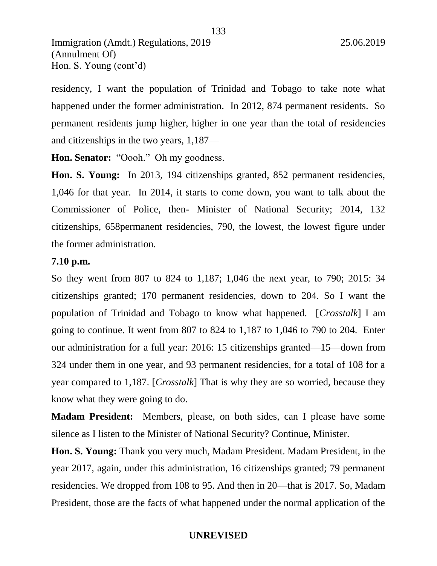133

residency, I want the population of Trinidad and Tobago to take note what happened under the former administration. In 2012, 874 permanent residents. So permanent residents jump higher, higher in one year than the total of residencies and citizenships in the two years, 1,187—

Hon. Senator: "Oooh." Oh my goodness.

**Hon. S. Young:** In 2013, 194 citizenships granted, 852 permanent residencies, 1,046 for that year. In 2014, it starts to come down, you want to talk about the Commissioner of Police, then- Minister of National Security; 2014, 132 citizenships, 658permanent residencies, 790, the lowest, the lowest figure under the former administration.

# **7.10 p.m.**

So they went from 807 to 824 to 1,187; 1,046 the next year, to 790; 2015: 34 citizenships granted; 170 permanent residencies, down to 204. So I want the population of Trinidad and Tobago to know what happened. [*Crosstalk*] I am going to continue. It went from 807 to 824 to 1,187 to 1,046 to 790 to 204. Enter our administration for a full year: 2016: 15 citizenships granted—15—down from 324 under them in one year, and 93 permanent residencies, for a total of 108 for a year compared to 1,187. [*Crosstalk*] That is why they are so worried, because they know what they were going to do.

**Madam President:** Members, please, on both sides, can I please have some silence as I listen to the Minister of National Security? Continue, Minister.

**Hon. S. Young:** Thank you very much, Madam President. Madam President, in the year 2017, again, under this administration, 16 citizenships granted; 79 permanent residencies. We dropped from 108 to 95. And then in 20—that is 2017. So, Madam President, those are the facts of what happened under the normal application of the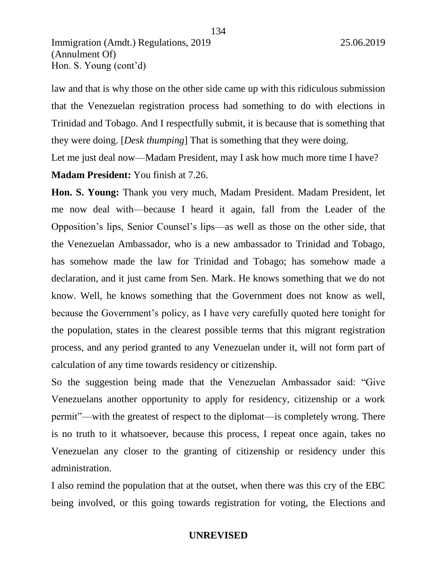law and that is why those on the other side came up with this ridiculous submission that the Venezuelan registration process had something to do with elections in Trinidad and Tobago. And I respectfully submit, it is because that is something that they were doing. [*Desk thumping*] That is something that they were doing.

Let me just deal now—Madam President, may I ask how much more time I have?

# **Madam President:** You finish at 7.26.

**Hon. S. Young:** Thank you very much, Madam President. Madam President, let me now deal with—because I heard it again, fall from the Leader of the Opposition's lips, Senior Counsel's lips—as well as those on the other side, that the Venezuelan Ambassador, who is a new ambassador to Trinidad and Tobago, has somehow made the law for Trinidad and Tobago; has somehow made a declaration, and it just came from Sen. Mark. He knows something that we do not know. Well, he knows something that the Government does not know as well, because the Government's policy, as I have very carefully quoted here tonight for the population, states in the clearest possible terms that this migrant registration process, and any period granted to any Venezuelan under it, will not form part of calculation of any time towards residency or citizenship.

So the suggestion being made that the Venezuelan Ambassador said: "Give Venezuelans another opportunity to apply for residency, citizenship or a work permit"—with the greatest of respect to the diplomat—is completely wrong. There is no truth to it whatsoever, because this process, I repeat once again, takes no Venezuelan any closer to the granting of citizenship or residency under this administration.

I also remind the population that at the outset, when there was this cry of the EBC being involved, or this going towards registration for voting, the Elections and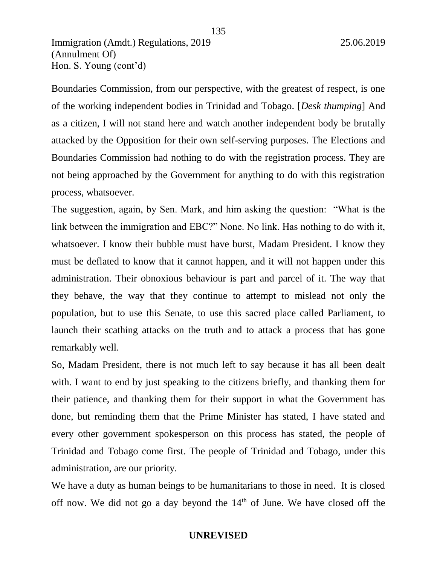Boundaries Commission, from our perspective, with the greatest of respect, is one of the working independent bodies in Trinidad and Tobago. [*Desk thumping*] And as a citizen, I will not stand here and watch another independent body be brutally attacked by the Opposition for their own self-serving purposes. The Elections and Boundaries Commission had nothing to do with the registration process. They are not being approached by the Government for anything to do with this registration process, whatsoever.

The suggestion, again, by Sen. Mark, and him asking the question: "What is the link between the immigration and EBC?" None. No link. Has nothing to do with it, whatsoever. I know their bubble must have burst, Madam President. I know they must be deflated to know that it cannot happen, and it will not happen under this administration. Their obnoxious behaviour is part and parcel of it. The way that they behave, the way that they continue to attempt to mislead not only the population, but to use this Senate, to use this sacred place called Parliament, to launch their scathing attacks on the truth and to attack a process that has gone remarkably well.

So, Madam President, there is not much left to say because it has all been dealt with. I want to end by just speaking to the citizens briefly, and thanking them for their patience, and thanking them for their support in what the Government has done, but reminding them that the Prime Minister has stated, I have stated and every other government spokesperson on this process has stated, the people of Trinidad and Tobago come first. The people of Trinidad and Tobago, under this administration, are our priority.

We have a duty as human beings to be humanitarians to those in need. It is closed off now. We did not go a day beyond the  $14<sup>th</sup>$  of June. We have closed off the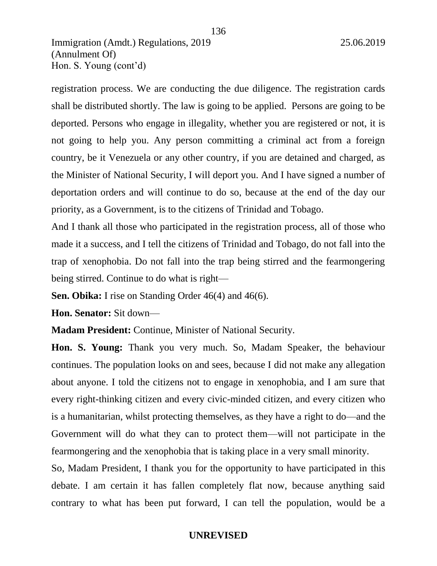registration process. We are conducting the due diligence. The registration cards shall be distributed shortly. The law is going to be applied. Persons are going to be deported. Persons who engage in illegality, whether you are registered or not, it is not going to help you. Any person committing a criminal act from a foreign country, be it Venezuela or any other country, if you are detained and charged, as the Minister of National Security, I will deport you. And I have signed a number of deportation orders and will continue to do so, because at the end of the day our priority, as a Government, is to the citizens of Trinidad and Tobago.

And I thank all those who participated in the registration process, all of those who made it a success, and I tell the citizens of Trinidad and Tobago, do not fall into the trap of xenophobia. Do not fall into the trap being stirred and the fearmongering being stirred. Continue to do what is right—

**Sen. Obika:** I rise on Standing Order 46(4) and 46(6).

**Hon. Senator:** Sit down—

**Madam President:** Continue, Minister of National Security.

**Hon. S. Young:** Thank you very much. So, Madam Speaker, the behaviour continues. The population looks on and sees, because I did not make any allegation about anyone. I told the citizens not to engage in xenophobia, and I am sure that every right-thinking citizen and every civic-minded citizen, and every citizen who is a humanitarian, whilst protecting themselves, as they have a right to do—and the Government will do what they can to protect them—will not participate in the fearmongering and the xenophobia that is taking place in a very small minority.

So, Madam President, I thank you for the opportunity to have participated in this debate. I am certain it has fallen completely flat now, because anything said contrary to what has been put forward, I can tell the population, would be a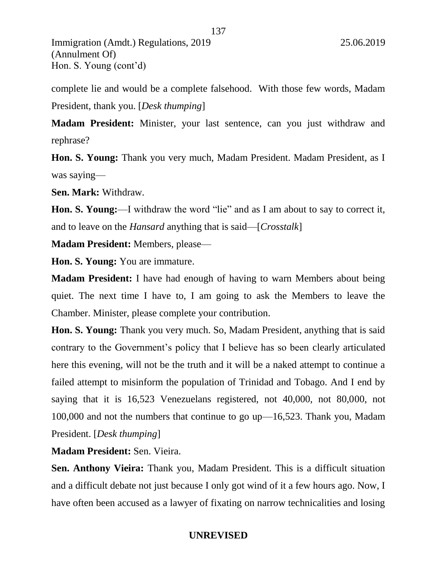complete lie and would be a complete falsehood. With those few words, Madam President, thank you. [*Desk thumping*]

137

**Madam President:** Minister, your last sentence, can you just withdraw and rephrase?

**Hon. S. Young:** Thank you very much, Madam President. Madam President, as I was saying—

**Sen. Mark:** Withdraw.

**Hon. S. Young:**—I withdraw the word "lie" and as I am about to say to correct it, and to leave on the *Hansard* anything that is said—[*Crosstalk*]

**Madam President:** Members, please—

**Hon. S. Young:** You are immature.

**Madam President:** I have had enough of having to warn Members about being quiet. The next time I have to, I am going to ask the Members to leave the Chamber. Minister, please complete your contribution.

**Hon. S. Young:** Thank you very much. So, Madam President, anything that is said contrary to the Government's policy that I believe has so been clearly articulated here this evening, will not be the truth and it will be a naked attempt to continue a failed attempt to misinform the population of Trinidad and Tobago. And I end by saying that it is 16,523 Venezuelans registered, not 40,000, not 80,000, not 100,000 and not the numbers that continue to go up—16,523. Thank you, Madam President. [*Desk thumping*]

**Madam President:** Sen. Vieira.

**Sen. Anthony Vieira:** Thank you, Madam President. This is a difficult situation and a difficult debate not just because I only got wind of it a few hours ago. Now, I have often been accused as a lawyer of fixating on narrow technicalities and losing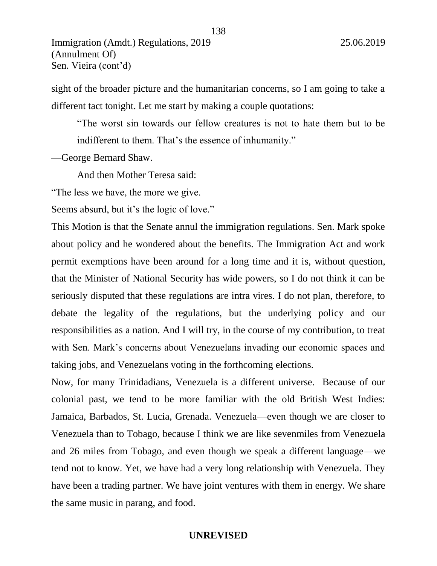sight of the broader picture and the humanitarian concerns, so I am going to take a different tact tonight. Let me start by making a couple quotations:

138

"The worst sin towards our fellow creatures is not to hate them but to be indifferent to them. That's the essence of inhumanity."

—George Bernard Shaw.

And then Mother Teresa said:

"The less we have, the more we give.

Seems absurd, but it's the logic of love."

This Motion is that the Senate annul the immigration regulations. Sen. Mark spoke about policy and he wondered about the benefits. The Immigration Act and work permit exemptions have been around for a long time and it is, without question, that the Minister of National Security has wide powers, so I do not think it can be seriously disputed that these regulations are intra vires. I do not plan, therefore, to debate the legality of the regulations, but the underlying policy and our responsibilities as a nation. And I will try, in the course of my contribution, to treat with Sen. Mark's concerns about Venezuelans invading our economic spaces and taking jobs, and Venezuelans voting in the forthcoming elections.

Now, for many Trinidadians, Venezuela is a different universe. Because of our colonial past, we tend to be more familiar with the old British West Indies: Jamaica, Barbados, St. Lucia, Grenada. Venezuela—even though we are closer to Venezuela than to Tobago, because I think we are like sevenmiles from Venezuela and 26 miles from Tobago, and even though we speak a different language—we tend not to know. Yet, we have had a very long relationship with Venezuela. They have been a trading partner. We have joint ventures with them in energy. We share the same music in parang, and food.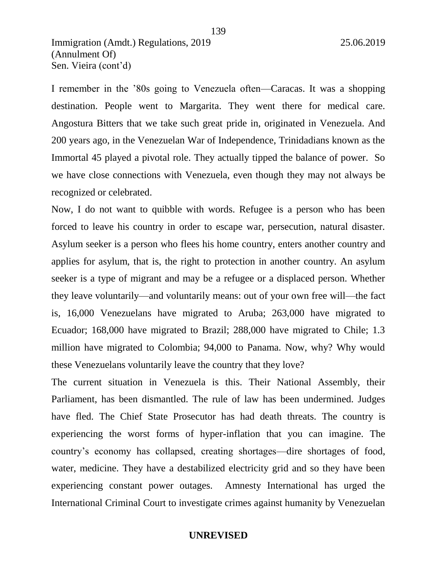I remember in the '80s going to Venezuela often—Caracas. It was a shopping destination. People went to Margarita. They went there for medical care. Angostura Bitters that we take such great pride in, originated in Venezuela. And 200 years ago, in the Venezuelan War of Independence, Trinidadians known as the Immortal 45 played a pivotal role. They actually tipped the balance of power. So we have close connections with Venezuela, even though they may not always be recognized or celebrated.

Now, I do not want to quibble with words. Refugee is a person who has been forced to leave his country in order to escape war, persecution, natural disaster. Asylum seeker is a person who flees his home country, enters another country and applies for asylum, that is, the right to protection in another country. An asylum seeker is a type of migrant and may be a refugee or a displaced person. Whether they leave voluntarily—and voluntarily means: out of your own free will—the fact is, 16,000 Venezuelans have migrated to Aruba; 263,000 have migrated to Ecuador; 168,000 have migrated to Brazil; 288,000 have migrated to Chile; 1.3 million have migrated to Colombia; 94,000 to Panama. Now, why? Why would these Venezuelans voluntarily leave the country that they love?

The current situation in Venezuela is this. Their National Assembly, their Parliament, has been dismantled. The rule of law has been undermined. Judges have fled. The Chief State Prosecutor has had death threats. The country is experiencing the worst forms of hyper-inflation that you can imagine. The country's economy has collapsed, creating shortages—dire shortages of food, water, medicine. They have a destabilized electricity grid and so they have been experiencing constant power outages. Amnesty International has urged the International Criminal Court to investigate crimes against humanity by Venezuelan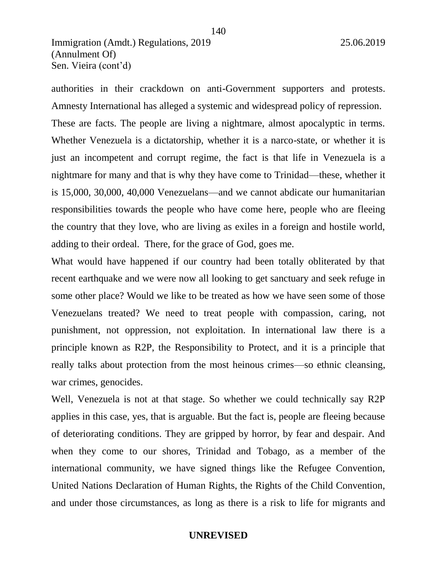authorities in their crackdown on anti-Government supporters and protests. Amnesty International has alleged a systemic and widespread policy of repression. These are facts. The people are living a nightmare, almost apocalyptic in terms. Whether Venezuela is a dictatorship, whether it is a narco-state, or whether it is just an incompetent and corrupt regime, the fact is that life in Venezuela is a nightmare for many and that is why they have come to Trinidad—these, whether it is 15,000, 30,000, 40,000 Venezuelans—and we cannot abdicate our humanitarian responsibilities towards the people who have come here, people who are fleeing the country that they love, who are living as exiles in a foreign and hostile world, adding to their ordeal. There, for the grace of God, goes me.

140

What would have happened if our country had been totally obliterated by that recent earthquake and we were now all looking to get sanctuary and seek refuge in some other place? Would we like to be treated as how we have seen some of those Venezuelans treated? We need to treat people with compassion, caring, not punishment, not oppression, not exploitation. In international law there is a principle known as R2P, the Responsibility to Protect, and it is a principle that really talks about protection from the most heinous crimes—so ethnic cleansing, war crimes, genocides.

Well, Venezuela is not at that stage. So whether we could technically say R2P applies in this case, yes, that is arguable. But the fact is, people are fleeing because of deteriorating conditions. They are gripped by horror, by fear and despair. And when they come to our shores, Trinidad and Tobago, as a member of the international community, we have signed things like the Refugee Convention, United Nations Declaration of Human Rights, the Rights of the Child Convention, and under those circumstances, as long as there is a risk to life for migrants and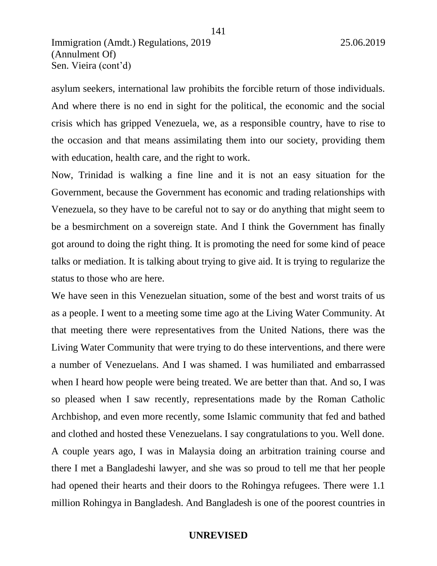asylum seekers, international law prohibits the forcible return of those individuals. And where there is no end in sight for the political, the economic and the social crisis which has gripped Venezuela, we, as a responsible country, have to rise to the occasion and that means assimilating them into our society, providing them with education, health care, and the right to work.

141

Now, Trinidad is walking a fine line and it is not an easy situation for the Government, because the Government has economic and trading relationships with Venezuela, so they have to be careful not to say or do anything that might seem to be a besmirchment on a sovereign state. And I think the Government has finally got around to doing the right thing. It is promoting the need for some kind of peace talks or mediation. It is talking about trying to give aid. It is trying to regularize the status to those who are here.

We have seen in this Venezuelan situation, some of the best and worst traits of us as a people. I went to a meeting some time ago at the Living Water Community. At that meeting there were representatives from the United Nations, there was the Living Water Community that were trying to do these interventions, and there were a number of Venezuelans. And I was shamed. I was humiliated and embarrassed when I heard how people were being treated. We are better than that. And so, I was so pleased when I saw recently, representations made by the Roman Catholic Archbishop, and even more recently, some Islamic community that fed and bathed and clothed and hosted these Venezuelans. I say congratulations to you. Well done. A couple years ago, I was in Malaysia doing an arbitration training course and there I met a Bangladeshi lawyer, and she was so proud to tell me that her people had opened their hearts and their doors to the Rohingya refugees. There were 1.1 million Rohingya in Bangladesh. And Bangladesh is one of the poorest countries in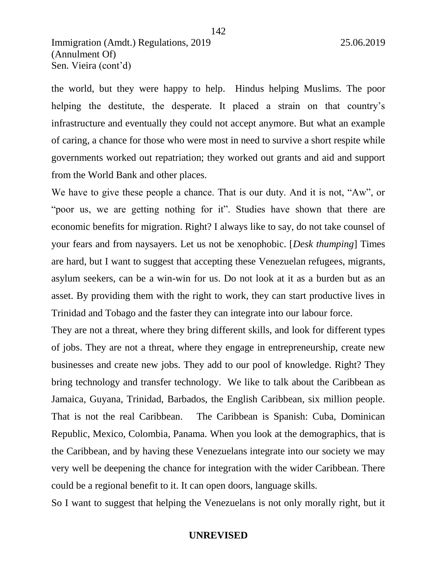the world, but they were happy to help. Hindus helping Muslims. The poor helping the destitute, the desperate. It placed a strain on that country's infrastructure and eventually they could not accept anymore. But what an example of caring, a chance for those who were most in need to survive a short respite while governments worked out repatriation; they worked out grants and aid and support from the World Bank and other places.

We have to give these people a chance. That is our duty. And it is not, "Aw", or "poor us, we are getting nothing for it". Studies have shown that there are economic benefits for migration. Right? I always like to say, do not take counsel of your fears and from naysayers. Let us not be xenophobic. [*Desk thumping*] Times are hard, but I want to suggest that accepting these Venezuelan refugees, migrants, asylum seekers, can be a win-win for us. Do not look at it as a burden but as an asset. By providing them with the right to work, they can start productive lives in Trinidad and Tobago and the faster they can integrate into our labour force.

They are not a threat, where they bring different skills, and look for different types of jobs. They are not a threat, where they engage in entrepreneurship, create new businesses and create new jobs. They add to our pool of knowledge. Right? They bring technology and transfer technology. We like to talk about the Caribbean as Jamaica, Guyana, Trinidad, Barbados, the English Caribbean, six million people. That is not the real Caribbean. The Caribbean is Spanish: Cuba, Dominican Republic, Mexico, Colombia, Panama. When you look at the demographics, that is the Caribbean, and by having these Venezuelans integrate into our society we may very well be deepening the chance for integration with the wider Caribbean. There could be a regional benefit to it. It can open doors, language skills.

So I want to suggest that helping the Venezuelans is not only morally right, but it

142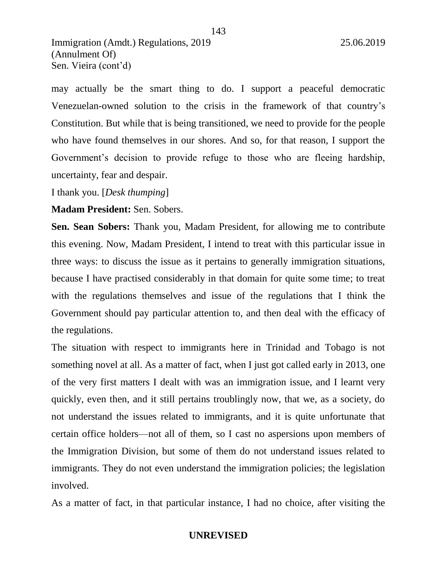may actually be the smart thing to do. I support a peaceful democratic Venezuelan-owned solution to the crisis in the framework of that country's Constitution. But while that is being transitioned, we need to provide for the people who have found themselves in our shores. And so, for that reason, I support the Government's decision to provide refuge to those who are fleeing hardship, uncertainty, fear and despair.

I thank you. [*Desk thumping*]

**Madam President:** Sen. Sobers.

**Sen. Sean Sobers:** Thank you, Madam President, for allowing me to contribute this evening. Now, Madam President, I intend to treat with this particular issue in three ways: to discuss the issue as it pertains to generally immigration situations, because I have practised considerably in that domain for quite some time; to treat with the regulations themselves and issue of the regulations that I think the Government should pay particular attention to, and then deal with the efficacy of the regulations.

The situation with respect to immigrants here in Trinidad and Tobago is not something novel at all. As a matter of fact, when I just got called early in 2013, one of the very first matters I dealt with was an immigration issue, and I learnt very quickly, even then, and it still pertains troublingly now, that we, as a society, do not understand the issues related to immigrants, and it is quite unfortunate that certain office holders—not all of them, so I cast no aspersions upon members of the Immigration Division, but some of them do not understand issues related to immigrants. They do not even understand the immigration policies; the legislation involved.

As a matter of fact, in that particular instance, I had no choice, after visiting the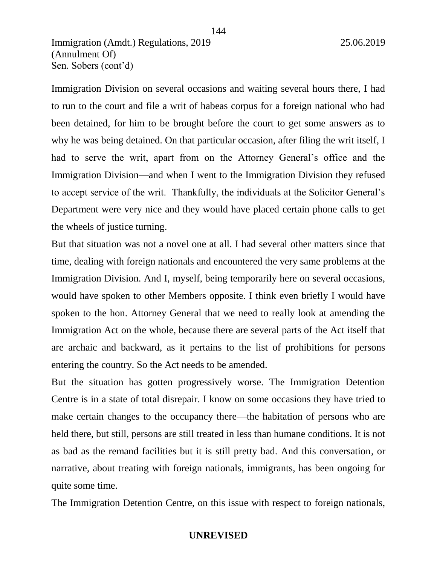Immigration Division on several occasions and waiting several hours there, I had to run to the court and file a writ of habeas corpus for a foreign national who had been detained, for him to be brought before the court to get some answers as to why he was being detained. On that particular occasion, after filing the writ itself, I had to serve the writ, apart from on the Attorney General's office and the Immigration Division—and when I went to the Immigration Division they refused to accept service of the writ. Thankfully, the individuals at the Solicitor General's Department were very nice and they would have placed certain phone calls to get the wheels of justice turning.

144

But that situation was not a novel one at all. I had several other matters since that time, dealing with foreign nationals and encountered the very same problems at the Immigration Division. And I, myself, being temporarily here on several occasions, would have spoken to other Members opposite. I think even briefly I would have spoken to the hon. Attorney General that we need to really look at amending the Immigration Act on the whole, because there are several parts of the Act itself that are archaic and backward, as it pertains to the list of prohibitions for persons entering the country. So the Act needs to be amended.

But the situation has gotten progressively worse. The Immigration Detention Centre is in a state of total disrepair. I know on some occasions they have tried to make certain changes to the occupancy there—the habitation of persons who are held there, but still, persons are still treated in less than humane conditions. It is not as bad as the remand facilities but it is still pretty bad. And this conversation, or narrative, about treating with foreign nationals, immigrants, has been ongoing for quite some time.

The Immigration Detention Centre, on this issue with respect to foreign nationals,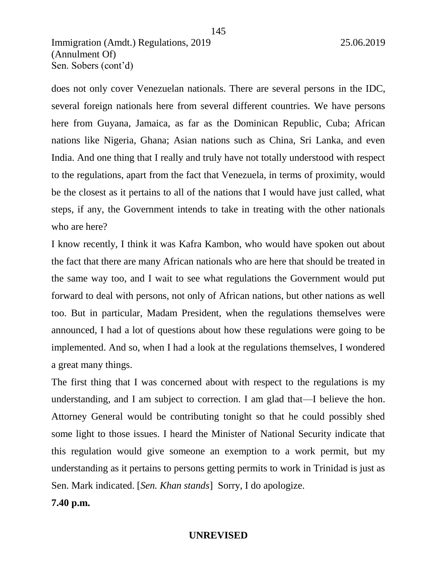does not only cover Venezuelan nationals. There are several persons in the IDC, several foreign nationals here from several different countries. We have persons here from Guyana, Jamaica, as far as the Dominican Republic, Cuba; African nations like Nigeria, Ghana; Asian nations such as China, Sri Lanka, and even India. And one thing that I really and truly have not totally understood with respect to the regulations, apart from the fact that Venezuela, in terms of proximity, would be the closest as it pertains to all of the nations that I would have just called, what steps, if any, the Government intends to take in treating with the other nationals who are here?

I know recently, I think it was Kafra Kambon, who would have spoken out about the fact that there are many African nationals who are here that should be treated in the same way too, and I wait to see what regulations the Government would put forward to deal with persons, not only of African nations, but other nations as well too. But in particular, Madam President, when the regulations themselves were announced, I had a lot of questions about how these regulations were going to be implemented. And so, when I had a look at the regulations themselves, I wondered a great many things.

The first thing that I was concerned about with respect to the regulations is my understanding, and I am subject to correction. I am glad that—I believe the hon. Attorney General would be contributing tonight so that he could possibly shed some light to those issues. I heard the Minister of National Security indicate that this regulation would give someone an exemption to a work permit, but my understanding as it pertains to persons getting permits to work in Trinidad is just as Sen. Mark indicated. [*Sen. Khan stands*] Sorry, I do apologize.

**7.40 p.m.**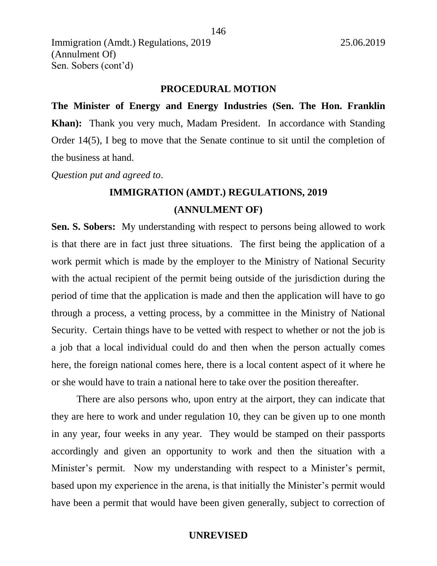#### **PROCEDURAL MOTION**

**The Minister of Energy and Energy Industries (Sen. The Hon. Franklin Khan):** Thank you very much, Madam President. In accordance with Standing Order 14(5), I beg to move that the Senate continue to sit until the completion of the business at hand.

*Question put and agreed to*.

# **IMMIGRATION (AMDT.) REGULATIONS, 2019 (ANNULMENT OF)**

**Sen. S. Sobers:** My understanding with respect to persons being allowed to work is that there are in fact just three situations. The first being the application of a work permit which is made by the employer to the Ministry of National Security with the actual recipient of the permit being outside of the jurisdiction during the period of time that the application is made and then the application will have to go through a process, a vetting process, by a committee in the Ministry of National Security. Certain things have to be vetted with respect to whether or not the job is a job that a local individual could do and then when the person actually comes here, the foreign national comes here, there is a local content aspect of it where he or she would have to train a national here to take over the position thereafter.

There are also persons who, upon entry at the airport, they can indicate that they are here to work and under regulation 10, they can be given up to one month in any year, four weeks in any year. They would be stamped on their passports accordingly and given an opportunity to work and then the situation with a Minister's permit. Now my understanding with respect to a Minister's permit, based upon my experience in the arena, is that initially the Minister's permit would have been a permit that would have been given generally, subject to correction of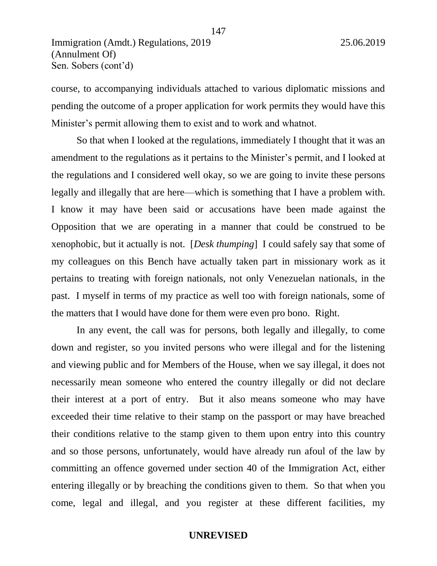Sen. Sobers (cont'd)

course, to accompanying individuals attached to various diplomatic missions and pending the outcome of a proper application for work permits they would have this Minister's permit allowing them to exist and to work and whatnot.

147

So that when I looked at the regulations, immediately I thought that it was an amendment to the regulations as it pertains to the Minister's permit, and I looked at the regulations and I considered well okay, so we are going to invite these persons legally and illegally that are here—which is something that I have a problem with. I know it may have been said or accusations have been made against the Opposition that we are operating in a manner that could be construed to be xenophobic, but it actually is not. [*Desk thumping*] I could safely say that some of my colleagues on this Bench have actually taken part in missionary work as it pertains to treating with foreign nationals, not only Venezuelan nationals, in the past. I myself in terms of my practice as well too with foreign nationals, some of the matters that I would have done for them were even pro bono. Right.

In any event, the call was for persons, both legally and illegally, to come down and register, so you invited persons who were illegal and for the listening and viewing public and for Members of the House, when we say illegal, it does not necessarily mean someone who entered the country illegally or did not declare their interest at a port of entry. But it also means someone who may have exceeded their time relative to their stamp on the passport or may have breached their conditions relative to the stamp given to them upon entry into this country and so those persons, unfortunately, would have already run afoul of the law by committing an offence governed under section 40 of the Immigration Act, either entering illegally or by breaching the conditions given to them. So that when you come, legal and illegal, and you register at these different facilities, my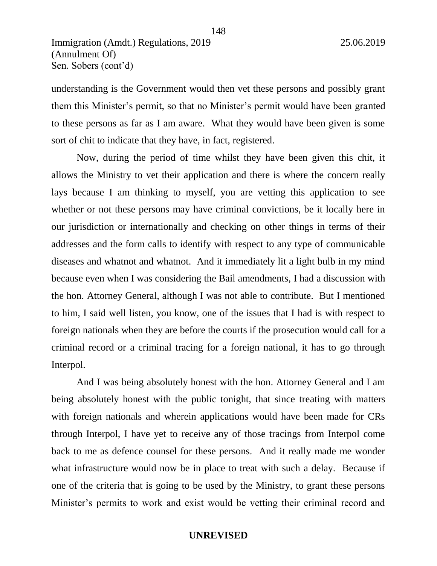understanding is the Government would then vet these persons and possibly grant them this Minister's permit, so that no Minister's permit would have been granted to these persons as far as I am aware. What they would have been given is some sort of chit to indicate that they have, in fact, registered.

148

Now, during the period of time whilst they have been given this chit, it allows the Ministry to vet their application and there is where the concern really lays because I am thinking to myself, you are vetting this application to see whether or not these persons may have criminal convictions, be it locally here in our jurisdiction or internationally and checking on other things in terms of their addresses and the form calls to identify with respect to any type of communicable diseases and whatnot and whatnot. And it immediately lit a light bulb in my mind because even when I was considering the Bail amendments, I had a discussion with the hon. Attorney General, although I was not able to contribute. But I mentioned to him, I said well listen, you know, one of the issues that I had is with respect to foreign nationals when they are before the courts if the prosecution would call for a criminal record or a criminal tracing for a foreign national, it has to go through Interpol.

And I was being absolutely honest with the hon. Attorney General and I am being absolutely honest with the public tonight, that since treating with matters with foreign nationals and wherein applications would have been made for CRs through Interpol, I have yet to receive any of those tracings from Interpol come back to me as defence counsel for these persons. And it really made me wonder what infrastructure would now be in place to treat with such a delay. Because if one of the criteria that is going to be used by the Ministry, to grant these persons Minister's permits to work and exist would be vetting their criminal record and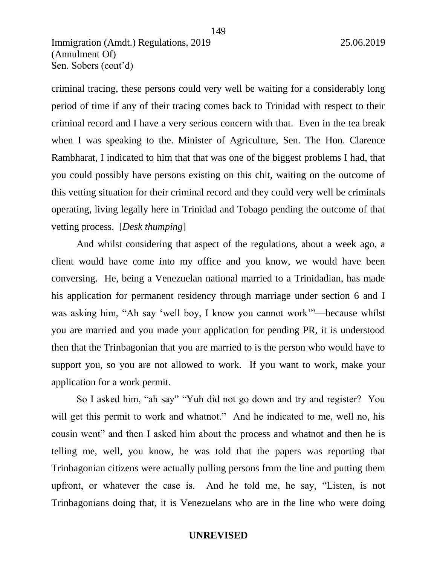criminal tracing, these persons could very well be waiting for a considerably long period of time if any of their tracing comes back to Trinidad with respect to their criminal record and I have a very serious concern with that. Even in the tea break when I was speaking to the. Minister of Agriculture, Sen. The Hon. Clarence Rambharat, I indicated to him that that was one of the biggest problems I had, that you could possibly have persons existing on this chit, waiting on the outcome of this vetting situation for their criminal record and they could very well be criminals operating, living legally here in Trinidad and Tobago pending the outcome of that vetting process. [*Desk thumping*]

And whilst considering that aspect of the regulations, about a week ago, a client would have come into my office and you know, we would have been conversing. He, being a Venezuelan national married to a Trinidadian, has made his application for permanent residency through marriage under section 6 and I was asking him, "Ah say 'well boy, I know you cannot work'"—because whilst you are married and you made your application for pending PR, it is understood then that the Trinbagonian that you are married to is the person who would have to support you, so you are not allowed to work. If you want to work, make your application for a work permit.

So I asked him, "ah say" "Yuh did not go down and try and register? You will get this permit to work and whatnot." And he indicated to me, well no, his cousin went" and then I asked him about the process and whatnot and then he is telling me, well, you know, he was told that the papers was reporting that Trinbagonian citizens were actually pulling persons from the line and putting them upfront, or whatever the case is. And he told me, he say, "Listen, is not Trinbagonians doing that, it is Venezuelans who are in the line who were doing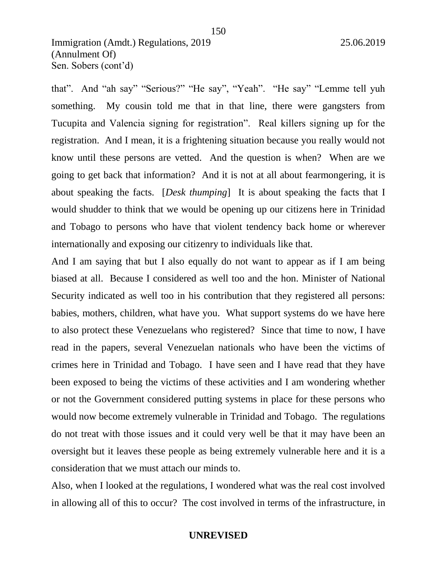that". And "ah say" "Serious?" "He say", "Yeah". "He say" "Lemme tell yuh something. My cousin told me that in that line, there were gangsters from Tucupita and Valencia signing for registration". Real killers signing up for the registration. And I mean, it is a frightening situation because you really would not know until these persons are vetted. And the question is when? When are we going to get back that information? And it is not at all about fearmongering, it is about speaking the facts. [*Desk thumping*] It is about speaking the facts that I would shudder to think that we would be opening up our citizens here in Trinidad and Tobago to persons who have that violent tendency back home or wherever internationally and exposing our citizenry to individuals like that.

And I am saying that but I also equally do not want to appear as if I am being biased at all. Because I considered as well too and the hon. Minister of National Security indicated as well too in his contribution that they registered all persons: babies, mothers, children, what have you. What support systems do we have here to also protect these Venezuelans who registered? Since that time to now, I have read in the papers, several Venezuelan nationals who have been the victims of crimes here in Trinidad and Tobago. I have seen and I have read that they have been exposed to being the victims of these activities and I am wondering whether or not the Government considered putting systems in place for these persons who would now become extremely vulnerable in Trinidad and Tobago. The regulations do not treat with those issues and it could very well be that it may have been an oversight but it leaves these people as being extremely vulnerable here and it is a consideration that we must attach our minds to.

Also, when I looked at the regulations, I wondered what was the real cost involved in allowing all of this to occur? The cost involved in terms of the infrastructure, in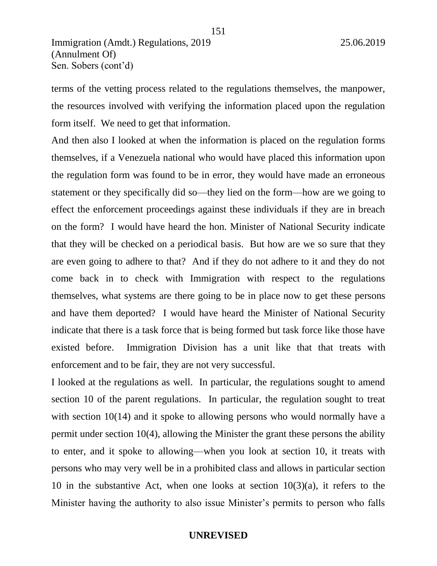terms of the vetting process related to the regulations themselves, the manpower, the resources involved with verifying the information placed upon the regulation form itself. We need to get that information.

And then also I looked at when the information is placed on the regulation forms themselves, if a Venezuela national who would have placed this information upon the regulation form was found to be in error, they would have made an erroneous statement or they specifically did so—they lied on the form—how are we going to effect the enforcement proceedings against these individuals if they are in breach on the form? I would have heard the hon. Minister of National Security indicate that they will be checked on a periodical basis. But how are we so sure that they are even going to adhere to that? And if they do not adhere to it and they do not come back in to check with Immigration with respect to the regulations themselves, what systems are there going to be in place now to get these persons and have them deported? I would have heard the Minister of National Security indicate that there is a task force that is being formed but task force like those have existed before. Immigration Division has a unit like that that treats with enforcement and to be fair, they are not very successful.

I looked at the regulations as well. In particular, the regulations sought to amend section 10 of the parent regulations. In particular, the regulation sought to treat with section 10(14) and it spoke to allowing persons who would normally have a permit under section 10(4), allowing the Minister the grant these persons the ability to enter, and it spoke to allowing—when you look at section 10, it treats with persons who may very well be in a prohibited class and allows in particular section 10 in the substantive Act, when one looks at section  $10(3)(a)$ , it refers to the Minister having the authority to also issue Minister's permits to person who falls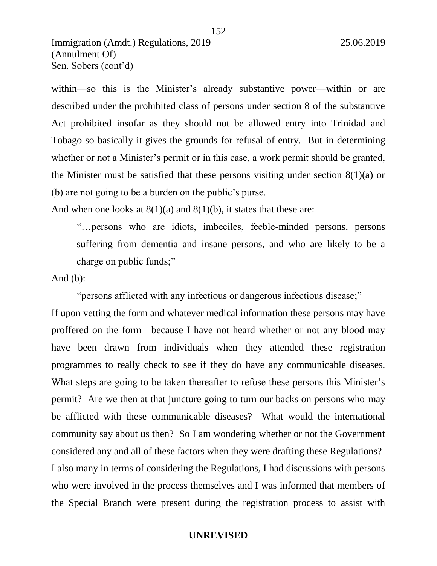within—so this is the Minister's already substantive power—within or are described under the prohibited class of persons under section 8 of the substantive Act prohibited insofar as they should not be allowed entry into Trinidad and Tobago so basically it gives the grounds for refusal of entry. But in determining whether or not a Minister's permit or in this case, a work permit should be granted, the Minister must be satisfied that these persons visiting under section  $8(1)(a)$  or (b) are not going to be a burden on the public's purse.

And when one looks at  $8(1)(a)$  and  $8(1)(b)$ , it states that these are:

"…persons who are idiots, imbeciles, feeble-minded persons, persons suffering from dementia and insane persons, and who are likely to be a charge on public funds;"

And  $(b)$ :

"persons afflicted with any infectious or dangerous infectious disease;"

If upon vetting the form and whatever medical information these persons may have proffered on the form—because I have not heard whether or not any blood may have been drawn from individuals when they attended these registration programmes to really check to see if they do have any communicable diseases. What steps are going to be taken thereafter to refuse these persons this Minister's permit? Are we then at that juncture going to turn our backs on persons who may be afflicted with these communicable diseases? What would the international community say about us then? So I am wondering whether or not the Government considered any and all of these factors when they were drafting these Regulations? I also many in terms of considering the Regulations, I had discussions with persons who were involved in the process themselves and I was informed that members of the Special Branch were present during the registration process to assist with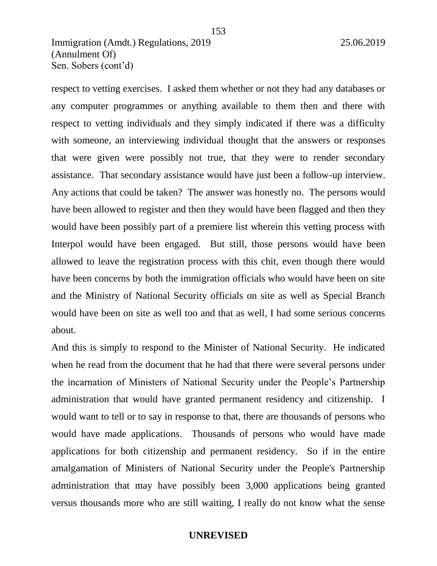respect to vetting exercises. I asked them whether or not they had any databases or any computer programmes or anything available to them then and there with respect to vetting individuals and they simply indicated if there was a difficulty with someone, an interviewing individual thought that the answers or responses that were given were possibly not true, that they were to render secondary assistance. That secondary assistance would have just been a follow-up interview. Any actions that could be taken? The answer was honestly no. The persons would have been allowed to register and then they would have been flagged and then they would have been possibly part of a premiere list wherein this vetting process with Interpol would have been engaged. But still, those persons would have been allowed to leave the registration process with this chit, even though there would have been concerns by both the immigration officials who would have been on site and the Ministry of National Security officials on site as well as Special Branch would have been on site as well too and that as well, I had some serious concerns about.

And this is simply to respond to the Minister of National Security. He indicated when he read from the document that he had that there were several persons under the incarnation of Ministers of National Security under the People's Partnership administration that would have granted permanent residency and citizenship. I would want to tell or to say in response to that, there are thousands of persons who would have made applications. Thousands of persons who would have made applications for both citizenship and permanent residency. So if in the entire amalgamation of Ministers of National Security under the People's Partnership administration that may have possibly been 3,000 applications being granted versus thousands more who are still waiting, I really do not know what the sense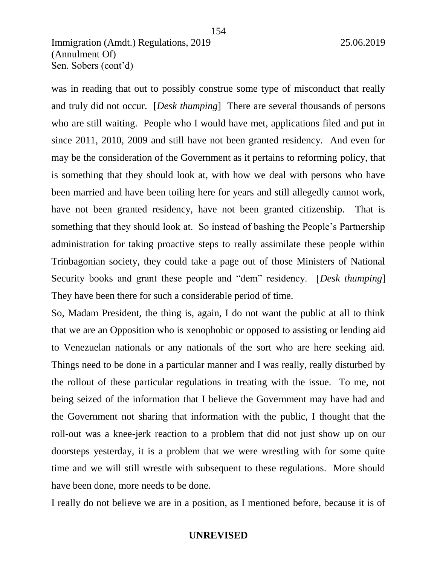was in reading that out to possibly construe some type of misconduct that really and truly did not occur. [*Desk thumping*] There are several thousands of persons who are still waiting. People who I would have met, applications filed and put in since 2011, 2010, 2009 and still have not been granted residency. And even for may be the consideration of the Government as it pertains to reforming policy, that is something that they should look at, with how we deal with persons who have been married and have been toiling here for years and still allegedly cannot work, have not been granted residency, have not been granted citizenship. That is something that they should look at. So instead of bashing the People's Partnership administration for taking proactive steps to really assimilate these people within Trinbagonian society, they could take a page out of those Ministers of National Security books and grant these people and "dem" residency. [*Desk thumping*] They have been there for such a considerable period of time.

154

So, Madam President, the thing is, again, I do not want the public at all to think that we are an Opposition who is xenophobic or opposed to assisting or lending aid to Venezuelan nationals or any nationals of the sort who are here seeking aid. Things need to be done in a particular manner and I was really, really disturbed by the rollout of these particular regulations in treating with the issue. To me, not being seized of the information that I believe the Government may have had and the Government not sharing that information with the public, I thought that the roll-out was a knee-jerk reaction to a problem that did not just show up on our doorsteps yesterday, it is a problem that we were wrestling with for some quite time and we will still wrestle with subsequent to these regulations. More should have been done, more needs to be done.

I really do not believe we are in a position, as I mentioned before, because it is of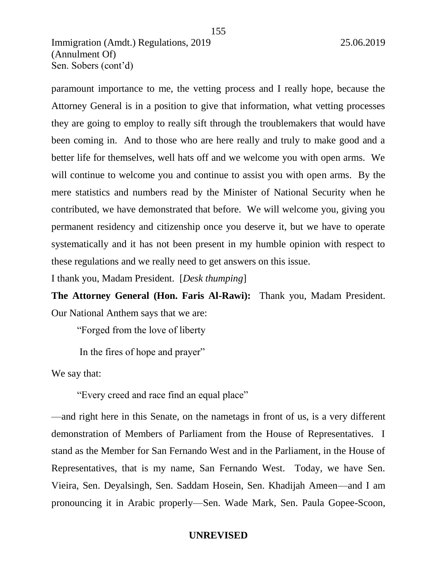paramount importance to me, the vetting process and I really hope, because the Attorney General is in a position to give that information, what vetting processes they are going to employ to really sift through the troublemakers that would have been coming in. And to those who are here really and truly to make good and a better life for themselves, well hats off and we welcome you with open arms. We will continue to welcome you and continue to assist you with open arms. By the mere statistics and numbers read by the Minister of National Security when he contributed, we have demonstrated that before. We will welcome you, giving you permanent residency and citizenship once you deserve it, but we have to operate systematically and it has not been present in my humble opinion with respect to these regulations and we really need to get answers on this issue.

I thank you, Madam President. [*Desk thumping*]

**The Attorney General (Hon. Faris Al-Rawi):** Thank you, Madam President. Our National Anthem says that we are:

"Forged from the love of liberty

In the fires of hope and prayer"

We say that:

"Every creed and race find an equal place"

—and right here in this Senate, on the nametags in front of us, is a very different demonstration of Members of Parliament from the House of Representatives. I stand as the Member for San Fernando West and in the Parliament, in the House of Representatives, that is my name, San Fernando West. Today, we have Sen. Vieira, Sen. Deyalsingh, Sen. Saddam Hosein, Sen. Khadijah Ameen—and I am pronouncing it in Arabic properly—Sen. Wade Mark, Sen. Paula Gopee-Scoon,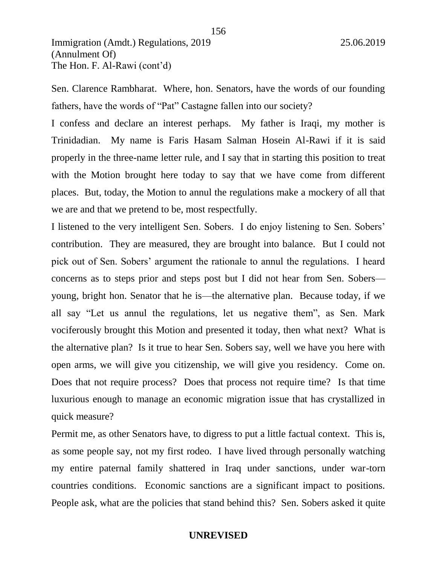Sen. Clarence Rambharat. Where, hon. Senators, have the words of our founding fathers, have the words of "Pat" Castagne fallen into our society?

I confess and declare an interest perhaps. My father is Iraqi, my mother is Trinidadian. My name is Faris Hasam Salman Hosein Al-Rawi if it is said properly in the three-name letter rule, and I say that in starting this position to treat with the Motion brought here today to say that we have come from different places. But, today, the Motion to annul the regulations make a mockery of all that we are and that we pretend to be, most respectfully.

I listened to the very intelligent Sen. Sobers. I do enjoy listening to Sen. Sobers' contribution. They are measured, they are brought into balance. But I could not pick out of Sen. Sobers' argument the rationale to annul the regulations. I heard concerns as to steps prior and steps post but I did not hear from Sen. Sobers young, bright hon. Senator that he is—the alternative plan. Because today, if we all say "Let us annul the regulations, let us negative them", as Sen. Mark vociferously brought this Motion and presented it today, then what next? What is the alternative plan? Is it true to hear Sen. Sobers say, well we have you here with open arms, we will give you citizenship, we will give you residency. Come on. Does that not require process? Does that process not require time? Is that time luxurious enough to manage an economic migration issue that has crystallized in quick measure?

Permit me, as other Senators have, to digress to put a little factual context. This is, as some people say, not my first rodeo. I have lived through personally watching my entire paternal family shattered in Iraq under sanctions, under war-torn countries conditions. Economic sanctions are a significant impact to positions. People ask, what are the policies that stand behind this? Sen. Sobers asked it quite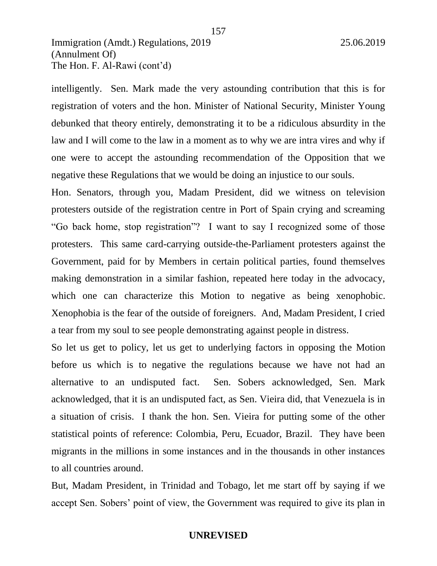intelligently. Sen. Mark made the very astounding contribution that this is for registration of voters and the hon. Minister of National Security, Minister Young debunked that theory entirely, demonstrating it to be a ridiculous absurdity in the law and I will come to the law in a moment as to why we are intra vires and why if one were to accept the astounding recommendation of the Opposition that we negative these Regulations that we would be doing an injustice to our souls.

Hon. Senators, through you, Madam President, did we witness on television protesters outside of the registration centre in Port of Spain crying and screaming "Go back home, stop registration"? I want to say I recognized some of those protesters. This same card-carrying outside-the-Parliament protesters against the Government, paid for by Members in certain political parties, found themselves making demonstration in a similar fashion, repeated here today in the advocacy, which one can characterize this Motion to negative as being xenophobic. Xenophobia is the fear of the outside of foreigners. And, Madam President, I cried a tear from my soul to see people demonstrating against people in distress.

So let us get to policy, let us get to underlying factors in opposing the Motion before us which is to negative the regulations because we have not had an alternative to an undisputed fact. Sen. Sobers acknowledged, Sen. Mark acknowledged, that it is an undisputed fact, as Sen. Vieira did, that Venezuela is in a situation of crisis. I thank the hon. Sen. Vieira for putting some of the other statistical points of reference: Colombia, Peru, Ecuador, Brazil. They have been migrants in the millions in some instances and in the thousands in other instances to all countries around.

But, Madam President, in Trinidad and Tobago, let me start off by saying if we accept Sen. Sobers' point of view, the Government was required to give its plan in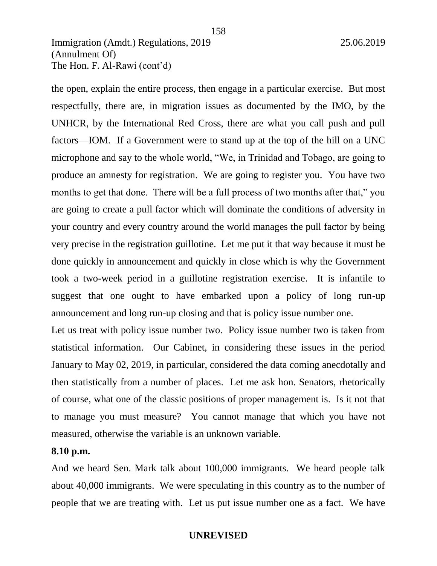the open, explain the entire process, then engage in a particular exercise. But most respectfully, there are, in migration issues as documented by the IMO, by the UNHCR, by the International Red Cross, there are what you call push and pull factors—IOM. If a Government were to stand up at the top of the hill on a UNC microphone and say to the whole world, "We, in Trinidad and Tobago, are going to produce an amnesty for registration. We are going to register you. You have two months to get that done. There will be a full process of two months after that," you are going to create a pull factor which will dominate the conditions of adversity in your country and every country around the world manages the pull factor by being very precise in the registration guillotine. Let me put it that way because it must be done quickly in announcement and quickly in close which is why the Government took a two-week period in a guillotine registration exercise. It is infantile to suggest that one ought to have embarked upon a policy of long run-up announcement and long run-up closing and that is policy issue number one.

Let us treat with policy issue number two. Policy issue number two is taken from statistical information. Our Cabinet, in considering these issues in the period January to May 02, 2019, in particular, considered the data coming anecdotally and then statistically from a number of places. Let me ask hon. Senators, rhetorically of course, what one of the classic positions of proper management is. Is it not that to manage you must measure? You cannot manage that which you have not measured, otherwise the variable is an unknown variable.

#### **8.10 p.m.**

And we heard Sen. Mark talk about 100,000 immigrants. We heard people talk about 40,000 immigrants. We were speculating in this country as to the number of people that we are treating with. Let us put issue number one as a fact. We have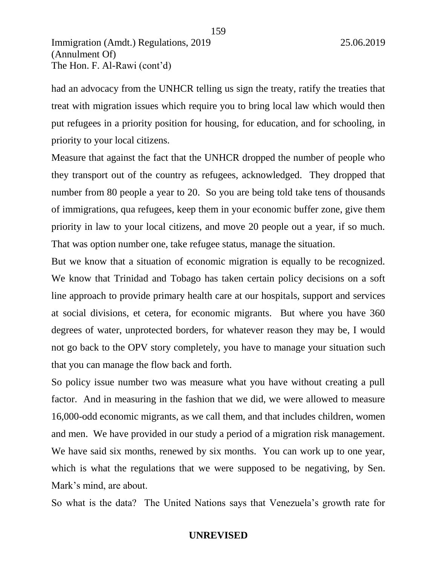had an advocacy from the UNHCR telling us sign the treaty, ratify the treaties that treat with migration issues which require you to bring local law which would then put refugees in a priority position for housing, for education, and for schooling, in priority to your local citizens.

159

Measure that against the fact that the UNHCR dropped the number of people who they transport out of the country as refugees, acknowledged. They dropped that number from 80 people a year to 20. So you are being told take tens of thousands of immigrations, qua refugees, keep them in your economic buffer zone, give them priority in law to your local citizens, and move 20 people out a year, if so much. That was option number one, take refugee status, manage the situation.

But we know that a situation of economic migration is equally to be recognized. We know that Trinidad and Tobago has taken certain policy decisions on a soft line approach to provide primary health care at our hospitals, support and services at social divisions, et cetera, for economic migrants. But where you have 360 degrees of water, unprotected borders, for whatever reason they may be, I would not go back to the OPV story completely, you have to manage your situation such that you can manage the flow back and forth.

So policy issue number two was measure what you have without creating a pull factor. And in measuring in the fashion that we did, we were allowed to measure 16,000-odd economic migrants, as we call them, and that includes children, women and men. We have provided in our study a period of a migration risk management. We have said six months, renewed by six months. You can work up to one year, which is what the regulations that we were supposed to be negativing, by Sen. Mark's mind, are about.

So what is the data? The United Nations says that Venezuela's growth rate for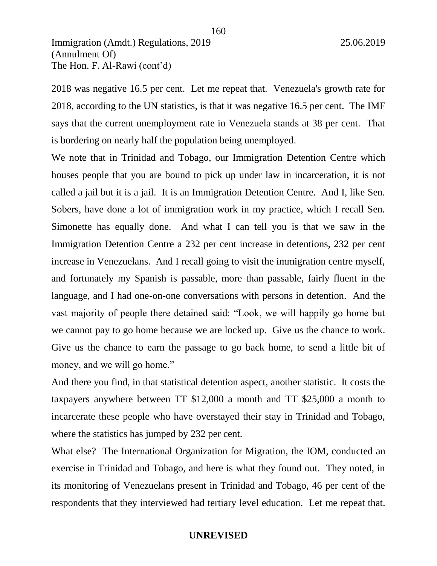2018 was negative 16.5 per cent. Let me repeat that. Venezuela's growth rate for 2018, according to the UN statistics, is that it was negative 16.5 per cent. The IMF says that the current unemployment rate in Venezuela stands at 38 per cent. That is bordering on nearly half the population being unemployed.

We note that in Trinidad and Tobago, our Immigration Detention Centre which houses people that you are bound to pick up under law in incarceration, it is not called a jail but it is a jail. It is an Immigration Detention Centre. And I, like Sen. Sobers, have done a lot of immigration work in my practice, which I recall Sen. Simonette has equally done. And what I can tell you is that we saw in the Immigration Detention Centre a 232 per cent increase in detentions, 232 per cent increase in Venezuelans. And I recall going to visit the immigration centre myself, and fortunately my Spanish is passable, more than passable, fairly fluent in the language, and I had one-on-one conversations with persons in detention. And the vast majority of people there detained said: "Look, we will happily go home but we cannot pay to go home because we are locked up. Give us the chance to work. Give us the chance to earn the passage to go back home, to send a little bit of money, and we will go home."

And there you find, in that statistical detention aspect, another statistic. It costs the taxpayers anywhere between TT \$12,000 a month and TT \$25,000 a month to incarcerate these people who have overstayed their stay in Trinidad and Tobago, where the statistics has jumped by 232 per cent.

What else? The International Organization for Migration, the IOM, conducted an exercise in Trinidad and Tobago, and here is what they found out. They noted, in its monitoring of Venezuelans present in Trinidad and Tobago, 46 per cent of the respondents that they interviewed had tertiary level education. Let me repeat that.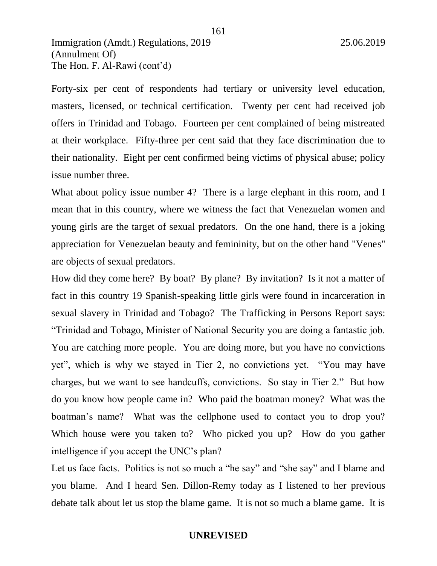Forty-six per cent of respondents had tertiary or university level education, masters, licensed, or technical certification. Twenty per cent had received job offers in Trinidad and Tobago. Fourteen per cent complained of being mistreated at their workplace. Fifty-three per cent said that they face discrimination due to their nationality. Eight per cent confirmed being victims of physical abuse; policy issue number three.

What about policy issue number 4? There is a large elephant in this room, and I mean that in this country, where we witness the fact that Venezuelan women and young girls are the target of sexual predators. On the one hand, there is a joking appreciation for Venezuelan beauty and femininity, but on the other hand "Venes" are objects of sexual predators.

How did they come here? By boat? By plane? By invitation? Is it not a matter of fact in this country 19 Spanish-speaking little girls were found in incarceration in sexual slavery in Trinidad and Tobago? The Trafficking in Persons Report says: "Trinidad and Tobago, Minister of National Security you are doing a fantastic job. You are catching more people. You are doing more, but you have no convictions yet", which is why we stayed in Tier 2, no convictions yet. "You may have charges, but we want to see handcuffs, convictions. So stay in Tier 2." But how do you know how people came in? Who paid the boatman money? What was the boatman's name? What was the cellphone used to contact you to drop you? Which house were you taken to? Who picked you up? How do you gather intelligence if you accept the UNC's plan?

Let us face facts. Politics is not so much a "he say" and "she say" and I blame and you blame. And I heard Sen. Dillon-Remy today as I listened to her previous debate talk about let us stop the blame game. It is not so much a blame game. It is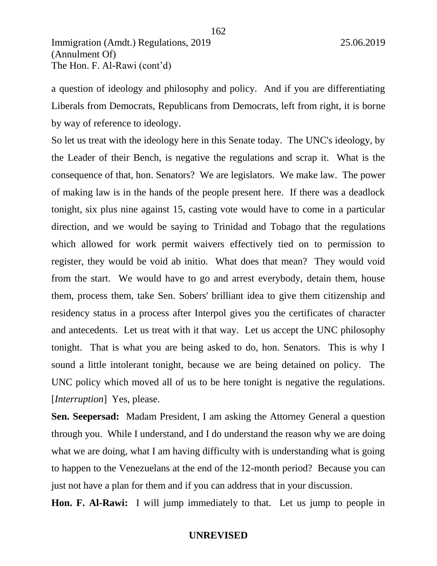a question of ideology and philosophy and policy. And if you are differentiating Liberals from Democrats, Republicans from Democrats, left from right, it is borne by way of reference to ideology.

162

So let us treat with the ideology here in this Senate today. The UNC's ideology, by the Leader of their Bench, is negative the regulations and scrap it. What is the consequence of that, hon. Senators? We are legislators. We make law. The power of making law is in the hands of the people present here. If there was a deadlock tonight, six plus nine against 15, casting vote would have to come in a particular direction, and we would be saying to Trinidad and Tobago that the regulations which allowed for work permit waivers effectively tied on to permission to register, they would be void ab initio. What does that mean? They would void from the start. We would have to go and arrest everybody, detain them, house them, process them, take Sen. Sobers' brilliant idea to give them citizenship and residency status in a process after Interpol gives you the certificates of character and antecedents. Let us treat with it that way. Let us accept the UNC philosophy tonight. That is what you are being asked to do, hon. Senators. This is why I sound a little intolerant tonight, because we are being detained on policy. The UNC policy which moved all of us to be here tonight is negative the regulations. [*Interruption*] Yes, please.

**Sen. Seepersad:** Madam President, I am asking the Attorney General a question through you. While I understand, and I do understand the reason why we are doing what we are doing, what I am having difficulty with is understanding what is going to happen to the Venezuelans at the end of the 12-month period? Because you can just not have a plan for them and if you can address that in your discussion.

**Hon. F. Al-Rawi:** I will jump immediately to that. Let us jump to people in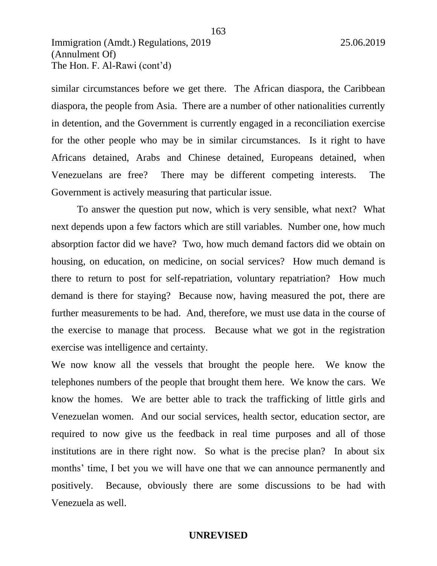similar circumstances before we get there. The African diaspora, the Caribbean diaspora, the people from Asia. There are a number of other nationalities currently in detention, and the Government is currently engaged in a reconciliation exercise for the other people who may be in similar circumstances. Is it right to have Africans detained, Arabs and Chinese detained, Europeans detained, when Venezuelans are free? There may be different competing interests. The Government is actively measuring that particular issue.

163

To answer the question put now, which is very sensible, what next? What next depends upon a few factors which are still variables. Number one, how much absorption factor did we have? Two, how much demand factors did we obtain on housing, on education, on medicine, on social services? How much demand is there to return to post for self-repatriation, voluntary repatriation? How much demand is there for staying? Because now, having measured the pot, there are further measurements to be had. And, therefore, we must use data in the course of the exercise to manage that process. Because what we got in the registration exercise was intelligence and certainty.

We now know all the vessels that brought the people here. We know the telephones numbers of the people that brought them here. We know the cars. We know the homes. We are better able to track the trafficking of little girls and Venezuelan women. And our social services, health sector, education sector, are required to now give us the feedback in real time purposes and all of those institutions are in there right now. So what is the precise plan? In about six months' time, I bet you we will have one that we can announce permanently and positively. Because, obviously there are some discussions to be had with Venezuela as well.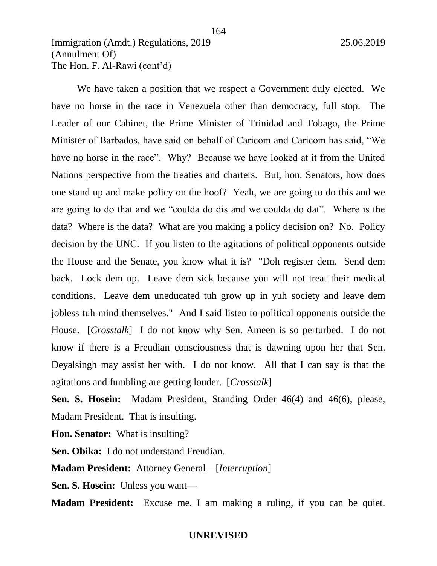We have taken a position that we respect a Government duly elected. We have no horse in the race in Venezuela other than democracy, full stop. The Leader of our Cabinet, the Prime Minister of Trinidad and Tobago, the Prime Minister of Barbados, have said on behalf of Caricom and Caricom has said, "We have no horse in the race". Why? Because we have looked at it from the United Nations perspective from the treaties and charters. But, hon. Senators, how does one stand up and make policy on the hoof? Yeah, we are going to do this and we are going to do that and we "coulda do dis and we coulda do dat". Where is the data? Where is the data? What are you making a policy decision on? No. Policy decision by the UNC. If you listen to the agitations of political opponents outside the House and the Senate, you know what it is? "Doh register dem. Send dem back. Lock dem up. Leave dem sick because you will not treat their medical conditions. Leave dem uneducated tuh grow up in yuh society and leave dem jobless tuh mind themselves." And I said listen to political opponents outside the House. [*Crosstalk*] I do not know why Sen. Ameen is so perturbed. I do not know if there is a Freudian consciousness that is dawning upon her that Sen. Deyalsingh may assist her with. I do not know. All that I can say is that the agitations and fumbling are getting louder. [*Crosstalk*]

164

**Sen. S. Hosein:** Madam President, Standing Order 46(4) and 46(6), please, Madam President. That is insulting.

**Hon. Senator:** What is insulting?

**Sen. Obika:** I do not understand Freudian.

**Madam President:** Attorney General—[*Interruption*]

**Sen. S. Hosein:** Unless you want—

**Madam President:** Excuse me. I am making a ruling, if you can be quiet.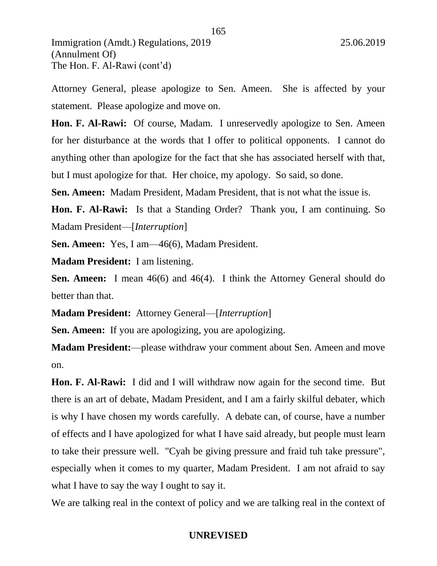(Annulment Of) The Hon. F. Al-Rawi (cont'd)

Attorney General, please apologize to Sen. Ameen. She is affected by your statement. Please apologize and move on.

165

**Hon. F. Al-Rawi:** Of course, Madam. I unreservedly apologize to Sen. Ameen for her disturbance at the words that I offer to political opponents. I cannot do anything other than apologize for the fact that she has associated herself with that, but I must apologize for that. Her choice, my apology. So said, so done.

**Sen. Ameen:** Madam President, Madam President, that is not what the issue is.

**Hon. F. Al-Rawi:** Is that a Standing Order? Thank you, I am continuing. So Madam President—[*Interruption*]

**Sen. Ameen:** Yes, I am—46(6), Madam President.

**Madam President:** I am listening.

**Sen. Ameen:** I mean 46(6) and 46(4). I think the Attorney General should do better than that.

**Madam President:** Attorney General—[*Interruption*]

**Sen. Ameen:** If you are apologizing, you are apologizing.

**Madam President:**—please withdraw your comment about Sen. Ameen and move on.

**Hon. F. Al-Rawi:** I did and I will withdraw now again for the second time. But there is an art of debate, Madam President, and I am a fairly skilful debater, which is why I have chosen my words carefully. A debate can, of course, have a number of effects and I have apologized for what I have said already, but people must learn to take their pressure well. "Cyah be giving pressure and fraid tuh take pressure", especially when it comes to my quarter, Madam President. I am not afraid to say what I have to say the way I ought to say it.

We are talking real in the context of policy and we are talking real in the context of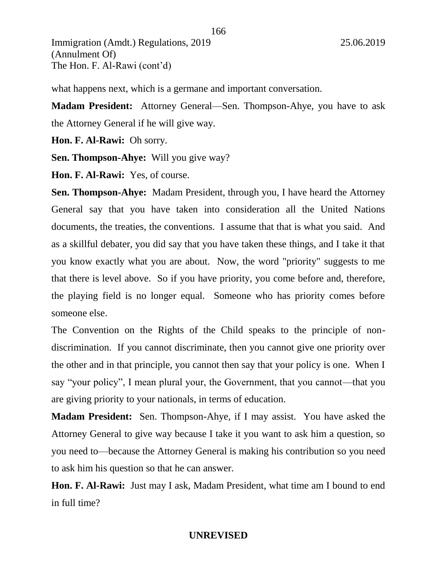what happens next, which is a germane and important conversation.

**Madam President:** Attorney General—Sen. Thompson-Ahye, you have to ask the Attorney General if he will give way.

**Hon. F. Al-Rawi:** Oh sorry.

**Sen. Thompson-Ahye:** Will you give way?

**Hon. F. Al-Rawi:** Yes, of course.

**Sen. Thompson-Ahye:** Madam President, through you, I have heard the Attorney General say that you have taken into consideration all the United Nations documents, the treaties, the conventions. I assume that that is what you said. And as a skillful debater, you did say that you have taken these things, and I take it that you know exactly what you are about. Now, the word "priority" suggests to me that there is level above. So if you have priority, you come before and, therefore, the playing field is no longer equal. Someone who has priority comes before someone else.

The Convention on the Rights of the Child speaks to the principle of nondiscrimination. If you cannot discriminate, then you cannot give one priority over the other and in that principle, you cannot then say that your policy is one. When I say "your policy", I mean plural your, the Government, that you cannot—that you are giving priority to your nationals, in terms of education.

**Madam President:** Sen. Thompson-Ahye, if I may assist. You have asked the Attorney General to give way because I take it you want to ask him a question, so you need to—because the Attorney General is making his contribution so you need to ask him his question so that he can answer.

**Hon. F. Al-Rawi:** Just may I ask, Madam President, what time am I bound to end in full time?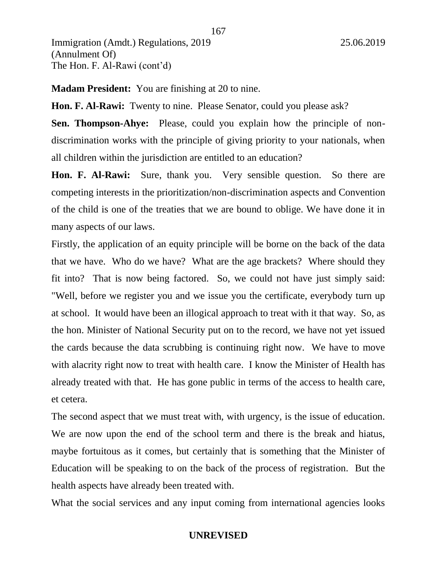**Madam President:** You are finishing at 20 to nine.

**Hon. F. Al-Rawi:** Twenty to nine. Please Senator, could you please ask?

**Sen. Thompson-Ahye:** Please, could you explain how the principle of nondiscrimination works with the principle of giving priority to your nationals, when all children within the jurisdiction are entitled to an education?

**Hon. F. Al-Rawi:** Sure, thank you. Very sensible question. So there are competing interests in the prioritization/non-discrimination aspects and Convention of the child is one of the treaties that we are bound to oblige. We have done it in many aspects of our laws.

Firstly, the application of an equity principle will be borne on the back of the data that we have. Who do we have? What are the age brackets? Where should they fit into? That is now being factored. So, we could not have just simply said: "Well, before we register you and we issue you the certificate, everybody turn up at school. It would have been an illogical approach to treat with it that way. So, as the hon. Minister of National Security put on to the record, we have not yet issued the cards because the data scrubbing is continuing right now. We have to move with alacrity right now to treat with health care. I know the Minister of Health has already treated with that. He has gone public in terms of the access to health care, et cetera.

The second aspect that we must treat with, with urgency, is the issue of education. We are now upon the end of the school term and there is the break and hiatus, maybe fortuitous as it comes, but certainly that is something that the Minister of Education will be speaking to on the back of the process of registration. But the health aspects have already been treated with.

What the social services and any input coming from international agencies looks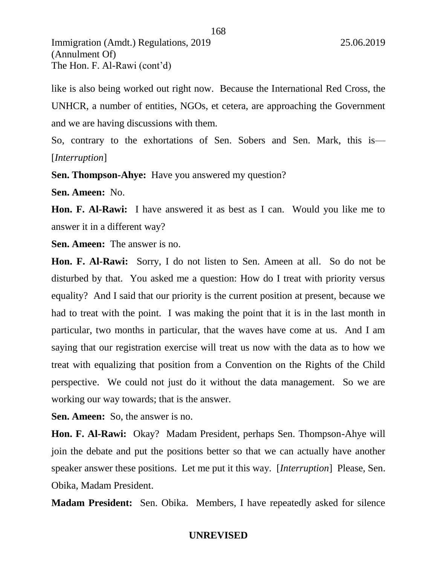like is also being worked out right now. Because the International Red Cross, the UNHCR, a number of entities, NGOs, et cetera, are approaching the Government and we are having discussions with them.

So, contrary to the exhortations of Sen. Sobers and Sen. Mark, this is— [*Interruption*]

**Sen. Thompson-Ahye:** Have you answered my question?

**Sen. Ameen:** No.

**Hon. F. Al-Rawi:** I have answered it as best as I can. Would you like me to answer it in a different way?

**Sen. Ameen:** The answer is no.

**Hon. F. Al-Rawi:** Sorry, I do not listen to Sen. Ameen at all. So do not be disturbed by that. You asked me a question: How do I treat with priority versus equality? And I said that our priority is the current position at present, because we had to treat with the point. I was making the point that it is in the last month in particular, two months in particular, that the waves have come at us. And I am saying that our registration exercise will treat us now with the data as to how we treat with equalizing that position from a Convention on the Rights of the Child perspective. We could not just do it without the data management. So we are working our way towards; that is the answer.

**Sen. Ameen:** So, the answer is no.

**Hon. F. Al-Rawi:** Okay? Madam President, perhaps Sen. Thompson-Ahye will join the debate and put the positions better so that we can actually have another speaker answer these positions. Let me put it this way. [*Interruption*] Please, Sen. Obika, Madam President.

**Madam President:** Sen. Obika. Members, I have repeatedly asked for silence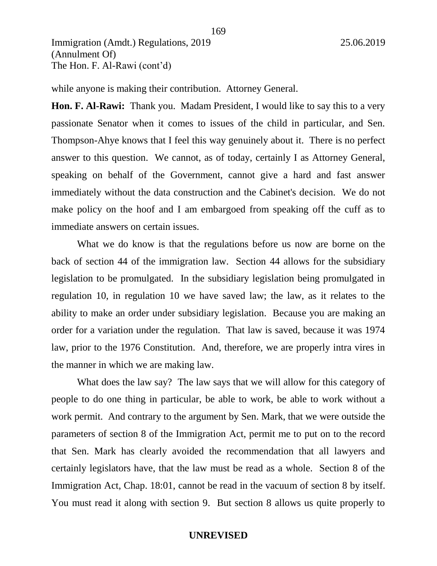while anyone is making their contribution. Attorney General.

**Hon. F. Al-Rawi:** Thank you. Madam President, I would like to say this to a very passionate Senator when it comes to issues of the child in particular, and Sen. Thompson-Ahye knows that I feel this way genuinely about it. There is no perfect answer to this question. We cannot, as of today, certainly I as Attorney General, speaking on behalf of the Government, cannot give a hard and fast answer immediately without the data construction and the Cabinet's decision. We do not make policy on the hoof and I am embargoed from speaking off the cuff as to immediate answers on certain issues.

What we do know is that the regulations before us now are borne on the back of section 44 of the immigration law. Section 44 allows for the subsidiary legislation to be promulgated. In the subsidiary legislation being promulgated in regulation 10, in regulation 10 we have saved law; the law, as it relates to the ability to make an order under subsidiary legislation. Because you are making an order for a variation under the regulation. That law is saved, because it was 1974 law, prior to the 1976 Constitution. And, therefore, we are properly intra vires in the manner in which we are making law.

What does the law say? The law says that we will allow for this category of people to do one thing in particular, be able to work, be able to work without a work permit. And contrary to the argument by Sen. Mark, that we were outside the parameters of section 8 of the Immigration Act, permit me to put on to the record that Sen. Mark has clearly avoided the recommendation that all lawyers and certainly legislators have, that the law must be read as a whole. Section 8 of the Immigration Act, Chap. 18:01, cannot be read in the vacuum of section 8 by itself. You must read it along with section 9. But section 8 allows us quite properly to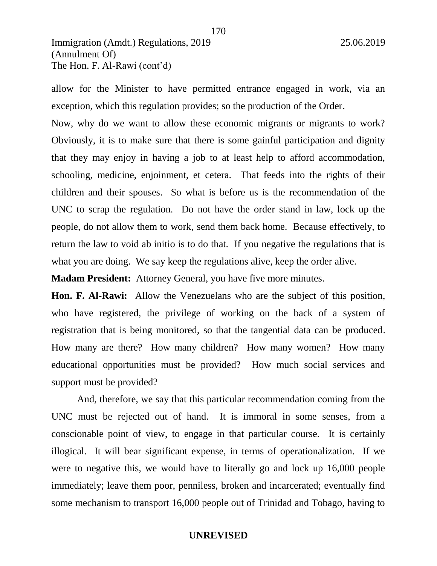allow for the Minister to have permitted entrance engaged in work, via an exception, which this regulation provides; so the production of the Order.

Now, why do we want to allow these economic migrants or migrants to work? Obviously, it is to make sure that there is some gainful participation and dignity that they may enjoy in having a job to at least help to afford accommodation, schooling, medicine, enjoinment, et cetera. That feeds into the rights of their children and their spouses. So what is before us is the recommendation of the UNC to scrap the regulation. Do not have the order stand in law, lock up the people, do not allow them to work, send them back home. Because effectively, to return the law to void ab initio is to do that. If you negative the regulations that is what you are doing. We say keep the regulations alive, keep the order alive.

**Madam President:** Attorney General, you have five more minutes.

**Hon. F. Al-Rawi:** Allow the Venezuelans who are the subject of this position, who have registered, the privilege of working on the back of a system of registration that is being monitored, so that the tangential data can be produced. How many are there? How many children? How many women? How many educational opportunities must be provided? How much social services and support must be provided?

And, therefore, we say that this particular recommendation coming from the UNC must be rejected out of hand. It is immoral in some senses, from a conscionable point of view, to engage in that particular course. It is certainly illogical. It will bear significant expense, in terms of operationalization. If we were to negative this, we would have to literally go and lock up 16,000 people immediately; leave them poor, penniless, broken and incarcerated; eventually find some mechanism to transport 16,000 people out of Trinidad and Tobago, having to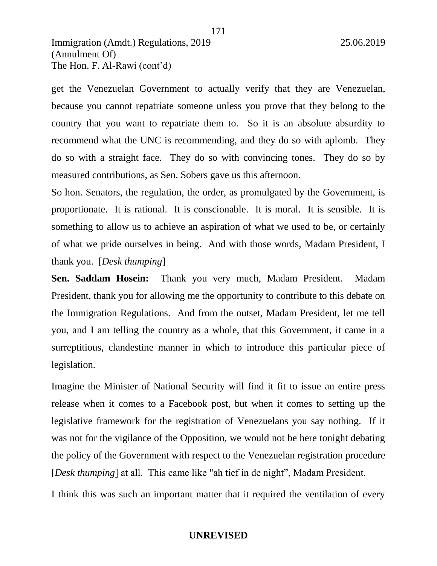get the Venezuelan Government to actually verify that they are Venezuelan, because you cannot repatriate someone unless you prove that they belong to the country that you want to repatriate them to. So it is an absolute absurdity to recommend what the UNC is recommending, and they do so with aplomb. They do so with a straight face. They do so with convincing tones. They do so by measured contributions, as Sen. Sobers gave us this afternoon.

171

So hon. Senators, the regulation, the order, as promulgated by the Government, is proportionate. It is rational. It is conscionable. It is moral. It is sensible. It is something to allow us to achieve an aspiration of what we used to be, or certainly of what we pride ourselves in being. And with those words, Madam President, I thank you. [*Desk thumping*]

**Sen. Saddam Hosein:** Thank you very much, Madam President. Madam President, thank you for allowing me the opportunity to contribute to this debate on the Immigration Regulations. And from the outset, Madam President, let me tell you, and I am telling the country as a whole, that this Government, it came in a surreptitious, clandestine manner in which to introduce this particular piece of legislation.

Imagine the Minister of National Security will find it fit to issue an entire press release when it comes to a Facebook post, but when it comes to setting up the legislative framework for the registration of Venezuelans you say nothing. If it was not for the vigilance of the Opposition, we would not be here tonight debating the policy of the Government with respect to the Venezuelan registration procedure [*Desk thumping*] at all. This came like "ah tief in de night", Madam President.

I think this was such an important matter that it required the ventilation of every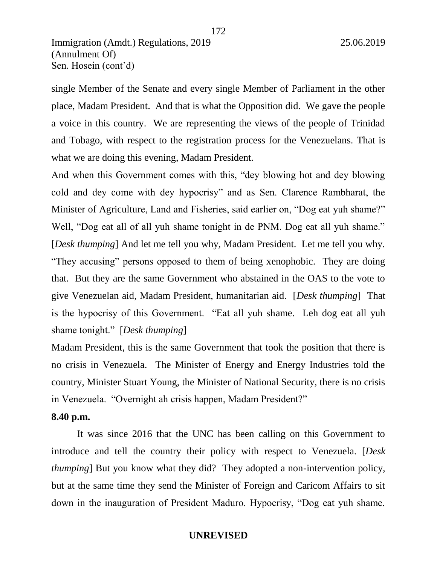single Member of the Senate and every single Member of Parliament in the other place, Madam President. And that is what the Opposition did. We gave the people a voice in this country. We are representing the views of the people of Trinidad and Tobago, with respect to the registration process for the Venezuelans. That is what we are doing this evening, Madam President.

And when this Government comes with this, "dey blowing hot and dey blowing cold and dey come with dey hypocrisy" and as Sen. Clarence Rambharat, the Minister of Agriculture, Land and Fisheries, said earlier on, "Dog eat yuh shame?" Well, "Dog eat all of all yuh shame tonight in de PNM. Dog eat all yuh shame." [*Desk thumping*] And let me tell you why, Madam President. Let me tell you why. "They accusing" persons opposed to them of being xenophobic. They are doing that. But they are the same Government who abstained in the OAS to the vote to give Venezuelan aid, Madam President, humanitarian aid. [*Desk thumping*] That is the hypocrisy of this Government. "Eat all yuh shame. Leh dog eat all yuh shame tonight." [*Desk thumping*]

Madam President, this is the same Government that took the position that there is no crisis in Venezuela. The Minister of Energy and Energy Industries told the country, Minister Stuart Young, the Minister of National Security, there is no crisis in Venezuela. "Overnight ah crisis happen, Madam President?"

#### **8.40 p.m.**

It was since 2016 that the UNC has been calling on this Government to introduce and tell the country their policy with respect to Venezuela. [*Desk thumping*] But you know what they did? They adopted a non-intervention policy, but at the same time they send the Minister of Foreign and Caricom Affairs to sit down in the inauguration of President Maduro. Hypocrisy, "Dog eat yuh shame.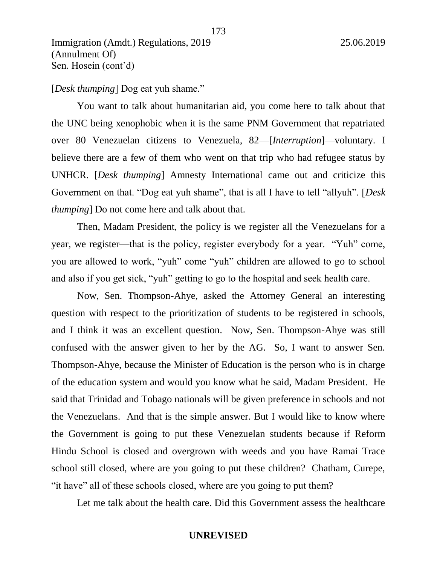[*Desk thumping*] Dog eat yuh shame."

You want to talk about humanitarian aid, you come here to talk about that the UNC being xenophobic when it is the same PNM Government that repatriated over 80 Venezuelan citizens to Venezuela, 82—[*Interruption*]—voluntary. I believe there are a few of them who went on that trip who had refugee status by UNHCR. [*Desk thumping*] Amnesty International came out and criticize this Government on that. "Dog eat yuh shame", that is all I have to tell "allyuh". [*Desk thumping*] Do not come here and talk about that.

173

Then, Madam President, the policy is we register all the Venezuelans for a year, we register—that is the policy, register everybody for a year. "Yuh" come, you are allowed to work, "yuh" come "yuh" children are allowed to go to school and also if you get sick, "yuh" getting to go to the hospital and seek health care.

Now, Sen. Thompson-Ahye, asked the Attorney General an interesting question with respect to the prioritization of students to be registered in schools, and I think it was an excellent question. Now, Sen. Thompson-Ahye was still confused with the answer given to her by the AG. So, I want to answer Sen. Thompson-Ahye, because the Minister of Education is the person who is in charge of the education system and would you know what he said, Madam President. He said that Trinidad and Tobago nationals will be given preference in schools and not the Venezuelans. And that is the simple answer. But I would like to know where the Government is going to put these Venezuelan students because if Reform Hindu School is closed and overgrown with weeds and you have Ramai Trace school still closed, where are you going to put these children? Chatham, Curepe, "it have" all of these schools closed, where are you going to put them?

Let me talk about the health care. Did this Government assess the healthcare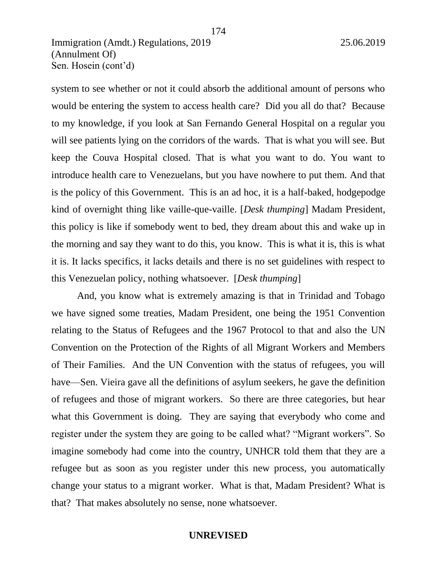system to see whether or not it could absorb the additional amount of persons who would be entering the system to access health care? Did you all do that? Because to my knowledge, if you look at San Fernando General Hospital on a regular you will see patients lying on the corridors of the wards. That is what you will see. But keep the Couva Hospital closed. That is what you want to do. You want to introduce health care to Venezuelans, but you have nowhere to put them. And that is the policy of this Government. This is an ad hoc, it is a half-baked, hodgepodge kind of overnight thing like vaille-que-vaille. [*Desk thumping*] Madam President, this policy is like if somebody went to bed, they dream about this and wake up in the morning and say they want to do this, you know. This is what it is, this is what it is. It lacks specifics, it lacks details and there is no set guidelines with respect to this Venezuelan policy, nothing whatsoever. [*Desk thumping*]

174

And, you know what is extremely amazing is that in Trinidad and Tobago we have signed some treaties, Madam President, one being the 1951 Convention relating to the Status of Refugees and the 1967 Protocol to that and also the UN Convention on the Protection of the Rights of all Migrant Workers and Members of Their Families. And the UN Convention with the status of refugees, you will have—Sen. Vieira gave all the definitions of asylum seekers, he gave the definition of refugees and those of migrant workers. So there are three categories, but hear what this Government is doing. They are saying that everybody who come and register under the system they are going to be called what? "Migrant workers". So imagine somebody had come into the country, UNHCR told them that they are a refugee but as soon as you register under this new process, you automatically change your status to a migrant worker. What is that, Madam President? What is that? That makes absolutely no sense, none whatsoever.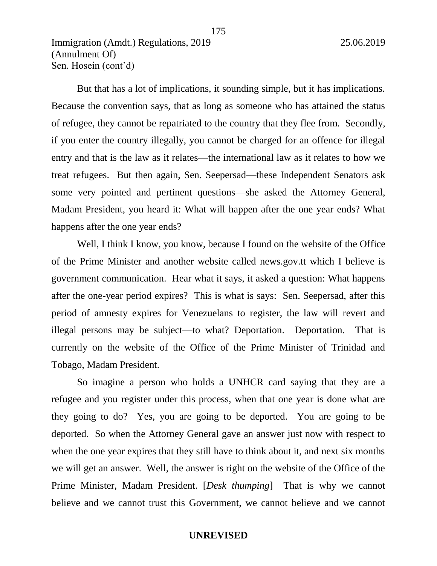But that has a lot of implications, it sounding simple, but it has implications. Because the convention says, that as long as someone who has attained the status of refugee, they cannot be repatriated to the country that they flee from. Secondly, if you enter the country illegally, you cannot be charged for an offence for illegal entry and that is the law as it relates—the international law as it relates to how we treat refugees. But then again, Sen. Seepersad—these Independent Senators ask some very pointed and pertinent questions—she asked the Attorney General, Madam President, you heard it: What will happen after the one year ends? What happens after the one year ends?

Well, I think I know, you know, because I found on the website of the Office of the Prime Minister and another website called news.gov.tt which I believe is government communication. Hear what it says, it asked a question: What happens after the one-year period expires? This is what is says: Sen. Seepersad, after this period of amnesty expires for Venezuelans to register, the law will revert and illegal persons may be subject—to what? Deportation. Deportation. That is currently on the website of the Office of the Prime Minister of Trinidad and Tobago, Madam President.

So imagine a person who holds a UNHCR card saying that they are a refugee and you register under this process, when that one year is done what are they going to do? Yes, you are going to be deported. You are going to be deported. So when the Attorney General gave an answer just now with respect to when the one year expires that they still have to think about it, and next six months we will get an answer. Well, the answer is right on the website of the Office of the Prime Minister, Madam President. [*Desk thumping*] That is why we cannot believe and we cannot trust this Government, we cannot believe and we cannot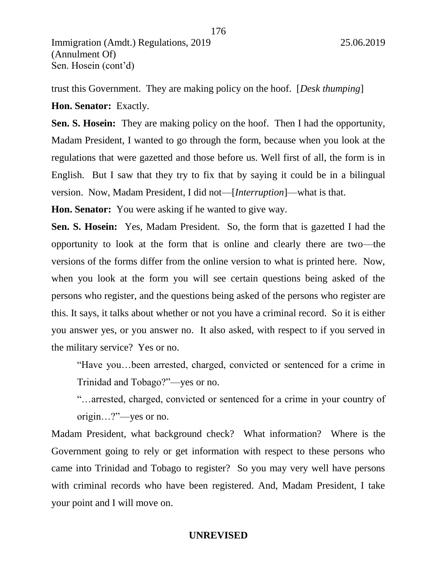trust this Government. They are making policy on the hoof. [*Desk thumping*]

**Hon. Senator:** Exactly.

**Sen. S. Hosein:** They are making policy on the hoof. Then I had the opportunity, Madam President, I wanted to go through the form, because when you look at the regulations that were gazetted and those before us. Well first of all, the form is in English. But I saw that they try to fix that by saying it could be in a bilingual version. Now, Madam President, I did not—[*Interruption*]—what is that.

**Hon. Senator:** You were asking if he wanted to give way.

**Sen. S. Hosein:** Yes, Madam President. So, the form that is gazetted I had the opportunity to look at the form that is online and clearly there are two—the versions of the forms differ from the online version to what is printed here. Now, when you look at the form you will see certain questions being asked of the persons who register, and the questions being asked of the persons who register are this. It says, it talks about whether or not you have a criminal record. So it is either you answer yes, or you answer no. It also asked, with respect to if you served in the military service? Yes or no.

"Have you…been arrested, charged, convicted or sentenced for a crime in Trinidad and Tobago?"—yes or no.

"…arrested, charged, convicted or sentenced for a crime in your country of origin…?"—yes or no.

Madam President, what background check? What information? Where is the Government going to rely or get information with respect to these persons who came into Trinidad and Tobago to register? So you may very well have persons with criminal records who have been registered. And, Madam President, I take your point and I will move on.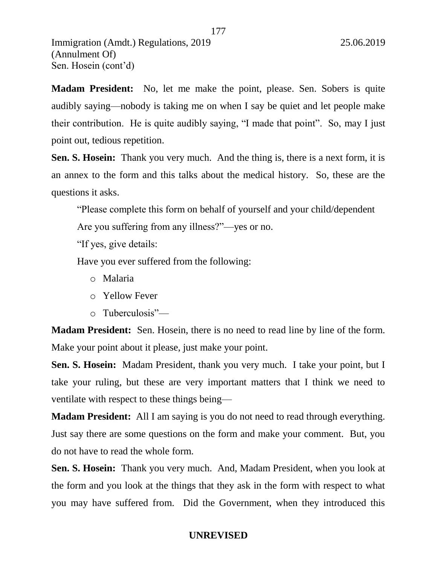**Madam President:** No, let me make the point, please. Sen. Sobers is quite audibly saying—nobody is taking me on when I say be quiet and let people make their contribution. He is quite audibly saying, "I made that point". So, may I just point out, tedious repetition.

**Sen. S. Hosein:** Thank you very much. And the thing is, there is a next form, it is an annex to the form and this talks about the medical history. So, these are the questions it asks.

"Please complete this form on behalf of yourself and your child/dependent

Are you suffering from any illness?"—yes or no.

"If yes, give details:

Have you ever suffered from the following:

- o Malaria
- o Yellow Fever
- o Tuberculosis"—

**Madam President:** Sen. Hosein, there is no need to read line by line of the form. Make your point about it please, just make your point.

**Sen. S. Hosein:** Madam President, thank you very much. I take your point, but I take your ruling, but these are very important matters that I think we need to ventilate with respect to these things being—

**Madam President:** All I am saying is you do not need to read through everything. Just say there are some questions on the form and make your comment. But, you do not have to read the whole form.

**Sen. S. Hosein:** Thank you very much. And, Madam President, when you look at the form and you look at the things that they ask in the form with respect to what you may have suffered from. Did the Government, when they introduced this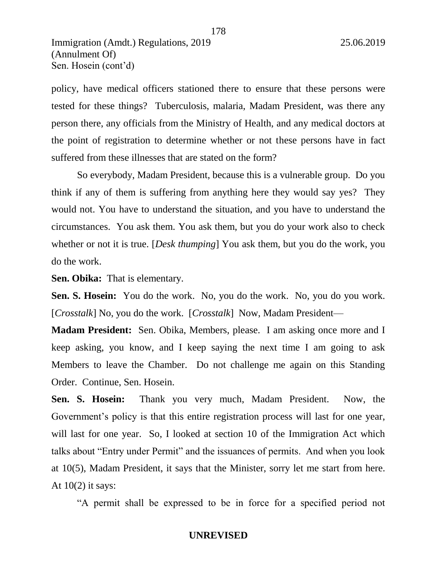policy, have medical officers stationed there to ensure that these persons were tested for these things? Tuberculosis, malaria, Madam President, was there any person there, any officials from the Ministry of Health, and any medical doctors at the point of registration to determine whether or not these persons have in fact suffered from these illnesses that are stated on the form?

So everybody, Madam President, because this is a vulnerable group. Do you think if any of them is suffering from anything here they would say yes? They would not. You have to understand the situation, and you have to understand the circumstances. You ask them. You ask them, but you do your work also to check whether or not it is true. [*Desk thumping*] You ask them, but you do the work, you do the work.

**Sen. Obika:** That is elementary.

**Sen. S. Hosein:** You do the work. No, you do the work. No, you do you work. [*Crosstalk*] No, you do the work. [*Crosstalk*] Now, Madam President—

**Madam President:** Sen. Obika, Members, please. I am asking once more and I keep asking, you know, and I keep saying the next time I am going to ask Members to leave the Chamber. Do not challenge me again on this Standing Order. Continue, Sen. Hosein.

**Sen. S. Hosein:** Thank you very much, Madam President. Now, the Government's policy is that this entire registration process will last for one year, will last for one year. So, I looked at section 10 of the Immigration Act which talks about "Entry under Permit" and the issuances of permits. And when you look at 10(5), Madam President, it says that the Minister, sorry let me start from here. At  $10(2)$  it says:

"A permit shall be expressed to be in force for a specified period not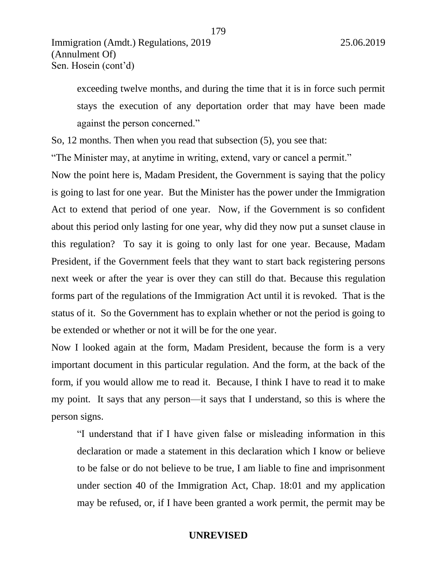exceeding twelve months, and during the time that it is in force such permit stays the execution of any deportation order that may have been made against the person concerned."

So, 12 months. Then when you read that subsection (5), you see that:

"The Minister may, at anytime in writing, extend, vary or cancel a permit."

Now the point here is, Madam President, the Government is saying that the policy is going to last for one year. But the Minister has the power under the Immigration Act to extend that period of one year. Now, if the Government is so confident about this period only lasting for one year, why did they now put a sunset clause in this regulation? To say it is going to only last for one year. Because, Madam President, if the Government feels that they want to start back registering persons next week or after the year is over they can still do that. Because this regulation forms part of the regulations of the Immigration Act until it is revoked. That is the status of it. So the Government has to explain whether or not the period is going to be extended or whether or not it will be for the one year.

Now I looked again at the form, Madam President, because the form is a very important document in this particular regulation. And the form, at the back of the form, if you would allow me to read it. Because, I think I have to read it to make my point. It says that any person—it says that I understand, so this is where the person signs.

"I understand that if I have given false or misleading information in this declaration or made a statement in this declaration which I know or believe to be false or do not believe to be true, I am liable to fine and imprisonment under section 40 of the Immigration Act, Chap. 18:01 and my application may be refused, or, if I have been granted a work permit, the permit may be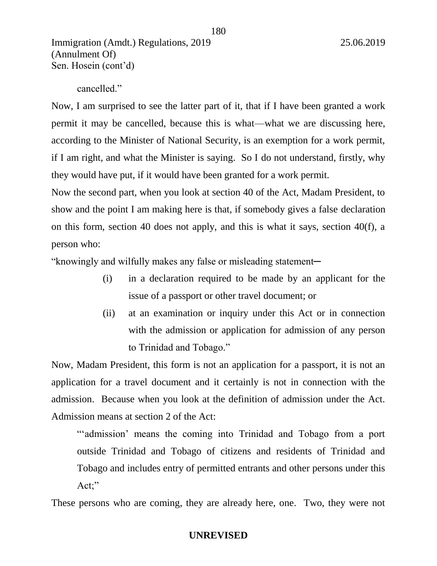cancelled."

Now, I am surprised to see the latter part of it, that if I have been granted a work permit it may be cancelled, because this is what—what we are discussing here, according to the Minister of National Security, is an exemption for a work permit, if I am right, and what the Minister is saying. So I do not understand, firstly, why they would have put, if it would have been granted for a work permit.

Now the second part, when you look at section 40 of the Act, Madam President, to show and the point I am making here is that, if somebody gives a false declaration on this form, section 40 does not apply, and this is what it says, section 40(f), a person who:

"knowingly and wilfully makes any false or misleading statement─

- (i) in a declaration required to be made by an applicant for the issue of a passport or other travel document; or
- (ii) at an examination or inquiry under this Act or in connection with the admission or application for admission of any person to Trinidad and Tobago."

Now, Madam President, this form is not an application for a passport, it is not an application for a travel document and it certainly is not in connection with the admission. Because when you look at the definition of admission under the Act. Admission means at section 2 of the Act:

"'admission' means the coming into Trinidad and Tobago from a port outside Trinidad and Tobago of citizens and residents of Trinidad and Tobago and includes entry of permitted entrants and other persons under this Act;"

These persons who are coming, they are already here, one. Two, they were not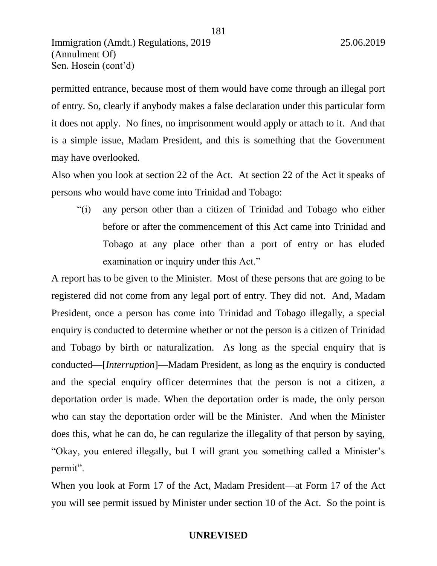permitted entrance, because most of them would have come through an illegal port of entry. So, clearly if anybody makes a false declaration under this particular form it does not apply. No fines, no imprisonment would apply or attach to it. And that is a simple issue, Madam President, and this is something that the Government may have overlooked.

181

Also when you look at section 22 of the Act. At section 22 of the Act it speaks of persons who would have come into Trinidad and Tobago:

"(i) any person other than a citizen of Trinidad and Tobago who either before or after the commencement of this Act came into Trinidad and Tobago at any place other than a port of entry or has eluded examination or inquiry under this Act."

A report has to be given to the Minister. Most of these persons that are going to be registered did not come from any legal port of entry. They did not. And, Madam President, once a person has come into Trinidad and Tobago illegally, a special enquiry is conducted to determine whether or not the person is a citizen of Trinidad and Tobago by birth or naturalization. As long as the special enquiry that is conducted—[*Interruption*]—Madam President, as long as the enquiry is conducted and the special enquiry officer determines that the person is not a citizen, a deportation order is made. When the deportation order is made, the only person who can stay the deportation order will be the Minister. And when the Minister does this, what he can do, he can regularize the illegality of that person by saying, "Okay, you entered illegally, but I will grant you something called a Minister's permit".

When you look at Form 17 of the Act, Madam President—at Form 17 of the Act you will see permit issued by Minister under section 10 of the Act. So the point is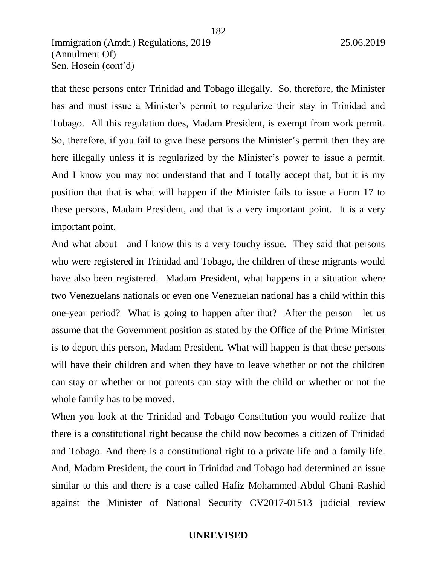that these persons enter Trinidad and Tobago illegally. So, therefore, the Minister has and must issue a Minister's permit to regularize their stay in Trinidad and Tobago. All this regulation does, Madam President, is exempt from work permit. So, therefore, if you fail to give these persons the Minister's permit then they are here illegally unless it is regularized by the Minister's power to issue a permit. And I know you may not understand that and I totally accept that, but it is my position that that is what will happen if the Minister fails to issue a Form 17 to these persons, Madam President, and that is a very important point. It is a very important point.

182

And what about—and I know this is a very touchy issue. They said that persons who were registered in Trinidad and Tobago, the children of these migrants would have also been registered. Madam President, what happens in a situation where two Venezuelans nationals or even one Venezuelan national has a child within this one-year period? What is going to happen after that? After the person—let us assume that the Government position as stated by the Office of the Prime Minister is to deport this person, Madam President. What will happen is that these persons will have their children and when they have to leave whether or not the children can stay or whether or not parents can stay with the child or whether or not the whole family has to be moved.

When you look at the Trinidad and Tobago Constitution you would realize that there is a constitutional right because the child now becomes a citizen of Trinidad and Tobago. And there is a constitutional right to a private life and a family life. And, Madam President, the court in Trinidad and Tobago had determined an issue similar to this and there is a case called Hafiz Mohammed Abdul Ghani Rashid against the Minister of National Security CV2017-01513 judicial review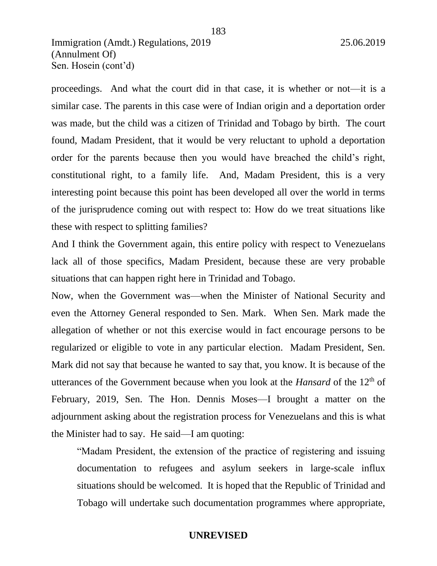proceedings. And what the court did in that case, it is whether or not—it is a similar case. The parents in this case were of Indian origin and a deportation order was made, but the child was a citizen of Trinidad and Tobago by birth. The court found, Madam President, that it would be very reluctant to uphold a deportation order for the parents because then you would have breached the child's right, constitutional right, to a family life. And, Madam President, this is a very interesting point because this point has been developed all over the world in terms of the jurisprudence coming out with respect to: How do we treat situations like these with respect to splitting families?

183

And I think the Government again, this entire policy with respect to Venezuelans lack all of those specifics, Madam President, because these are very probable situations that can happen right here in Trinidad and Tobago.

Now, when the Government was—when the Minister of National Security and even the Attorney General responded to Sen. Mark. When Sen. Mark made the allegation of whether or not this exercise would in fact encourage persons to be regularized or eligible to vote in any particular election. Madam President, Sen. Mark did not say that because he wanted to say that, you know. It is because of the utterances of the Government because when you look at the *Hansard* of the 12th of February, 2019, Sen. The Hon. Dennis Moses—I brought a matter on the adjournment asking about the registration process for Venezuelans and this is what the Minister had to say. He said—I am quoting:

"Madam President, the extension of the practice of registering and issuing documentation to refugees and asylum seekers in large-scale influx situations should be welcomed. It is hoped that the Republic of Trinidad and Tobago will undertake such documentation programmes where appropriate,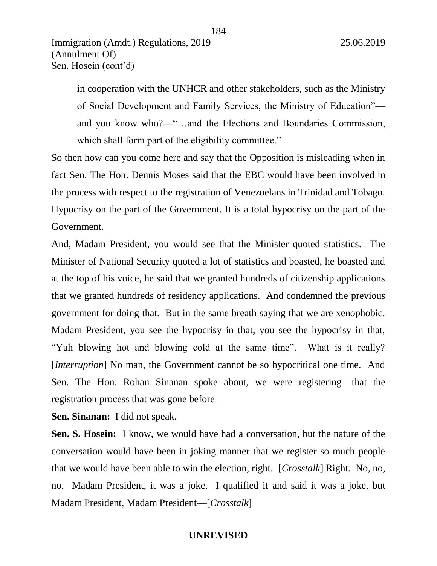in cooperation with the UNHCR and other stakeholders, such as the Ministry of Social Development and Family Services, the Ministry of Education" and you know who?—"…and the Elections and Boundaries Commission, which shall form part of the eligibility committee."

So then how can you come here and say that the Opposition is misleading when in fact Sen. The Hon. Dennis Moses said that the EBC would have been involved in the process with respect to the registration of Venezuelans in Trinidad and Tobago. Hypocrisy on the part of the Government. It is a total hypocrisy on the part of the Government.

And, Madam President, you would see that the Minister quoted statistics. The Minister of National Security quoted a lot of statistics and boasted, he boasted and at the top of his voice, he said that we granted hundreds of citizenship applications that we granted hundreds of residency applications. And condemned the previous government for doing that. But in the same breath saying that we are xenophobic. Madam President, you see the hypocrisy in that, you see the hypocrisy in that, "Yuh blowing hot and blowing cold at the same time". What is it really? [*Interruption*] No man, the Government cannot be so hypocritical one time. And Sen. The Hon. Rohan Sinanan spoke about, we were registering—that the registration process that was gone before—

**Sen. Sinanan:** I did not speak.

**Sen. S. Hosein:** I know, we would have had a conversation, but the nature of the conversation would have been in joking manner that we register so much people that we would have been able to win the election, right. [*Crosstalk*] Right. No, no, no. Madam President, it was a joke. I qualified it and said it was a joke, but Madam President, Madam President—[*Crosstalk*]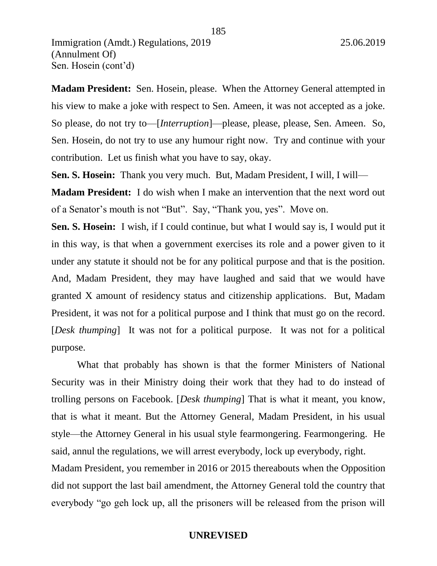**Madam President:** Sen. Hosein, please. When the Attorney General attempted in his view to make a joke with respect to Sen. Ameen, it was not accepted as a joke. So please, do not try to—[*Interruption*]—please, please, please, Sen. Ameen. So, Sen. Hosein, do not try to use any humour right now. Try and continue with your contribution. Let us finish what you have to say, okay.

**Sen. S. Hosein:** Thank you very much. But, Madam President, I will, I will—

**Madam President:** I do wish when I make an intervention that the next word out of a Senator's mouth is not "But". Say, "Thank you, yes". Move on.

**Sen. S. Hosein:** I wish, if I could continue, but what I would say is, I would put it in this way, is that when a government exercises its role and a power given to it under any statute it should not be for any political purpose and that is the position. And, Madam President, they may have laughed and said that we would have granted X amount of residency status and citizenship applications. But, Madam President, it was not for a political purpose and I think that must go on the record. [*Desk thumping*] It was not for a political purpose. It was not for a political purpose.

What that probably has shown is that the former Ministers of National Security was in their Ministry doing their work that they had to do instead of trolling persons on Facebook. [*Desk thumping*] That is what it meant, you know, that is what it meant. But the Attorney General, Madam President, in his usual style—the Attorney General in his usual style fearmongering. Fearmongering. He said, annul the regulations, we will arrest everybody, lock up everybody, right. Madam President, you remember in 2016 or 2015 thereabouts when the Opposition did not support the last bail amendment, the Attorney General told the country that everybody "go geh lock up, all the prisoners will be released from the prison will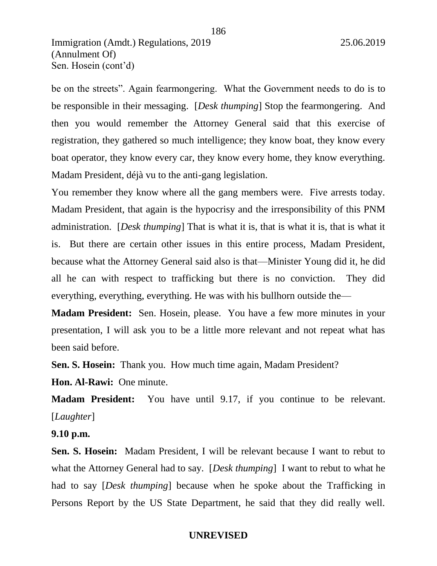be on the streets". Again fearmongering. What the Government needs to do is to be responsible in their messaging. [*Desk thumping*] Stop the fearmongering. And then you would remember the Attorney General said that this exercise of registration, they gathered so much intelligence; they know boat, they know every boat operator, they know every car, they know every home, they know everything. Madam President, déjà vu to the anti-gang legislation.

186

You remember they know where all the gang members were. Five arrests today. Madam President, that again is the hypocrisy and the irresponsibility of this PNM administration. [*Desk thumping*] That is what it is, that is what it is, that is what it is. But there are certain other issues in this entire process, Madam President, because what the Attorney General said also is that—Minister Young did it, he did all he can with respect to trafficking but there is no conviction. They did everything, everything, everything. He was with his bullhorn outside the—

**Madam President:** Sen. Hosein, please. You have a few more minutes in your presentation, I will ask you to be a little more relevant and not repeat what has been said before.

**Sen. S. Hosein:** Thank you. How much time again, Madam President?

**Hon. Al-Rawi:** One minute.

**Madam President:** You have until 9.17, if you continue to be relevant. [*Laughter*]

**9.10 p.m.** 

**Sen. S. Hosein:** Madam President, I will be relevant because I want to rebut to what the Attorney General had to say. [*Desk thumping*] I want to rebut to what he had to say [*Desk thumping*] because when he spoke about the Trafficking in Persons Report by the US State Department, he said that they did really well.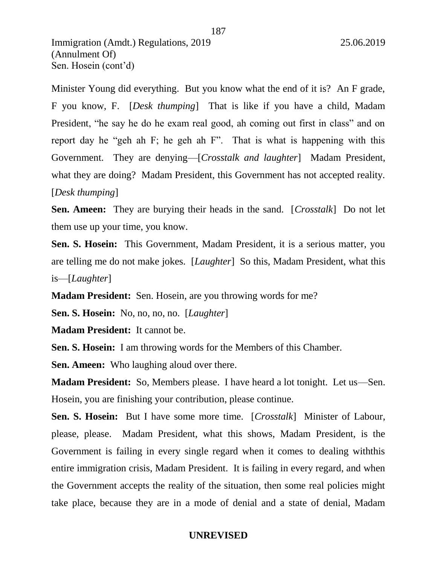Minister Young did everything. But you know what the end of it is? An F grade, F you know, F. [*Desk thumping*] That is like if you have a child, Madam President, "he say he do he exam real good, ah coming out first in class" and on report day he "geh ah F; he geh ah F". That is what is happening with this Government. They are denying—[*Crosstalk and laughter*] Madam President, what they are doing? Madam President, this Government has not accepted reality. [*Desk thumping*]

**Sen. Ameen:** They are burying their heads in the sand. [*Crosstalk*] Do not let them use up your time, you know.

**Sen. S. Hosein:** This Government, Madam President, it is a serious matter, you are telling me do not make jokes. [*Laughter*] So this, Madam President, what this is—[*Laughter*]

**Madam President:** Sen. Hosein, are you throwing words for me?

**Sen. S. Hosein:** No, no, no, no. [*Laughter*]

**Madam President:** It cannot be.

**Sen. S. Hosein:** I am throwing words for the Members of this Chamber.

**Sen. Ameen:** Who laughing aloud over there.

**Madam President:** So, Members please. I have heard a lot tonight. Let us—Sen. Hosein, you are finishing your contribution, please continue.

**Sen. S. Hosein:** But I have some more time. [*Crosstalk*] Minister of Labour, please, please. Madam President, what this shows, Madam President, is the Government is failing in every single regard when it comes to dealing withthis entire immigration crisis, Madam President. It is failing in every regard, and when the Government accepts the reality of the situation, then some real policies might take place, because they are in a mode of denial and a state of denial, Madam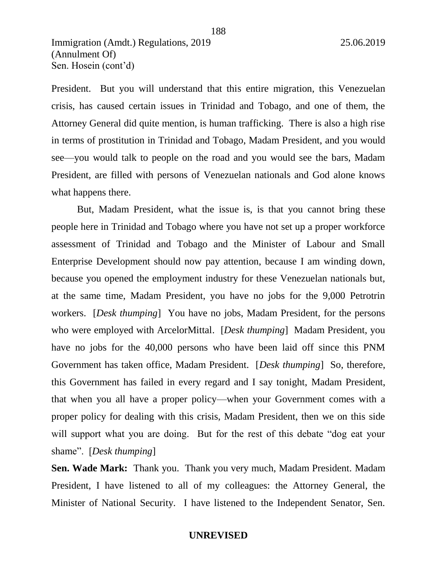President. But you will understand that this entire migration, this Venezuelan crisis, has caused certain issues in Trinidad and Tobago, and one of them, the Attorney General did quite mention, is human trafficking. There is also a high rise in terms of prostitution in Trinidad and Tobago, Madam President, and you would see—you would talk to people on the road and you would see the bars, Madam President, are filled with persons of Venezuelan nationals and God alone knows what happens there.

188

But, Madam President, what the issue is, is that you cannot bring these people here in Trinidad and Tobago where you have not set up a proper workforce assessment of Trinidad and Tobago and the Minister of Labour and Small Enterprise Development should now pay attention, because I am winding down, because you opened the employment industry for these Venezuelan nationals but, at the same time, Madam President, you have no jobs for the 9,000 Petrotrin workers. [*Desk thumping*] You have no jobs, Madam President, for the persons who were employed with ArcelorMittal. [*Desk thumping*] Madam President, you have no jobs for the 40,000 persons who have been laid off since this PNM Government has taken office, Madam President. [*Desk thumping*] So, therefore, this Government has failed in every regard and I say tonight, Madam President, that when you all have a proper policy—when your Government comes with a proper policy for dealing with this crisis, Madam President, then we on this side will support what you are doing. But for the rest of this debate "dog eat your shame". [*Desk thumping*]

**Sen. Wade Mark:** Thank you. Thank you very much, Madam President. Madam President, I have listened to all of my colleagues: the Attorney General, the Minister of National Security. I have listened to the Independent Senator, Sen.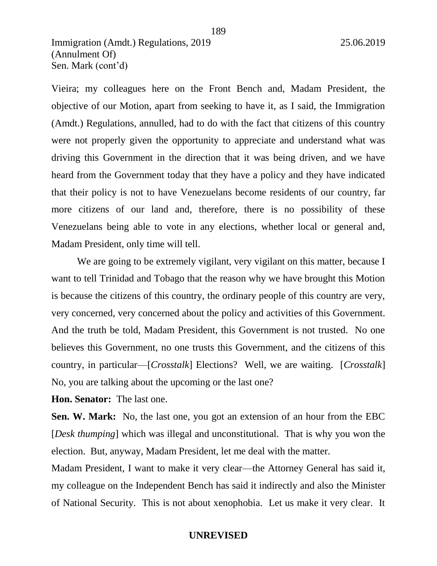Vieira; my colleagues here on the Front Bench and, Madam President, the objective of our Motion, apart from seeking to have it, as I said, the Immigration (Amdt.) Regulations, annulled, had to do with the fact that citizens of this country were not properly given the opportunity to appreciate and understand what was driving this Government in the direction that it was being driven, and we have heard from the Government today that they have a policy and they have indicated that their policy is not to have Venezuelans become residents of our country, far more citizens of our land and, therefore, there is no possibility of these Venezuelans being able to vote in any elections, whether local or general and, Madam President, only time will tell.

We are going to be extremely vigilant, very vigilant on this matter, because I want to tell Trinidad and Tobago that the reason why we have brought this Motion is because the citizens of this country, the ordinary people of this country are very, very concerned, very concerned about the policy and activities of this Government. And the truth be told, Madam President, this Government is not trusted. No one believes this Government, no one trusts this Government, and the citizens of this country, in particular—[*Crosstalk*] Elections? Well, we are waiting. [*Crosstalk*] No, you are talking about the upcoming or the last one?

**Hon. Senator:** The last one.

**Sen. W. Mark:** No, the last one, you got an extension of an hour from the EBC [*Desk thumping*] which was illegal and unconstitutional. That is why you won the election. But, anyway, Madam President, let me deal with the matter.

Madam President, I want to make it very clear—the Attorney General has said it, my colleague on the Independent Bench has said it indirectly and also the Minister of National Security. This is not about xenophobia. Let us make it very clear. It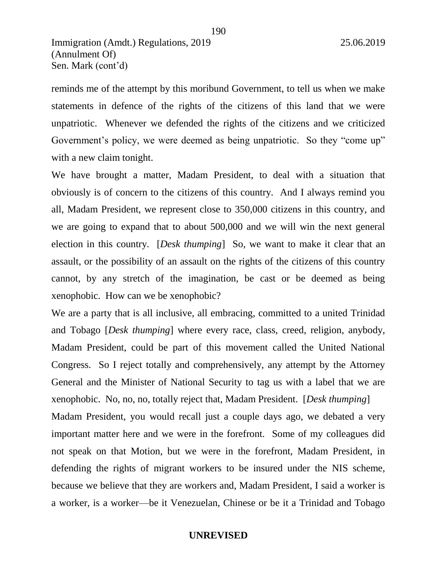reminds me of the attempt by this moribund Government, to tell us when we make statements in defence of the rights of the citizens of this land that we were unpatriotic. Whenever we defended the rights of the citizens and we criticized Government's policy, we were deemed as being unpatriotic. So they "come up" with a new claim tonight.

190

We have brought a matter, Madam President, to deal with a situation that obviously is of concern to the citizens of this country. And I always remind you all, Madam President, we represent close to 350,000 citizens in this country, and we are going to expand that to about 500,000 and we will win the next general election in this country. [*Desk thumping*] So, we want to make it clear that an assault, or the possibility of an assault on the rights of the citizens of this country cannot, by any stretch of the imagination, be cast or be deemed as being xenophobic. How can we be xenophobic?

We are a party that is all inclusive, all embracing, committed to a united Trinidad and Tobago [*Desk thumping*] where every race, class, creed, religion, anybody, Madam President, could be part of this movement called the United National Congress. So I reject totally and comprehensively, any attempt by the Attorney General and the Minister of National Security to tag us with a label that we are xenophobic. No, no, no, totally reject that, Madam President. [*Desk thumping*] Madam President, you would recall just a couple days ago, we debated a very important matter here and we were in the forefront. Some of my colleagues did not speak on that Motion, but we were in the forefront, Madam President, in defending the rights of migrant workers to be insured under the NIS scheme, because we believe that they are workers and, Madam President, I said a worker is a worker, is a worker—be it Venezuelan, Chinese or be it a Trinidad and Tobago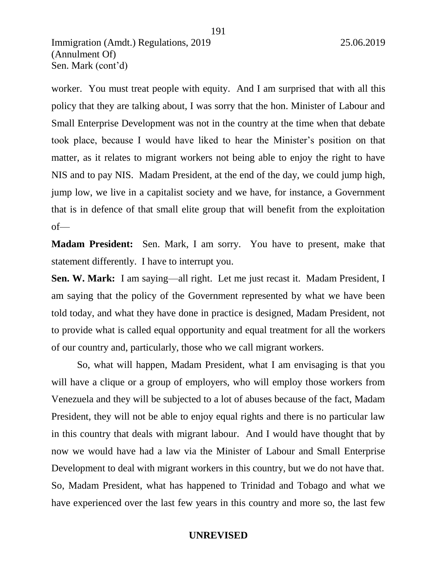worker. You must treat people with equity. And I am surprised that with all this policy that they are talking about, I was sorry that the hon. Minister of Labour and Small Enterprise Development was not in the country at the time when that debate took place, because I would have liked to hear the Minister's position on that matter, as it relates to migrant workers not being able to enjoy the right to have NIS and to pay NIS. Madam President, at the end of the day, we could jump high, jump low, we live in a capitalist society and we have, for instance, a Government that is in defence of that small elite group that will benefit from the exploitation of—

**Madam President:** Sen. Mark, I am sorry. You have to present, make that statement differently. I have to interrupt you.

**Sen. W. Mark:** I am saying—all right. Let me just recast it. Madam President, I am saying that the policy of the Government represented by what we have been told today, and what they have done in practice is designed, Madam President, not to provide what is called equal opportunity and equal treatment for all the workers of our country and, particularly, those who we call migrant workers.

So, what will happen, Madam President, what I am envisaging is that you will have a clique or a group of employers, who will employ those workers from Venezuela and they will be subjected to a lot of abuses because of the fact, Madam President, they will not be able to enjoy equal rights and there is no particular law in this country that deals with migrant labour. And I would have thought that by now we would have had a law via the Minister of Labour and Small Enterprise Development to deal with migrant workers in this country, but we do not have that. So, Madam President, what has happened to Trinidad and Tobago and what we have experienced over the last few years in this country and more so, the last few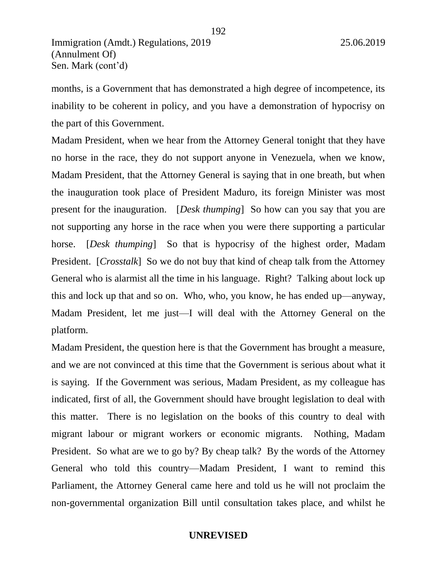months, is a Government that has demonstrated a high degree of incompetence, its inability to be coherent in policy, and you have a demonstration of hypocrisy on the part of this Government.

192

Madam President, when we hear from the Attorney General tonight that they have no horse in the race, they do not support anyone in Venezuela, when we know, Madam President, that the Attorney General is saying that in one breath, but when the inauguration took place of President Maduro, its foreign Minister was most present for the inauguration. [*Desk thumping*] So how can you say that you are not supporting any horse in the race when you were there supporting a particular horse. [*Desk thumping*] So that is hypocrisy of the highest order, Madam President. [*Crosstalk*] So we do not buy that kind of cheap talk from the Attorney General who is alarmist all the time in his language. Right? Talking about lock up this and lock up that and so on. Who, who, you know, he has ended up—anyway, Madam President, let me just—I will deal with the Attorney General on the platform.

Madam President, the question here is that the Government has brought a measure, and we are not convinced at this time that the Government is serious about what it is saying. If the Government was serious, Madam President, as my colleague has indicated, first of all, the Government should have brought legislation to deal with this matter. There is no legislation on the books of this country to deal with migrant labour or migrant workers or economic migrants. Nothing, Madam President. So what are we to go by? By cheap talk? By the words of the Attorney General who told this country—Madam President, I want to remind this Parliament, the Attorney General came here and told us he will not proclaim the non-governmental organization Bill until consultation takes place, and whilst he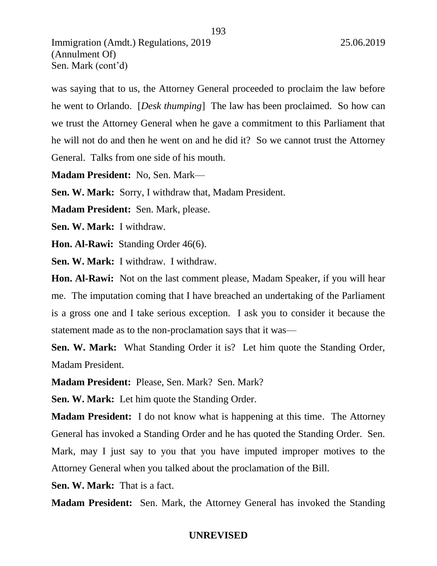was saying that to us, the Attorney General proceeded to proclaim the law before he went to Orlando. [*Desk thumping*] The law has been proclaimed. So how can we trust the Attorney General when he gave a commitment to this Parliament that he will not do and then he went on and he did it? So we cannot trust the Attorney General. Talks from one side of his mouth.

193

**Madam President:** No, Sen. Mark—

**Sen. W. Mark:** Sorry, I withdraw that, Madam President.

**Madam President:** Sen. Mark, please.

**Sen. W. Mark:** I withdraw.

**Hon. Al-Rawi:** Standing Order 46(6).

**Sen. W. Mark:** I withdraw. I withdraw.

**Hon. Al-Rawi:** Not on the last comment please, Madam Speaker, if you will hear me. The imputation coming that I have breached an undertaking of the Parliament is a gross one and I take serious exception. I ask you to consider it because the statement made as to the non-proclamation says that it was—

**Sen. W. Mark:** What Standing Order it is? Let him quote the Standing Order, Madam President.

**Madam President:** Please, Sen. Mark? Sen. Mark?

**Sen. W. Mark:** Let him quote the Standing Order.

**Madam President:** I do not know what is happening at this time. The Attorney General has invoked a Standing Order and he has quoted the Standing Order. Sen. Mark, may I just say to you that you have imputed improper motives to the Attorney General when you talked about the proclamation of the Bill.

**Sen. W. Mark:** That is a fact.

**Madam President:** Sen. Mark, the Attorney General has invoked the Standing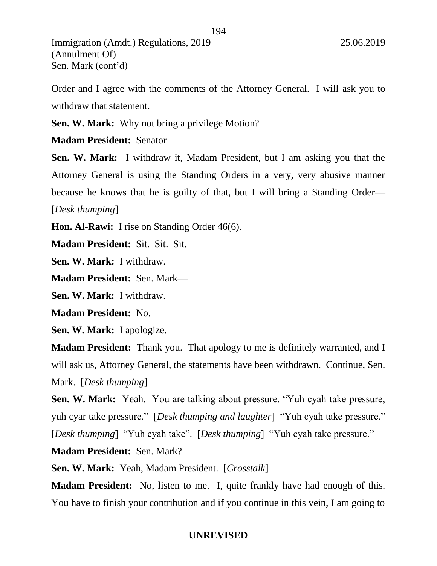Order and I agree with the comments of the Attorney General. I will ask you to withdraw that statement.

**Sen. W. Mark:** Why not bring a privilege Motion?

**Madam President:** Senator—

**Sen. W. Mark:** I withdraw it, Madam President, but I am asking you that the Attorney General is using the Standing Orders in a very, very abusive manner because he knows that he is guilty of that, but I will bring a Standing Order— [*Desk thumping*]

**Hon. Al-Rawi:** I rise on Standing Order 46(6).

**Madam President:** Sit. Sit. Sit.

**Sen. W. Mark:** I withdraw.

**Madam President:** Sen. Mark—

**Sen. W. Mark:** I withdraw.

**Madam President:** No.

**Sen. W. Mark:** I apologize.

**Madam President:** Thank you. That apology to me is definitely warranted, and I will ask us, Attorney General, the statements have been withdrawn. Continue, Sen. Mark. [*Desk thumping*]

**Sen. W. Mark:** Yeah. You are talking about pressure. "Yuh cyah take pressure, yuh cyar take pressure." [*Desk thumping and laughter*] "Yuh cyah take pressure." [*Desk thumping*] "Yuh cyah take". [*Desk thumping*] "Yuh cyah take pressure."

**Madam President:** Sen. Mark?

**Sen. W. Mark:** Yeah, Madam President. [*Crosstalk*]

**Madam President:** No, listen to me. I, quite frankly have had enough of this. You have to finish your contribution and if you continue in this vein, I am going to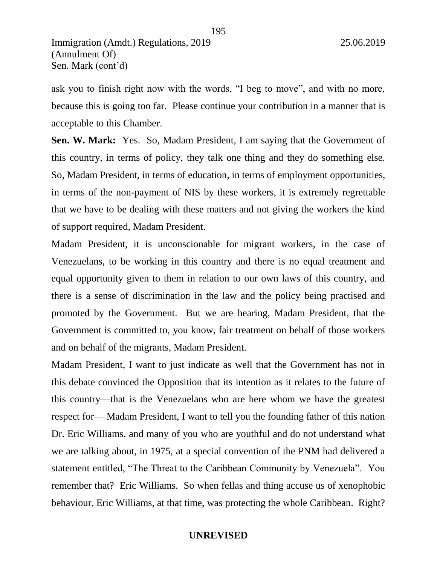ask you to finish right now with the words, "I beg to move", and with no more, because this is going too far. Please continue your contribution in a manner that is acceptable to this Chamber.

195

**Sen. W. Mark:** Yes. So, Madam President, I am saying that the Government of this country, in terms of policy, they talk one thing and they do something else. So, Madam President, in terms of education, in terms of employment opportunities, in terms of the non-payment of NIS by these workers, it is extremely regrettable that we have to be dealing with these matters and not giving the workers the kind of support required, Madam President.

Madam President, it is unconscionable for migrant workers, in the case of Venezuelans, to be working in this country and there is no equal treatment and equal opportunity given to them in relation to our own laws of this country, and there is a sense of discrimination in the law and the policy being practised and promoted by the Government. But we are hearing, Madam President, that the Government is committed to, you know, fair treatment on behalf of those workers and on behalf of the migrants, Madam President.

Madam President, I want to just indicate as well that the Government has not in this debate convinced the Opposition that its intention as it relates to the future of this country—that is the Venezuelans who are here whom we have the greatest respect for— Madam President, I want to tell you the founding father of this nation Dr. Eric Williams, and many of you who are youthful and do not understand what we are talking about, in 1975, at a special convention of the PNM had delivered a statement entitled, "The Threat to the Caribbean Community by Venezuela". You remember that? Eric Williams. So when fellas and thing accuse us of xenophobic behaviour, Eric Williams, at that time, was protecting the whole Caribbean. Right?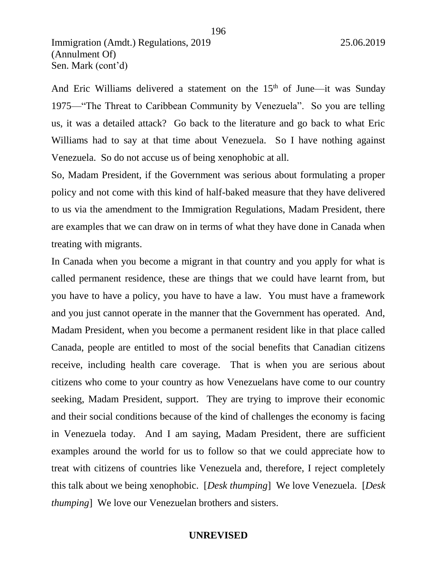And Eric Williams delivered a statement on the  $15<sup>th</sup>$  of June—it was Sunday 1975—"The Threat to Caribbean Community by Venezuela". So you are telling us, it was a detailed attack? Go back to the literature and go back to what Eric Williams had to say at that time about Venezuela. So I have nothing against Venezuela. So do not accuse us of being xenophobic at all.

So, Madam President, if the Government was serious about formulating a proper policy and not come with this kind of half-baked measure that they have delivered to us via the amendment to the Immigration Regulations, Madam President, there are examples that we can draw on in terms of what they have done in Canada when treating with migrants.

In Canada when you become a migrant in that country and you apply for what is called permanent residence, these are things that we could have learnt from, but you have to have a policy, you have to have a law. You must have a framework and you just cannot operate in the manner that the Government has operated. And, Madam President, when you become a permanent resident like in that place called Canada, people are entitled to most of the social benefits that Canadian citizens receive, including health care coverage. That is when you are serious about citizens who come to your country as how Venezuelans have come to our country seeking, Madam President, support. They are trying to improve their economic and their social conditions because of the kind of challenges the economy is facing in Venezuela today. And I am saying, Madam President, there are sufficient examples around the world for us to follow so that we could appreciate how to treat with citizens of countries like Venezuela and, therefore, I reject completely this talk about we being xenophobic. [*Desk thumping*] We love Venezuela. [*Desk thumping*] We love our Venezuelan brothers and sisters.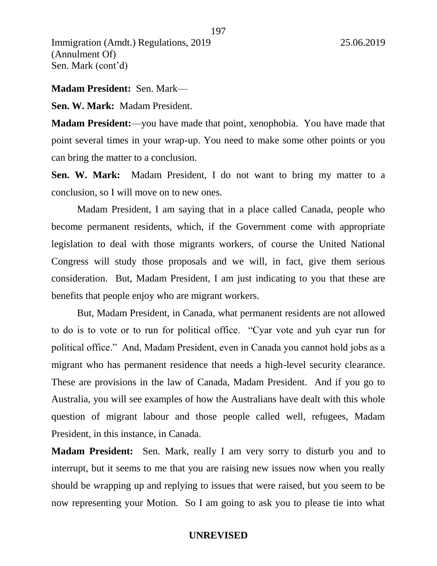#### **Madam President:** Sen. Mark—

**Sen. W. Mark:** Madam President.

**Madam President:**—you have made that point, xenophobia. You have made that point several times in your wrap-up. You need to make some other points or you can bring the matter to a conclusion.

**Sen. W. Mark:** Madam President, I do not want to bring my matter to a conclusion, so I will move on to new ones.

Madam President, I am saying that in a place called Canada, people who become permanent residents, which, if the Government come with appropriate legislation to deal with those migrants workers, of course the United National Congress will study those proposals and we will, in fact, give them serious consideration. But, Madam President, I am just indicating to you that these are benefits that people enjoy who are migrant workers.

But, Madam President, in Canada, what permanent residents are not allowed to do is to vote or to run for political office. "Cyar vote and yuh cyar run for political office." And, Madam President, even in Canada you cannot hold jobs as a migrant who has permanent residence that needs a high-level security clearance. These are provisions in the law of Canada, Madam President. And if you go to Australia, you will see examples of how the Australians have dealt with this whole question of migrant labour and those people called well, refugees, Madam President, in this instance, in Canada.

**Madam President:** Sen. Mark, really I am very sorry to disturb you and to interrupt, but it seems to me that you are raising new issues now when you really should be wrapping up and replying to issues that were raised, but you seem to be now representing your Motion. So I am going to ask you to please tie into what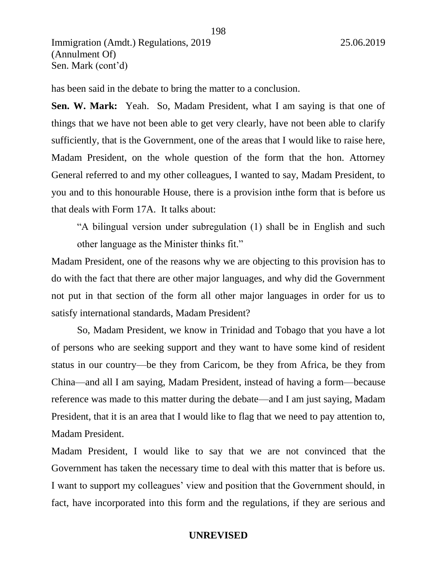has been said in the debate to bring the matter to a conclusion.

**Sen. W. Mark:** Yeah. So, Madam President, what I am saying is that one of things that we have not been able to get very clearly, have not been able to clarify sufficiently, that is the Government, one of the areas that I would like to raise here, Madam President, on the whole question of the form that the hon. Attorney General referred to and my other colleagues, I wanted to say, Madam President, to you and to this honourable House, there is a provision inthe form that is before us that deals with Form 17A. It talks about:

198

"A bilingual version under subregulation (1) shall be in English and such other language as the Minister thinks fit."

Madam President, one of the reasons why we are objecting to this provision has to do with the fact that there are other major languages, and why did the Government not put in that section of the form all other major languages in order for us to satisfy international standards, Madam President?

So, Madam President, we know in Trinidad and Tobago that you have a lot of persons who are seeking support and they want to have some kind of resident status in our country—be they from Caricom, be they from Africa, be they from China—and all I am saying, Madam President, instead of having a form—because reference was made to this matter during the debate—and I am just saying, Madam President, that it is an area that I would like to flag that we need to pay attention to, Madam President.

Madam President, I would like to say that we are not convinced that the Government has taken the necessary time to deal with this matter that is before us. I want to support my colleagues' view and position that the Government should, in fact, have incorporated into this form and the regulations, if they are serious and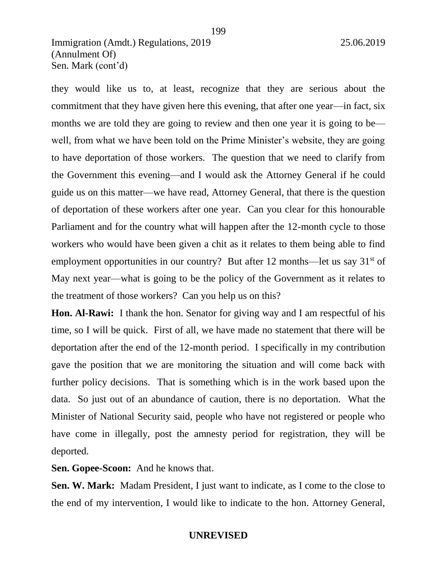they would like us to, at least, recognize that they are serious about the commitment that they have given here this evening, that after one year—in fact, six months we are told they are going to review and then one year it is going to be well, from what we have been told on the Prime Minister's website, they are going to have deportation of those workers. The question that we need to clarify from the Government this evening—and I would ask the Attorney General if he could guide us on this matter—we have read, Attorney General, that there is the question of deportation of these workers after one year. Can you clear for this honourable Parliament and for the country what will happen after the 12-month cycle to those workers who would have been given a chit as it relates to them being able to find employment opportunities in our country? But after 12 months—let us say  $31<sup>st</sup>$  of May next year—what is going to be the policy of the Government as it relates to the treatment of those workers? Can you help us on this?

**Hon. Al-Rawi:** I thank the hon. Senator for giving way and I am respectful of his time, so I will be quick. First of all, we have made no statement that there will be deportation after the end of the 12-month period. I specifically in my contribution gave the position that we are monitoring the situation and will come back with further policy decisions. That is something which is in the work based upon the data. So just out of an abundance of caution, there is no deportation. What the Minister of National Security said, people who have not registered or people who have come in illegally, post the amnesty period for registration, they will be deported.

**Sen. Gopee-Scoon:** And he knows that.

**Sen. W. Mark:** Madam President, I just want to indicate, as I come to the close to the end of my intervention, I would like to indicate to the hon. Attorney General,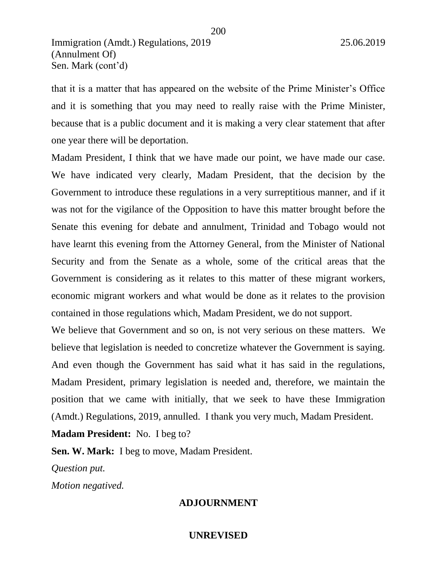that it is a matter that has appeared on the website of the Prime Minister's Office and it is something that you may need to really raise with the Prime Minister, because that is a public document and it is making a very clear statement that after one year there will be deportation.

Madam President, I think that we have made our point, we have made our case. We have indicated very clearly, Madam President, that the decision by the Government to introduce these regulations in a very surreptitious manner, and if it was not for the vigilance of the Opposition to have this matter brought before the Senate this evening for debate and annulment, Trinidad and Tobago would not have learnt this evening from the Attorney General, from the Minister of National Security and from the Senate as a whole, some of the critical areas that the Government is considering as it relates to this matter of these migrant workers, economic migrant workers and what would be done as it relates to the provision contained in those regulations which, Madam President, we do not support.

We believe that Government and so on, is not very serious on these matters. We believe that legislation is needed to concretize whatever the Government is saying. And even though the Government has said what it has said in the regulations, Madam President, primary legislation is needed and, therefore, we maintain the position that we came with initially, that we seek to have these Immigration (Amdt.) Regulations, 2019, annulled. I thank you very much, Madam President.

**Madam President:** No. I beg to?

**Sen. W. Mark:** I beg to move, Madam President.

*Question put.* 

*Motion negatived.* 

### **ADJOURNMENT**